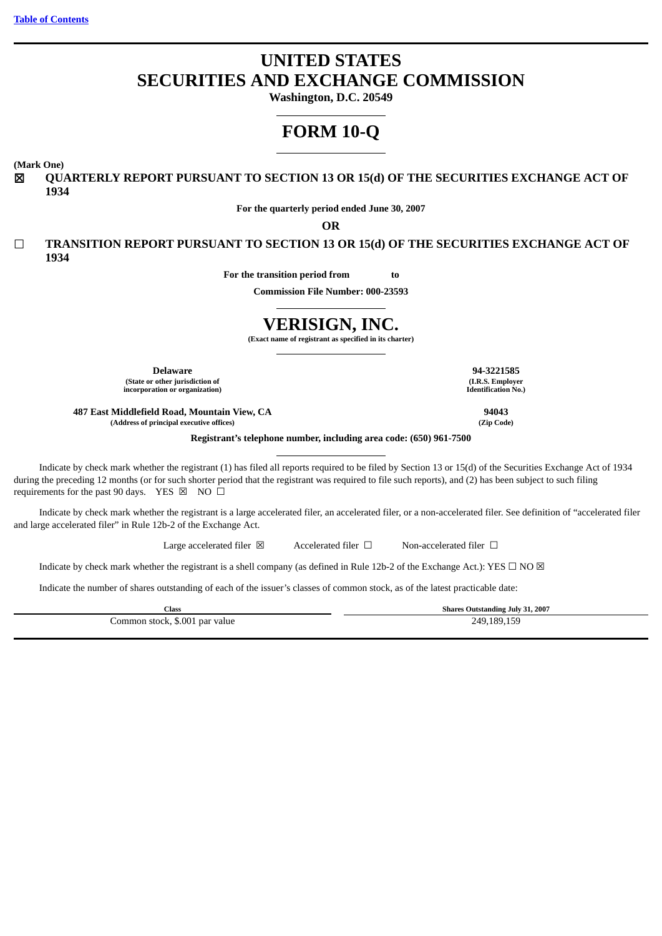# **UNITED STATES SECURITIES AND EXCHANGE COMMISSION**

**Washington, D.C. 20549**

# **FORM 10-Q**

**(Mark One)**

☒ **QUARTERLY REPORT PURSUANT TO SECTION 13 OR 15(d) OF THE SECURITIES EXCHANGE ACT OF 1934**

**For the quarterly period ended June 30, 2007**

**OR**

☐ **TRANSITION REPORT PURSUANT TO SECTION 13 OR 15(d) OF THE SECURITIES EXCHANGE ACT OF 1934**

**For the transition period from to** 

**Commission File Number: 000-23593**

# **VERISIGN, INC.**

**(Exact name of registrant as specified in its charter)**

**Delaware 94-3221585 (State or other jurisdiction of incorporation or organization)**

**487 East Middlefield Road, Mountain View, CA 94043 (Address of principal executive offices) (Zip Code)**

**Registrant's telephone number, including area code: (650) 961-7500**

Indicate by check mark whether the registrant (1) has filed all reports required to be filed by Section 13 or 15(d) of the Securities Exchange Act of 1934 during the preceding 12 months (or for such shorter period that the registrant was required to file such reports), and (2) has been subject to such filing requirements for the past 90 days. YES  $\boxtimes$  NO  $\Box$ 

Indicate by check mark whether the registrant is a large accelerated filer, an accelerated filer, or a non-accelerated filer. See definition of "accelerated filer and large accelerated filer" in Rule 12b-2 of the Exchange Act.

Large accelerated filer ⊠ Accelerated filer □ Non-accelerated filer □

Indicate by check mark whether the registrant is a shell company (as defined in Rule 12b-2 of the Exchange Act.): YES  $\Box$  NO  $\boxtimes$ 

Indicate the number of shares outstanding of each of the issuer's classes of common stock, as of the latest practicable date:

**Class Shares Outstanding July 31, 2007** Common stock, \$.001 par value 249,189,159

**(I.R.S. Employer Identification No.)**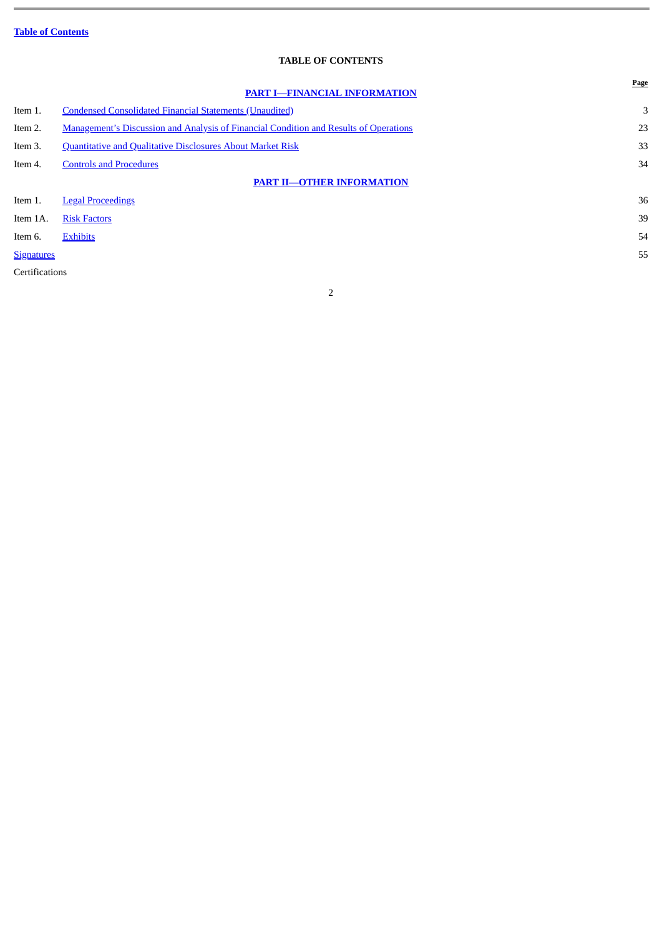# **TABLE OF CONTENTS**

<span id="page-1-0"></span>

|                   | <b>PART I-FINANCIAL INFORMATION</b>                                                   | Page |
|-------------------|---------------------------------------------------------------------------------------|------|
| Item 1.           | <b>Condensed Consolidated Financial Statements (Unaudited)</b>                        | 3    |
| Item 2.           | Management's Discussion and Analysis of Financial Condition and Results of Operations | 23   |
| Item 3.           | <b>Quantitative and Qualitative Disclosures About Market Risk</b>                     | 33   |
| Item 4.           | <b>Controls and Procedures</b>                                                        | 34   |
|                   | <b>PART II-OTHER INFORMATION</b>                                                      |      |
| Item 1.           | <b>Legal Proceedings</b>                                                              | 36   |
| Item 1A.          | <b>Risk Factors</b>                                                                   | 39   |
| Item 6.           | <b>Exhibits</b>                                                                       | 54   |
| <b>Signatures</b> |                                                                                       | 55   |
| Certifications    |                                                                                       |      |
|                   | $\overline{2}$                                                                        |      |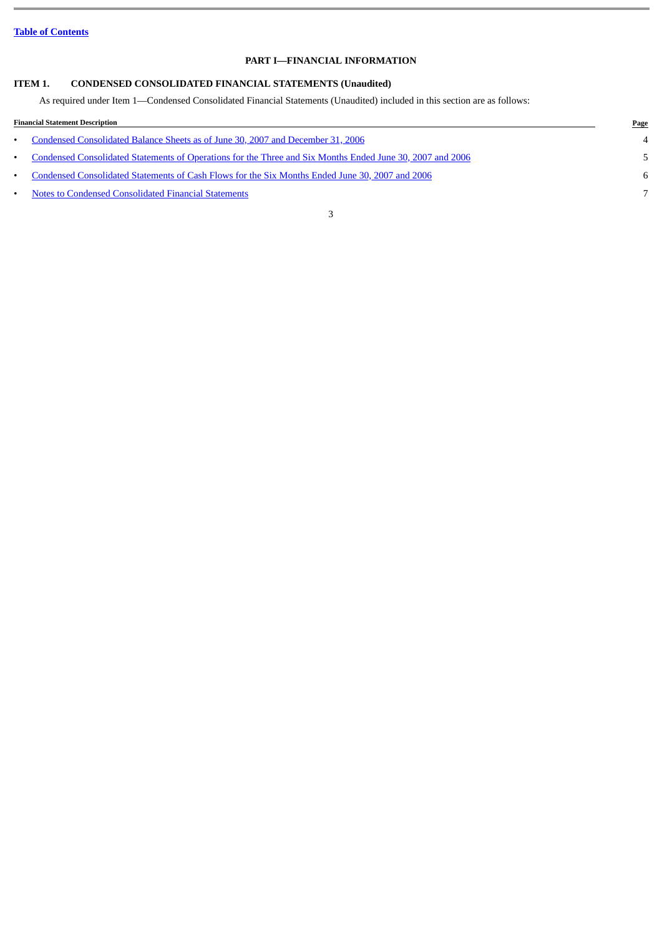# **PART I—FINANCIAL INFORMATION**

# <span id="page-2-1"></span><span id="page-2-0"></span>**ITEM 1. CONDENSED CONSOLIDATED FINANCIAL STATEMENTS (Unaudited)**

As required under Item 1—Condensed Consolidated Financial Statements (Unaudited) included in this section are as follows:

# **Financial Statement Description Page**

| • Condensed Consolidated Balance Sheets as of June 30, 2007 and December 31, 2006                           |  |
|-------------------------------------------------------------------------------------------------------------|--|
| • Condensed Consolidated Statements of Operations for the Three and Six Months Ended June 30, 2007 and 2006 |  |
| • Condensed Consolidated Statements of Cash Flows for the Six Months Ended June 30, 2007 and 2006           |  |
| • Notes to Condensed Consolidated Financial Statements                                                      |  |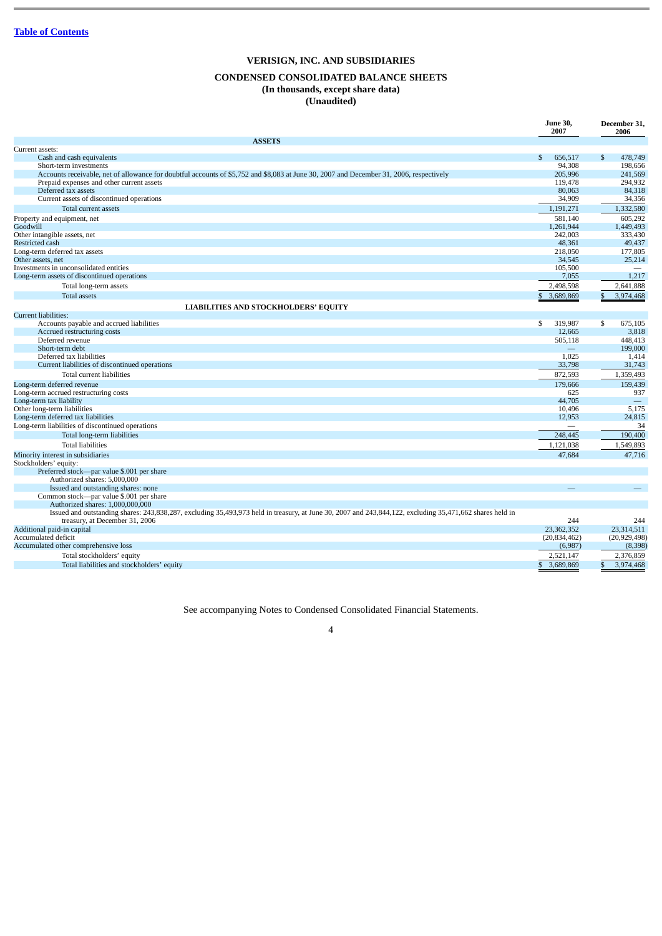# **VERISIGN, INC. AND SUBSIDIARIES**

# **CONDENSED CONSOLIDATED BALANCE SHEETS**

**(In thousands, except share data)**

**(Unaudited)**

<span id="page-3-0"></span>

|                                                                                                                                                          |                           | December 31,<br>2006      |
|----------------------------------------------------------------------------------------------------------------------------------------------------------|---------------------------|---------------------------|
| <b>ASSETS</b>                                                                                                                                            |                           |                           |
| Current assets:                                                                                                                                          |                           |                           |
| Cash and cash equivalents                                                                                                                                | \$<br>656,517             | 478,749<br>\$             |
| Short-term investments                                                                                                                                   | 94,308                    | 198,656                   |
| Accounts receivable, net of allowance for doubtful accounts of \$5,752 and \$8,083 at June 30, 2007 and December 31, 2006, respectively                  | 205,996                   | 241,569                   |
| Prepaid expenses and other current assets                                                                                                                | 119,478                   | 294,932                   |
| Deferred tax assets                                                                                                                                      | 80,063                    | 84,318                    |
| Current assets of discontinued operations                                                                                                                | 34,909                    | 34,356                    |
| Total current assets                                                                                                                                     | 1,191,271                 | 1,332,580                 |
| Property and equipment, net                                                                                                                              | 581,140                   | 605,292                   |
| Goodwill                                                                                                                                                 | 1,261,944                 | 1,449,493                 |
| Other intangible assets, net                                                                                                                             | 242,003                   | 333,430                   |
| Restricted cash                                                                                                                                          | 48,361                    | 49,437                    |
| Long-term deferred tax assets                                                                                                                            | 218,050                   | 177,805                   |
| Other assets, net                                                                                                                                        | 34,545                    | 25,214                    |
| Investments in unconsolidated entities                                                                                                                   | 105,500                   |                           |
| Long-term assets of discontinued operations                                                                                                              | 7,055                     | 1,217                     |
| Total long-term assets                                                                                                                                   | 2,498,598                 | 2,641,888                 |
| <b>Total assets</b>                                                                                                                                      | 3,689,869<br>\$           | \$<br>3,974,468           |
| <b>LIABILITIES AND STOCKHOLDERS' EQUITY</b>                                                                                                              |                           |                           |
| Current liabilities:                                                                                                                                     |                           |                           |
| Accounts payable and accrued liabilities                                                                                                                 | \$<br>319,987             | \$<br>675,105             |
| Accrued restructuring costs                                                                                                                              | 12,665                    | 3,818                     |
| Deferred revenue                                                                                                                                         | 505,118                   | 448,413                   |
| Short-term debt                                                                                                                                          | $\overline{\phantom{0}}$  | 199,000                   |
| Deferred tax liabilities                                                                                                                                 | 1,025                     | 1,414                     |
| Current liabilities of discontinued operations                                                                                                           | 33,798                    | 31,743                    |
| Total current liabilities                                                                                                                                | 872,593                   | 1,359,493                 |
| Long-term deferred revenue                                                                                                                               | 179,666                   | 159,439                   |
| Long-term accrued restructuring costs                                                                                                                    | 625                       | 937                       |
| Long-term tax liability                                                                                                                                  | 44,705                    | $\qquad \qquad -$         |
| Other long-term liabilities                                                                                                                              | 10,496                    | 5,175                     |
| Long-term deferred tax liabilities                                                                                                                       | 12,953                    | 24,815                    |
| Long-term liabilities of discontinued operations                                                                                                         | $\qquad \qquad$           | 34                        |
| Total long-term liabilities                                                                                                                              | 248,445                   | 190,400                   |
| <b>Total liabilities</b>                                                                                                                                 | 1,121,038                 | 1,549,893                 |
|                                                                                                                                                          |                           |                           |
| Minority interest in subsidiaries                                                                                                                        | 47,684                    | 47,716                    |
| Stockholders' equity:                                                                                                                                    |                           |                           |
| Preferred stock—par value \$.001 per share<br>Authorized shares: 5,000,000                                                                               |                           |                           |
| Issued and outstanding shares: none                                                                                                                      |                           |                           |
| Common stock—par value \$.001 per share                                                                                                                  |                           |                           |
| Authorized shares: 1,000,000,000                                                                                                                         |                           |                           |
| Issued and outstanding shares: 243,838,287, excluding 35,493,973 held in treasury, at June 30, 2007 and 243,844,122, excluding 35,471,662 shares held in |                           |                           |
| treasury, at December 31, 2006                                                                                                                           | 244                       | 244                       |
| Additional paid-in capital                                                                                                                               | 23,362,352                | 23,314,511                |
| <b>Accumulated deficit</b>                                                                                                                               | (20, 834, 462)            | (20, 929, 498)            |
| Accumulated other comprehensive loss                                                                                                                     | (6,987)                   | (8,398)                   |
| Total stockholders' equity                                                                                                                               | 2,521,147                 | 2,376,859                 |
| Total liabilities and stockholders' equity                                                                                                               | 3.689.869<br>$\mathbb{S}$ | 3,974,468<br>$\mathbb{S}$ |

See accompanying Notes to Condensed Consolidated Financial Statements.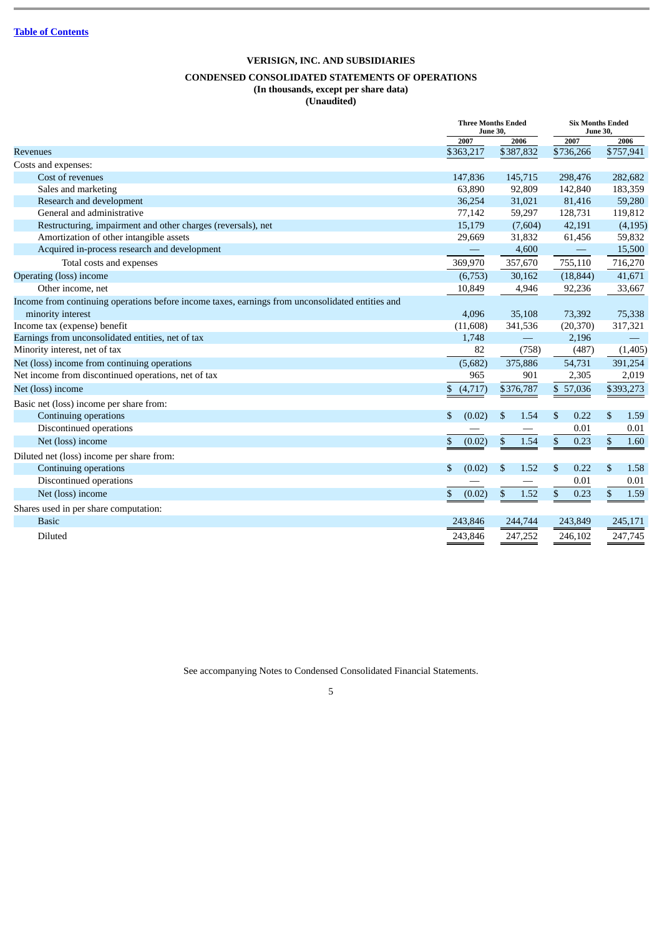# **VERISIGN, INC. AND SUBSIDIARIES**

# **CONDENSED CONSOLIDATED STATEMENTS OF OPERATIONS**

**(In thousands, except per share data)**

**(Unaudited)**

<span id="page-4-0"></span>

|                                                                                                  |               | <b>Three Months Ended</b><br><b>June 30.</b> |                          | <b>Six Months Ended</b><br><b>June 30.</b> |  |
|--------------------------------------------------------------------------------------------------|---------------|----------------------------------------------|--------------------------|--------------------------------------------|--|
|                                                                                                  | 2007          | 2006                                         |                          | 2006                                       |  |
| <b>Revenues</b>                                                                                  | \$363,217     | \$387,832                                    | \$736,266                | \$757,941                                  |  |
| Costs and expenses:                                                                              |               |                                              |                          |                                            |  |
| Cost of revenues                                                                                 | 147,836       | 145,715                                      | 298,476                  | 282,682                                    |  |
| Sales and marketing                                                                              | 63,890        | 92,809                                       | 142,840                  | 183,359                                    |  |
| Research and development                                                                         | 36,254        | 31,021                                       | 81,416                   | 59,280                                     |  |
| General and administrative                                                                       | 77,142        | 59,297                                       | 128,731                  | 119,812                                    |  |
| Restructuring, impairment and other charges (reversals), net                                     | 15,179        | (7,604)                                      | 42,191                   | (4, 195)                                   |  |
| Amortization of other intangible assets                                                          | 29,669        | 31,832                                       | 61,456                   | 59,832                                     |  |
| Acquired in-process research and development                                                     |               | 4,600                                        | $\overline{\phantom{m}}$ | 15,500                                     |  |
| Total costs and expenses                                                                         | 369,970       | 357,670                                      | 755,110                  | 716,270                                    |  |
| Operating (loss) income                                                                          | (6,753)       | 30,162                                       | (18, 844)                | 41,671                                     |  |
| Other income, net                                                                                | 10,849        | 4,946                                        | 92,236                   | 33,667                                     |  |
| Income from continuing operations before income taxes, earnings from unconsolidated entities and |               |                                              |                          |                                            |  |
| minority interest                                                                                | 4,096         | 35,108                                       | 73,392                   | 75,338                                     |  |
| Income tax (expense) benefit                                                                     | (11,608)      | 341,536                                      | (20, 370)                | 317,321                                    |  |
| Earnings from unconsolidated entities, net of tax                                                | 1.748         |                                              | 2,196                    |                                            |  |
| Minority interest, net of tax                                                                    | 82            | (758)                                        | (487)                    | (1, 405)                                   |  |
| Net (loss) income from continuing operations                                                     | (5,682)       | 375,886                                      | 54,731                   | 391,254                                    |  |
| Net income from discontinued operations, net of tax                                              | 965           | 901                                          | 2,305                    | 2,019                                      |  |
| Net (loss) income                                                                                | \$<br>(4,717) | \$376,787                                    | \$57,036                 | \$393,273                                  |  |
| Basic net (loss) income per share from:                                                          |               |                                              |                          |                                            |  |
| Continuing operations                                                                            | \$<br>(0.02)  | 1.54<br>\$                                   | \$<br>0.22               | \$<br>1.59                                 |  |
| Discontinued operations                                                                          |               |                                              | 0.01                     | 0.01                                       |  |
| Net (loss) income                                                                                | \$<br>(0.02)  | \$<br>1.54                                   | \$<br>0.23               | ${\mathbb S}$<br>1.60                      |  |
| Diluted net (loss) income per share from:                                                        |               |                                              |                          |                                            |  |
| Continuing operations                                                                            | \$<br>(0.02)  | 1.52<br>\$                                   | \$<br>0.22               | \$<br>1.58                                 |  |
| Discontinued operations                                                                          |               |                                              | 0.01                     | 0.01                                       |  |
| Net (loss) income                                                                                | \$<br>(0.02)  | 1.52<br>\$                                   | $\$$<br>0.23             | \$<br>1.59                                 |  |
| Shares used in per share computation:                                                            |               |                                              |                          |                                            |  |
| <b>Basic</b>                                                                                     | 243,846       | 244,744                                      | 243,849                  | 245,171                                    |  |
| Diluted                                                                                          | 243,846       | 247,252                                      | 246,102                  | 247,745                                    |  |

See accompanying Notes to Condensed Consolidated Financial Statements.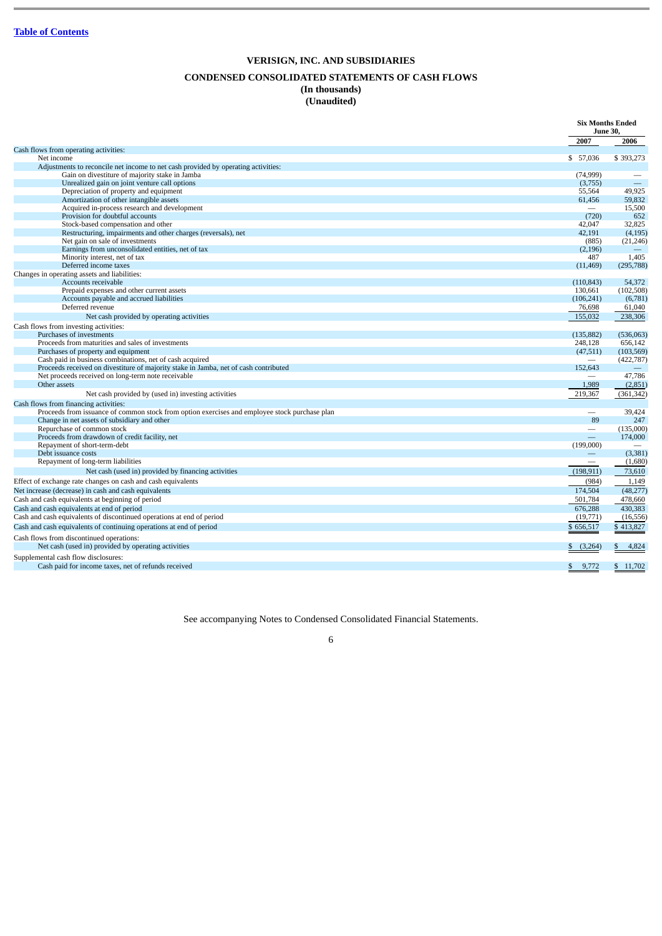# **VERISIGN, INC. AND SUBSIDIARIES CONDENSED CONSOLIDATED STATEMENTS OF CASH FLOWS (In thousands) (Unaudited)**

<span id="page-5-0"></span>

|                                                                                                 |                                 | <b>Six Months Ended</b><br><b>June 30,</b> |
|-------------------------------------------------------------------------------------------------|---------------------------------|--------------------------------------------|
|                                                                                                 | 2007                            | 2006                                       |
| Cash flows from operating activities:                                                           |                                 |                                            |
| Net income                                                                                      | \$ 57,036                       | \$393,273                                  |
| Adjustments to reconcile net income to net cash provided by operating activities:               |                                 |                                            |
| Gain on divestiture of majority stake in Jamba                                                  | (74,999)                        |                                            |
| Unrealized gain on joint venture call options                                                   | (3,755)<br>55,564               |                                            |
| Depreciation of property and equipment                                                          |                                 | 49,925                                     |
| Amortization of other intangible assets<br>Acquired in-process research and development         | 61,456                          | 59,832<br>15,500                           |
| Provision for doubtful accounts                                                                 | (720)                           | 652                                        |
| Stock-based compensation and other                                                              | 42.047                          | 32.825                                     |
| Restructuring, impairments and other charges (reversals), net                                   | 42,191                          | (4, 195)                                   |
| Net gain on sale of investments                                                                 | (885)                           | (21, 246)                                  |
| Earnings from unconsolidated entities, net of tax                                               | (2, 196)                        |                                            |
| Minority interest, net of tax                                                                   | 487                             | 1,405                                      |
| Deferred income taxes                                                                           | (11, 469)                       | (295, 788)                                 |
| Changes in operating assets and liabilities:                                                    |                                 |                                            |
| Accounts receivable                                                                             | (110, 843)                      | 54,372                                     |
| Prepaid expenses and other current assets                                                       | 130.661                         | (102, 508)                                 |
| Accounts payable and accrued liabilities                                                        | (106, 241)                      | (6,781)                                    |
| Deferred revenue                                                                                | 76,698                          | 61,040                                     |
| Net cash provided by operating activities                                                       | 155,032                         | 238,306                                    |
|                                                                                                 |                                 |                                            |
| Cash flows from investing activities:                                                           |                                 |                                            |
| Purchases of investments                                                                        | (135, 882)                      | (536,063)                                  |
| Proceeds from maturities and sales of investments                                               | 248,128                         | 656,142                                    |
| Purchases of property and equipment                                                             | (47,511)                        | (103, 569)                                 |
| Cash paid in business combinations, net of cash acquired                                        | $\frac{1}{2}$                   | (422, 787)                                 |
| Proceeds received on divestiture of majority stake in Jamba, net of cash contributed            | 152,643                         |                                            |
| Net proceeds received on long-term note receivable<br>Other assets                              |                                 | 47.786                                     |
|                                                                                                 | 1,989                           | (2,851)                                    |
| Net cash provided by (used in) investing activities                                             | 219,367                         | (361, 342)                                 |
| Cash flows from financing activities:                                                           |                                 |                                            |
| Proceeds from issuance of common stock from option exercises and employee stock purchase plan   | $\frac{1}{2}$                   | 39,424                                     |
| Change in net assets of subsidiary and other                                                    | 89                              | 247                                        |
| Repurchase of common stock                                                                      |                                 | (135,000)                                  |
| Proceeds from drawdown of credit facility, net                                                  | $\equiv$                        | 174,000                                    |
| Repayment of short-term-debt                                                                    | (199,000)                       |                                            |
| Debt issuance costs                                                                             |                                 | (3, 381)                                   |
| Repayment of long-term liabilities                                                              | $\overbrace{\qquad \qquad }^{}$ | (1,680)                                    |
| Net cash (used in) provided by financing activities                                             | (198, 911)                      | 73,610                                     |
| Effect of exchange rate changes on cash and cash equivalents                                    | (984)                           | 1,149                                      |
| Net increase (decrease) in cash and cash equivalents                                            | 174,504                         | (48, 277)                                  |
| Cash and cash equivalents at beginning of period                                                | 501,784                         | 478,660                                    |
| Cash and cash equivalents at end of period                                                      | 676,288                         | 430,383                                    |
| Cash and cash equivalents of discontinued operations at end of period                           | (19,771)                        | (16, 556)                                  |
| Cash and cash equivalents of continuing operations at end of period                             | \$656,517                       | \$413,827                                  |
|                                                                                                 |                                 |                                            |
| Cash flows from discontinued operations:<br>Net cash (used in) provided by operating activities | \$<br>(3,264)                   | \$<br>4,824                                |
|                                                                                                 |                                 |                                            |
| Supplemental cash flow disclosures:                                                             |                                 |                                            |
| Cash paid for income taxes, net of refunds received                                             | \$9,772                         | \$11,702                                   |
|                                                                                                 |                                 |                                            |

See accompanying Notes to Condensed Consolidated Financial Statements.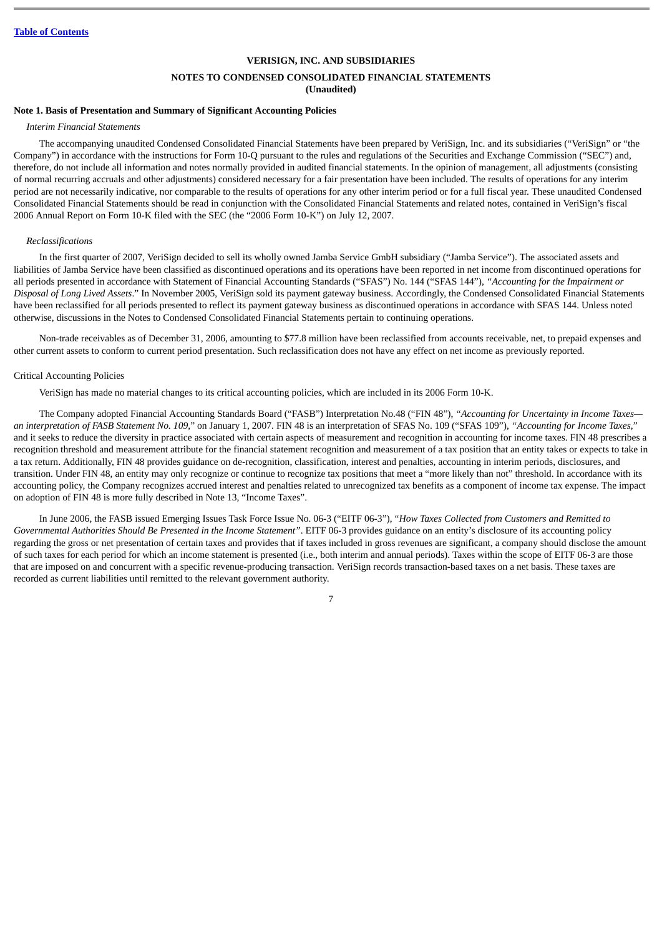# **VERISIGN, INC. AND SUBSIDIARIES NOTES TO CONDENSED CONSOLIDATED FINANCIAL STATEMENTS (Unaudited)**

#### <span id="page-6-0"></span>**Note 1. Basis of Presentation and Summary of Significant Accounting Policies**

#### *Interim Financial Statements*

The accompanying unaudited Condensed Consolidated Financial Statements have been prepared by VeriSign, Inc. and its subsidiaries ("VeriSign" or "the Company") in accordance with the instructions for Form 10-Q pursuant to the rules and regulations of the Securities and Exchange Commission ("SEC") and, therefore, do not include all information and notes normally provided in audited financial statements. In the opinion of management, all adjustments (consisting of normal recurring accruals and other adjustments) considered necessary for a fair presentation have been included. The results of operations for any interim period are not necessarily indicative, nor comparable to the results of operations for any other interim period or for a full fiscal year. These unaudited Condensed Consolidated Financial Statements should be read in conjunction with the Consolidated Financial Statements and related notes, contained in VeriSign's fiscal 2006 Annual Report on Form 10-K filed with the SEC (the "2006 Form 10-K") on July 12, 2007.

#### *Reclassifications*

In the first quarter of 2007, VeriSign decided to sell its wholly owned Jamba Service GmbH subsidiary ("Jamba Service"). The associated assets and liabilities of Jamba Service have been classified as discontinued operations and its operations have been reported in net income from discontinued operations for all periods presented in accordance with Statement of Financial Accounting Standards ("SFAS") No. 144 ("SFAS 144"), *"Accounting for the Impairment or Disposal of Long Lived Assets*." In November 2005, VeriSign sold its payment gateway business. Accordingly, the Condensed Consolidated Financial Statements have been reclassified for all periods presented to reflect its payment gateway business as discontinued operations in accordance with SFAS 144. Unless noted otherwise, discussions in the Notes to Condensed Consolidated Financial Statements pertain to continuing operations.

Non-trade receivables as of December 31, 2006, amounting to \$77.8 million have been reclassified from accounts receivable, net, to prepaid expenses and other current assets to conform to current period presentation. Such reclassification does not have any effect on net income as previously reported.

#### Critical Accounting Policies

VeriSign has made no material changes to its critical accounting policies, which are included in its 2006 Form 10-K.

The Company adopted Financial Accounting Standards Board ("FASB") Interpretation No.48 ("FIN 48"), *"Accounting for Uncertainty in Income Taxes an interpretation of FASB Statement No. 109*," on January 1, 2007. FIN 48 is an interpretation of SFAS No. 109 ("SFAS 109"), *"Accounting for Income Taxes*," and it seeks to reduce the diversity in practice associated with certain aspects of measurement and recognition in accounting for income taxes. FIN 48 prescribes a recognition threshold and measurement attribute for the financial statement recognition and measurement of a tax position that an entity takes or expects to take in a tax return. Additionally, FIN 48 provides guidance on de-recognition, classification, interest and penalties, accounting in interim periods, disclosures, and transition. Under FIN 48, an entity may only recognize or continue to recognize tax positions that meet a "more likely than not" threshold. In accordance with its accounting policy, the Company recognizes accrued interest and penalties related to unrecognized tax benefits as a component of income tax expense. The impact on adoption of FIN 48 is more fully described in Note 13, "Income Taxes".

In June 2006, the FASB issued Emerging Issues Task Force Issue No. 06-3 ("EITF 06-3"), "*How Taxes Collected from Customers and Remitted to Governmental Authorities Should Be Presented in the Income Statement"*. EITF 06-3 provides guidance on an entity's disclosure of its accounting policy regarding the gross or net presentation of certain taxes and provides that if taxes included in gross revenues are significant, a company should disclose the amount of such taxes for each period for which an income statement is presented (i.e., both interim and annual periods). Taxes within the scope of EITF 06-3 are those that are imposed on and concurrent with a specific revenue-producing transaction. VeriSign records transaction-based taxes on a net basis. These taxes are recorded as current liabilities until remitted to the relevant government authority.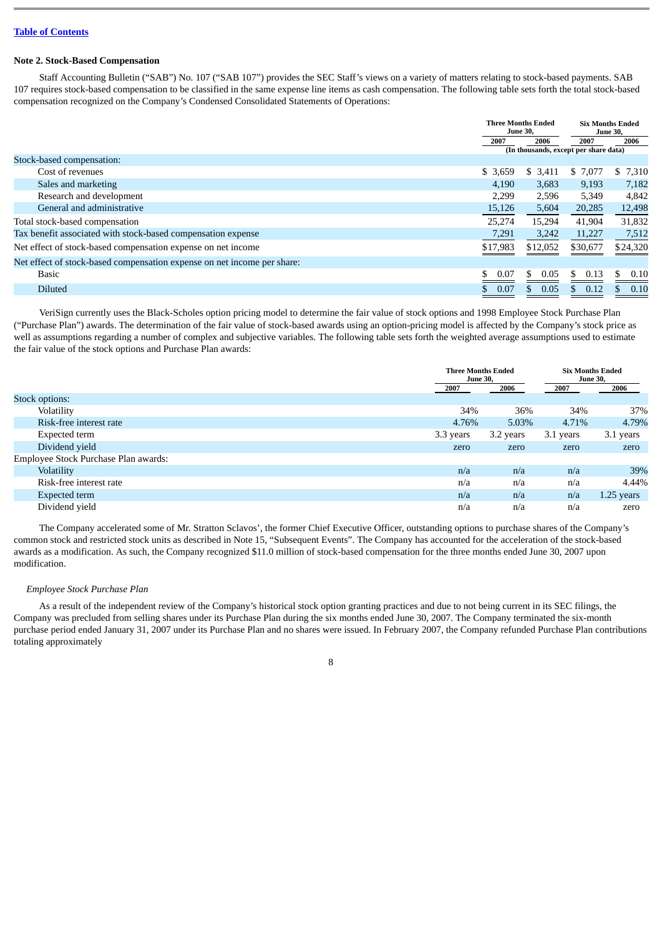#### **Note 2. Stock-Based Compensation**

Staff Accounting Bulletin ("SAB") No. 107 ("SAB 107") provides the SEC Staff's views on a variety of matters relating to stock-based payments. SAB 107 requires stock-based compensation to be classified in the same expense line items as cash compensation. The following table sets forth the total stock-based compensation recognized on the Company's Condensed Consolidated Statements of Operations:

|                                                                         |            | <b>Three Months Ended</b><br><b>June 30,</b> |                                       | <b>Six Months Ended</b><br>June 30, |
|-------------------------------------------------------------------------|------------|----------------------------------------------|---------------------------------------|-------------------------------------|
|                                                                         | 2007       | 2006                                         | 2007                                  | 2006                                |
|                                                                         |            |                                              | (In thousands, except per share data) |                                     |
| Stock-based compensation:                                               |            |                                              |                                       |                                     |
| Cost of revenues                                                        | \$3.659    | \$ 3,411                                     | \$ 7,077                              | \$7,310                             |
| Sales and marketing                                                     | 4,190      | 3,683                                        | 9,193                                 | 7,182                               |
| Research and development                                                | 2,299      | 2,596                                        | 5,349                                 | 4,842                               |
| General and administrative                                              | 15,126     | 5,604                                        | 20,285                                | 12,498                              |
| Total stock-based compensation                                          | 25.274     | 15.294                                       | 41,904                                | 31,832                              |
| Tax benefit associated with stock-based compensation expense            | 7,291      | 3,242                                        | 11,227                                | 7,512                               |
| Net effect of stock-based compensation expense on net income            | \$17,983   | \$12,052                                     | \$30,677                              | \$24,320                            |
| Net effect of stock-based compensation expense on net income per share: |            |                                              |                                       |                                     |
| Basic                                                                   | \$<br>0.07 | \$<br>0.05                                   | 0.13                                  | \$.<br>0.10                         |
| <b>Diluted</b>                                                          | 0.07       | 0.05                                         | 0.12                                  | 0.10                                |
|                                                                         |            |                                              |                                       |                                     |

VeriSign currently uses the Black-Scholes option pricing model to determine the fair value of stock options and 1998 Employee Stock Purchase Plan ("Purchase Plan") awards. The determination of the fair value of stock-based awards using an option-pricing model is affected by the Company's stock price as well as assumptions regarding a number of complex and subjective variables. The following table sets forth the weighted average assumptions used to estimate the fair value of the stock options and Purchase Plan awards:

|                                      |           | <b>Three Months Ended</b><br><b>June 30,</b> |           | <b>Six Months Ended</b><br><b>June 30,</b> |
|--------------------------------------|-----------|----------------------------------------------|-----------|--------------------------------------------|
|                                      | 2007      | 2006                                         | 2007      | 2006                                       |
| Stock options:                       |           |                                              |           |                                            |
| Volatility                           | 34%       | 36%                                          | 34%       | 37%                                        |
| Risk-free interest rate              | 4.76%     | 5.03%                                        | 4.71%     | 4.79%                                      |
| Expected term                        | 3.3 years | 3.2 years                                    | 3.1 years | 3.1 years                                  |
| Dividend yield                       | zero      | zero                                         | zero      | zero                                       |
| Employee Stock Purchase Plan awards: |           |                                              |           |                                            |
| Volatility                           | n/a       | n/a                                          | n/a       | 39%                                        |
| Risk-free interest rate              | n/a       | n/a                                          | n/a       | 4.44%                                      |
| Expected term                        | n/a       | n/a                                          | n/a       | 1.25 years                                 |
| Dividend yield                       | n/a       | n/a                                          | n/a       | zero                                       |

The Company accelerated some of Mr. Stratton Sclavos', the former Chief Executive Officer, outstanding options to purchase shares of the Company's common stock and restricted stock units as described in Note 15, "Subsequent Events". The Company has accounted for the acceleration of the stock-based awards as a modification. As such, the Company recognized \$11.0 million of stock-based compensation for the three months ended June 30, 2007 upon modification.

#### *Employee Stock Purchase Plan*

As a result of the independent review of the Company's historical stock option granting practices and due to not being current in its SEC filings, the Company was precluded from selling shares under its Purchase Plan during the six months ended June 30, 2007. The Company terminated the six-month purchase period ended January 31, 2007 under its Purchase Plan and no shares were issued. In February 2007, the Company refunded Purchase Plan contributions totaling approximately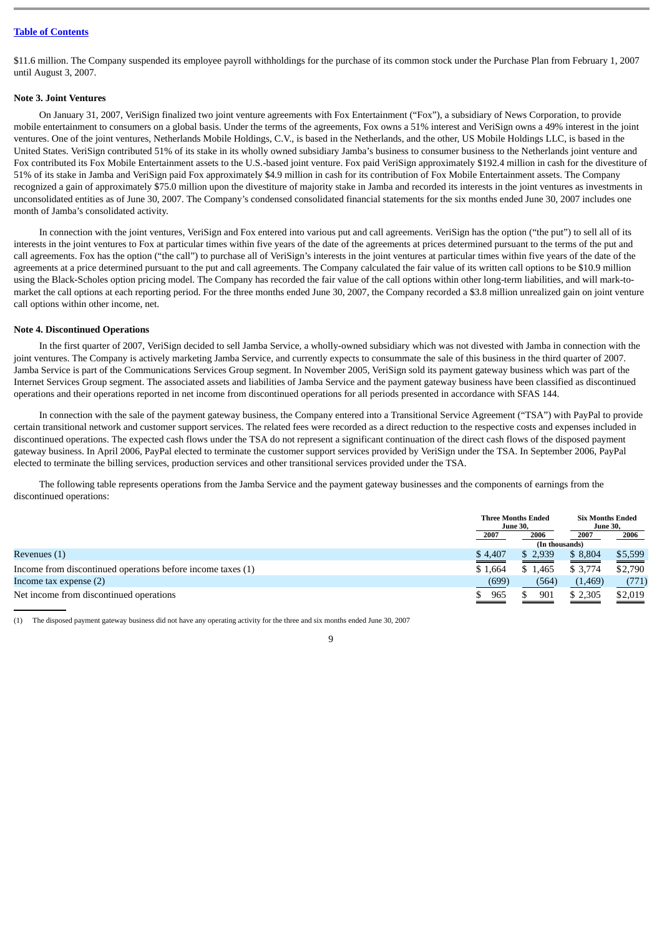\$11.6 million. The Company suspended its employee payroll withholdings for the purchase of its common stock under the Purchase Plan from February 1, 2007 until August 3, 2007.

#### **Note 3. Joint Ventures**

On January 31, 2007, VeriSign finalized two joint venture agreements with Fox Entertainment ("Fox"), a subsidiary of News Corporation, to provide mobile entertainment to consumers on a global basis. Under the terms of the agreements, Fox owns a 51% interest and VeriSign owns a 49% interest in the joint ventures. One of the joint ventures, Netherlands Mobile Holdings, C.V., is based in the Netherlands, and the other, US Mobile Holdings LLC, is based in the United States. VeriSign contributed 51% of its stake in its wholly owned subsidiary Jamba's business to consumer business to the Netherlands joint venture and Fox contributed its Fox Mobile Entertainment assets to the U.S.-based joint venture. Fox paid VeriSign approximately \$192.4 million in cash for the divestiture of 51% of its stake in Jamba and VeriSign paid Fox approximately \$4.9 million in cash for its contribution of Fox Mobile Entertainment assets. The Company recognized a gain of approximately \$75.0 million upon the divestiture of majority stake in Jamba and recorded its interests in the joint ventures as investments in unconsolidated entities as of June 30, 2007. The Company's condensed consolidated financial statements for the six months ended June 30, 2007 includes one month of Jamba's consolidated activity.

In connection with the joint ventures, VeriSign and Fox entered into various put and call agreements. VeriSign has the option ("the put") to sell all of its interests in the joint ventures to Fox at particular times within five years of the date of the agreements at prices determined pursuant to the terms of the put and call agreements. Fox has the option ("the call") to purchase all of VeriSign's interests in the joint ventures at particular times within five years of the date of the agreements at a price determined pursuant to the put and call agreements. The Company calculated the fair value of its written call options to be \$10.9 million using the Black-Scholes option pricing model. The Company has recorded the fair value of the call options within other long-term liabilities, and will mark-tomarket the call options at each reporting period. For the three months ended June 30, 2007, the Company recorded a \$3.8 million unrealized gain on joint venture call options within other income, net.

#### **Note 4. Discontinued Operations**

In the first quarter of 2007, VeriSign decided to sell Jamba Service, a wholly-owned subsidiary which was not divested with Jamba in connection with the joint ventures. The Company is actively marketing Jamba Service, and currently expects to consummate the sale of this business in the third quarter of 2007. Jamba Service is part of the Communications Services Group segment. In November 2005, VeriSign sold its payment gateway business which was part of the Internet Services Group segment. The associated assets and liabilities of Jamba Service and the payment gateway business have been classified as discontinued operations and their operations reported in net income from discontinued operations for all periods presented in accordance with SFAS 144.

In connection with the sale of the payment gateway business, the Company entered into a Transitional Service Agreement ("TSA") with PayPal to provide certain transitional network and customer support services. The related fees were recorded as a direct reduction to the respective costs and expenses included in discontinued operations. The expected cash flows under the TSA do not represent a significant continuation of the direct cash flows of the disposed payment gateway business. In April 2006, PayPal elected to terminate the customer support services provided by VeriSign under the TSA. In September 2006, PayPal elected to terminate the billing services, production services and other transitional services provided under the TSA.

The following table represents operations from the Jamba Service and the payment gateway businesses and the components of earnings from the discontinued operations:

|                                                             | <b>June 30,</b> | <b>Three Months Ended</b> | <b>Six Months Ended</b><br><b>June 30,</b> |         |
|-------------------------------------------------------------|-----------------|---------------------------|--------------------------------------------|---------|
|                                                             | 2007            | 2006                      | 2007                                       | 2006    |
|                                                             |                 | (In thousands)            |                                            |         |
| Revenues (1)                                                | \$4,407         | \$2,939                   | \$8,804                                    | \$5,599 |
| Income from discontinued operations before income taxes (1) | \$1.664         | \$1,465                   | \$ 3,774                                   | \$2,790 |
| Income tax expense $(2)$                                    | (699)           | (564)                     | (1,469)                                    | (771)   |
| Net income from discontinued operations                     | 965             | 901                       | \$ 2,305                                   | \$2,019 |

9

(1) The disposed payment gateway business did not have any operating activity for the three and six months ended June 30, 2007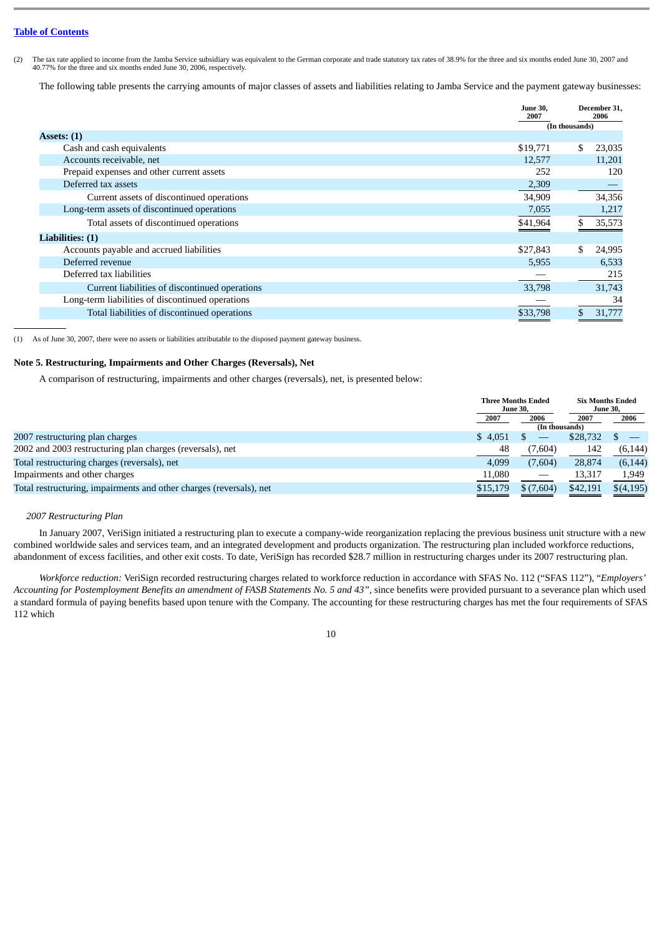(2) The tax rate applied to income from the Jamba Service subsidiary was equivalent to the German corporate and trade statutory tax rates of 38.9% for the three and six months ended June 30, 2007 and 40.77% for the three and six months ended June 30, 2006, respectively.

The following table presents the carrying amounts of major classes of assets and liabilities relating to Jamba Service and the payment gateway businesses:

|                                                  | <b>June 30,</b><br>2007 |                | December 31,<br>2006 |
|--------------------------------------------------|-------------------------|----------------|----------------------|
|                                                  |                         | (In thousands) |                      |
| Assets: $(1)$                                    |                         |                |                      |
| Cash and cash equivalents                        | \$19,771                | S.             | 23,035               |
| Accounts receivable, net                         | 12.577                  |                | 11,201               |
| Prepaid expenses and other current assets        | 252                     |                | 120                  |
| Deferred tax assets                              | 2,309                   |                |                      |
| Current assets of discontinued operations        | 34,909                  |                | 34,356               |
| Long-term assets of discontinued operations      | 7,055                   |                | 1,217                |
| Total assets of discontinued operations          | \$41,964                |                | 35,573               |
| Liabilities: (1)                                 |                         |                |                      |
| Accounts payable and accrued liabilities         | \$27,843                | S.             | 24,995               |
| Deferred revenue                                 | 5,955                   |                | 6,533                |
| Deferred tax liabilities                         |                         |                | 215                  |
| Current liabilities of discontinued operations   | 33,798                  |                | 31,743               |
| Long-term liabilities of discontinued operations |                         |                | 34                   |
| Total liabilities of discontinued operations     | \$33,798                |                | 31,777               |

(1) As of June 30, 2007, there were no assets or liabilities attributable to the disposed payment gateway business.

# **Note 5. Restructuring, Impairments and Other Charges (Reversals), Net**

A comparison of restructuring, impairments and other charges (reversals), net, is presented below:

|                                                                     | <b>Three Months Ended</b><br><b>June 30.</b> |                        | <b>Six Months Ended</b><br><b>June 30,</b> |           |
|---------------------------------------------------------------------|----------------------------------------------|------------------------|--------------------------------------------|-----------|
|                                                                     | 2007                                         | 2006<br>(In thousands) | 2007                                       | 2006      |
| 2007 restructuring plan charges                                     | \$4.051                                      |                        | \$28,732                                   |           |
| 2002 and 2003 restructuring plan charges (reversals), net           | 48                                           | (7,604)                | 142                                        | (6, 144)  |
| Total restructuring charges (reversals), net                        | 4,099                                        | (7,604)                | 28,874                                     | (6, 144)  |
| Impairments and other charges                                       | 11.080                                       |                        | 13.317                                     | 1,949     |
| Total restructuring, impairments and other charges (reversals), net | \$15,179                                     | \$(7,604)              | \$42,191                                   | \$(4,195) |

#### *2007 Restructuring Plan*

In January 2007, VeriSign initiated a restructuring plan to execute a company-wide reorganization replacing the previous business unit structure with a new combined worldwide sales and services team, and an integrated development and products organization. The restructuring plan included workforce reductions, abandonment of excess facilities, and other exit costs. To date, VeriSign has recorded \$28.7 million in restructuring charges under its 2007 restructuring plan.

*Workforce reduction:* VeriSign recorded restructuring charges related to workforce reduction in accordance with SFAS No. 112 ("SFAS 112"), "*Employers'* Accounting for Postemployment Benefits an amendment of FASB Statements No. 5 and 43", since benefits were provided pursuant to a severance plan which used a standard formula of paying benefits based upon tenure with the Company. The accounting for these restructuring charges has met the four requirements of SFAS 112 which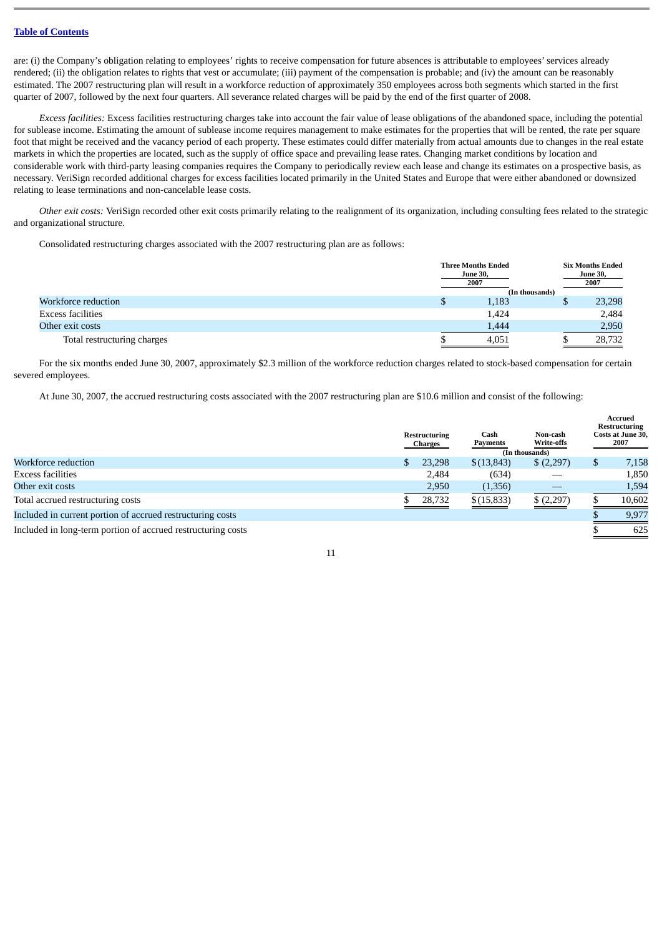are: (i) the Company's obligation relating to employees' rights to receive compensation for future absences is attributable to employees' services already rendered; (ii) the obligation relates to rights that vest or accumulate; (iii) payment of the compensation is probable; and (iv) the amount can be reasonably estimated. The 2007 restructuring plan will result in a workforce reduction of approximately 350 employees across both segments which started in the first quarter of 2007, followed by the next four quarters. All severance related charges will be paid by the end of the first quarter of 2008.

*Excess facilities:* Excess facilities restructuring charges take into account the fair value of lease obligations of the abandoned space, including the potential for sublease income. Estimating the amount of sublease income requires management to make estimates for the properties that will be rented, the rate per square foot that might be received and the vacancy period of each property. These estimates could differ materially from actual amounts due to changes in the real estate markets in which the properties are located, such as the supply of office space and prevailing lease rates. Changing market conditions by location and considerable work with third-party leasing companies requires the Company to periodically review each lease and change its estimates on a prospective basis, as necessary. VeriSign recorded additional charges for excess facilities located primarily in the United States and Europe that were either abandoned or downsized relating to lease terminations and non-cancelable lease costs.

*Other exit costs:* VeriSign recorded other exit costs primarily relating to the realignment of its organization, including consulting fees related to the strategic and organizational structure.

Consolidated restructuring charges associated with the 2007 restructuring plan are as follows:

|                             |   | <b>Three Months Ended</b><br><b>June 30,</b><br>2007 |  | <b>Six Months Ended</b><br><b>June 30,</b> |        |
|-----------------------------|---|------------------------------------------------------|--|--------------------------------------------|--------|
|                             |   | (In thousands)                                       |  |                                            |        |
| Workforce reduction         | Φ | 1,183                                                |  |                                            | 23,298 |
| Excess facilities           |   | 1,424                                                |  |                                            | 2,484  |
| Other exit costs            |   | 1,444                                                |  |                                            | 2,950  |
| Total restructuring charges |   | 4,051                                                |  |                                            | 28,732 |

For the six months ended June 30, 2007, approximately \$2.3 million of the workforce reduction charges related to stock-based compensation for certain severed employees.

At June 30, 2007, the accrued restructuring costs associated with the 2007 restructuring plan are \$10.6 million and consist of the following:

|                                                              | Restructuring<br>Charges | Cash<br>Payments | Non-cash<br>Write-offs<br>(In thousands) |   | <b>Accrued</b><br>Restructuring<br>Costs at June 30,<br>2007 |
|--------------------------------------------------------------|--------------------------|------------------|------------------------------------------|---|--------------------------------------------------------------|
| Workforce reduction                                          | 23,298                   | \$(13,843)       | \$(2,297)                                | S | 7,158                                                        |
| Excess facilities                                            | 2,484                    | (634)            |                                          |   | 1,850                                                        |
| Other exit costs                                             | 2,950                    | (1,356)          |                                          |   | 1,594                                                        |
| Total accrued restructuring costs                            | 28,732                   | \$(15, 833)      | \$(2,297)                                |   | 10,602                                                       |
| Included in current portion of accrued restructuring costs   |                          |                  |                                          |   | 9,977                                                        |
| Included in long-term portion of accrued restructuring costs |                          |                  |                                          |   | 625                                                          |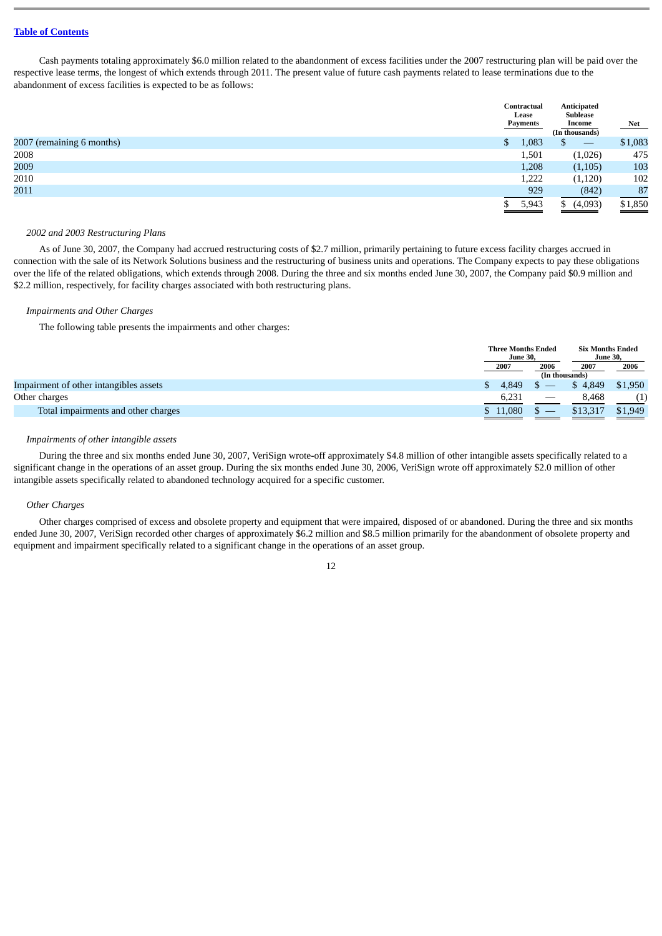Cash payments totaling approximately \$6.0 million related to the abandonment of excess facilities under the 2007 restructuring plan will be paid over the respective lease terms, the longest of which extends through 2011. The present value of future cash payments related to lease terminations due to the abandonment of excess facilities is expected to be as follows:

|                           |    | Contractual<br>Lease<br>Payments | Anticipated<br>Sublease<br>Income<br>(In thousands) | Net     |
|---------------------------|----|----------------------------------|-----------------------------------------------------|---------|
| 2007 (remaining 6 months) | S. | 1,083                            | __                                                  | \$1,083 |
| 2008                      |    | 1,501                            | (1,026)                                             | 475     |
| 2009                      |    | 1,208                            | (1,105)                                             | 103     |
| 2010                      |    | 1,222                            | (1, 120)                                            | 102     |
| 2011                      |    | 929                              | (842)                                               | 87      |
|                           |    | 5,943                            | (4,093)                                             | \$1,850 |

#### *2002 and 2003 Restructuring Plans*

As of June 30, 2007, the Company had accrued restructuring costs of \$2.7 million, primarily pertaining to future excess facility charges accrued in connection with the sale of its Network Solutions business and the restructuring of business units and operations. The Company expects to pay these obligations over the life of the related obligations, which extends through 2008. During the three and six months ended June 30, 2007, the Company paid \$0.9 million and \$2.2 million, respectively, for facility charges associated with both restructuring plans.

## *Impairments and Other Charges*

The following table presents the impairments and other charges:

|                                        | <b>Three Months Ended</b><br><b>June 30,</b> |                                | <b>Six Months Ended</b><br><b>June 30,</b> |         |
|----------------------------------------|----------------------------------------------|--------------------------------|--------------------------------------------|---------|
|                                        | 2007                                         | 2006                           | 2007                                       | 2006    |
|                                        |                                              | (In thousands)                 |                                            |         |
| Impairment of other intangibles assets | 4,849                                        |                                | \$4,849                                    | \$1,950 |
| Other charges                          | 6.231                                        | $\overbrace{\hspace{25mm}}^{}$ | 8.468                                      | (1)     |
| Total impairments and other charges    | \$11,080                                     |                                | \$13.317                                   | \$1,949 |
|                                        |                                              |                                |                                            |         |

#### *Impairments of other intangible assets*

During the three and six months ended June 30, 2007, VeriSign wrote-off approximately \$4.8 million of other intangible assets specifically related to a significant change in the operations of an asset group. During the six months ended June 30, 2006, VeriSign wrote off approximately \$2.0 million of other intangible assets specifically related to abandoned technology acquired for a specific customer.

# *Other Charges*

Other charges comprised of excess and obsolete property and equipment that were impaired, disposed of or abandoned. During the three and six months ended June 30, 2007, VeriSign recorded other charges of approximately \$6.2 million and \$8.5 million primarily for the abandonment of obsolete property and equipment and impairment specifically related to a significant change in the operations of an asset group.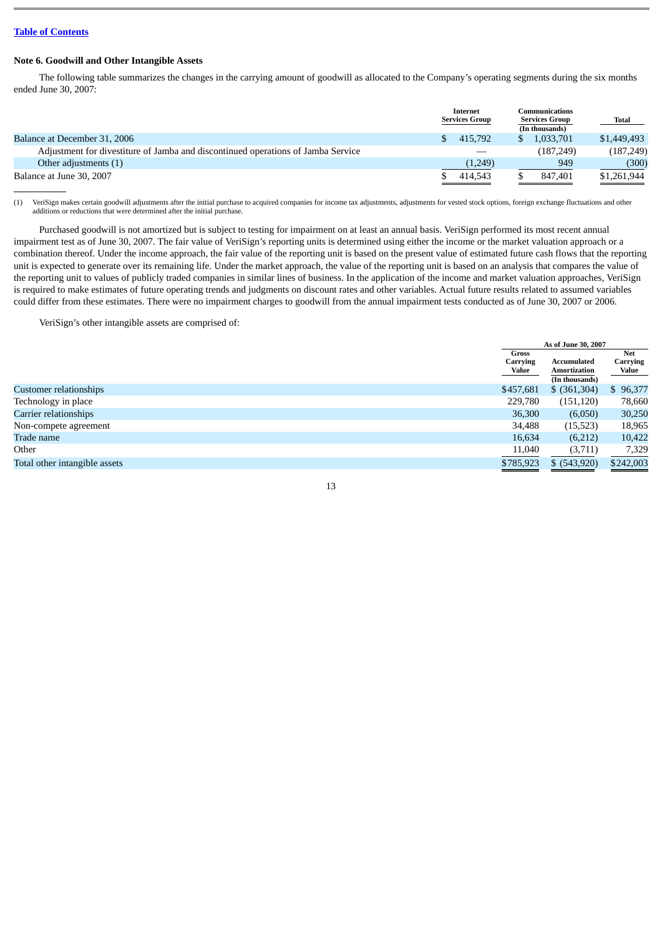# **Note 6. Goodwill and Other Intangible Assets**

The following table summarizes the changes in the carrying amount of goodwill as allocated to the Company's operating segments during the six months ended June 30, 2007:

|                                                                                  | Internet<br><b>Services Group</b> | Communications<br><b>Services Group</b><br>(In thousands) | Total       |
|----------------------------------------------------------------------------------|-----------------------------------|-----------------------------------------------------------|-------------|
| Balance at December 31, 2006                                                     | 415,792                           | 1.033.701                                                 | \$1,449,493 |
| Adjustment for divestiture of Jamba and discontinued operations of Jamba Service |                                   | (187, 249)                                                | (187, 249)  |
| Other adjustments (1)                                                            | (1,249)                           | 949                                                       | (300)       |
| Balance at June 30, 2007                                                         | 414.543                           | 847,401                                                   | \$1,261,944 |

(1) VeriSign makes certain goodwill adjustments after the initial purchase to acquired companies for income tax adjustments, adjustments for vested stock options, foreign exchange fluctuations and other additions or reductions that were determined after the initial purchase.

Purchased goodwill is not amortized but is subject to testing for impairment on at least an annual basis. VeriSign performed its most recent annual impairment test as of June 30, 2007. The fair value of VeriSign's reporting units is determined using either the income or the market valuation approach or a combination thereof. Under the income approach, the fair value of the reporting unit is based on the present value of estimated future cash flows that the reporting unit is expected to generate over its remaining life. Under the market approach, the value of the reporting unit is based on an analysis that compares the value of the reporting unit to values of publicly traded companies in similar lines of business. In the application of the income and market valuation approaches, VeriSign is required to make estimates of future operating trends and judgments on discount rates and other variables. Actual future results related to assumed variables could differ from these estimates. There were no impairment charges to goodwill from the annual impairment tests conducted as of June 30, 2007 or 2006.

VeriSign's other intangible assets are comprised of:

|                               |                            | As of June 30, 2007         |                          |  |
|-------------------------------|----------------------------|-----------------------------|--------------------------|--|
|                               | Gross<br>Carrying<br>Value | Accumulated<br>Amortization | Net<br>Carrying<br>Value |  |
|                               |                            | (In thousands)              |                          |  |
| Customer relationships        | \$457,681                  | $$$ (361,304)               | \$96,377                 |  |
| Technology in place           | 229,780                    | (151, 120)                  | 78,660                   |  |
| Carrier relationships         | 36,300                     | (6,050)                     | 30,250                   |  |
| Non-compete agreement         | 34,488                     | (15,523)                    | 18,965                   |  |
| Trade name                    | 16,634                     | (6,212)                     | 10,422                   |  |
| Other                         | 11,040                     | (3,711)                     | 7,329                    |  |
| Total other intangible assets | \$785,923                  | \$ (543,920)                | \$242,003                |  |
|                               |                            |                             |                          |  |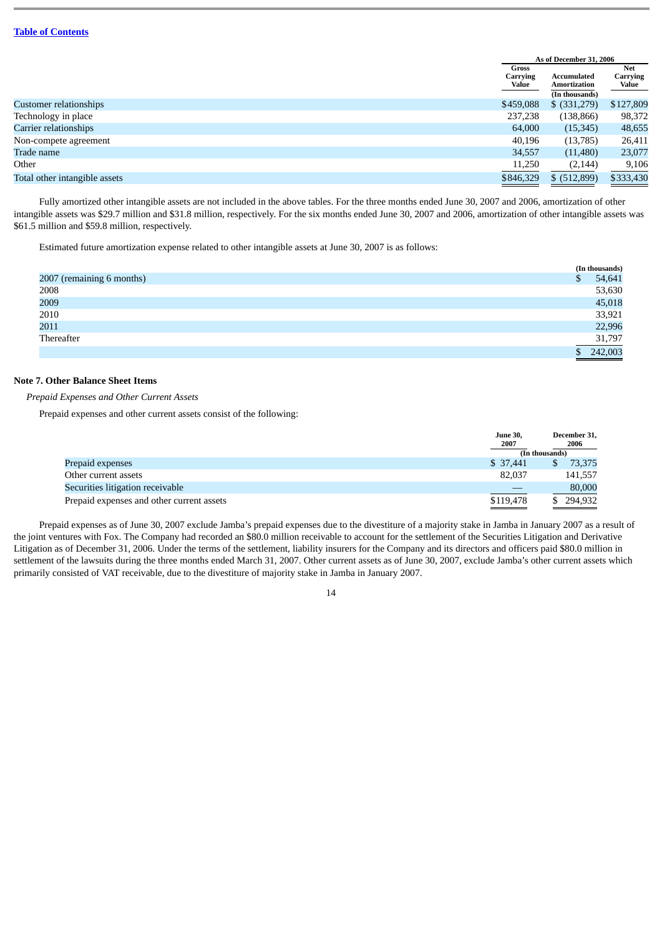|                               |                            | As of December 31, 2006        |                          |  |
|-------------------------------|----------------------------|--------------------------------|--------------------------|--|
|                               | Gross<br>Carrying<br>Value | Accumulated<br>Amortization    | Net<br>Carrying<br>Value |  |
| <b>Customer relationships</b> | \$459,088                  | (In thousands)<br>\$ (331,279) | \$127,809                |  |
| Technology in place           | 237,238                    | (138, 866)                     | 98,372                   |  |
| Carrier relationships         | 64,000                     | (15,345)                       | 48,655                   |  |
| Non-compete agreement         | 40,196                     | (13,785)                       | 26,411                   |  |
| Trade name                    | 34,557                     | (11, 480)                      | 23,077                   |  |
| Other                         | 11,250                     | (2, 144)                       | 9,106                    |  |
| Total other intangible assets | \$846,329                  | \$ (512,899)                   | \$333,430                |  |

Fully amortized other intangible assets are not included in the above tables. For the three months ended June 30, 2007 and 2006, amortization of other intangible assets was \$29.7 million and \$31.8 million, respectively. For the six months ended June 30, 2007 and 2006, amortization of other intangible assets was \$61.5 million and \$59.8 million, respectively.

Estimated future amortization expense related to other intangible assets at June 30, 2007 is as follows:

|                           | (In thousands) |
|---------------------------|----------------|
| 2007 (remaining 6 months) | 54,641         |
| 2008                      | 53,630         |
| 2009                      | 45,018         |
| 2010                      | 33,921         |
| 2011                      | 22,996         |
| Thereafter                | 31,797         |
|                           | 242,003        |

# **Note 7. Other Balance Sheet Items**

*Prepaid Expenses and Other Current Assets*

Prepaid expenses and other current assets consist of the following:

|                                           | <b>June 30,</b><br>2007 | December 31,<br>2006 |
|-------------------------------------------|-------------------------|----------------------|
|                                           |                         | (In thousands)       |
| Prepaid expenses                          | \$ 37,441               | 73.375               |
| Other current assets                      | 82,037                  | 141,557              |
| Securities litigation receivable          |                         | 80,000               |
| Prepaid expenses and other current assets | \$119,478               | 294.932              |

Prepaid expenses as of June 30, 2007 exclude Jamba's prepaid expenses due to the divestiture of a majority stake in Jamba in January 2007 as a result of the joint ventures with Fox. The Company had recorded an \$80.0 million receivable to account for the settlement of the Securities Litigation and Derivative Litigation as of December 31, 2006. Under the terms of the settlement, liability insurers for the Company and its directors and officers paid \$80.0 million in settlement of the lawsuits during the three months ended March 31, 2007. Other current assets as of June 30, 2007, exclude Jamba's other current assets which primarily consisted of VAT receivable, due to the divestiture of majority stake in Jamba in January 2007.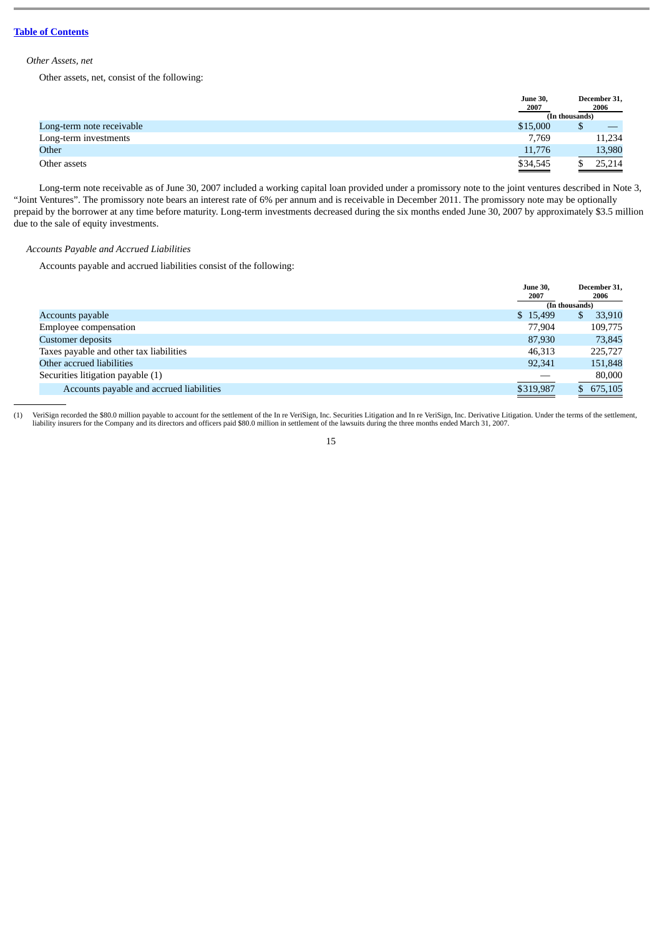#### *Other Assets, net*

Other assets, net, consist of the following:

|                           | <b>June 30,</b> | December 31,   |
|---------------------------|-----------------|----------------|
|                           | 2007            | 2006           |
|                           |                 | (In thousands) |
| Long-term note receivable | \$15,000        |                |
| Long-term investments     | 7.769           | 11,234         |
| Other                     | 11,776          | 13,980         |
| Other assets              | \$34,545        | 25,214         |

Long-term note receivable as of June 30, 2007 included a working capital loan provided under a promissory note to the joint ventures described in Note 3, "Joint Ventures". The promissory note bears an interest rate of 6% per annum and is receivable in December 2011. The promissory note may be optionally prepaid by the borrower at any time before maturity. Long-term investments decreased during the six months ended June 30, 2007 by approximately \$3.5 million due to the sale of equity investments.

# *Accounts Payable and Accrued Liabilities*

Accounts payable and accrued liabilities consist of the following:

|                                          | <b>June 30.</b><br>2007 | December 31,<br>2006 |
|------------------------------------------|-------------------------|----------------------|
|                                          |                         | (In thousands)       |
| Accounts payable                         | \$15,499                | 33,910               |
| <b>Employee compensation</b>             | 77.904                  | 109,775              |
| <b>Customer deposits</b>                 | 87,930                  | 73,845               |
| Taxes payable and other tax liabilities  | 46.313                  | 225,727              |
| Other accrued liabilities                | 92,341                  | 151,848              |
| Securities litigation payable (1)        |                         | 80,000               |
| Accounts payable and accrued liabilities | \$319,987               | 675,105<br>S.        |
|                                          |                         |                      |

(1) VeriSign recorded the \$80.0 million payable to account for the settlement of the In re VeriSign, Inc. Securities Litigation and In re VeriSign, Inc. Derivative Litigation. Under the terms of the settlement, liability insurers for the Company and its directors and officers paid \$80.0 million in settlement of the lawsuits during the three months ended March 31, 2007.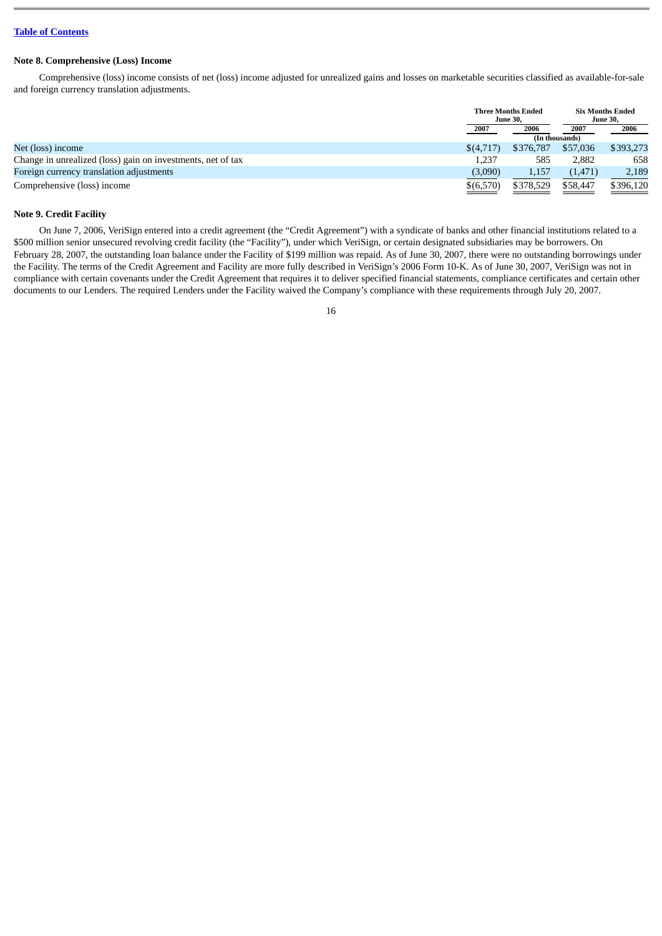## **Note 8. Comprehensive (Loss) Income**

Comprehensive (loss) income consists of net (loss) income adjusted for unrealized gains and losses on marketable securities classified as available-for-sale and foreign currency translation adjustments.

|                                                             |           | <b>Three Months Ended</b><br><b>June 30.</b> |          | <b>Six Months Ended</b><br><b>June 30,</b> |  |
|-------------------------------------------------------------|-----------|----------------------------------------------|----------|--------------------------------------------|--|
|                                                             | 2007      | 2006                                         | 2007     | 2006                                       |  |
|                                                             |           | (In thousands)                               |          |                                            |  |
| Net (loss) income                                           | \$(4,717) | \$376,787                                    | \$57,036 | \$393,273                                  |  |
| Change in unrealized (loss) gain on investments, net of tax | 1,237     | 585                                          | 2.882    | 658                                        |  |
| Foreign currency translation adjustments                    | (3,090)   | 1,157                                        | (1,471)  | 2,189                                      |  |
| Comprehensive (loss) income                                 | \$(6,570) | \$378,529                                    | \$58,447 | \$396,120                                  |  |

#### **Note 9. Credit Facility**

On June 7, 2006, VeriSign entered into a credit agreement (the "Credit Agreement") with a syndicate of banks and other financial institutions related to a \$500 million senior unsecured revolving credit facility (the "Facility"), under which VeriSign, or certain designated subsidiaries may be borrowers. On February 28, 2007, the outstanding loan balance under the Facility of \$199 million was repaid. As of June 30, 2007, there were no outstanding borrowings under the Facility. The terms of the Credit Agreement and Facility are more fully described in VeriSign's 2006 Form 10-K. As of June 30, 2007, VeriSign was not in compliance with certain covenants under the Credit Agreement that requires it to deliver specified financial statements, compliance certificates and certain other documents to our Lenders. The required Lenders under the Facility waived the Company's compliance with these requirements through July 20, 2007.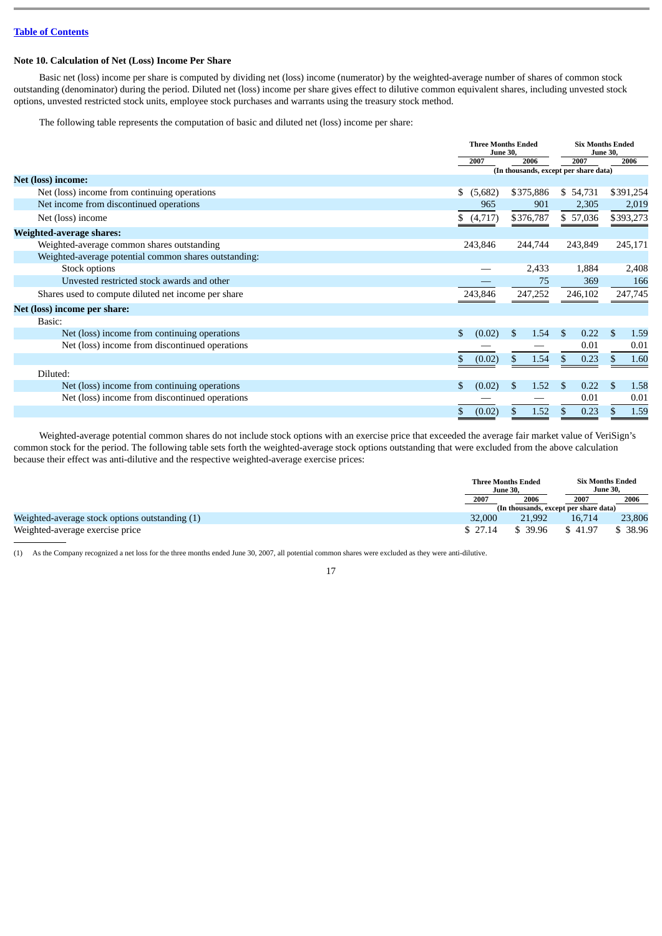### **Note 10. Calculation of Net (Loss) Income Per Share**

Basic net (loss) income per share is computed by dividing net (loss) income (numerator) by the weighted-average number of shares of common stock outstanding (denominator) during the period. Diluted net (loss) income per share gives effect to dilutive common equivalent shares, including unvested stock options, unvested restricted stock units, employee stock purchases and warrants using the treasury stock method.

The following table represents the computation of basic and diluted net (loss) income per share:

|                                                       | <b>Three Months Ended</b><br><b>June 30.</b> |                                       | <b>Six Months Ended</b><br><b>June 30.</b> |            |
|-------------------------------------------------------|----------------------------------------------|---------------------------------------|--------------------------------------------|------------|
|                                                       | 2007                                         | 2006                                  | 2007                                       | 2006       |
|                                                       |                                              | (In thousands, except per share data) |                                            |            |
| <b>Net (loss) income:</b>                             |                                              |                                       |                                            |            |
| Net (loss) income from continuing operations          | S.<br>(5,682)                                | \$375,886                             | \$54,731                                   | \$391,254  |
| Net income from discontinued operations               | 965                                          | 901                                   | 2,305                                      | 2,019      |
| Net (loss) income                                     | (4,717)                                      | \$376,787                             | \$57,036                                   | \$393,273  |
| Weighted-average shares:                              |                                              |                                       |                                            |            |
| Weighted-average common shares outstanding            | 243,846                                      | 244,744                               | 243,849                                    | 245,171    |
| Weighted-average potential common shares outstanding: |                                              |                                       |                                            |            |
| Stock options                                         |                                              | 2,433                                 | 1,884                                      | 2,408      |
| Unvested restricted stock awards and other            |                                              | 75                                    | 369                                        | 166        |
| Shares used to compute diluted net income per share   | 243,846                                      | 247,252                               | 246,102                                    | 247,745    |
| Net (loss) income per share:                          |                                              |                                       |                                            |            |
| Basic:                                                |                                              |                                       |                                            |            |
| Net (loss) income from continuing operations          | \$<br>(0.02)                                 | 1.54<br>S.                            | 0.22<br><sup>\$</sup>                      | \$<br>1.59 |
| Net (loss) income from discontinued operations        |                                              |                                       | 0.01                                       | 0.01       |
|                                                       | S<br>(0.02)                                  | 1.54<br>\$.                           | 0.23<br>\$                                 | \$<br>1.60 |
| Diluted:                                              |                                              |                                       |                                            |            |
| Net (loss) income from continuing operations          | \$<br>(0.02)                                 | 1.52<br>S.                            | 0.22<br>-S                                 | \$<br>1.58 |
| Net (loss) income from discontinued operations        |                                              |                                       | 0.01                                       | 0.01       |
|                                                       | \$<br>(0.02)                                 | 1.52                                  | 0.23                                       | 1.59       |

Weighted-average potential common shares do not include stock options with an exercise price that exceeded the average fair market value of VeriSign's common stock for the period. The following table sets forth the weighted-average stock options outstanding that were excluded from the above calculation because their effect was anti-dilutive and the respective weighted-average exercise prices:

|                                                | <b>Three Months Ended</b><br><b>June 30.</b> |                                       | <b>Six Months Ended</b><br><b>June 30.</b> |          |
|------------------------------------------------|----------------------------------------------|---------------------------------------|--------------------------------------------|----------|
|                                                | 2007                                         | 2006                                  | 2007                                       | 2006     |
|                                                |                                              | (In thousands, except per share data) |                                            |          |
| Weighted-average stock options outstanding (1) | 32,000                                       | 21.992                                | 16.714                                     | 23,806   |
| Weighted-average exercise price                | \$27.14                                      | \$ 39.96                              | \$41.97                                    | \$ 38.96 |

(1) As the Company recognized a net loss for the three months ended June 30, 2007, all potential common shares were excluded as they were anti-dilutive.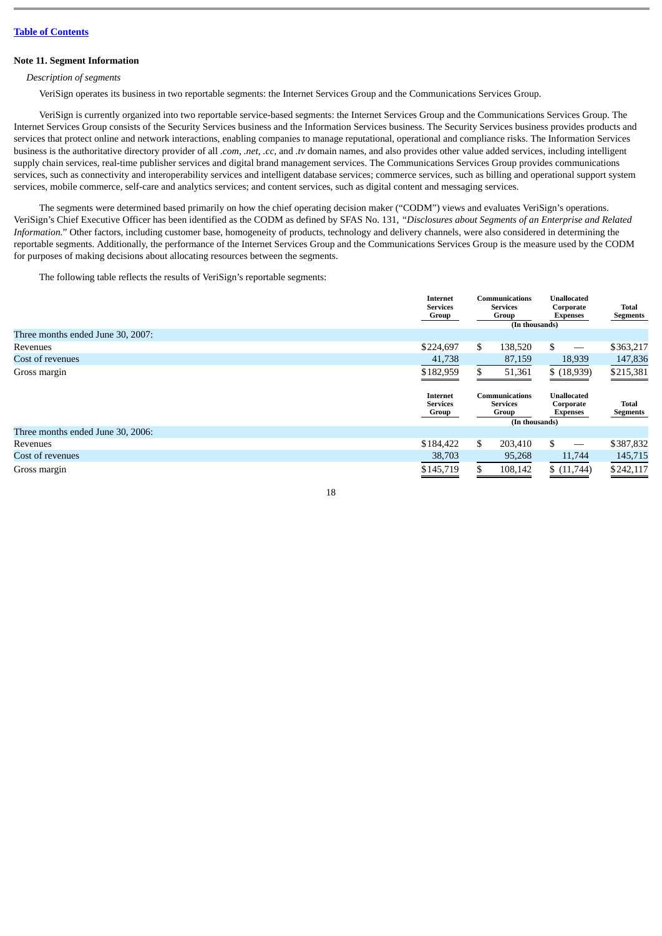# **Note 11. Segment Information**

#### *Description of segments*

VeriSign operates its business in two reportable segments: the Internet Services Group and the Communications Services Group.

VeriSign is currently organized into two reportable service-based segments: the Internet Services Group and the Communications Services Group. The Internet Services Group consists of the Security Services business and the Information Services business. The Security Services business provides products and services that protect online and network interactions, enabling companies to manage reputational, operational and compliance risks. The Information Services business is the authoritative directory provider of all *.com*, *.net*, *.cc*, and *.tv* domain names, and also provides other value added services, including intelligent supply chain services, real-time publisher services and digital brand management services. The Communications Services Group provides communications services, such as connectivity and interoperability services and intelligent database services; commerce services, such as billing and operational support system services, mobile commerce, self-care and analytics services; and content services, such as digital content and messaging services.

The segments were determined based primarily on how the chief operating decision maker ("CODM") views and evaluates VeriSign's operations. VeriSign's Chief Executive Officer has been identified as the CODM as defined by SFAS No. 131, *"Disclosures about Segments of an Enterprise and Related Information.*" Other factors, including customer base, homogeneity of products, technology and delivery channels, were also considered in determining the reportable segments. Additionally, the performance of the Internet Services Group and the Communications Services Group is the measure used by the CODM for purposes of making decisions about allocating resources between the segments.

The following table reflects the results of VeriSign's reportable segments:

|                                   | Internet<br><b>Services</b><br>Group |    | <b>Communications</b><br><b>Services</b><br>Group<br>(In thousands) | <b>Unallocated</b><br>Corporate<br><b>Expenses</b> | Total<br>Segments |
|-----------------------------------|--------------------------------------|----|---------------------------------------------------------------------|----------------------------------------------------|-------------------|
| Three months ended June 30, 2007: |                                      |    |                                                                     |                                                    |                   |
| Revenues                          | \$224,697                            | S. | 138,520                                                             | \$.                                                | \$363,217         |
| Cost of revenues                  | 41,738                               |    | 87,159                                                              | 18,939                                             | 147,836           |
| Gross margin                      | \$182,959                            | S. | 51,361                                                              | \$ (18,939)                                        | \$215,381         |
|                                   | Internet<br><b>Services</b><br>Group |    | <b>Communications</b><br>Services<br>Group<br>(In thousands)        | <b>Unallocated</b><br>Corporate<br><b>Expenses</b> | Total<br>Segments |
| Three months ended June 30, 2006: |                                      |    |                                                                     |                                                    |                   |
| Revenues                          | \$184,422                            | \$ | 203,410                                                             | \$                                                 | \$387,832         |
| Cost of revenues                  | 38,703                               |    | 95,268                                                              | 11,744                                             | 145,715           |
| Gross margin                      | \$145,719                            | \$ | 108,142                                                             | \$(11,744)                                         | \$242,117         |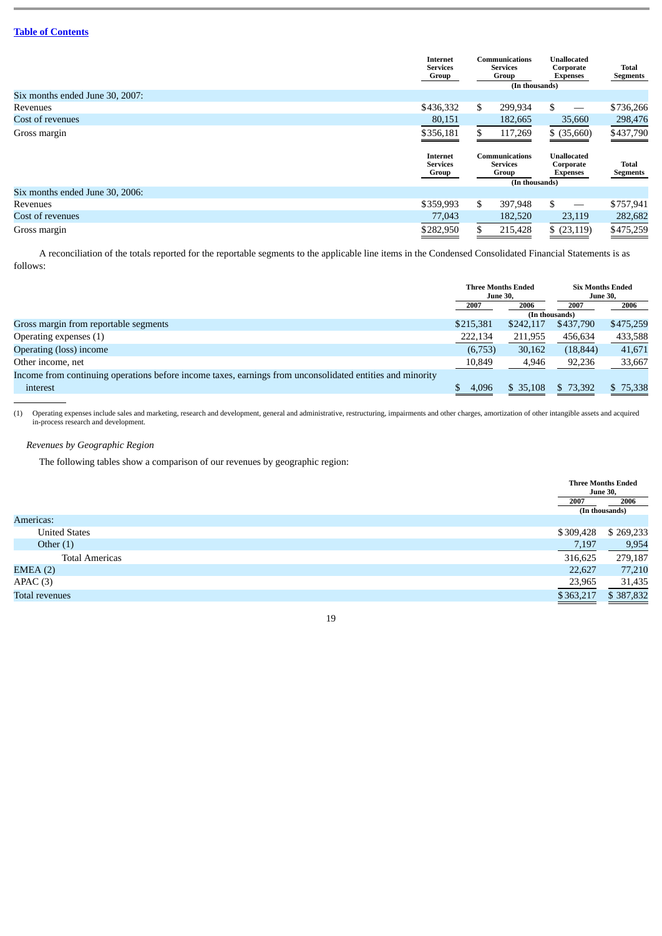|                                 | Internet<br><b>Services</b><br>Group |    | <b>Communications</b><br><b>Services</b><br>Group<br>(In thousands) | <b>Unallocated</b><br>Corporate<br><b>Expenses</b> | Total<br><b>Segments</b> |
|---------------------------------|--------------------------------------|----|---------------------------------------------------------------------|----------------------------------------------------|--------------------------|
| Six months ended June 30, 2007: |                                      |    |                                                                     |                                                    |                          |
| Revenues                        | \$436,332                            | S. | 299,934                                                             | \$                                                 | \$736,266                |
| Cost of revenues                | 80,151                               |    | 182,665                                                             | 35,660                                             | 298,476                  |
| Gross margin                    | \$356,181                            | S. | 117,269                                                             | $$$ (35,660)                                       | \$437,790                |
|                                 | Internet<br><b>Services</b><br>Group |    | <b>Communications</b><br><b>Services</b><br>Group<br>(In thousands) | <b>Unallocated</b><br>Corporate<br><b>Expenses</b> | Total<br><b>Segments</b> |
| Six months ended June 30, 2006: |                                      |    |                                                                     |                                                    |                          |
| Revenues                        | \$359,993                            | \$ | 397,948                                                             | \$.                                                | \$757,941                |
| Cost of revenues                | 77,043                               |    | 182,520                                                             | 23,119                                             | 282,682                  |
| Gross margin                    | \$282,950                            | \$ | 215,428                                                             | $$$ (23,119)                                       | \$475,259                |

A reconciliation of the totals reported for the reportable segments to the applicable line items in the Condensed Consolidated Financial Statements is as follows:

|                                                                                                           | <b>Three Months Ended</b><br><b>June 30,</b> |           | <b>Six Months Ended</b><br><b>June 30,</b> |           |
|-----------------------------------------------------------------------------------------------------------|----------------------------------------------|-----------|--------------------------------------------|-----------|
|                                                                                                           | 2007                                         | 2006      | 2007                                       | 2006      |
|                                                                                                           |                                              |           | (In thousands)                             |           |
| Gross margin from reportable segments                                                                     | \$215,381                                    | \$242,117 | \$437,790                                  | \$475,259 |
| Operating expenses (1)                                                                                    | 222,134                                      | 211,955   | 456,634                                    | 433,588   |
| Operating (loss) income                                                                                   | (6,753)                                      | 30,162    | (18, 844)                                  | 41,671    |
| Other income, net                                                                                         | 10,849                                       | 4,946     | 92,236                                     | 33,667    |
| Income from continuing operations before income taxes, earnings from unconsolidated entities and minority |                                              |           |                                            |           |
| interest                                                                                                  | 4.096                                        | \$35.108  | \$73.392                                   | \$75,338  |
|                                                                                                           |                                              |           |                                            |           |

(1) Operating expenses include sales and marketing, research and development, general and administrative, restructuring, impairments and other charges, amortization of other intangible assets and acquired in-process resear

# *Revenues by Geographic Region*

The following tables show a comparison of our revenues by geographic region:

|                       |           | <b>Three Months Ended</b><br><b>June 30,</b> |
|-----------------------|-----------|----------------------------------------------|
|                       | 2007      | 2006                                         |
|                       |           | (In thousands)                               |
| Americas:             |           |                                              |
| <b>United States</b>  | \$309,428 | \$269,233                                    |
| Other $(1)$           | 7,197     | 9,954                                        |
| <b>Total Americas</b> | 316,625   | 279,187                                      |
| EMEA(2)               | 22,627    | 77,210                                       |
| APAC(3)               | 23,965    | 31,435                                       |
| <b>Total revenues</b> | \$363,217 | \$387,832                                    |
|                       |           |                                              |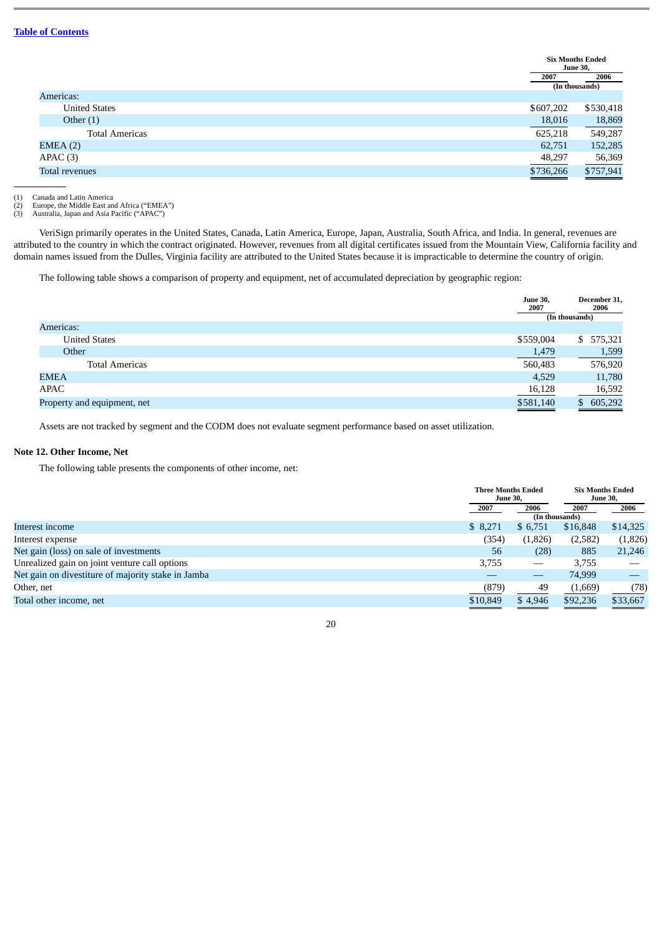|                       |           | <b>Six Months Ended</b><br><b>June 30,</b> |
|-----------------------|-----------|--------------------------------------------|
|                       | 2007      | 2006                                       |
|                       |           | (In thousands)                             |
| Americas:             |           |                                            |
| <b>United States</b>  | \$607,202 | \$530,418                                  |
| Other $(1)$           | 18,016    | 18,869                                     |
| <b>Total Americas</b> | 625,218   | 549,287                                    |
| EMEA(2)               | 62,751    | 152,285                                    |
| APAC(3)               | 48,297    | 56,369                                     |
| <b>Total revenues</b> | \$736,266 | \$757,941                                  |
|                       |           |                                            |

(1) Canada and Latin America<br>(2) Europe, the Middle East an<br>(3) Australia, Japan and Asia P Europe, the Middle East and Africa ("EMEA") (3) Australia, Japan and Asia Pacific ("APAC")

VeriSign primarily operates in the United States, Canada, Latin America, Europe, Japan, Australia, South Africa, and India. In general, revenues are attributed to the country in which the contract originated. However, revenues from all digital certificates issued from the Mountain View, California facility and domain names issued from the Dulles, Virginia facility are attributed to the United States because it is impracticable to determine the country of origin.

The following table shows a comparison of property and equipment, net of accumulated depreciation by geographic region:

|                             | <b>June 30,</b><br>2007 | December 31,<br>2006<br>(In thousands) |
|-----------------------------|-------------------------|----------------------------------------|
| Americas:                   |                         |                                        |
| <b>United States</b>        | \$559,004               | \$ 575,321                             |
| Other                       | 1,479                   | 1,599                                  |
| <b>Total Americas</b>       | 560,483                 | 576,920                                |
| <b>EMEA</b>                 | 4,529                   | 11,780                                 |
| APAC                        | 16,128                  | 16,592                                 |
| Property and equipment, net | \$581,140               | 605,292<br>$\mathbb{S}$                |
|                             |                         |                                        |

Assets are not tracked by segment and the CODM does not evaluate segment performance based on asset utilization.

# **Note 12. Other Income, Net**

The following table presents the components of other income, net:

|                                                    |          | <b>Three Months Ended</b><br><b>June 30.</b> |                        | <b>Six Months Ended</b><br><b>June 30,</b> |
|----------------------------------------------------|----------|----------------------------------------------|------------------------|--------------------------------------------|
|                                                    | 2007     | 2006                                         | 2007<br>(In thousands) | 2006                                       |
| Interest income                                    | \$8,271  | \$6,751                                      | \$16,848               | \$14,325                                   |
| Interest expense                                   | (354)    | (1,826)                                      | (2,582)                | (1,826)                                    |
| Net gain (loss) on sale of investments             | 56       | (28)                                         | 885                    | 21,246                                     |
| Unrealized gain on joint venture call options      | 3,755    | $\overbrace{\hspace{15em}}$                  | 3,755                  |                                            |
| Net gain on divestiture of majority stake in Jamba |          |                                              | 74,999                 |                                            |
| Other, net                                         | (879)    | 49                                           | (1,669)                | (78)                                       |
| Total other income, net                            | \$10,849 | \$4,946                                      | \$92,236               | \$33,667                                   |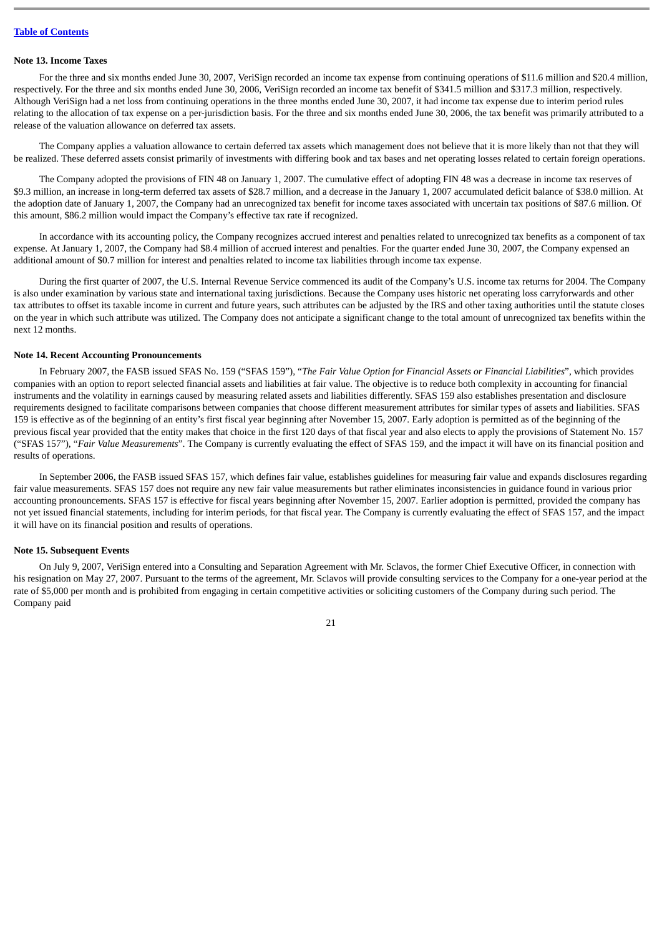#### **Note 13. Income Taxes**

For the three and six months ended June 30, 2007, VeriSign recorded an income tax expense from continuing operations of \$11.6 million and \$20.4 million, respectively. For the three and six months ended June 30, 2006, VeriSign recorded an income tax benefit of \$341.5 million and \$317.3 million, respectively. Although VeriSign had a net loss from continuing operations in the three months ended June 30, 2007, it had income tax expense due to interim period rules relating to the allocation of tax expense on a per-jurisdiction basis. For the three and six months ended June 30, 2006, the tax benefit was primarily attributed to a release of the valuation allowance on deferred tax assets.

The Company applies a valuation allowance to certain deferred tax assets which management does not believe that it is more likely than not that they will be realized. These deferred assets consist primarily of investments with differing book and tax bases and net operating losses related to certain foreign operations.

The Company adopted the provisions of FIN 48 on January 1, 2007. The cumulative effect of adopting FIN 48 was a decrease in income tax reserves of \$9.3 million, an increase in long-term deferred tax assets of \$28.7 million, and a decrease in the January 1, 2007 accumulated deficit balance of \$38.0 million. At the adoption date of January 1, 2007, the Company had an unrecognized tax benefit for income taxes associated with uncertain tax positions of \$87.6 million. Of this amount, \$86.2 million would impact the Company's effective tax rate if recognized.

In accordance with its accounting policy, the Company recognizes accrued interest and penalties related to unrecognized tax benefits as a component of tax expense. At January 1, 2007, the Company had \$8.4 million of accrued interest and penalties. For the quarter ended June 30, 2007, the Company expensed an additional amount of \$0.7 million for interest and penalties related to income tax liabilities through income tax expense.

During the first quarter of 2007, the U.S. Internal Revenue Service commenced its audit of the Company's U.S. income tax returns for 2004. The Company is also under examination by various state and international taxing jurisdictions. Because the Company uses historic net operating loss carryforwards and other tax attributes to offset its taxable income in current and future years, such attributes can be adjusted by the IRS and other taxing authorities until the statute closes on the year in which such attribute was utilized. The Company does not anticipate a significant change to the total amount of unrecognized tax benefits within the next 12 months.

#### **Note 14. Recent Accounting Pronouncements**

In February 2007, the FASB issued SFAS No. 159 ("SFAS 159"), "*The Fair Value Option for Financial Assets or Financial Liabilities*", which provides companies with an option to report selected financial assets and liabilities at fair value. The objective is to reduce both complexity in accounting for financial instruments and the volatility in earnings caused by measuring related assets and liabilities differently. SFAS 159 also establishes presentation and disclosure requirements designed to facilitate comparisons between companies that choose different measurement attributes for similar types of assets and liabilities. SFAS 159 is effective as of the beginning of an entity's first fiscal year beginning after November 15, 2007. Early adoption is permitted as of the beginning of the previous fiscal year provided that the entity makes that choice in the first 120 days of that fiscal year and also elects to apply the provisions of Statement No. 157 ("SFAS 157"), "*Fair Value Measurements*". The Company is currently evaluating the effect of SFAS 159, and the impact it will have on its financial position and results of operations.

In September 2006, the FASB issued SFAS 157, which defines fair value, establishes guidelines for measuring fair value and expands disclosures regarding fair value measurements. SFAS 157 does not require any new fair value measurements but rather eliminates inconsistencies in guidance found in various prior accounting pronouncements. SFAS 157 is effective for fiscal years beginning after November 15, 2007. Earlier adoption is permitted, provided the company has not yet issued financial statements, including for interim periods, for that fiscal year. The Company is currently evaluating the effect of SFAS 157, and the impact it will have on its financial position and results of operations.

#### **Note 15. Subsequent Events**

On July 9, 2007, VeriSign entered into a Consulting and Separation Agreement with Mr. Sclavos, the former Chief Executive Officer, in connection with his resignation on May 27, 2007. Pursuant to the terms of the agreement, Mr. Sclavos will provide consulting services to the Company for a one-year period at the rate of \$5,000 per month and is prohibited from engaging in certain competitive activities or soliciting customers of the Company during such period. The Company paid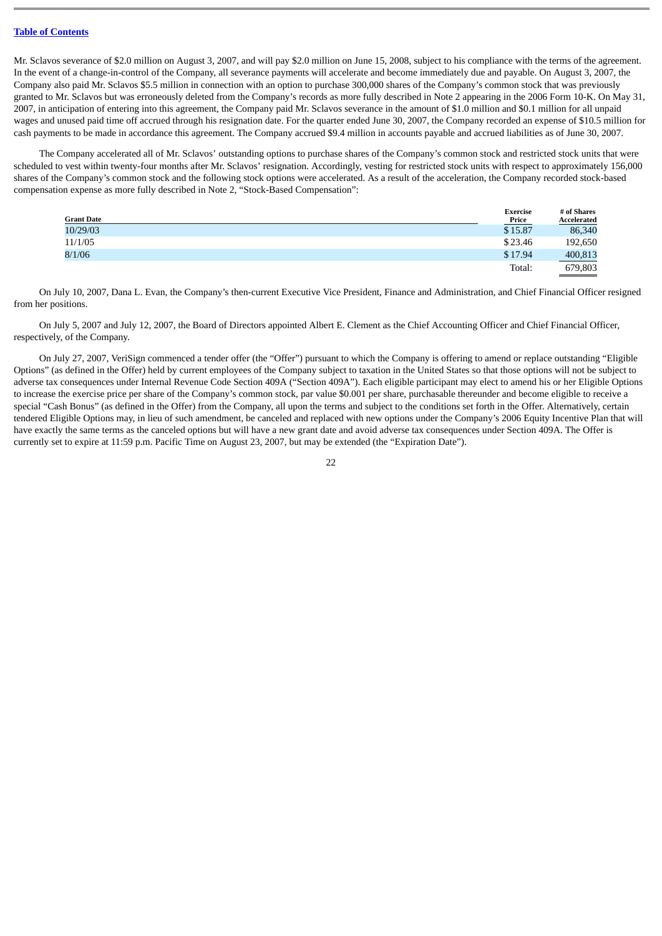Mr. Sclavos severance of \$2.0 million on August 3, 2007, and will pay \$2.0 million on June 15, 2008, subject to his compliance with the terms of the agreement. In the event of a change-in-control of the Company, all severance payments will accelerate and become immediately due and payable. On August 3, 2007, the Company also paid Mr. Sclavos \$5.5 million in connection with an option to purchase 300,000 shares of the Company's common stock that was previously granted to Mr. Sclavos but was erroneously deleted from the Company's records as more fully described in Note 2 appearing in the 2006 Form 10-K. On May 31, 2007, in anticipation of entering into this agreement, the Company paid Mr. Sclavos severance in the amount of \$1.0 million and \$0.1 million for all unpaid wages and unused paid time off accrued through his resignation date. For the quarter ended June 30, 2007, the Company recorded an expense of \$10.5 million for cash payments to be made in accordance this agreement. The Company accrued \$9.4 million in accounts payable and accrued liabilities as of June 30, 2007.

The Company accelerated all of Mr. Sclavos' outstanding options to purchase shares of the Company's common stock and restricted stock units that were scheduled to vest within twenty-four months after Mr. Sclavos' resignation. Accordingly, vesting for restricted stock units with respect to approximately 156,000 shares of the Company's common stock and the following stock options were accelerated. As a result of the acceleration, the Company recorded stock-based compensation expense as more fully described in Note 2, "Stock-Based Compensation":

|                   | <b>Exercise</b> | # of Shares |
|-------------------|-----------------|-------------|
| <b>Grant Date</b> | Price           | Accelerated |
| 10/29/03          | \$15.87         | 86,340      |
| 11/1/05           | \$23.46         | 192,650     |
| 8/1/06            | \$17.94         | 400,813     |
|                   | Total:          | 679,803     |

On July 10, 2007, Dana L. Evan, the Company's then-current Executive Vice President, Finance and Administration, and Chief Financial Officer resigned from her positions.

On July 5, 2007 and July 12, 2007, the Board of Directors appointed Albert E. Clement as the Chief Accounting Officer and Chief Financial Officer, respectively, of the Company.

On July 27, 2007, VeriSign commenced a tender offer (the "Offer") pursuant to which the Company is offering to amend or replace outstanding "Eligible Options" (as defined in the Offer) held by current employees of the Company subject to taxation in the United States so that those options will not be subject to adverse tax consequences under Internal Revenue Code Section 409A ("Section 409A"). Each eligible participant may elect to amend his or her Eligible Options to increase the exercise price per share of the Company's common stock, par value \$0.001 per share, purchasable thereunder and become eligible to receive a special "Cash Bonus" (as defined in the Offer) from the Company, all upon the terms and subject to the conditions set forth in the Offer. Alternatively, certain tendered Eligible Options may, in lieu of such amendment, be canceled and replaced with new options under the Company's 2006 Equity Incentive Plan that will have exactly the same terms as the canceled options but will have a new grant date and avoid adverse tax consequences under Section 409A. The Offer is currently set to expire at 11:59 p.m. Pacific Time on August 23, 2007, but may be extended (the "Expiration Date").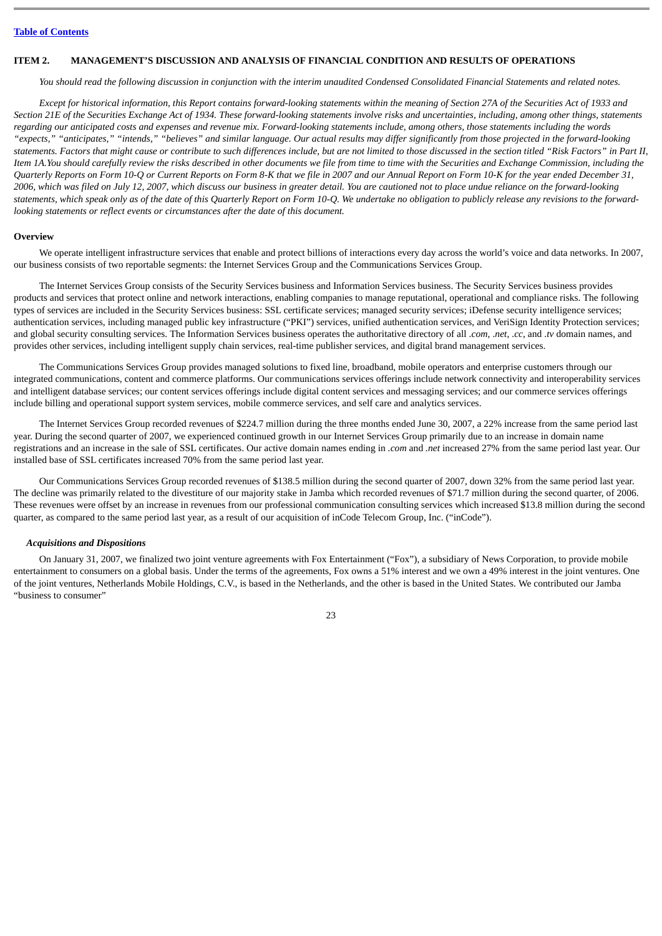#### <span id="page-22-0"></span>**ITEM 2. MANAGEMENT'S DISCUSSION AND ANALYSIS OF FINANCIAL CONDITION AND RESULTS OF OPERATIONS**

*You should read the following discussion in conjunction with the interim unaudited Condensed Consolidated Financial Statements and related notes.*

*Except for historical information, this Report contains forward-looking statements within the meaning of Section 27A of the Securities Act of 1933 and Section 21E of the Securities Exchange Act of 1934. These forward-looking statements involve risks and uncertainties, including, among other things, statements regarding our anticipated costs and expenses and revenue mix. Forward-looking statements include, among others, those statements including the words "expects," "anticipates," "intends," "believes" and similar language. Our actual results may differ significantly from those projected in the forward-looking statements. Factors that might cause or contribute to such differences include, but are not limited to those discussed in the section titled "Risk Factors" in Part II, Item 1A.You should carefully review the risks described in other documents we file from time to time with the Securities and Exchange Commission, including the Quarterly Reports on Form 10-Q or Current Reports on Form 8-K that we file in 2007 and our Annual Report on Form 10-K for the year ended December 31, 2006, which was filed on July 12, 2007, which discuss our business in greater detail. You are cautioned not to place undue reliance on the forward-looking statements, which speak only as of the date of this Quarterly Report on Form 10-Q. We undertake no obligation to publicly release any revisions to the forwardlooking statements or reflect events or circumstances after the date of this document.*

#### **Overview**

We operate intelligent infrastructure services that enable and protect billions of interactions every day across the world's voice and data networks. In 2007, our business consists of two reportable segments: the Internet Services Group and the Communications Services Group.

The Internet Services Group consists of the Security Services business and Information Services business. The Security Services business provides products and services that protect online and network interactions, enabling companies to manage reputational, operational and compliance risks. The following types of services are included in the Security Services business: SSL certificate services; managed security services; iDefense security intelligence services; authentication services, including managed public key infrastructure ("PKI") services, unified authentication services, and VeriSign Identity Protection services; and global security consulting services. The Information Services business operates the authoritative directory of all .*com*, .*net*, .*cc*, and .*tv* domain names, and provides other services, including intelligent supply chain services, real-time publisher services, and digital brand management services.

The Communications Services Group provides managed solutions to fixed line, broadband, mobile operators and enterprise customers through our integrated communications, content and commerce platforms. Our communications services offerings include network connectivity and interoperability services and intelligent database services; our content services offerings include digital content services and messaging services; and our commerce services offerings include billing and operational support system services, mobile commerce services, and self care and analytics services.

The Internet Services Group recorded revenues of \$224.7 million during the three months ended June 30, 2007, a 22% increase from the same period last year. During the second quarter of 2007, we experienced continued growth in our Internet Services Group primarily due to an increase in domain name registrations and an increase in the sale of SSL certificates. Our active domain names ending in *.com* and *.net* increased 27% from the same period last year. Our installed base of SSL certificates increased 70% from the same period last year.

Our Communications Services Group recorded revenues of \$138.5 million during the second quarter of 2007, down 32% from the same period last year. The decline was primarily related to the divestiture of our majority stake in Jamba which recorded revenues of \$71.7 million during the second quarter, of 2006. These revenues were offset by an increase in revenues from our professional communication consulting services which increased \$13.8 million during the second quarter, as compared to the same period last year, as a result of our acquisition of inCode Telecom Group, Inc. ("inCode").

#### *Acquisitions and Dispositions*

On January 31, 2007, we finalized two joint venture agreements with Fox Entertainment ("Fox"), a subsidiary of News Corporation, to provide mobile entertainment to consumers on a global basis. Under the terms of the agreements, Fox owns a 51% interest and we own a 49% interest in the joint ventures. One of the joint ventures, Netherlands Mobile Holdings, C.V., is based in the Netherlands, and the other is based in the United States. We contributed our Jamba "business to consumer"

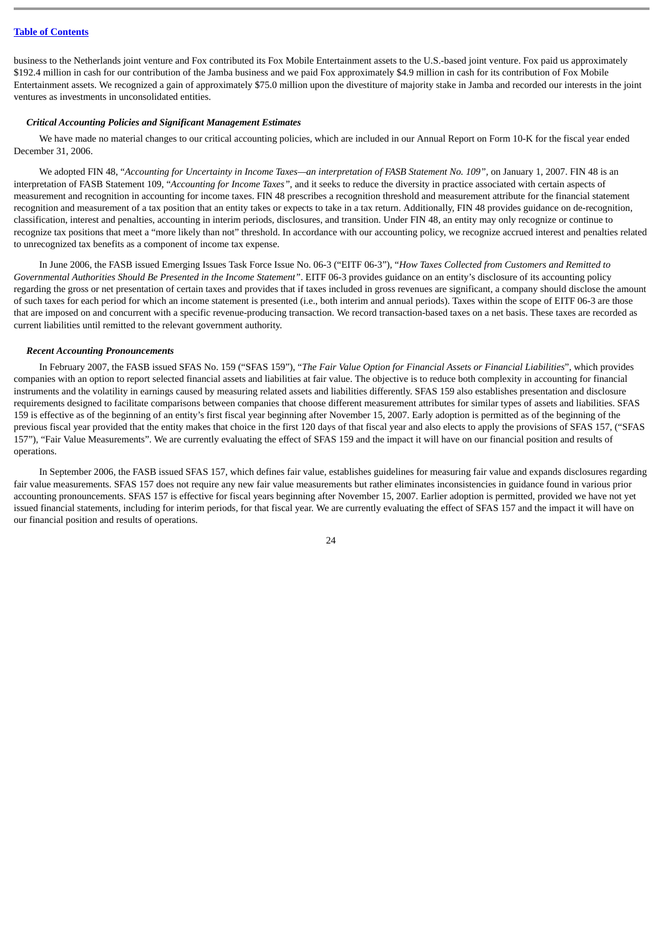business to the Netherlands joint venture and Fox contributed its Fox Mobile Entertainment assets to the U.S.-based joint venture. Fox paid us approximately \$192.4 million in cash for our contribution of the Jamba business and we paid Fox approximately \$4.9 million in cash for its contribution of Fox Mobile Entertainment assets. We recognized a gain of approximately \$75.0 million upon the divestiture of majority stake in Jamba and recorded our interests in the joint ventures as investments in unconsolidated entities.

#### *Critical Accounting Policies and Significant Management Estimates*

We have made no material changes to our critical accounting policies, which are included in our Annual Report on Form 10-K for the fiscal year ended December 31, 2006.

We adopted FIN 48, "Accounting for Uncertainty in Income Taxes—an interpretation of FASB Statement No. 109", on January 1, 2007. FIN 48 is an interpretation of FASB Statement 109, "*Accounting for Income Taxes"*, and it seeks to reduce the diversity in practice associated with certain aspects of measurement and recognition in accounting for income taxes. FIN 48 prescribes a recognition threshold and measurement attribute for the financial statement recognition and measurement of a tax position that an entity takes or expects to take in a tax return. Additionally, FIN 48 provides guidance on de-recognition, classification, interest and penalties, accounting in interim periods, disclosures, and transition. Under FIN 48, an entity may only recognize or continue to recognize tax positions that meet a "more likely than not" threshold. In accordance with our accounting policy, we recognize accrued interest and penalties related to unrecognized tax benefits as a component of income tax expense.

In June 2006, the FASB issued Emerging Issues Task Force Issue No. 06-3 ("EITF 06-3"), "*How Taxes Collected from Customers and Remitted to Governmental Authorities Should Be Presented in the Income Statement"*. EITF 06-3 provides guidance on an entity's disclosure of its accounting policy regarding the gross or net presentation of certain taxes and provides that if taxes included in gross revenues are significant, a company should disclose the amount of such taxes for each period for which an income statement is presented (i.e., both interim and annual periods). Taxes within the scope of EITF 06-3 are those that are imposed on and concurrent with a specific revenue-producing transaction. We record transaction-based taxes on a net basis. These taxes are recorded as current liabilities until remitted to the relevant government authority.

#### *Recent Accounting Pronouncements*

In February 2007, the FASB issued SFAS No. 159 ("SFAS 159"), "*The Fair Value Option for Financial Assets or Financial Liabilities*", which provides companies with an option to report selected financial assets and liabilities at fair value. The objective is to reduce both complexity in accounting for financial instruments and the volatility in earnings caused by measuring related assets and liabilities differently. SFAS 159 also establishes presentation and disclosure requirements designed to facilitate comparisons between companies that choose different measurement attributes for similar types of assets and liabilities. SFAS 159 is effective as of the beginning of an entity's first fiscal year beginning after November 15, 2007. Early adoption is permitted as of the beginning of the previous fiscal year provided that the entity makes that choice in the first 120 days of that fiscal year and also elects to apply the provisions of SFAS 157, ("SFAS 157"), "Fair Value Measurements". We are currently evaluating the effect of SFAS 159 and the impact it will have on our financial position and results of operations.

In September 2006, the FASB issued SFAS 157, which defines fair value, establishes guidelines for measuring fair value and expands disclosures regarding fair value measurements. SFAS 157 does not require any new fair value measurements but rather eliminates inconsistencies in guidance found in various prior accounting pronouncements. SFAS 157 is effective for fiscal years beginning after November 15, 2007. Earlier adoption is permitted, provided we have not yet issued financial statements, including for interim periods, for that fiscal year. We are currently evaluating the effect of SFAS 157 and the impact it will have on our financial position and results of operations.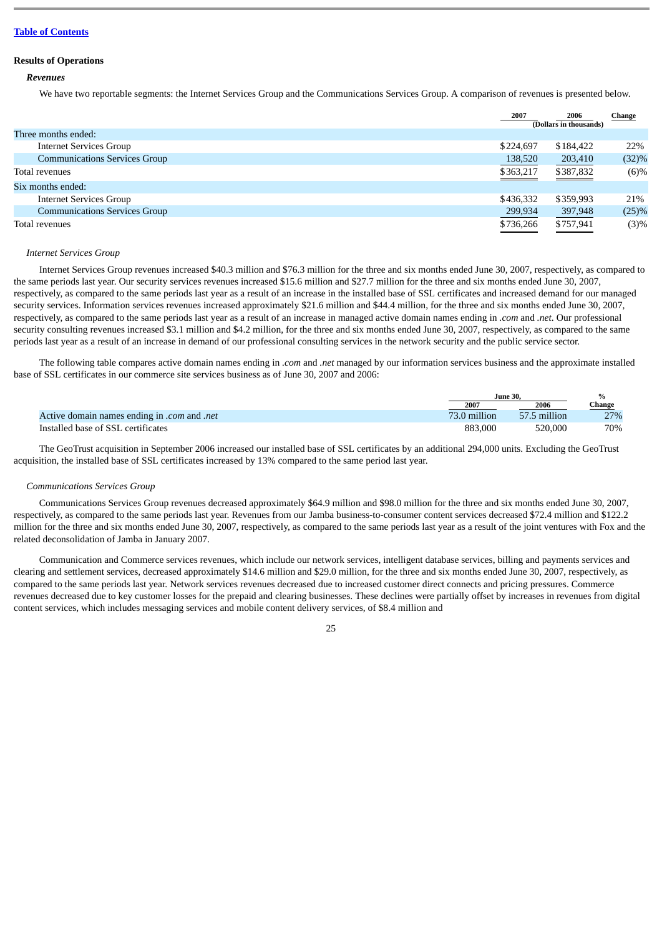#### **Results of Operations**

# *Revenues*

We have two reportable segments: the Internet Services Group and the Communications Services Group. A comparison of revenues is presented below.

|                                      | 2007      | 2006<br>(Dollars in thousands) | <b>Change</b> |
|--------------------------------------|-----------|--------------------------------|---------------|
| Three months ended:                  |           |                                |               |
| <b>Internet Services Group</b>       | \$224,697 | \$184,422                      | 22%           |
| <b>Communications Services Group</b> | 138,520   | 203,410                        | (32)%         |
| Total revenues                       | \$363,217 | \$387,832<br>_______           | (6)%          |
| Six months ended:                    |           |                                |               |
| <b>Internet Services Group</b>       | \$436,332 | \$359,993                      | 21%           |
| <b>Communications Services Group</b> | 299,934   | 397,948                        | (25)%         |
| Total revenues                       | \$736,266 | \$757,941<br>_______           | (3)%          |

#### *Internet Services Group*

Internet Services Group revenues increased \$40.3 million and \$76.3 million for the three and six months ended June 30, 2007, respectively, as compared to the same periods last year. Our security services revenues increased \$15.6 million and \$27.7 million for the three and six months ended June 30, 2007, respectively, as compared to the same periods last year as a result of an increase in the installed base of SSL certificates and increased demand for our managed security services. Information services revenues increased approximately \$21.6 million and \$44.4 million, for the three and six months ended June 30, 2007, respectively, as compared to the same periods last year as a result of an increase in managed active domain names ending in *.com* and *.net*. Our professional security consulting revenues increased \$3.1 million and \$4.2 million, for the three and six months ended June 30, 2007, respectively, as compared to the same periods last year as a result of an increase in demand of our professional consulting services in the network security and the public service sector.

The following table compares active domain names ending in *.com* and *.net* managed by our information services business and the approximate installed base of SSL certificates in our commerce site services business as of June 30, 2007 and 2006:

|                                             |              | <b>June 30.</b> |               |  |
|---------------------------------------------|--------------|-----------------|---------------|--|
|                                             | 2007         | 2006            | <u>Change</u> |  |
| Active domain names ending in .com and .net | 73.0 million | 57.5 million    | 27%           |  |
| Installed base of SSL certificates          | 883.000      | 520,000         | 70%           |  |

The GeoTrust acquisition in September 2006 increased our installed base of SSL certificates by an additional 294,000 units. Excluding the GeoTrust acquisition, the installed base of SSL certificates increased by 13% compared to the same period last year.

#### *Communications Services Group*

Communications Services Group revenues decreased approximately \$64.9 million and \$98.0 million for the three and six months ended June 30, 2007, respectively, as compared to the same periods last year. Revenues from our Jamba business-to-consumer content services decreased \$72.4 million and \$122.2 million for the three and six months ended June 30, 2007, respectively, as compared to the same periods last year as a result of the joint ventures with Fox and the related deconsolidation of Jamba in January 2007.

Communication and Commerce services revenues, which include our network services, intelligent database services, billing and payments services and clearing and settlement services, decreased approximately \$14.6 million and \$29.0 million, for the three and six months ended June 30, 2007, respectively, as compared to the same periods last year. Network services revenues decreased due to increased customer direct connects and pricing pressures. Commerce revenues decreased due to key customer losses for the prepaid and clearing businesses. These declines were partially offset by increases in revenues from digital content services, which includes messaging services and mobile content delivery services, of \$8.4 million and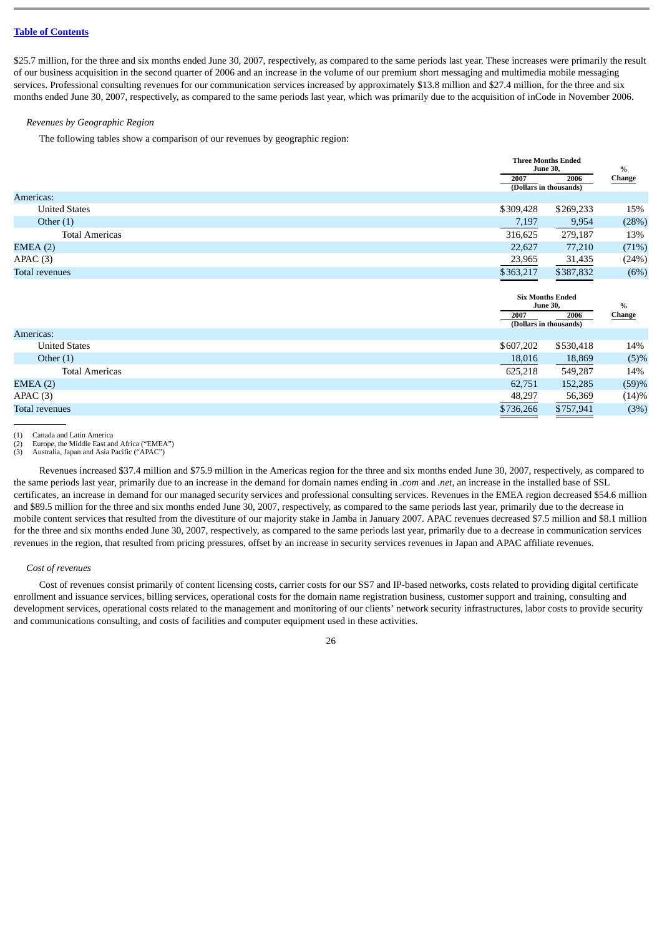\$25.7 million, for the three and six months ended June 30, 2007, respectively, as compared to the same periods last year. These increases were primarily the result of our business acquisition in the second quarter of 2006 and an increase in the volume of our premium short messaging and multimedia mobile messaging services. Professional consulting revenues for our communication services increased by approximately \$13.8 million and \$27.4 million, for the three and six months ended June 30, 2007, respectively, as compared to the same periods last year, which was primarily due to the acquisition of inCode in November 2006.

#### *Revenues by Geographic Region*

The following tables show a comparison of our revenues by geographic region:

|                                   | <b>Three Months Ended</b><br><b>June 30,</b>       | $\%$                   |
|-----------------------------------|----------------------------------------------------|------------------------|
|                                   | 2007<br>(Dollars in thousands)                     | Change<br>2006         |
| Americas:                         |                                                    |                        |
| <b>United States</b>              | \$309,428                                          | \$269,233<br>15%       |
| Other $(1)$                       | 7,197                                              | (28%)<br>9,954         |
| <b>Total Americas</b>             | 316,625                                            | 279,187<br>13%         |
| EMEA(2)                           | 22,627                                             | 77,210<br>(71%)        |
| APAC(3)                           | 23,965                                             | 31,435<br>(24%)        |
| <b>Total revenues</b>             | \$363,217                                          | \$387,832<br>(6%)      |
|                                   |                                                    |                        |
|                                   | <b>Six Months Ended</b><br><b>June 30,</b><br>2007 | $\%$<br>Change<br>2006 |
|                                   | (Dollars in thousands)                             |                        |
| Americas:<br><b>United States</b> | \$607,202                                          | \$530,418<br>14%       |
| Other $(1)$                       | 18,016                                             | 18,869<br>(5)%         |
| <b>Total Americas</b>             | 625,218                                            | 14%<br>549,287         |
| EMEA(2)                           | 62,751                                             | (59)%<br>152,285       |
| APAC(3)                           | 48,297                                             | 56,369<br>(14)%        |

(1) Canada and Latin America

(2) Europe, the Middle East and Africa ("EMEA")<br>(3) Australia. Japan and Asia Pacific ("APAC") Australia, Japan and Asia Pacific ("APAC")

Revenues increased \$37.4 million and \$75.9 million in the Americas region for the three and six months ended June 30, 2007, respectively, as compared to the same periods last year, primarily due to an increase in the demand for domain names ending in *.com* and *.net*, an increase in the installed base of SSL certificates, an increase in demand for our managed security services and professional consulting services. Revenues in the EMEA region decreased \$54.6 million and \$89.5 million for the three and six months ended June 30, 2007, respectively, as compared to the same periods last year, primarily due to the decrease in mobile content services that resulted from the divestiture of our majority stake in Jamba in January 2007. APAC revenues decreased \$7.5 million and \$8.1 million for the three and six months ended June 30, 2007, respectively, as compared to the same periods last year, primarily due to a decrease in communication services revenues in the region, that resulted from pricing pressures, offset by an increase in security services revenues in Japan and APAC affiliate revenues.

### *Cost of revenues*

Cost of revenues consist primarily of content licensing costs, carrier costs for our SS7 and IP-based networks, costs related to providing digital certificate enrollment and issuance services, billing services, operational costs for the domain name registration business, customer support and training, consulting and development services, operational costs related to the management and monitoring of our clients' network security infrastructures, labor costs to provide security and communications consulting, and costs of facilities and computer equipment used in these activities.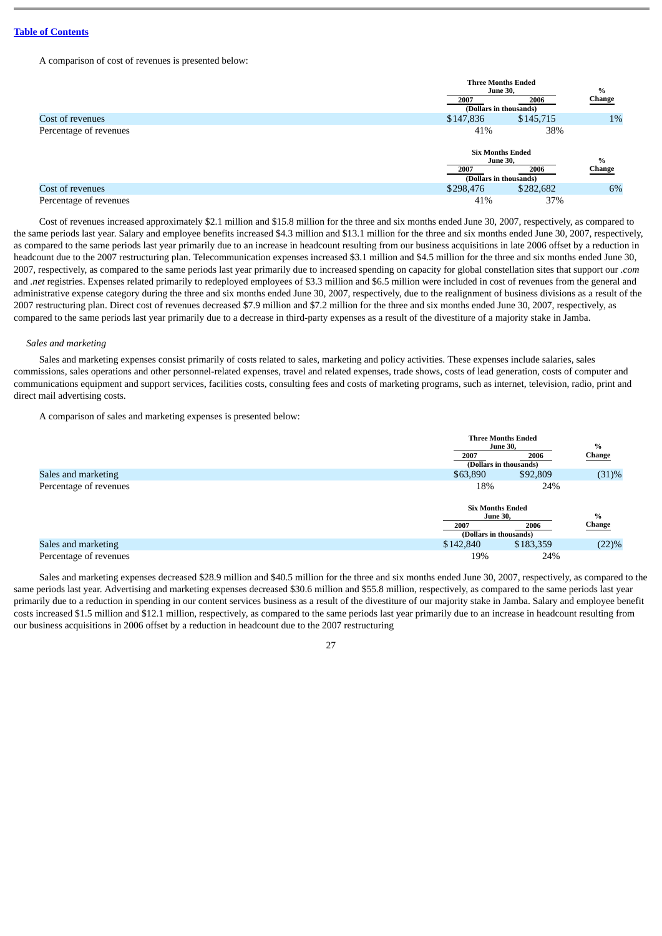A comparison of cost of revenues is presented below:

|                        | <b>Three Months Ended</b> |                 | $\%$          |
|------------------------|---------------------------|-----------------|---------------|
|                        |                           | <b>June 30,</b> |               |
|                        | 2007                      | 2006            | Change        |
|                        | (Dollars in thousands)    |                 |               |
| Cost of revenues       | \$147,836                 | \$145,715       | 1%            |
| Percentage of revenues | 41%                       | 38%             |               |
|                        |                           |                 |               |
|                        | <b>Six Months Ended</b>   |                 |               |
|                        | <b>June 30,</b>           |                 | %             |
|                        | 2007                      | 2006            | <b>Change</b> |
|                        | (Dollars in thousands)    |                 |               |
| Cost of revenues       | \$298,476                 | \$282,682       | 6%            |

Cost of revenues increased approximately \$2.1 million and \$15.8 million for the three and six months ended June 30, 2007, respectively, as compared to the same periods last year. Salary and employee benefits increased \$4.3 million and \$13.1 million for the three and six months ended June 30, 2007, respectively, as compared to the same periods last year primarily due to an increase in headcount resulting from our business acquisitions in late 2006 offset by a reduction in headcount due to the 2007 restructuring plan. Telecommunication expenses increased \$3.1 million and \$4.5 million for the three and six months ended June 30, 2007, respectively, as compared to the same periods last year primarily due to increased spending on capacity for global constellation sites that support our *.com* and *.net* registries. Expenses related primarily to redeployed employees of \$3.3 million and \$6.5 million were included in cost of revenues from the general and administrative expense category during the three and six months ended June 30, 2007, respectively, due to the realignment of business divisions as a result of the 2007 restructuring plan. Direct cost of revenues decreased \$7.9 million and \$7.2 million for the three and six months ended June 30, 2007, respectively, as compared to the same periods last year primarily due to a decrease in third-party expenses as a result of the divestiture of a majority stake in Jamba.

#### *Sales and marketing*

Sales and marketing expenses consist primarily of costs related to sales, marketing and policy activities. These expenses include salaries, sales commissions, sales operations and other personnel-related expenses, travel and related expenses, trade shows, costs of lead generation, costs of computer and communications equipment and support services, facilities costs, consulting fees and costs of marketing programs, such as internet, television, radio, print and direct mail advertising costs.

A comparison of sales and marketing expenses is presented below:

|                        | <b>Three Months Ended</b><br><b>June 30,</b><br>2007<br>(Dollars in thousands) | 2006      | $\%$<br><b>Change</b> |  |
|------------------------|--------------------------------------------------------------------------------|-----------|-----------------------|--|
| Sales and marketing    | \$63,890                                                                       | \$92,809  | (31)%                 |  |
| Percentage of revenues | 18%                                                                            | 24%       |                       |  |
|                        | <b>Six Months Ended</b>                                                        |           |                       |  |
|                        | <b>June 30,</b>                                                                |           | $\frac{0}{0}$         |  |
|                        | 2007<br>(Dollars in thousands)                                                 | 2006      | Change                |  |
| Sales and marketing    | \$142,840                                                                      | \$183,359 | (22)%                 |  |
| Percentage of revenues | 19%                                                                            | 24%       |                       |  |

Sales and marketing expenses decreased \$28.9 million and \$40.5 million for the three and six months ended June 30, 2007, respectively, as compared to the same periods last year. Advertising and marketing expenses decreased \$30.6 million and \$55.8 million, respectively, as compared to the same periods last year primarily due to a reduction in spending in our content services business as a result of the divestiture of our majority stake in Jamba. Salary and employee benefit costs increased \$1.5 million and \$12.1 million, respectively, as compared to the same periods last year primarily due to an increase in headcount resulting from our business acquisitions in 2006 offset by a reduction in headcount due to the 2007 restructuring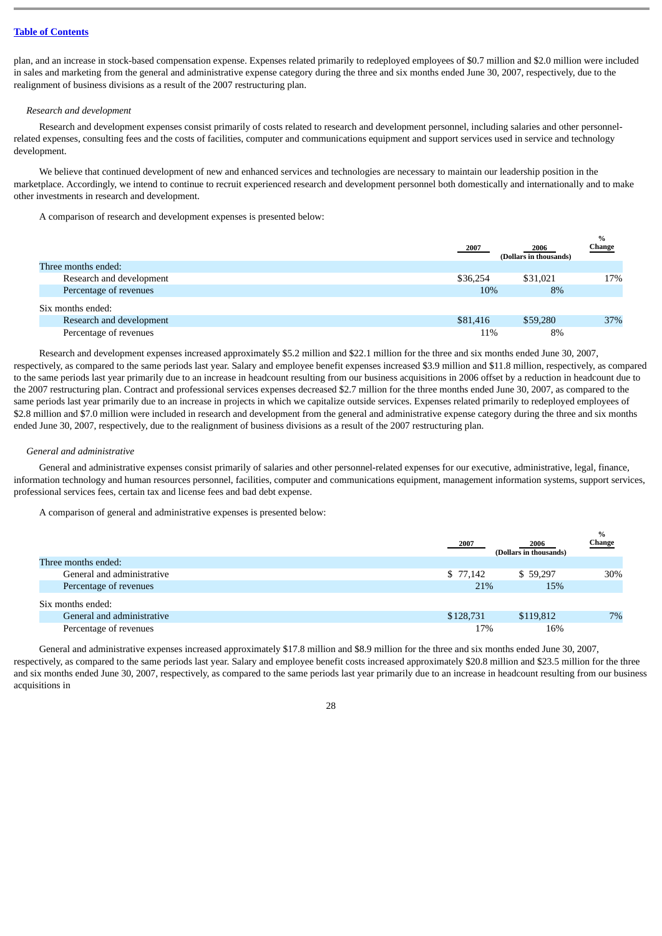plan, and an increase in stock-based compensation expense. Expenses related primarily to redeployed employees of \$0.7 million and \$2.0 million were included in sales and marketing from the general and administrative expense category during the three and six months ended June 30, 2007, respectively, due to the realignment of business divisions as a result of the 2007 restructuring plan.

#### *Research and development*

Research and development expenses consist primarily of costs related to research and development personnel, including salaries and other personnelrelated expenses, consulting fees and the costs of facilities, computer and communications equipment and support services used in service and technology development.

We believe that continued development of new and enhanced services and technologies are necessary to maintain our leadership position in the marketplace. Accordingly, we intend to continue to recruit experienced research and development personnel both domestically and internationally and to make other investments in research and development.

A comparison of research and development expenses is presented below:

|                          | 2007     | 2006<br>(Dollars in thousands) | %<br>Change |
|--------------------------|----------|--------------------------------|-------------|
| Three months ended:      |          |                                |             |
| Research and development | \$36,254 | \$31,021                       | 17%         |
| Percentage of revenues   | 10%      | 8%                             |             |
| Six months ended:        |          |                                |             |
| Research and development | \$81,416 | \$59,280                       | 37%         |
| Percentage of revenues   | 11%      | 8%                             |             |

Research and development expenses increased approximately \$5.2 million and \$22.1 million for the three and six months ended June 30, 2007, respectively, as compared to the same periods last year. Salary and employee benefit expenses increased \$3.9 million and \$11.8 million, respectively, as compared to the same periods last year primarily due to an increase in headcount resulting from our business acquisitions in 2006 offset by a reduction in headcount due to the 2007 restructuring plan. Contract and professional services expenses decreased \$2.7 million for the three months ended June 30, 2007, as compared to the same periods last year primarily due to an increase in projects in which we capitalize outside services. Expenses related primarily to redeployed employees of \$2.8 million and \$7.0 million were included in research and development from the general and administrative expense category during the three and six months ended June 30, 2007, respectively, due to the realignment of business divisions as a result of the 2007 restructuring plan.

#### *General and administrative*

General and administrative expenses consist primarily of salaries and other personnel-related expenses for our executive, administrative, legal, finance, information technology and human resources personnel, facilities, computer and communications equipment, management information systems, support services, professional services fees, certain tax and license fees and bad debt expense.

A comparison of general and administrative expenses is presented below:

|                            | 2007      | 2006<br>(Dollars in thousands) | $\%$<br>Change |
|----------------------------|-----------|--------------------------------|----------------|
| Three months ended:        |           |                                |                |
| General and administrative | \$77,142  | \$59,297                       | 30%            |
| Percentage of revenues     | 21%       | 15%                            |                |
| Six months ended:          |           |                                |                |
| General and administrative | \$128,731 | \$119,812                      | 7%             |
| Percentage of revenues     | 17%       | 16%                            |                |

General and administrative expenses increased approximately \$17.8 million and \$8.9 million for the three and six months ended June 30, 2007, respectively, as compared to the same periods last year. Salary and employee benefit costs increased approximately \$20.8 million and \$23.5 million for the three and six months ended June 30, 2007, respectively, as compared to the same periods last year primarily due to an increase in headcount resulting from our business acquisitions in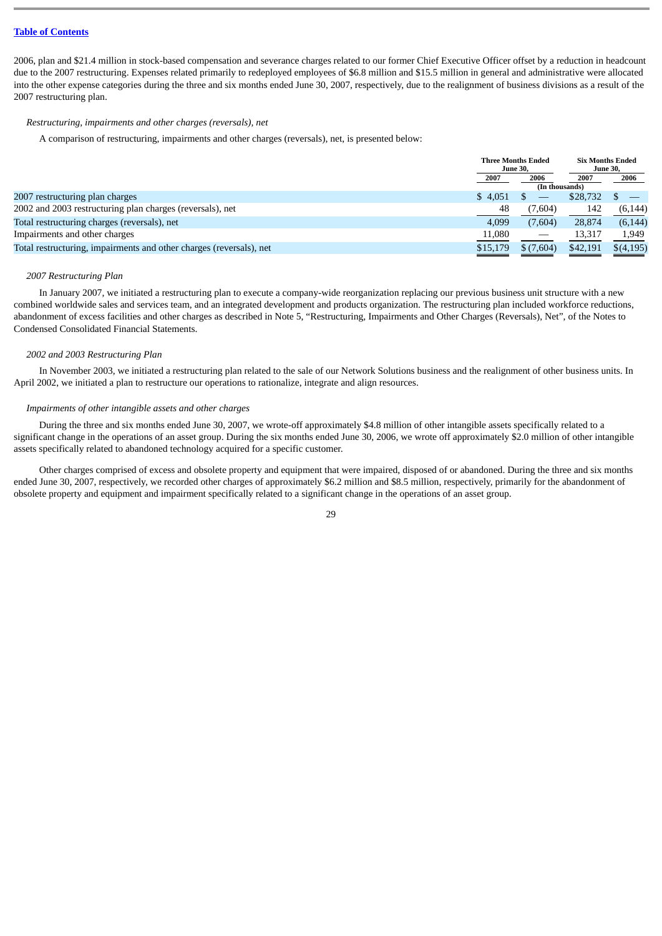2006, plan and \$21.4 million in stock-based compensation and severance charges related to our former Chief Executive Officer offset by a reduction in headcount due to the 2007 restructuring. Expenses related primarily to redeployed employees of \$6.8 million and \$15.5 million in general and administrative were allocated into the other expense categories during the three and six months ended June 30, 2007, respectively, due to the realignment of business divisions as a result of the 2007 restructuring plan.

#### *Restructuring, impairments and other charges (reversals), net*

A comparison of restructuring, impairments and other charges (reversals), net, is presented below:

|                                                                     | <b>Three Months Ended</b><br><b>June 30,</b> |                                 | <b>Six Months Ended</b><br><b>June 30,</b> |           |
|---------------------------------------------------------------------|----------------------------------------------|---------------------------------|--------------------------------------------|-----------|
|                                                                     | 2007<br>2006<br>(In thousands)               |                                 |                                            | 2006      |
| 2007 restructuring plan charges                                     | \$4,051                                      |                                 | \$28,732                                   |           |
| 2002 and 2003 restructuring plan charges (reversals), net           | 48                                           | (7,604)                         | 142                                        | (6, 144)  |
| Total restructuring charges (reversals), net                        | 4,099                                        | (7,604)                         | 28,874                                     | (6, 144)  |
| Impairments and other charges                                       | 11,080                                       | $\hspace{0.1mm}-\hspace{0.1mm}$ | 13,317                                     | 1,949     |
| Total restructuring, impairments and other charges (reversals), net | \$15,179                                     | \$(7,604)                       | \$42,191                                   | \$(4,195) |

#### *2007 Restructuring Plan*

In January 2007, we initiated a restructuring plan to execute a company-wide reorganization replacing our previous business unit structure with a new combined worldwide sales and services team, and an integrated development and products organization. The restructuring plan included workforce reductions, abandonment of excess facilities and other charges as described in Note 5, "Restructuring, Impairments and Other Charges (Reversals), Net", of the Notes to Condensed Consolidated Financial Statements.

#### *2002 and 2003 Restructuring Plan*

In November 2003, we initiated a restructuring plan related to the sale of our Network Solutions business and the realignment of other business units. In April 2002, we initiated a plan to restructure our operations to rationalize, integrate and align resources.

# *Impairments of other intangible assets and other charges*

During the three and six months ended June 30, 2007, we wrote-off approximately \$4.8 million of other intangible assets specifically related to a significant change in the operations of an asset group. During the six months ended June 30, 2006, we wrote off approximately \$2.0 million of other intangible assets specifically related to abandoned technology acquired for a specific customer.

Other charges comprised of excess and obsolete property and equipment that were impaired, disposed of or abandoned. During the three and six months ended June 30, 2007, respectively, we recorded other charges of approximately \$6.2 million and \$8.5 million, respectively, primarily for the abandonment of obsolete property and equipment and impairment specifically related to a significant change in the operations of an asset group.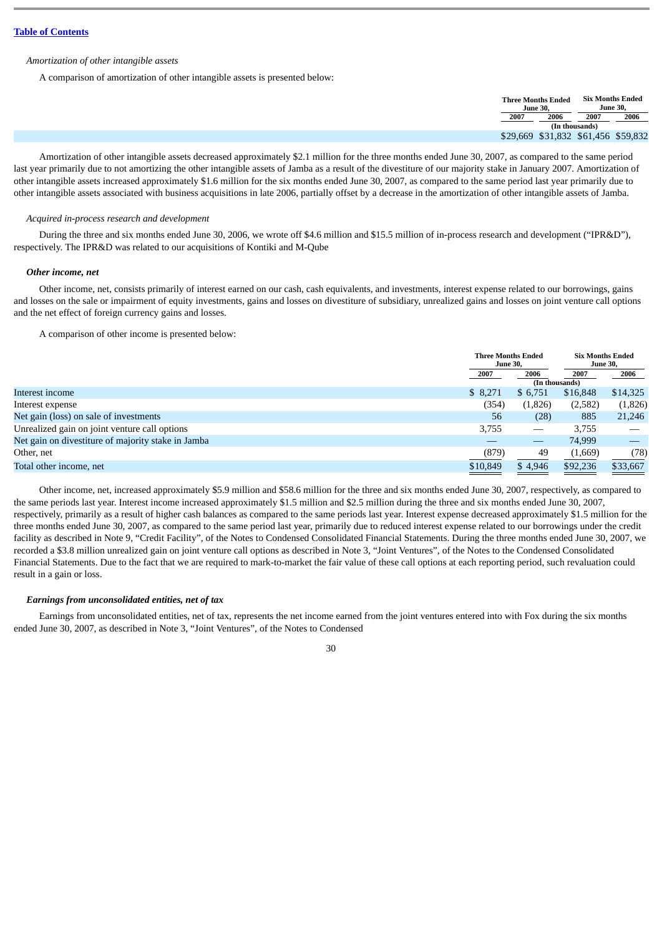*Amortization of other intangible assets*

A comparison of amortization of other intangible assets is presented below:

| <b>Three Months Ended</b><br><b>June 30.</b> |      |                                     | <b>Six Months Ended</b><br><b>June 30.</b> |  |  |  |  |
|----------------------------------------------|------|-------------------------------------|--------------------------------------------|--|--|--|--|
| 2007                                         | 2006 | 2007                                | 2006                                       |  |  |  |  |
| (In thousands)                               |      |                                     |                                            |  |  |  |  |
|                                              |      | \$29,669 \$31,832 \$61,456 \$59,832 |                                            |  |  |  |  |

Amortization of other intangible assets decreased approximately \$2.1 million for the three months ended June 30, 2007, as compared to the same period last year primarily due to not amortizing the other intangible assets of Jamba as a result of the divestiture of our majority stake in January 2007. Amortization of other intangible assets increased approximately \$1.6 million for the six months ended June 30, 2007, as compared to the same period last year primarily due to other intangible assets associated with business acquisitions in late 2006, partially offset by a decrease in the amortization of other intangible assets of Jamba.

#### *Acquired in-process research and development*

During the three and six months ended June 30, 2006, we wrote off \$4.6 million and \$15.5 million of in-process research and development ("IPR&D"), respectively. The IPR&D was related to our acquisitions of Kontiki and M-Qube

#### *Other income, net*

Other income, net, consists primarily of interest earned on our cash, cash equivalents, and investments, interest expense related to our borrowings, gains and losses on the sale or impairment of equity investments, gains and losses on divestiture of subsidiary, unrealized gains and losses on joint venture call options and the net effect of foreign currency gains and losses.

A comparison of other income is presented below:

|                                                    | <b>Three Months Ended</b><br><b>June 30,</b> |                        | <b>Six Months Ended</b><br><b>June 30,</b> |          |
|----------------------------------------------------|----------------------------------------------|------------------------|--------------------------------------------|----------|
|                                                    | 2007                                         | 2006<br>(In thousands) | 2007                                       | 2006     |
| Interest income                                    | \$8,271                                      | \$6,751                | \$16,848                                   | \$14,325 |
| Interest expense                                   | (354)                                        | (1,826)                | (2,582)                                    | (1,826)  |
| Net gain (loss) on sale of investments             | 56                                           | (28)                   | 885                                        | 21,246   |
| Unrealized gain on joint venture call options      | 3,755                                        |                        | 3,755                                      |          |
| Net gain on divestiture of majority stake in Jamba |                                              |                        | 74,999                                     |          |
| Other, net                                         | (879)                                        | 49                     | (1,669)                                    | (78)     |
| Total other income, net                            | \$10,849                                     | \$4,946                | \$92,236                                   | \$33,667 |

Other income, net, increased approximately \$5.9 million and \$58.6 million for the three and six months ended June 30, 2007, respectively, as compared to the same periods last year. Interest income increased approximately \$1.5 million and \$2.5 million during the three and six months ended June 30, 2007, respectively, primarily as a result of higher cash balances as compared to the same periods last year. Interest expense decreased approximately \$1.5 million for the three months ended June 30, 2007, as compared to the same period last year, primarily due to reduced interest expense related to our borrowings under the credit facility as described in Note 9, "Credit Facility", of the Notes to Condensed Consolidated Financial Statements. During the three months ended June 30, 2007, we recorded a \$3.8 million unrealized gain on joint venture call options as described in Note 3, "Joint Ventures", of the Notes to the Condensed Consolidated Financial Statements. Due to the fact that we are required to mark-to-market the fair value of these call options at each reporting period, such revaluation could result in a gain or loss.

### *Earnings from unconsolidated entities, net of tax*

Earnings from unconsolidated entities, net of tax, represents the net income earned from the joint ventures entered into with Fox during the six months ended June 30, 2007, as described in Note 3, "Joint Ventures", of the Notes to Condensed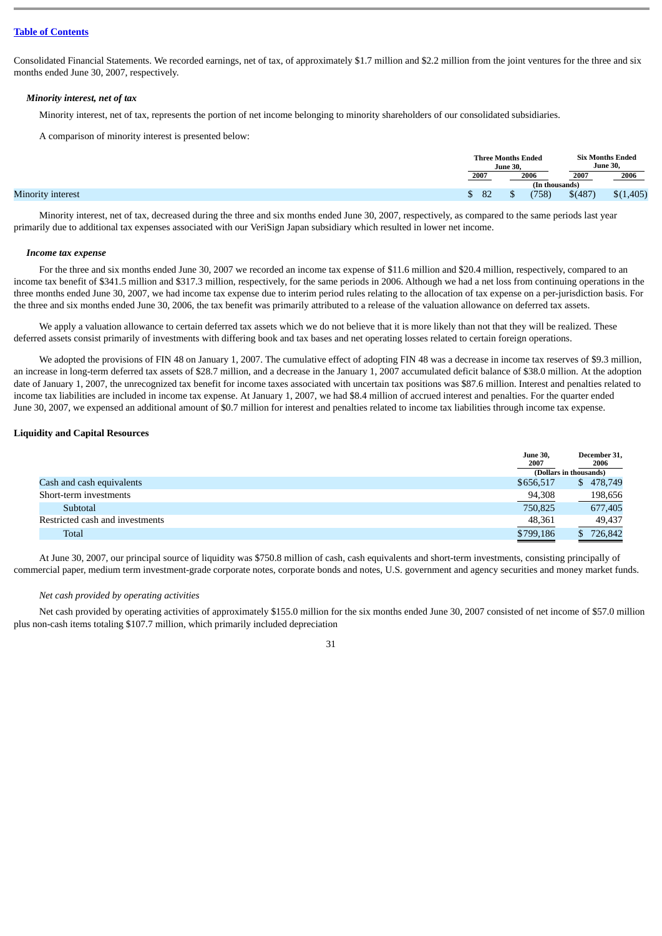Consolidated Financial Statements. We recorded earnings, net of tax, of approximately \$1.7 million and \$2.2 million from the joint ventures for the three and six months ended June 30, 2007, respectively.

#### *Minority interest, net of tax*

Minority interest, net of tax, represents the portion of net income belonging to minority shareholders of our consolidated subsidiaries.

A comparison of minority interest is presented below:

|                   | <b>Three Months Ended</b><br><b>June 30.</b> |    |  |                | <b>Six Months Ended</b><br><b>June 30,</b> |           |
|-------------------|----------------------------------------------|----|--|----------------|--------------------------------------------|-----------|
|                   | 2007<br>2006                                 |    |  | 2007           | 2006                                       |           |
|                   |                                              |    |  | (In thousands) |                                            |           |
| Minority interest |                                              | 82 |  | (758)          | \$ (487)                                   | \$(1,405) |

Minority interest, net of tax, decreased during the three and six months ended June 30, 2007, respectively, as compared to the same periods last year primarily due to additional tax expenses associated with our VeriSign Japan subsidiary which resulted in lower net income.

#### *Income tax expense*

For the three and six months ended June 30, 2007 we recorded an income tax expense of \$11.6 million and \$20.4 million, respectively, compared to an income tax benefit of \$341.5 million and \$317.3 million, respectively, for the same periods in 2006. Although we had a net loss from continuing operations in the three months ended June 30, 2007, we had income tax expense due to interim period rules relating to the allocation of tax expense on a per-jurisdiction basis. For the three and six months ended June 30, 2006, the tax benefit was primarily attributed to a release of the valuation allowance on deferred tax assets.

We apply a valuation allowance to certain deferred tax assets which we do not believe that it is more likely than not that they will be realized. These deferred assets consist primarily of investments with differing book and tax bases and net operating losses related to certain foreign operations.

We adopted the provisions of FIN 48 on January 1, 2007. The cumulative effect of adopting FIN 48 was a decrease in income tax reserves of \$9.3 million, an increase in long-term deferred tax assets of \$28.7 million, and a decrease in the January 1, 2007 accumulated deficit balance of \$38.0 million. At the adoption date of January 1, 2007, the unrecognized tax benefit for income taxes associated with uncertain tax positions was \$87.6 million. Interest and penalties related to income tax liabilities are included in income tax expense. At January 1, 2007, we had \$8.4 million of accrued interest and penalties. For the quarter ended June 30, 2007, we expensed an additional amount of \$0.7 million for interest and penalties related to income tax liabilities through income tax expense.

### **Liquidity and Capital Resources**

|                                 | <b>June 30.</b><br>2007 | December 31,<br>2006   |
|---------------------------------|-------------------------|------------------------|
|                                 |                         | (Dollars in thousands) |
| Cash and cash equivalents       | \$656,517               | 478.749<br>S.          |
| Short-term investments          | 94,308                  | 198,656                |
| Subtotal                        | 750.825                 | 677,405                |
| Restricted cash and investments | 48,361                  | 49,437                 |
| <b>Total</b>                    | \$799,186               | 726,842                |

At June 30, 2007, our principal source of liquidity was \$750.8 million of cash, cash equivalents and short-term investments, consisting principally of commercial paper, medium term investment-grade corporate notes, corporate bonds and notes, U.S. government and agency securities and money market funds.

#### *Net cash provided by operating activities*

Net cash provided by operating activities of approximately \$155.0 million for the six months ended June 30, 2007 consisted of net income of \$57.0 million plus non-cash items totaling \$107.7 million, which primarily included depreciation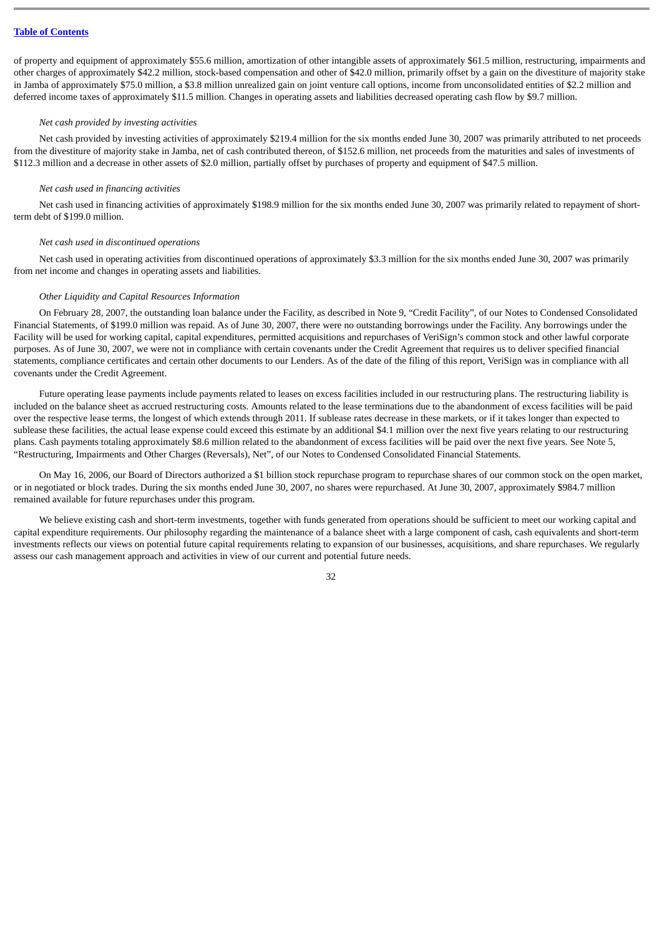of property and equipment of approximately \$55.6 million, amortization of other intangible assets of approximately \$61.5 million, restructuring, impairments and other charges of approximately \$42.2 million, stock-based compensation and other of \$42.0 million, primarily offset by a gain on the divestiture of majority stake in Jamba of approximately \$75.0 million, a \$3.8 million unrealized gain on joint venture call options, income from unconsolidated entities of \$2.2 million and deferred income taxes of approximately \$11.5 million. Changes in operating assets and liabilities decreased operating cash flow by \$9.7 million.

#### *Net cash provided by investing activities*

Net cash provided by investing activities of approximately \$219.4 million for the six months ended June 30, 2007 was primarily attributed to net proceeds from the divestiture of majority stake in Jamba, net of cash contributed thereon, of \$152.6 million, net proceeds from the maturities and sales of investments of \$112.3 million and a decrease in other assets of \$2.0 million, partially offset by purchases of property and equipment of \$47.5 million.

#### *Net cash used in financing activities*

Net cash used in financing activities of approximately \$198.9 million for the six months ended June 30, 2007 was primarily related to repayment of shortterm debt of \$199.0 million.

#### *Net cash used in discontinued operations*

Net cash used in operating activities from discontinued operations of approximately \$3.3 million for the six months ended June 30, 2007 was primarily from net income and changes in operating assets and liabilities.

#### *Other Liquidity and Capital Resources Information*

On February 28, 2007, the outstanding loan balance under the Facility, as described in Note 9, "Credit Facility", of our Notes to Condensed Consolidated Financial Statements, of \$199.0 million was repaid. As of June 30, 2007, there were no outstanding borrowings under the Facility. Any borrowings under the Facility will be used for working capital, capital expenditures, permitted acquisitions and repurchases of VeriSign's common stock and other lawful corporate purposes. As of June 30, 2007, we were not in compliance with certain covenants under the Credit Agreement that requires us to deliver specified financial statements, compliance certificates and certain other documents to our Lenders. As of the date of the filing of this report, VeriSign was in compliance with all covenants under the Credit Agreement.

Future operating lease payments include payments related to leases on excess facilities included in our restructuring plans. The restructuring liability is included on the balance sheet as accrued restructuring costs. Amounts related to the lease terminations due to the abandonment of excess facilities will be paid over the respective lease terms, the longest of which extends through 2011. If sublease rates decrease in these markets, or if it takes longer than expected to sublease these facilities, the actual lease expense could exceed this estimate by an additional \$4.1 million over the next five years relating to our restructuring plans. Cash payments totaling approximately \$8.6 million related to the abandonment of excess facilities will be paid over the next five years. See Note 5, "Restructuring, Impairments and Other Charges (Reversals), Net", of our Notes to Condensed Consolidated Financial Statements.

On May 16, 2006, our Board of Directors authorized a \$1 billion stock repurchase program to repurchase shares of our common stock on the open market, or in negotiated or block trades. During the six months ended June 30, 2007, no shares were repurchased. At June 30, 2007, approximately \$984.7 million remained available for future repurchases under this program.

We believe existing cash and short-term investments, together with funds generated from operations should be sufficient to meet our working capital and capital expenditure requirements. Our philosophy regarding the maintenance of a balance sheet with a large component of cash, cash equivalents and short-term investments reflects our views on potential future capital requirements relating to expansion of our businesses, acquisitions, and share repurchases. We regularly assess our cash management approach and activities in view of our current and potential future needs.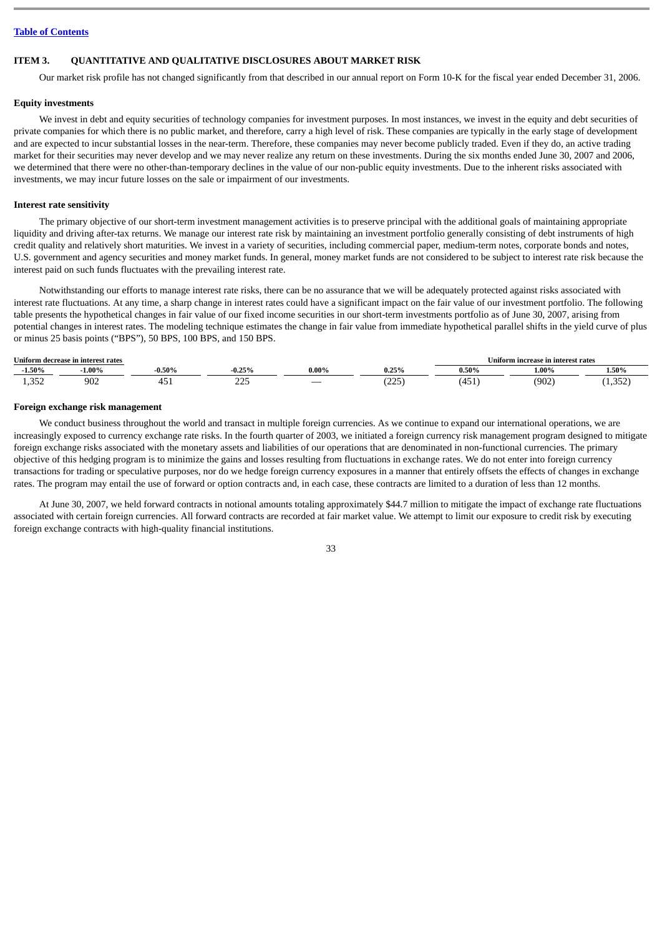#### <span id="page-32-0"></span>**ITEM 3. QUANTITATIVE AND QUALITATIVE DISCLOSURES ABOUT MARKET RISK**

Our market risk profile has not changed significantly from that described in our annual report on Form 10-K for the fiscal year ended December 31, 2006.

# **Equity investments**

We invest in debt and equity securities of technology companies for investment purposes. In most instances, we invest in the equity and debt securities of private companies for which there is no public market, and therefore, carry a high level of risk. These companies are typically in the early stage of development and are expected to incur substantial losses in the near-term. Therefore, these companies may never become publicly traded. Even if they do, an active trading market for their securities may never develop and we may never realize any return on these investments. During the six months ended June 30, 2007 and 2006, we determined that there were no other-than-temporary declines in the value of our non-public equity investments. Due to the inherent risks associated with investments, we may incur future losses on the sale or impairment of our investments.

#### **Interest rate sensitivity**

The primary objective of our short-term investment management activities is to preserve principal with the additional goals of maintaining appropriate liquidity and driving after-tax returns. We manage our interest rate risk by maintaining an investment portfolio generally consisting of debt instruments of high credit quality and relatively short maturities. We invest in a variety of securities, including commercial paper, medium-term notes, corporate bonds and notes, U.S. government and agency securities and money market funds. In general, money market funds are not considered to be subject to interest rate risk because the interest paid on such funds fluctuates with the prevailing interest rate.

Notwithstanding our efforts to manage interest rate risks, there can be no assurance that we will be adequately protected against risks associated with interest rate fluctuations. At any time, a sharp change in interest rates could have a significant impact on the fair value of our investment portfolio. The following table presents the hypothetical changes in fair value of our fixed income securities in our short-term investments portfolio as of June 30, 2007, arising from potential changes in interest rates. The modeling technique estimates the change in fair value from immediate hypothetical parallel shifts in the yield curve of plus or minus 25 basis points ("BPS"), 50 BPS, 100 BPS, and 150 BPS.

| $-1$<br>Uniform decrease in interest rates |                    |           |                              |          |                               | interest rates<br>Jnitorm increase in |                   |                      |
|--------------------------------------------|--------------------|-----------|------------------------------|----------|-------------------------------|---------------------------------------|-------------------|----------------------|
| $-1.50%$                                   | 000.1              | $-0.50%$  | n Fo<br>U.Z.J                | $0.00\%$ | 0. JE 0/<br>V. <i>L.</i> J 70 | $0.50\%$                              | $1.00\%$          | .50%                 |
| $\Gamma$<br>1,JJZ<br>- -                   | an-<br>ےں ر<br>- - | ᅲᇦ<br>$-$ | $\sim$ $\sim$ $\sim$<br>ت کے |          | <b>MODE</b><br>$- - -$        | ᅚᅠᅠ                                   | $\sqrt{2}$<br>ے ت | $\sim$ $\sim$ $\sim$ |

#### **Foreign exchange risk management**

We conduct business throughout the world and transact in multiple foreign currencies. As we continue to expand our international operations, we are increasingly exposed to currency exchange rate risks. In the fourth quarter of 2003, we initiated a foreign currency risk management program designed to mitigate foreign exchange risks associated with the monetary assets and liabilities of our operations that are denominated in non-functional currencies. The primary objective of this hedging program is to minimize the gains and losses resulting from fluctuations in exchange rates. We do not enter into foreign currency transactions for trading or speculative purposes, nor do we hedge foreign currency exposures in a manner that entirely offsets the effects of changes in exchange rates. The program may entail the use of forward or option contracts and, in each case, these contracts are limited to a duration of less than 12 months.

At June 30, 2007, we held forward contracts in notional amounts totaling approximately \$44.7 million to mitigate the impact of exchange rate fluctuations associated with certain foreign currencies. All forward contracts are recorded at fair market value. We attempt to limit our exposure to credit risk by executing foreign exchange contracts with high-quality financial institutions.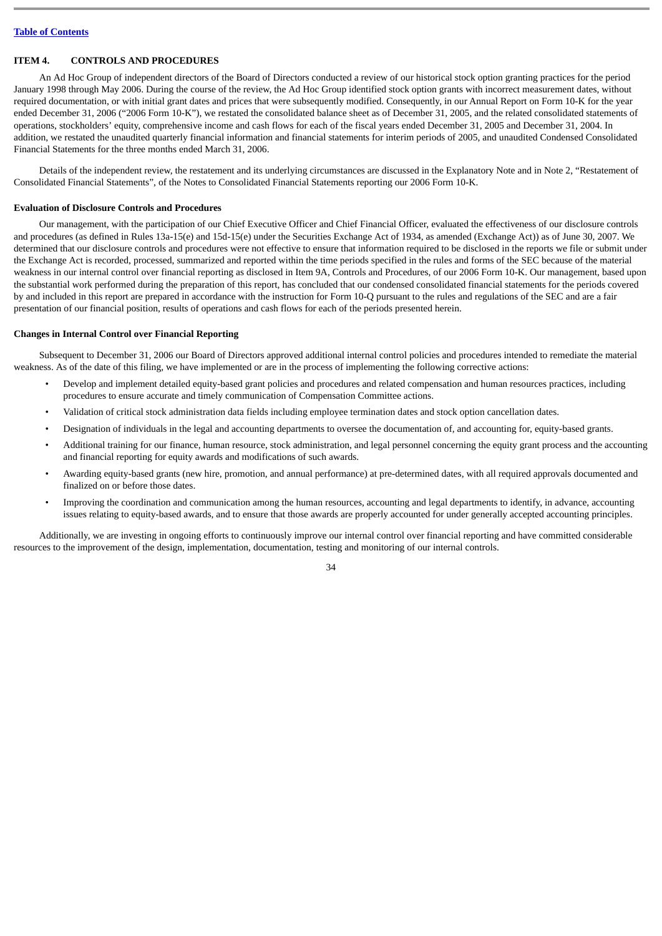# <span id="page-33-0"></span>**ITEM 4. CONTROLS AND PROCEDURES**

An Ad Hoc Group of independent directors of the Board of Directors conducted a review of our historical stock option granting practices for the period January 1998 through May 2006. During the course of the review, the Ad Hoc Group identified stock option grants with incorrect measurement dates, without required documentation, or with initial grant dates and prices that were subsequently modified. Consequently, in our Annual Report on Form 10-K for the year ended December 31, 2006 ("2006 Form 10-K"), we restated the consolidated balance sheet as of December 31, 2005, and the related consolidated statements of operations, stockholders' equity, comprehensive income and cash flows for each of the fiscal years ended December 31, 2005 and December 31, 2004. In addition, we restated the unaudited quarterly financial information and financial statements for interim periods of 2005, and unaudited Condensed Consolidated Financial Statements for the three months ended March 31, 2006.

Details of the independent review, the restatement and its underlying circumstances are discussed in the Explanatory Note and in Note 2, "Restatement of Consolidated Financial Statements", of the Notes to Consolidated Financial Statements reporting our 2006 Form 10-K.

# **Evaluation of Disclosure Controls and Procedures**

Our management, with the participation of our Chief Executive Officer and Chief Financial Officer, evaluated the effectiveness of our disclosure controls and procedures (as defined in Rules 13a-15(e) and 15d-15(e) under the Securities Exchange Act of 1934, as amended (Exchange Act)) as of June 30, 2007. We determined that our disclosure controls and procedures were not effective to ensure that information required to be disclosed in the reports we file or submit under the Exchange Act is recorded, processed, summarized and reported within the time periods specified in the rules and forms of the SEC because of the material weakness in our internal control over financial reporting as disclosed in Item 9A, Controls and Procedures, of our 2006 Form 10-K. Our management, based upon the substantial work performed during the preparation of this report, has concluded that our condensed consolidated financial statements for the periods covered by and included in this report are prepared in accordance with the instruction for Form 10-Q pursuant to the rules and regulations of the SEC and are a fair presentation of our financial position, results of operations and cash flows for each of the periods presented herein.

# **Changes in Internal Control over Financial Reporting**

Subsequent to December 31, 2006 our Board of Directors approved additional internal control policies and procedures intended to remediate the material weakness. As of the date of this filing, we have implemented or are in the process of implementing the following corrective actions:

- Develop and implement detailed equity-based grant policies and procedures and related compensation and human resources practices, including procedures to ensure accurate and timely communication of Compensation Committee actions.
- Validation of critical stock administration data fields including employee termination dates and stock option cancellation dates.
- Designation of individuals in the legal and accounting departments to oversee the documentation of, and accounting for, equity-based grants.
- Additional training for our finance, human resource, stock administration, and legal personnel concerning the equity grant process and the accounting and financial reporting for equity awards and modifications of such awards.
- Awarding equity-based grants (new hire, promotion, and annual performance) at pre-determined dates, with all required approvals documented and finalized on or before those dates.
- Improving the coordination and communication among the human resources, accounting and legal departments to identify, in advance, accounting issues relating to equity-based awards, and to ensure that those awards are properly accounted for under generally accepted accounting principles.

Additionally, we are investing in ongoing efforts to continuously improve our internal control over financial reporting and have committed considerable resources to the improvement of the design, implementation, documentation, testing and monitoring of our internal controls.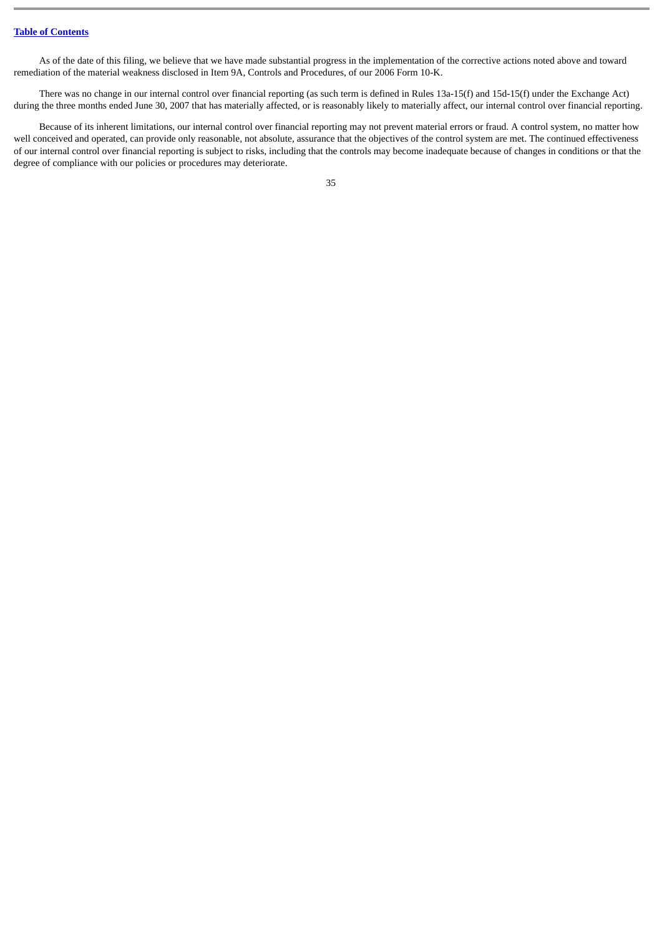As of the date of this filing, we believe that we have made substantial progress in the implementation of the corrective actions noted above and toward remediation of the material weakness disclosed in Item 9A, Controls and Procedures, of our 2006 Form 10-K.

There was no change in our internal control over financial reporting (as such term is defined in Rules 13a-15(f) and 15d-15(f) under the Exchange Act) during the three months ended June 30, 2007 that has materially affected, or is reasonably likely to materially affect, our internal control over financial reporting.

Because of its inherent limitations, our internal control over financial reporting may not prevent material errors or fraud. A control system, no matter how well conceived and operated, can provide only reasonable, not absolute, assurance that the objectives of the control system are met. The continued effectiveness of our internal control over financial reporting is subject to risks, including that the controls may become inadequate because of changes in conditions or that the degree of compliance with our policies or procedures may deteriorate.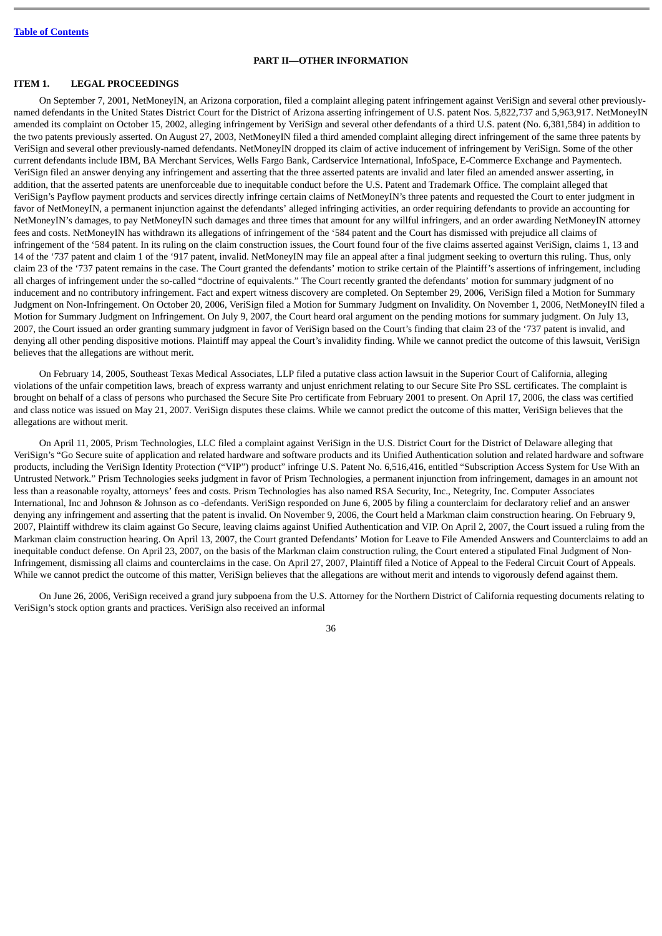#### **PART II—OTHER INFORMATION**

# <span id="page-35-1"></span><span id="page-35-0"></span>**ITEM 1. LEGAL PROCEEDINGS**

On September 7, 2001, NetMoneyIN, an Arizona corporation, filed a complaint alleging patent infringement against VeriSign and several other previouslynamed defendants in the United States District Court for the District of Arizona asserting infringement of U.S. patent Nos. 5,822,737 and 5,963,917. NetMoneyIN amended its complaint on October 15, 2002, alleging infringement by VeriSign and several other defendants of a third U.S. patent (No. 6,381,584) in addition to the two patents previously asserted. On August 27, 2003, NetMoneyIN filed a third amended complaint alleging direct infringement of the same three patents by VeriSign and several other previously-named defendants. NetMoneyIN dropped its claim of active inducement of infringement by VeriSign. Some of the other current defendants include IBM, BA Merchant Services, Wells Fargo Bank, Cardservice International, InfoSpace, E-Commerce Exchange and Paymentech. VeriSign filed an answer denying any infringement and asserting that the three asserted patents are invalid and later filed an amended answer asserting, in addition, that the asserted patents are unenforceable due to inequitable conduct before the U.S. Patent and Trademark Office. The complaint alleged that VeriSign's Payflow payment products and services directly infringe certain claims of NetMoneyIN's three patents and requested the Court to enter judgment in favor of NetMoneyIN, a permanent injunction against the defendants' alleged infringing activities, an order requiring defendants to provide an accounting for NetMoneyIN's damages, to pay NetMoneyIN such damages and three times that amount for any willful infringers, and an order awarding NetMoneyIN attorney fees and costs. NetMoneyIN has withdrawn its allegations of infringement of the '584 patent and the Court has dismissed with prejudice all claims of infringement of the '584 patent. In its ruling on the claim construction issues, the Court found four of the five claims asserted against VeriSign, claims 1, 13 and 14 of the '737 patent and claim 1 of the '917 patent, invalid. NetMoneyIN may file an appeal after a final judgment seeking to overturn this ruling. Thus, only claim 23 of the '737 patent remains in the case. The Court granted the defendants' motion to strike certain of the Plaintiff's assertions of infringement, including all charges of infringement under the so-called "doctrine of equivalents." The Court recently granted the defendants' motion for summary judgment of no inducement and no contributory infringement. Fact and expert witness discovery are completed. On September 29, 2006, VeriSign filed a Motion for Summary Judgment on Non-Infringement. On October 20, 2006, VeriSign filed a Motion for Summary Judgment on Invalidity. On November 1, 2006, NetMoneyIN filed a Motion for Summary Judgment on Infringement. On July 9, 2007, the Court heard oral argument on the pending motions for summary judgment. On July 13, 2007, the Court issued an order granting summary judgment in favor of VeriSign based on the Court's finding that claim 23 of the '737 patent is invalid, and denying all other pending dispositive motions. Plaintiff may appeal the Court's invalidity finding. While we cannot predict the outcome of this lawsuit, VeriSign believes that the allegations are without merit.

On February 14, 2005, Southeast Texas Medical Associates, LLP filed a putative class action lawsuit in the Superior Court of California, alleging violations of the unfair competition laws, breach of express warranty and unjust enrichment relating to our Secure Site Pro SSL certificates. The complaint is brought on behalf of a class of persons who purchased the Secure Site Pro certificate from February 2001 to present. On April 17, 2006, the class was certified and class notice was issued on May 21, 2007. VeriSign disputes these claims. While we cannot predict the outcome of this matter, VeriSign believes that the allegations are without merit.

On April 11, 2005, Prism Technologies, LLC filed a complaint against VeriSign in the U.S. District Court for the District of Delaware alleging that VeriSign's "Go Secure suite of application and related hardware and software products and its Unified Authentication solution and related hardware and software products, including the VeriSign Identity Protection ("VIP") product" infringe U.S. Patent No. 6,516,416, entitled "Subscription Access System for Use With an Untrusted Network." Prism Technologies seeks judgment in favor of Prism Technologies, a permanent injunction from infringement, damages in an amount not less than a reasonable royalty, attorneys' fees and costs. Prism Technologies has also named RSA Security, Inc., Netegrity, Inc. Computer Associates International, Inc and Johnson & Johnson as co -defendants. VeriSign responded on June 6, 2005 by filing a counterclaim for declaratory relief and an answer denying any infringement and asserting that the patent is invalid. On November 9, 2006, the Court held a Markman claim construction hearing. On February 9, 2007, Plaintiff withdrew its claim against Go Secure, leaving claims against Unified Authentication and VIP. On April 2, 2007, the Court issued a ruling from the Markman claim construction hearing. On April 13, 2007, the Court granted Defendants' Motion for Leave to File Amended Answers and Counterclaims to add an inequitable conduct defense. On April 23, 2007, on the basis of the Markman claim construction ruling, the Court entered a stipulated Final Judgment of Non-Infringement, dismissing all claims and counterclaims in the case. On April 27, 2007, Plaintiff filed a Notice of Appeal to the Federal Circuit Court of Appeals. While we cannot predict the outcome of this matter, VeriSign believes that the allegations are without merit and intends to vigorously defend against them.

On June 26, 2006, VeriSign received a grand jury subpoena from the U.S. Attorney for the Northern District of California requesting documents relating to VeriSign's stock option grants and practices. VeriSign also received an informal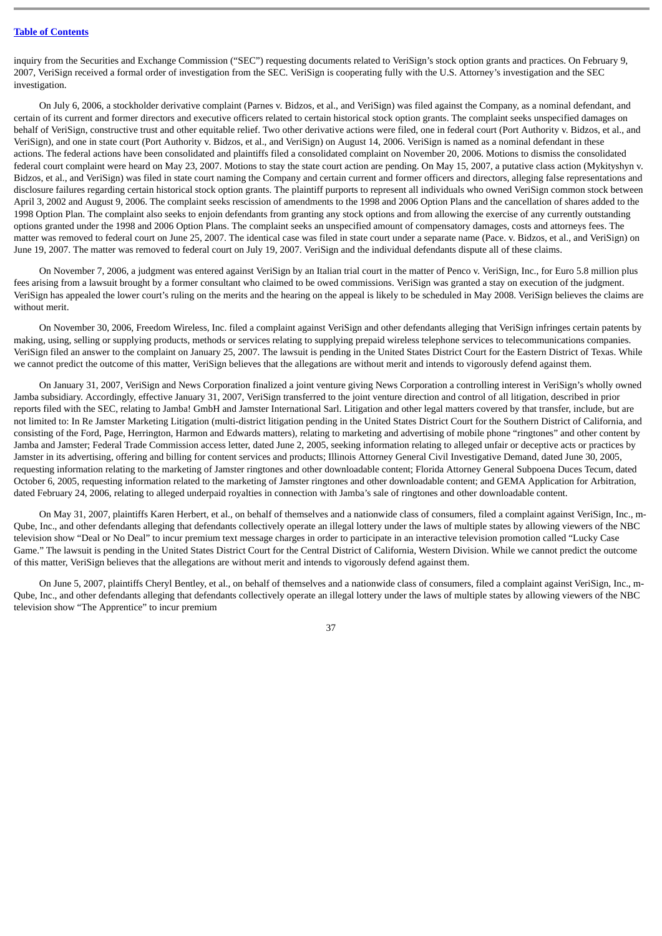inquiry from the Securities and Exchange Commission ("SEC") requesting documents related to VeriSign's stock option grants and practices. On February 9, 2007, VeriSign received a formal order of investigation from the SEC. VeriSign is cooperating fully with the U.S. Attorney's investigation and the SEC investigation.

On July 6, 2006, a stockholder derivative complaint (Parnes v. Bidzos, et al., and VeriSign) was filed against the Company, as a nominal defendant, and certain of its current and former directors and executive officers related to certain historical stock option grants. The complaint seeks unspecified damages on behalf of VeriSign, constructive trust and other equitable relief. Two other derivative actions were filed, one in federal court (Port Authority v. Bidzos, et al., and VeriSign), and one in state court (Port Authority v. Bidzos, et al., and VeriSign) on August 14, 2006. VeriSign is named as a nominal defendant in these actions. The federal actions have been consolidated and plaintiffs filed a consolidated complaint on November 20, 2006. Motions to dismiss the consolidated federal court complaint were heard on May 23, 2007. Motions to stay the state court action are pending. On May 15, 2007, a putative class action (Mykityshyn v. Bidzos, et al., and VeriSign) was filed in state court naming the Company and certain current and former officers and directors, alleging false representations and disclosure failures regarding certain historical stock option grants. The plaintiff purports to represent all individuals who owned VeriSign common stock between April 3, 2002 and August 9, 2006. The complaint seeks rescission of amendments to the 1998 and 2006 Option Plans and the cancellation of shares added to the 1998 Option Plan. The complaint also seeks to enjoin defendants from granting any stock options and from allowing the exercise of any currently outstanding options granted under the 1998 and 2006 Option Plans. The complaint seeks an unspecified amount of compensatory damages, costs and attorneys fees. The matter was removed to federal court on June 25, 2007. The identical case was filed in state court under a separate name (Pace. v. Bidzos, et al., and VeriSign) on June 19, 2007. The matter was removed to federal court on July 19, 2007. VeriSign and the individual defendants dispute all of these claims.

On November 7, 2006, a judgment was entered against VeriSign by an Italian trial court in the matter of Penco v. VeriSign, Inc., for Euro 5.8 million plus fees arising from a lawsuit brought by a former consultant who claimed to be owed commissions. VeriSign was granted a stay on execution of the judgment. VeriSign has appealed the lower court's ruling on the merits and the hearing on the appeal is likely to be scheduled in May 2008. VeriSign believes the claims are without merit.

On November 30, 2006, Freedom Wireless, Inc. filed a complaint against VeriSign and other defendants alleging that VeriSign infringes certain patents by making, using, selling or supplying products, methods or services relating to supplying prepaid wireless telephone services to telecommunications companies. VeriSign filed an answer to the complaint on January 25, 2007. The lawsuit is pending in the United States District Court for the Eastern District of Texas. While we cannot predict the outcome of this matter, VeriSign believes that the allegations are without merit and intends to vigorously defend against them.

On January 31, 2007, VeriSign and News Corporation finalized a joint venture giving News Corporation a controlling interest in VeriSign's wholly owned Jamba subsidiary. Accordingly, effective January 31, 2007, VeriSign transferred to the joint venture direction and control of all litigation, described in prior reports filed with the SEC, relating to Jamba! GmbH and Jamster International Sarl. Litigation and other legal matters covered by that transfer, include, but are not limited to: In Re Jamster Marketing Litigation (multi-district litigation pending in the United States District Court for the Southern District of California, and consisting of the Ford, Page, Herrington, Harmon and Edwards matters), relating to marketing and advertising of mobile phone "ringtones" and other content by Jamba and Jamster; Federal Trade Commission access letter, dated June 2, 2005, seeking information relating to alleged unfair or deceptive acts or practices by Jamster in its advertising, offering and billing for content services and products; Illinois Attorney General Civil Investigative Demand, dated June 30, 2005, requesting information relating to the marketing of Jamster ringtones and other downloadable content; Florida Attorney General Subpoena Duces Tecum, dated October 6, 2005, requesting information related to the marketing of Jamster ringtones and other downloadable content; and GEMA Application for Arbitration, dated February 24, 2006, relating to alleged underpaid royalties in connection with Jamba's sale of ringtones and other downloadable content.

On May 31, 2007, plaintiffs Karen Herbert, et al., on behalf of themselves and a nationwide class of consumers, filed a complaint against VeriSign, Inc., m-Qube, Inc., and other defendants alleging that defendants collectively operate an illegal lottery under the laws of multiple states by allowing viewers of the NBC television show "Deal or No Deal" to incur premium text message charges in order to participate in an interactive television promotion called "Lucky Case Game." The lawsuit is pending in the United States District Court for the Central District of California, Western Division. While we cannot predict the outcome of this matter, VeriSign believes that the allegations are without merit and intends to vigorously defend against them.

On June 5, 2007, plaintiffs Cheryl Bentley, et al., on behalf of themselves and a nationwide class of consumers, filed a complaint against VeriSign, Inc., m-Qube, Inc., and other defendants alleging that defendants collectively operate an illegal lottery under the laws of multiple states by allowing viewers of the NBC television show "The Apprentice" to incur premium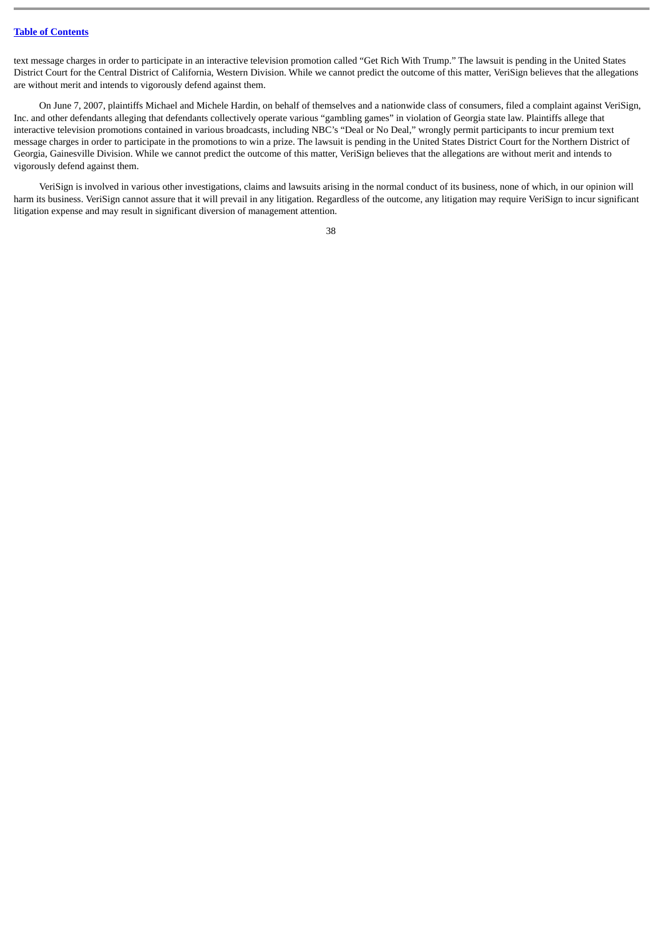text message charges in order to participate in an interactive television promotion called "Get Rich With Trump." The lawsuit is pending in the United States District Court for the Central District of California, Western Division. While we cannot predict the outcome of this matter, VeriSign believes that the allegations are without merit and intends to vigorously defend against them.

On June 7, 2007, plaintiffs Michael and Michele Hardin, on behalf of themselves and a nationwide class of consumers, filed a complaint against VeriSign, Inc. and other defendants alleging that defendants collectively operate various "gambling games" in violation of Georgia state law. Plaintiffs allege that interactive television promotions contained in various broadcasts, including NBC's "Deal or No Deal," wrongly permit participants to incur premium text message charges in order to participate in the promotions to win a prize. The lawsuit is pending in the United States District Court for the Northern District of Georgia, Gainesville Division. While we cannot predict the outcome of this matter, VeriSign believes that the allegations are without merit and intends to vigorously defend against them.

VeriSign is involved in various other investigations, claims and lawsuits arising in the normal conduct of its business, none of which, in our opinion will harm its business. VeriSign cannot assure that it will prevail in any litigation. Regardless of the outcome, any litigation may require VeriSign to incur significant litigation expense and may result in significant diversion of management attention.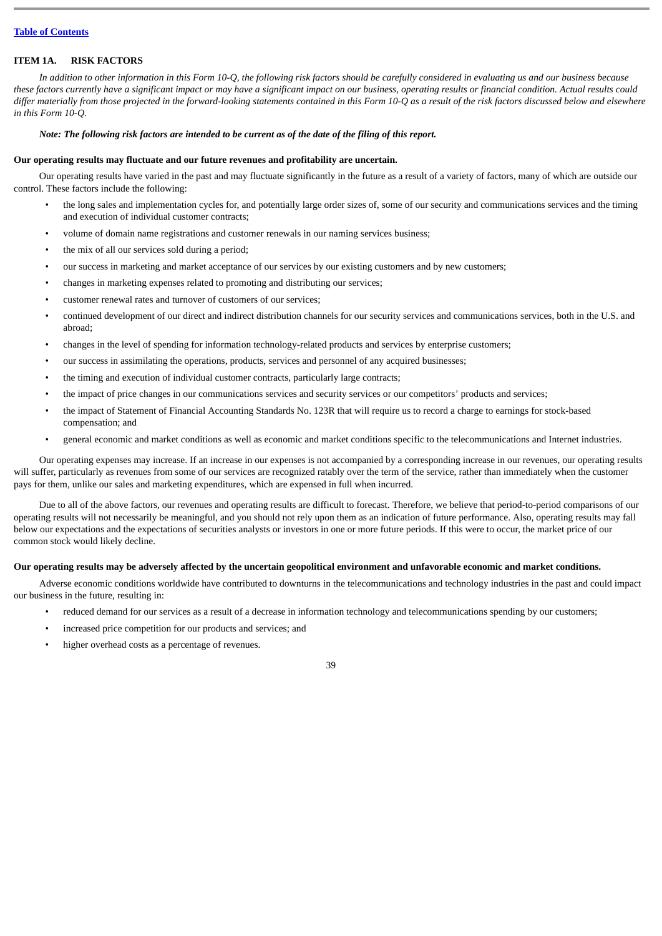# **ITEM 1A. RISK FACTORS**

*In addition to other information in this Form 10-Q, the following risk factors should be carefully considered in evaluating us and our business because these factors currently have a significant impact or may have a significant impact on our business, operating results or financial condition. Actual results could differ materially from those projected in the forward-looking statements contained in this Form 10-Q as a result of the risk factors discussed below and elsewhere in this Form 10-Q.*

#### *Note: The following risk factors are intended to be current as of the date of the filing of this report.*

#### **Our operating results may fluctuate and our future revenues and profitability are uncertain.**

Our operating results have varied in the past and may fluctuate significantly in the future as a result of a variety of factors, many of which are outside our control. These factors include the following:

- the long sales and implementation cycles for, and potentially large order sizes of, some of our security and communications services and the timing and execution of individual customer contracts;
- volume of domain name registrations and customer renewals in our naming services business;
- the mix of all our services sold during a period;
- our success in marketing and market acceptance of our services by our existing customers and by new customers;
- changes in marketing expenses related to promoting and distributing our services;
- customer renewal rates and turnover of customers of our services;
- continued development of our direct and indirect distribution channels for our security services and communications services, both in the U.S. and abroad;
- changes in the level of spending for information technology-related products and services by enterprise customers;
- our success in assimilating the operations, products, services and personnel of any acquired businesses;
- the timing and execution of individual customer contracts, particularly large contracts;
- the impact of price changes in our communications services and security services or our competitors' products and services;
- the impact of Statement of Financial Accounting Standards No. 123R that will require us to record a charge to earnings for stock-based compensation; and
- general economic and market conditions as well as economic and market conditions specific to the telecommunications and Internet industries.

Our operating expenses may increase. If an increase in our expenses is not accompanied by a corresponding increase in our revenues, our operating results will suffer, particularly as revenues from some of our services are recognized ratably over the term of the service, rather than immediately when the customer pays for them, unlike our sales and marketing expenditures, which are expensed in full when incurred.

Due to all of the above factors, our revenues and operating results are difficult to forecast. Therefore, we believe that period-to-period comparisons of our operating results will not necessarily be meaningful, and you should not rely upon them as an indication of future performance. Also, operating results may fall below our expectations and the expectations of securities analysts or investors in one or more future periods. If this were to occur, the market price of our common stock would likely decline.

### **Our operating results may be adversely affected by the uncertain geopolitical environment and unfavorable economic and market conditions.**

Adverse economic conditions worldwide have contributed to downturns in the telecommunications and technology industries in the past and could impact our business in the future, resulting in:

- reduced demand for our services as a result of a decrease in information technology and telecommunications spending by our customers;
- increased price competition for our products and services; and
- higher overhead costs as a percentage of revenues.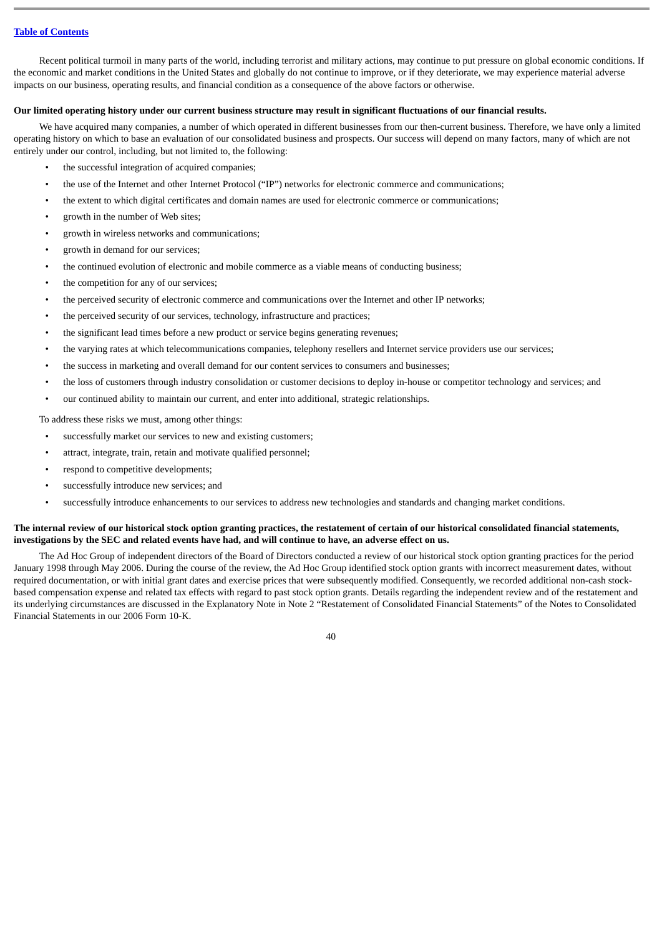Recent political turmoil in many parts of the world, including terrorist and military actions, may continue to put pressure on global economic conditions. If the economic and market conditions in the United States and globally do not continue to improve, or if they deteriorate, we may experience material adverse impacts on our business, operating results, and financial condition as a consequence of the above factors or otherwise.

# **Our limited operating history under our current business structure may result in significant fluctuations of our financial results.**

We have acquired many companies, a number of which operated in different businesses from our then-current business. Therefore, we have only a limited operating history on which to base an evaluation of our consolidated business and prospects. Our success will depend on many factors, many of which are not entirely under our control, including, but not limited to, the following:

- the successful integration of acquired companies;
- the use of the Internet and other Internet Protocol ("IP") networks for electronic commerce and communications;
- the extent to which digital certificates and domain names are used for electronic commerce or communications;
- growth in the number of Web sites;
- growth in wireless networks and communications;
- growth in demand for our services;
- the continued evolution of electronic and mobile commerce as a viable means of conducting business;
- the competition for any of our services;
- the perceived security of electronic commerce and communications over the Internet and other IP networks;
- the perceived security of our services, technology, infrastructure and practices;
- the significant lead times before a new product or service begins generating revenues;
- the varying rates at which telecommunications companies, telephony resellers and Internet service providers use our services;
- the success in marketing and overall demand for our content services to consumers and businesses;
- the loss of customers through industry consolidation or customer decisions to deploy in-house or competitor technology and services; and
- our continued ability to maintain our current, and enter into additional, strategic relationships.

To address these risks we must, among other things:

- successfully market our services to new and existing customers;
- attract, integrate, train, retain and motivate qualified personnel;
- respond to competitive developments;
- successfully introduce new services; and
- successfully introduce enhancements to our services to address new technologies and standards and changing market conditions.

# **The internal review of our historical stock option granting practices, the restatement of certain of our historical consolidated financial statements, investigations by the SEC and related events have had, and will continue to have, an adverse effect on us.**

The Ad Hoc Group of independent directors of the Board of Directors conducted a review of our historical stock option granting practices for the period January 1998 through May 2006. During the course of the review, the Ad Hoc Group identified stock option grants with incorrect measurement dates, without required documentation, or with initial grant dates and exercise prices that were subsequently modified. Consequently, we recorded additional non-cash stockbased compensation expense and related tax effects with regard to past stock option grants. Details regarding the independent review and of the restatement and its underlying circumstances are discussed in the Explanatory Note in Note 2 "Restatement of Consolidated Financial Statements" of the Notes to Consolidated Financial Statements in our 2006 Form 10-K.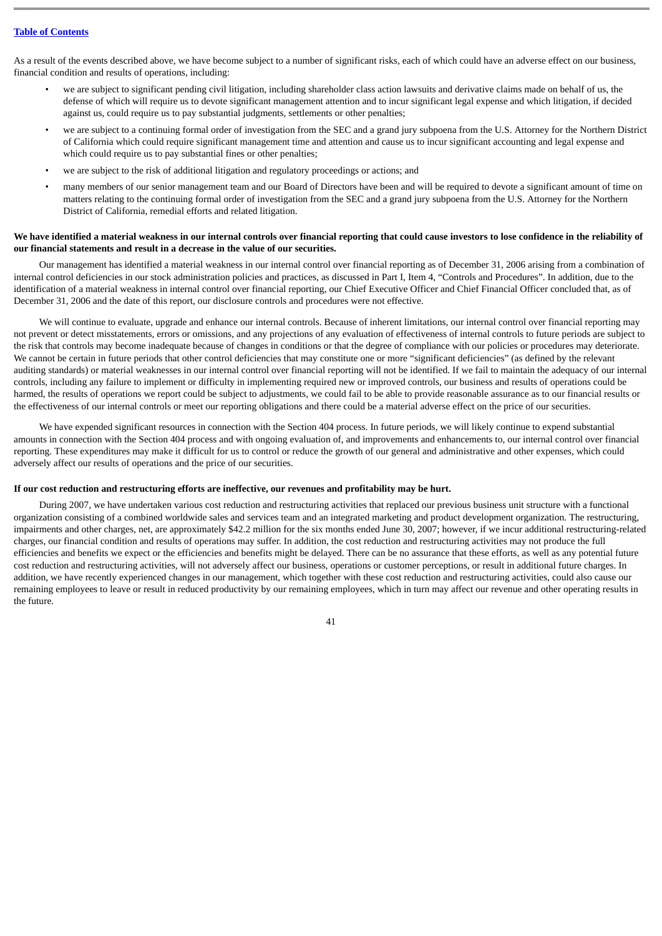As a result of the events described above, we have become subject to a number of significant risks, each of which could have an adverse effect on our business, financial condition and results of operations, including:

- we are subject to significant pending civil litigation, including shareholder class action lawsuits and derivative claims made on behalf of us, the defense of which will require us to devote significant management attention and to incur significant legal expense and which litigation, if decided against us, could require us to pay substantial judgments, settlements or other penalties;
- we are subject to a continuing formal order of investigation from the SEC and a grand jury subpoena from the U.S. Attorney for the Northern District of California which could require significant management time and attention and cause us to incur significant accounting and legal expense and which could require us to pay substantial fines or other penalties;
- we are subject to the risk of additional litigation and regulatory proceedings or actions; and
- many members of our senior management team and our Board of Directors have been and will be required to devote a significant amount of time on matters relating to the continuing formal order of investigation from the SEC and a grand jury subpoena from the U.S. Attorney for the Northern District of California, remedial efforts and related litigation.

# **We have identified a material weakness in our internal controls over financial reporting that could cause investors to lose confidence in the reliability of our financial statements and result in a decrease in the value of our securities.**

Our management has identified a material weakness in our internal control over financial reporting as of December 31, 2006 arising from a combination of internal control deficiencies in our stock administration policies and practices, as discussed in Part I, Item 4, "Controls and Procedures". In addition, due to the identification of a material weakness in internal control over financial reporting, our Chief Executive Officer and Chief Financial Officer concluded that, as of December 31, 2006 and the date of this report, our disclosure controls and procedures were not effective.

We will continue to evaluate, upgrade and enhance our internal controls. Because of inherent limitations, our internal control over financial reporting may not prevent or detect misstatements, errors or omissions, and any projections of any evaluation of effectiveness of internal controls to future periods are subject to the risk that controls may become inadequate because of changes in conditions or that the degree of compliance with our policies or procedures may deteriorate. We cannot be certain in future periods that other control deficiencies that may constitute one or more "significant deficiencies" (as defined by the relevant auditing standards) or material weaknesses in our internal control over financial reporting will not be identified. If we fail to maintain the adequacy of our internal controls, including any failure to implement or difficulty in implementing required new or improved controls, our business and results of operations could be harmed, the results of operations we report could be subject to adjustments, we could fail to be able to provide reasonable assurance as to our financial results or the effectiveness of our internal controls or meet our reporting obligations and there could be a material adverse effect on the price of our securities.

We have expended significant resources in connection with the Section 404 process. In future periods, we will likely continue to expend substantial amounts in connection with the Section 404 process and with ongoing evaluation of, and improvements and enhancements to, our internal control over financial reporting. These expenditures may make it difficult for us to control or reduce the growth of our general and administrative and other expenses, which could adversely affect our results of operations and the price of our securities.

#### **If our cost reduction and restructuring efforts are ineffective, our revenues and profitability may be hurt.**

During 2007, we have undertaken various cost reduction and restructuring activities that replaced our previous business unit structure with a functional organization consisting of a combined worldwide sales and services team and an integrated marketing and product development organization. The restructuring, impairments and other charges, net, are approximately \$42.2 million for the six months ended June 30, 2007; however, if we incur additional restructuring-related charges, our financial condition and results of operations may suffer. In addition, the cost reduction and restructuring activities may not produce the full efficiencies and benefits we expect or the efficiencies and benefits might be delayed. There can be no assurance that these efforts, as well as any potential future cost reduction and restructuring activities, will not adversely affect our business, operations or customer perceptions, or result in additional future charges. In addition, we have recently experienced changes in our management, which together with these cost reduction and restructuring activities, could also cause our remaining employees to leave or result in reduced productivity by our remaining employees, which in turn may affect our revenue and other operating results in the future.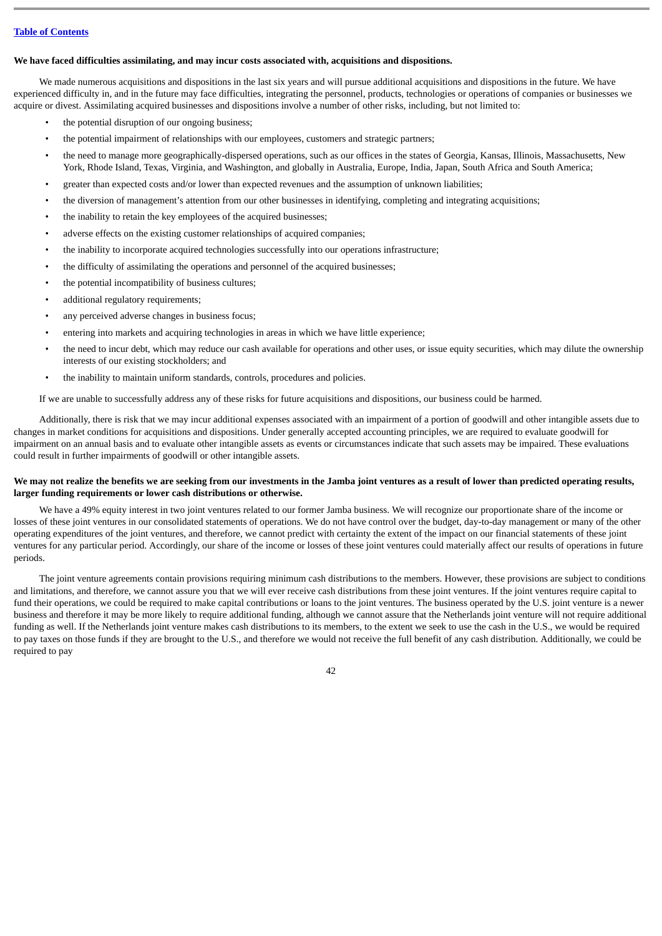#### **We have faced difficulties assimilating, and may incur costs associated with, acquisitions and dispositions.**

We made numerous acquisitions and dispositions in the last six years and will pursue additional acquisitions and dispositions in the future. We have experienced difficulty in, and in the future may face difficulties, integrating the personnel, products, technologies or operations of companies or businesses we acquire or divest. Assimilating acquired businesses and dispositions involve a number of other risks, including, but not limited to:

- the potential disruption of our ongoing business;
- the potential impairment of relationships with our employees, customers and strategic partners;
- the need to manage more geographically-dispersed operations, such as our offices in the states of Georgia, Kansas, Illinois, Massachusetts, New York, Rhode Island, Texas, Virginia, and Washington, and globally in Australia, Europe, India, Japan, South Africa and South America;
- greater than expected costs and/or lower than expected revenues and the assumption of unknown liabilities;
- the diversion of management's attention from our other businesses in identifying, completing and integrating acquisitions;
- the inability to retain the key employees of the acquired businesses;
- adverse effects on the existing customer relationships of acquired companies;
- the inability to incorporate acquired technologies successfully into our operations infrastructure;
- the difficulty of assimilating the operations and personnel of the acquired businesses;
- the potential incompatibility of business cultures;
- additional regulatory requirements;
- any perceived adverse changes in business focus;
- entering into markets and acquiring technologies in areas in which we have little experience;
- the need to incur debt, which may reduce our cash available for operations and other uses, or issue equity securities, which may dilute the ownership interests of our existing stockholders; and
- the inability to maintain uniform standards, controls, procedures and policies.

If we are unable to successfully address any of these risks for future acquisitions and dispositions, our business could be harmed.

Additionally, there is risk that we may incur additional expenses associated with an impairment of a portion of goodwill and other intangible assets due to changes in market conditions for acquisitions and dispositions. Under generally accepted accounting principles, we are required to evaluate goodwill for impairment on an annual basis and to evaluate other intangible assets as events or circumstances indicate that such assets may be impaired. These evaluations could result in further impairments of goodwill or other intangible assets.

# **We may not realize the benefits we are seeking from our investments in the Jamba joint ventures as a result of lower than predicted operating results, larger funding requirements or lower cash distributions or otherwise.**

We have a 49% equity interest in two joint ventures related to our former Jamba business. We will recognize our proportionate share of the income or losses of these joint ventures in our consolidated statements of operations. We do not have control over the budget, day-to-day management or many of the other operating expenditures of the joint ventures, and therefore, we cannot predict with certainty the extent of the impact on our financial statements of these joint ventures for any particular period. Accordingly, our share of the income or losses of these joint ventures could materially affect our results of operations in future periods.

The joint venture agreements contain provisions requiring minimum cash distributions to the members. However, these provisions are subject to conditions and limitations, and therefore, we cannot assure you that we will ever receive cash distributions from these joint ventures. If the joint ventures require capital to fund their operations, we could be required to make capital contributions or loans to the joint ventures. The business operated by the U.S. joint venture is a newer business and therefore it may be more likely to require additional funding, although we cannot assure that the Netherlands joint venture will not require additional funding as well. If the Netherlands joint venture makes cash distributions to its members, to the extent we seek to use the cash in the U.S., we would be required to pay taxes on those funds if they are brought to the U.S., and therefore we would not receive the full benefit of any cash distribution. Additionally, we could be required to pay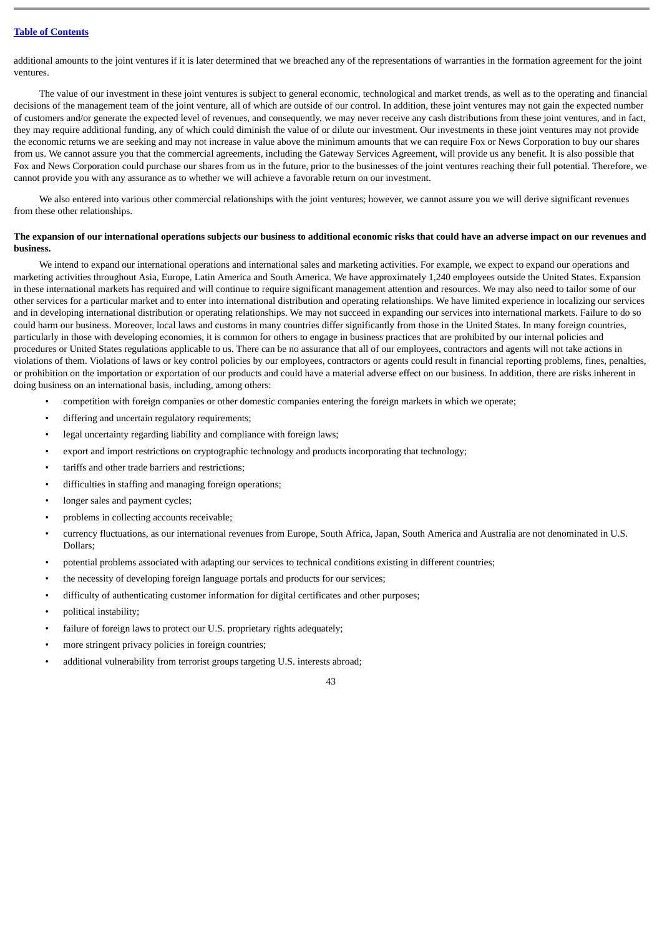additional amounts to the joint ventures if it is later determined that we breached any of the representations of warranties in the formation agreement for the joint ventures.

The value of our investment in these joint ventures is subject to general economic, technological and market trends, as well as to the operating and financial decisions of the management team of the joint venture, all of which are outside of our control. In addition, these joint ventures may not gain the expected number of customers and/or generate the expected level of revenues, and consequently, we may never receive any cash distributions from these joint ventures, and in fact, they may require additional funding, any of which could diminish the value of or dilute our investment. Our investments in these joint ventures may not provide the economic returns we are seeking and may not increase in value above the minimum amounts that we can require Fox or News Corporation to buy our shares from us. We cannot assure you that the commercial agreements, including the Gateway Services Agreement, will provide us any benefit. It is also possible that Fox and News Corporation could purchase our shares from us in the future, prior to the businesses of the joint ventures reaching their full potential. Therefore, we cannot provide you with any assurance as to whether we will achieve a favorable return on our investment.

We also entered into various other commercial relationships with the joint ventures; however, we cannot assure you we will derive significant revenues from these other relationships.

# **The expansion of our international operations subjects our business to additional economic risks that could have an adverse impact on our revenues and business.**

We intend to expand our international operations and international sales and marketing activities. For example, we expect to expand our operations and marketing activities throughout Asia, Europe, Latin America and South America. We have approximately 1,240 employees outside the United States. Expansion in these international markets has required and will continue to require significant management attention and resources. We may also need to tailor some of our other services for a particular market and to enter into international distribution and operating relationships. We have limited experience in localizing our services and in developing international distribution or operating relationships. We may not succeed in expanding our services into international markets. Failure to do so could harm our business. Moreover, local laws and customs in many countries differ significantly from those in the United States. In many foreign countries, particularly in those with developing economies, it is common for others to engage in business practices that are prohibited by our internal policies and procedures or United States regulations applicable to us. There can be no assurance that all of our employees, contractors and agents will not take actions in violations of them. Violations of laws or key control policies by our employees, contractors or agents could result in financial reporting problems, fines, penalties, or prohibition on the importation or exportation of our products and could have a material adverse effect on our business. In addition, there are risks inherent in doing business on an international basis, including, among others:

- competition with foreign companies or other domestic companies entering the foreign markets in which we operate;
- differing and uncertain regulatory requirements;
- legal uncertainty regarding liability and compliance with foreign laws;
- export and import restrictions on cryptographic technology and products incorporating that technology;
- tariffs and other trade barriers and restrictions;
- difficulties in staffing and managing foreign operations;
- longer sales and payment cycles;
- problems in collecting accounts receivable;
- currency fluctuations, as our international revenues from Europe, South Africa, Japan, South America and Australia are not denominated in U.S. Dollars;
- potential problems associated with adapting our services to technical conditions existing in different countries;
- the necessity of developing foreign language portals and products for our services;
- difficulty of authenticating customer information for digital certificates and other purposes;
- political instability;
- failure of foreign laws to protect our U.S. proprietary rights adequately;
- more stringent privacy policies in foreign countries;
- additional vulnerability from terrorist groups targeting U.S. interests abroad;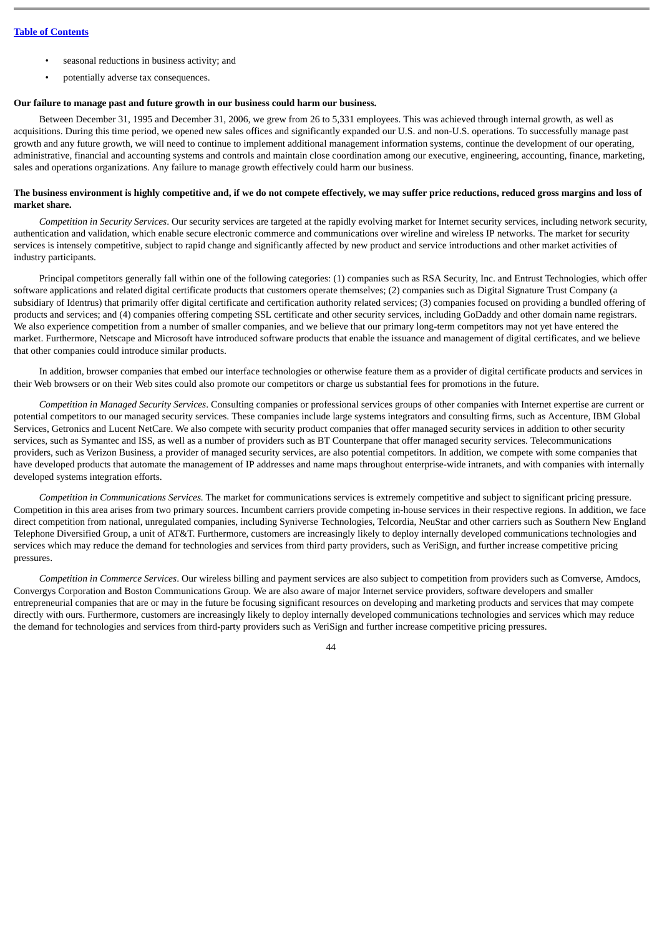- seasonal reductions in business activity; and
- potentially adverse tax consequences.

# **Our failure to manage past and future growth in our business could harm our business.**

Between December 31, 1995 and December 31, 2006, we grew from 26 to 5,331 employees. This was achieved through internal growth, as well as acquisitions. During this time period, we opened new sales offices and significantly expanded our U.S. and non-U.S. operations. To successfully manage past growth and any future growth, we will need to continue to implement additional management information systems, continue the development of our operating, administrative, financial and accounting systems and controls and maintain close coordination among our executive, engineering, accounting, finance, marketing, sales and operations organizations. Any failure to manage growth effectively could harm our business.

# **The business environment is highly competitive and, if we do not compete effectively, we may suffer price reductions, reduced gross margins and loss of market share.**

*Competition in Security Services*. Our security services are targeted at the rapidly evolving market for Internet security services, including network security, authentication and validation, which enable secure electronic commerce and communications over wireline and wireless IP networks. The market for security services is intensely competitive, subject to rapid change and significantly affected by new product and service introductions and other market activities of industry participants.

Principal competitors generally fall within one of the following categories: (1) companies such as RSA Security, Inc. and Entrust Technologies, which offer software applications and related digital certificate products that customers operate themselves; (2) companies such as Digital Signature Trust Company (a subsidiary of Identrus) that primarily offer digital certificate and certification authority related services; (3) companies focused on providing a bundled offering of products and services; and (4) companies offering competing SSL certificate and other security services, including GoDaddy and other domain name registrars. We also experience competition from a number of smaller companies, and we believe that our primary long-term competitors may not yet have entered the market. Furthermore, Netscape and Microsoft have introduced software products that enable the issuance and management of digital certificates, and we believe that other companies could introduce similar products.

In addition, browser companies that embed our interface technologies or otherwise feature them as a provider of digital certificate products and services in their Web browsers or on their Web sites could also promote our competitors or charge us substantial fees for promotions in the future.

*Competition in Managed Security Services*. Consulting companies or professional services groups of other companies with Internet expertise are current or potential competitors to our managed security services. These companies include large systems integrators and consulting firms, such as Accenture, IBM Global Services, Getronics and Lucent NetCare. We also compete with security product companies that offer managed security services in addition to other security services, such as Symantec and ISS, as well as a number of providers such as BT Counterpane that offer managed security services. Telecommunications providers, such as Verizon Business, a provider of managed security services, are also potential competitors. In addition, we compete with some companies that have developed products that automate the management of IP addresses and name maps throughout enterprise-wide intranets, and with companies with internally developed systems integration efforts.

*Competition in Communications Services.* The market for communications services is extremely competitive and subject to significant pricing pressure. Competition in this area arises from two primary sources. Incumbent carriers provide competing in-house services in their respective regions. In addition, we face direct competition from national, unregulated companies, including Syniverse Technologies, Telcordia, NeuStar and other carriers such as Southern New England Telephone Diversified Group, a unit of AT&T. Furthermore, customers are increasingly likely to deploy internally developed communications technologies and services which may reduce the demand for technologies and services from third party providers, such as VeriSign, and further increase competitive pricing pressures.

*Competition in Commerce Services*. Our wireless billing and payment services are also subject to competition from providers such as Comverse, Amdocs, Convergys Corporation and Boston Communications Group. We are also aware of major Internet service providers, software developers and smaller entrepreneurial companies that are or may in the future be focusing significant resources on developing and marketing products and services that may compete directly with ours. Furthermore, customers are increasingly likely to deploy internally developed communications technologies and services which may reduce the demand for technologies and services from third-party providers such as VeriSign and further increase competitive pricing pressures.

 $\overline{44}$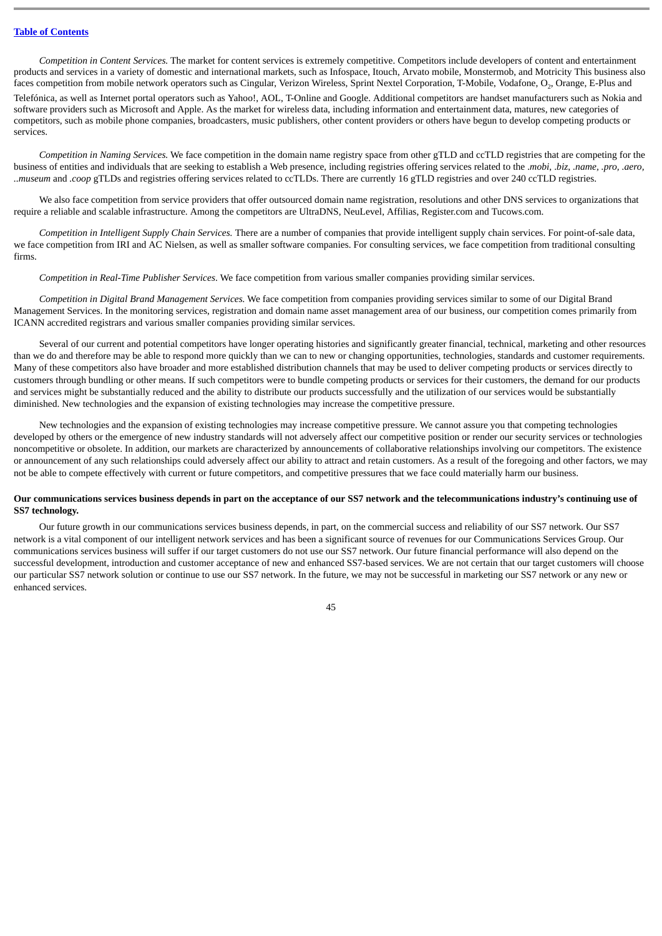*Competition in Content Services.* The market for content services is extremely competitive. Competitors include developers of content and entertainment products and services in a variety of domestic and international markets, such as Infospace, Itouch, Arvato mobile, Monstermob, and Motricity This business also faces competition from mobile network operators such as Cingular, Verizon Wireless, Sprint Nextel Corporation, T-Mobile, Vodafone, O<sub>2</sub>, Orange, E-Plus and

Telefónica, as well as Internet portal operators such as Yahoo!, AOL, T-Online and Google. Additional competitors are handset manufacturers such as Nokia and software providers such as Microsoft and Apple. As the market for wireless data, including information and entertainment data, matures, new categories of competitors, such as mobile phone companies, broadcasters, music publishers, other content providers or others have begun to develop competing products or services.

*Competition in Naming Services.* We face competition in the domain name registry space from other gTLD and ccTLD registries that are competing for the business of entities and individuals that are seeking to establish a Web presence, including registries offering services related to the .*mobi*, .*biz*, *.name, .pro, .aero, ..museum* and *.coop* gTLDs and registries offering services related to ccTLDs. There are currently 16 gTLD registries and over 240 ccTLD registries.

We also face competition from service providers that offer outsourced domain name registration, resolutions and other DNS services to organizations that require a reliable and scalable infrastructure. Among the competitors are UltraDNS, NeuLevel, Affilias, Register.com and Tucows.com.

*Competition in Intelligent Supply Chain Services.* There are a number of companies that provide intelligent supply chain services. For point-of-sale data, we face competition from IRI and AC Nielsen, as well as smaller software companies. For consulting services, we face competition from traditional consulting firms.

*Competition in Real-Time Publisher Services*. We face competition from various smaller companies providing similar services.

*Competition in Digital Brand Management Services.* We face competition from companies providing services similar to some of our Digital Brand Management Services. In the monitoring services, registration and domain name asset management area of our business, our competition comes primarily from ICANN accredited registrars and various smaller companies providing similar services.

Several of our current and potential competitors have longer operating histories and significantly greater financial, technical, marketing and other resources than we do and therefore may be able to respond more quickly than we can to new or changing opportunities, technologies, standards and customer requirements. Many of these competitors also have broader and more established distribution channels that may be used to deliver competing products or services directly to customers through bundling or other means. If such competitors were to bundle competing products or services for their customers, the demand for our products and services might be substantially reduced and the ability to distribute our products successfully and the utilization of our services would be substantially diminished. New technologies and the expansion of existing technologies may increase the competitive pressure.

New technologies and the expansion of existing technologies may increase competitive pressure. We cannot assure you that competing technologies developed by others or the emergence of new industry standards will not adversely affect our competitive position or render our security services or technologies noncompetitive or obsolete. In addition, our markets are characterized by announcements of collaborative relationships involving our competitors. The existence or announcement of any such relationships could adversely affect our ability to attract and retain customers. As a result of the foregoing and other factors, we may not be able to compete effectively with current or future competitors, and competitive pressures that we face could materially harm our business.

## **Our communications services business depends in part on the acceptance of our SS7 network and the telecommunications industry's continuing use of SS7 technology.**

Our future growth in our communications services business depends, in part, on the commercial success and reliability of our SS7 network. Our SS7 network is a vital component of our intelligent network services and has been a significant source of revenues for our Communications Services Group. Our communications services business will suffer if our target customers do not use our SS7 network. Our future financial performance will also depend on the successful development, introduction and customer acceptance of new and enhanced SS7-based services. We are not certain that our target customers will choose our particular SS7 network solution or continue to use our SS7 network. In the future, we may not be successful in marketing our SS7 network or any new or enhanced services.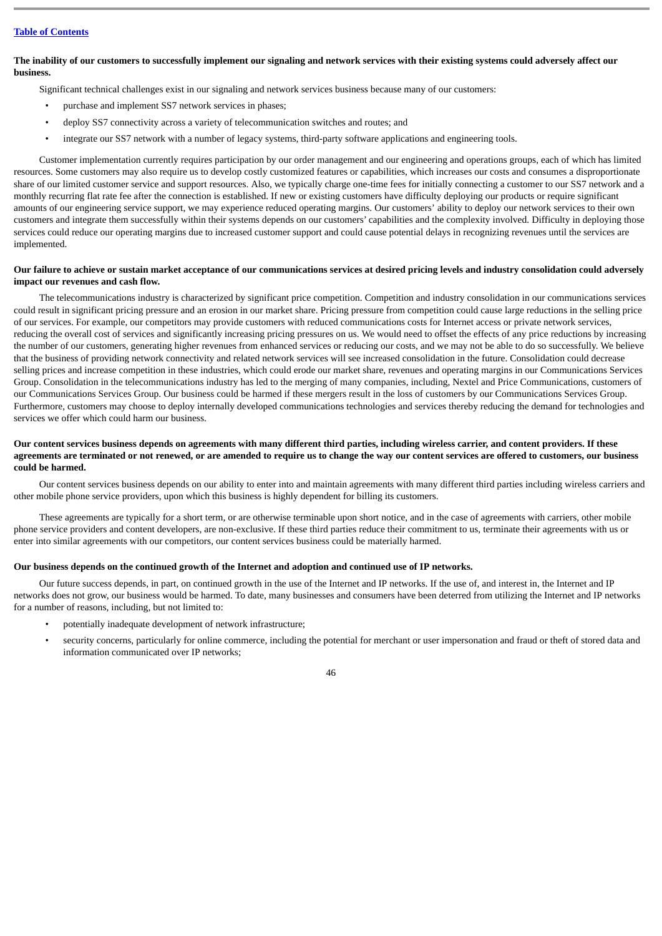## **The inability of our customers to successfully implement our signaling and network services with their existing systems could adversely affect our business.**

Significant technical challenges exist in our signaling and network services business because many of our customers:

- purchase and implement SS7 network services in phases;
- deploy SS7 connectivity across a variety of telecommunication switches and routes; and
- integrate our SS7 network with a number of legacy systems, third-party software applications and engineering tools.

Customer implementation currently requires participation by our order management and our engineering and operations groups, each of which has limited resources. Some customers may also require us to develop costly customized features or capabilities, which increases our costs and consumes a disproportionate share of our limited customer service and support resources. Also, we typically charge one-time fees for initially connecting a customer to our SS7 network and a monthly recurring flat rate fee after the connection is established. If new or existing customers have difficulty deploying our products or require significant amounts of our engineering service support, we may experience reduced operating margins. Our customers' ability to deploy our network services to their own customers and integrate them successfully within their systems depends on our customers' capabilities and the complexity involved. Difficulty in deploying those services could reduce our operating margins due to increased customer support and could cause potential delays in recognizing revenues until the services are implemented.

## **Our failure to achieve or sustain market acceptance of our communications services at desired pricing levels and industry consolidation could adversely impact our revenues and cash flow.**

The telecommunications industry is characterized by significant price competition. Competition and industry consolidation in our communications services could result in significant pricing pressure and an erosion in our market share. Pricing pressure from competition could cause large reductions in the selling price of our services. For example, our competitors may provide customers with reduced communications costs for Internet access or private network services, reducing the overall cost of services and significantly increasing pricing pressures on us. We would need to offset the effects of any price reductions by increasing the number of our customers, generating higher revenues from enhanced services or reducing our costs, and we may not be able to do so successfully. We believe that the business of providing network connectivity and related network services will see increased consolidation in the future. Consolidation could decrease selling prices and increase competition in these industries, which could erode our market share, revenues and operating margins in our Communications Services Group. Consolidation in the telecommunications industry has led to the merging of many companies, including, Nextel and Price Communications, customers of our Communications Services Group. Our business could be harmed if these mergers result in the loss of customers by our Communications Services Group. Furthermore, customers may choose to deploy internally developed communications technologies and services thereby reducing the demand for technologies and services we offer which could harm our business.

# **Our content services business depends on agreements with many different third parties, including wireless carrier, and content providers. If these agreements are terminated or not renewed, or are amended to require us to change the way our content services are offered to customers, our business could be harmed.**

Our content services business depends on our ability to enter into and maintain agreements with many different third parties including wireless carriers and other mobile phone service providers, upon which this business is highly dependent for billing its customers.

These agreements are typically for a short term, or are otherwise terminable upon short notice, and in the case of agreements with carriers, other mobile phone service providers and content developers, are non-exclusive. If these third parties reduce their commitment to us, terminate their agreements with us or enter into similar agreements with our competitors, our content services business could be materially harmed.

### **Our business depends on the continued growth of the Internet and adoption and continued use of IP networks.**

Our future success depends, in part, on continued growth in the use of the Internet and IP networks. If the use of, and interest in, the Internet and IP networks does not grow, our business would be harmed. To date, many businesses and consumers have been deterred from utilizing the Internet and IP networks for a number of reasons, including, but not limited to:

- potentially inadequate development of network infrastructure;
- security concerns, particularly for online commerce, including the potential for merchant or user impersonation and fraud or theft of stored data and information communicated over IP networks;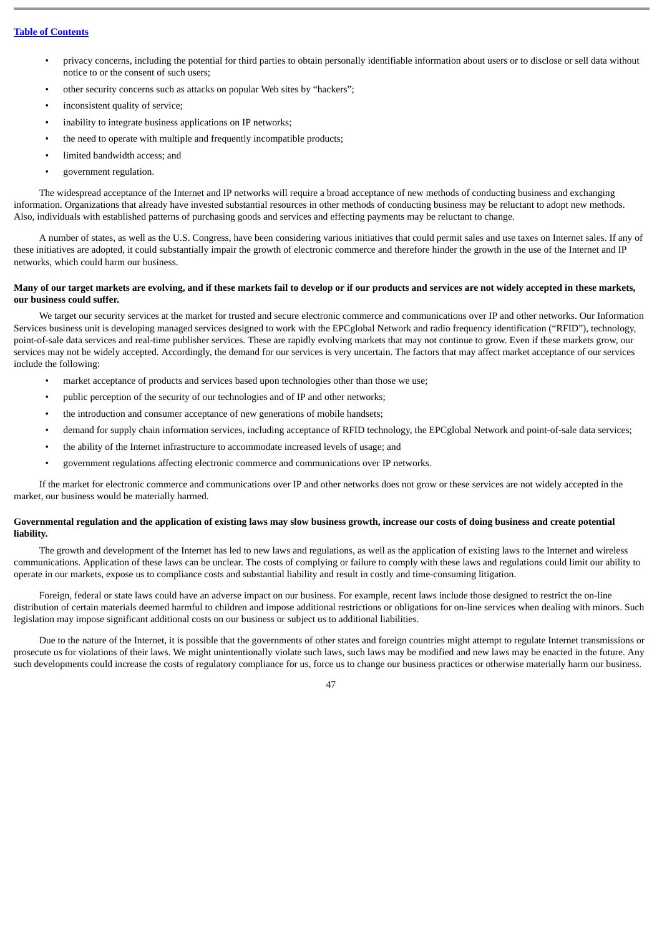- privacy concerns, including the potential for third parties to obtain personally identifiable information about users or to disclose or sell data without notice to or the consent of such users;
- other security concerns such as attacks on popular Web sites by "hackers";
- inconsistent quality of service;
- inability to integrate business applications on IP networks;
- the need to operate with multiple and frequently incompatible products;
- limited bandwidth access; and
- government regulation.

The widespread acceptance of the Internet and IP networks will require a broad acceptance of new methods of conducting business and exchanging information. Organizations that already have invested substantial resources in other methods of conducting business may be reluctant to adopt new methods. Also, individuals with established patterns of purchasing goods and services and effecting payments may be reluctant to change.

A number of states, as well as the U.S. Congress, have been considering various initiatives that could permit sales and use taxes on Internet sales. If any of these initiatives are adopted, it could substantially impair the growth of electronic commerce and therefore hinder the growth in the use of the Internet and IP networks, which could harm our business.

## **Many of our target markets are evolving, and if these markets fail to develop or if our products and services are not widely accepted in these markets, our business could suffer.**

We target our security services at the market for trusted and secure electronic commerce and communications over IP and other networks. Our Information Services business unit is developing managed services designed to work with the EPCglobal Network and radio frequency identification ("RFID"), technology, point-of-sale data services and real-time publisher services. These are rapidly evolving markets that may not continue to grow. Even if these markets grow, our services may not be widely accepted. Accordingly, the demand for our services is very uncertain. The factors that may affect market acceptance of our services include the following:

- market acceptance of products and services based upon technologies other than those we use;
- public perception of the security of our technologies and of IP and other networks;
- the introduction and consumer acceptance of new generations of mobile handsets;
- demand for supply chain information services, including acceptance of RFID technology, the EPCglobal Network and point-of-sale data services;
- the ability of the Internet infrastructure to accommodate increased levels of usage; and
- government regulations affecting electronic commerce and communications over IP networks.

If the market for electronic commerce and communications over IP and other networks does not grow or these services are not widely accepted in the market, our business would be materially harmed.

#### **Governmental regulation and the application of existing laws may slow business growth, increase our costs of doing business and create potential liability.**

The growth and development of the Internet has led to new laws and regulations, as well as the application of existing laws to the Internet and wireless communications. Application of these laws can be unclear. The costs of complying or failure to comply with these laws and regulations could limit our ability to operate in our markets, expose us to compliance costs and substantial liability and result in costly and time-consuming litigation.

Foreign, federal or state laws could have an adverse impact on our business. For example, recent laws include those designed to restrict the on-line distribution of certain materials deemed harmful to children and impose additional restrictions or obligations for on-line services when dealing with minors. Such legislation may impose significant additional costs on our business or subject us to additional liabilities.

Due to the nature of the Internet, it is possible that the governments of other states and foreign countries might attempt to regulate Internet transmissions or prosecute us for violations of their laws. We might unintentionally violate such laws, such laws may be modified and new laws may be enacted in the future. Any such developments could increase the costs of regulatory compliance for us, force us to change our business practices or otherwise materially harm our business.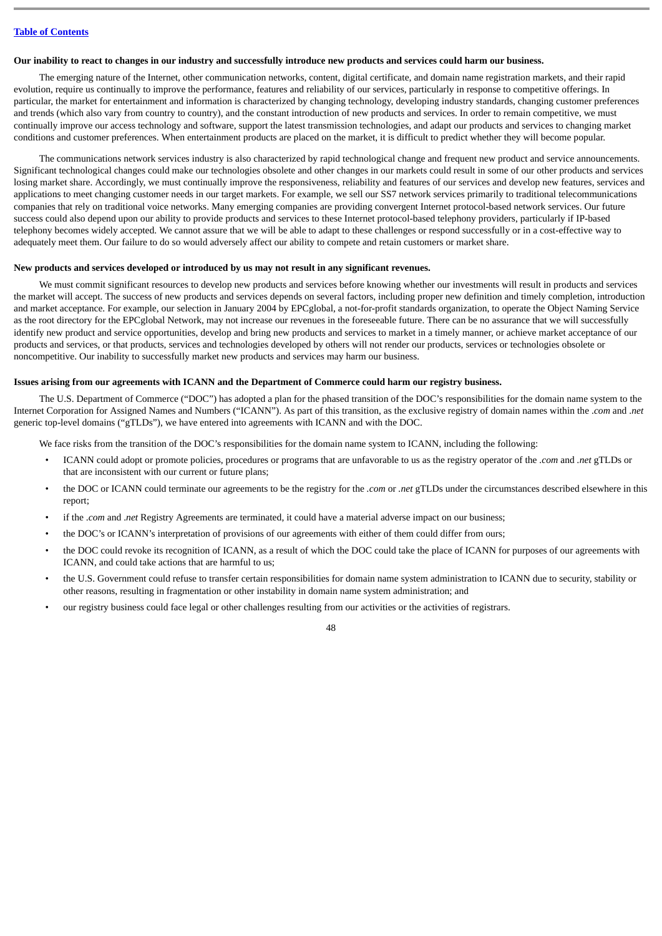#### **Our inability to react to changes in our industry and successfully introduce new products and services could harm our business.**

The emerging nature of the Internet, other communication networks, content, digital certificate, and domain name registration markets, and their rapid evolution, require us continually to improve the performance, features and reliability of our services, particularly in response to competitive offerings. In particular, the market for entertainment and information is characterized by changing technology, developing industry standards, changing customer preferences and trends (which also vary from country to country), and the constant introduction of new products and services. In order to remain competitive, we must continually improve our access technology and software, support the latest transmission technologies, and adapt our products and services to changing market conditions and customer preferences. When entertainment products are placed on the market, it is difficult to predict whether they will become popular.

The communications network services industry is also characterized by rapid technological change and frequent new product and service announcements. Significant technological changes could make our technologies obsolete and other changes in our markets could result in some of our other products and services losing market share. Accordingly, we must continually improve the responsiveness, reliability and features of our services and develop new features, services and applications to meet changing customer needs in our target markets. For example, we sell our SS7 network services primarily to traditional telecommunications companies that rely on traditional voice networks. Many emerging companies are providing convergent Internet protocol-based network services. Our future success could also depend upon our ability to provide products and services to these Internet protocol-based telephony providers, particularly if IP-based telephony becomes widely accepted. We cannot assure that we will be able to adapt to these challenges or respond successfully or in a cost-effective way to adequately meet them. Our failure to do so would adversely affect our ability to compete and retain customers or market share.

#### **New products and services developed or introduced by us may not result in any significant revenues.**

We must commit significant resources to develop new products and services before knowing whether our investments will result in products and services the market will accept. The success of new products and services depends on several factors, including proper new definition and timely completion, introduction and market acceptance. For example, our selection in January 2004 by EPCglobal, a not-for-profit standards organization, to operate the Object Naming Service as the root directory for the EPCglobal Network, may not increase our revenues in the foreseeable future. There can be no assurance that we will successfully identify new product and service opportunities, develop and bring new products and services to market in a timely manner, or achieve market acceptance of our products and services, or that products, services and technologies developed by others will not render our products, services or technologies obsolete or noncompetitive. Our inability to successfully market new products and services may harm our business.

#### **Issues arising from our agreements with ICANN and the Department of Commerce could harm our registry business.**

The U.S. Department of Commerce ("DOC") has adopted a plan for the phased transition of the DOC's responsibilities for the domain name system to the Internet Corporation for Assigned Names and Numbers ("ICANN"). As part of this transition, as the exclusive registry of domain names within the .*com* and .*net* generic top-level domains ("gTLDs"), we have entered into agreements with ICANN and with the DOC.

We face risks from the transition of the DOC's responsibilities for the domain name system to ICANN, including the following:

- ICANN could adopt or promote policies, procedures or programs that are unfavorable to us as the registry operator of the *.com* and *.net* gTLDs or that are inconsistent with our current or future plans;
- the DOC or ICANN could terminate our agreements to be the registry for the *.com* or *.net* gTLDs under the circumstances described elsewhere in this report;
- if the .*com* and .*net* Registry Agreements are terminated, it could have a material adverse impact on our business;
- the DOC's or ICANN's interpretation of provisions of our agreements with either of them could differ from ours;
- the DOC could revoke its recognition of ICANN, as a result of which the DOC could take the place of ICANN for purposes of our agreements with ICANN, and could take actions that are harmful to us;
- the U.S. Government could refuse to transfer certain responsibilities for domain name system administration to ICANN due to security, stability or other reasons, resulting in fragmentation or other instability in domain name system administration; and
- our registry business could face legal or other challenges resulting from our activities or the activities of registrars.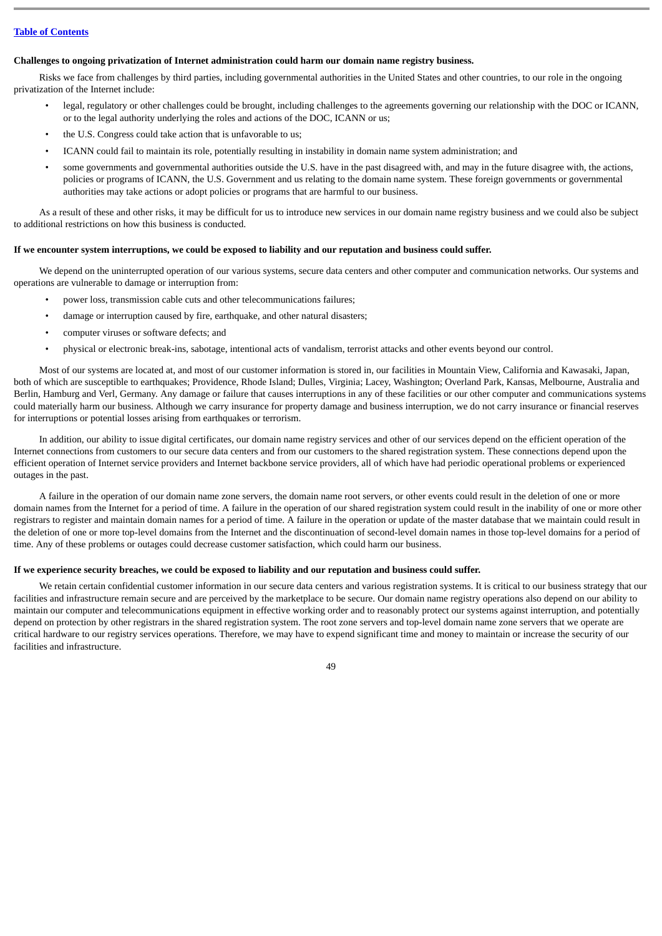#### **Challenges to ongoing privatization of Internet administration could harm our domain name registry business.**

Risks we face from challenges by third parties, including governmental authorities in the United States and other countries, to our role in the ongoing privatization of the Internet include:

- legal, regulatory or other challenges could be brought, including challenges to the agreements governing our relationship with the DOC or ICANN, or to the legal authority underlying the roles and actions of the DOC, ICANN or us;
- the U.S. Congress could take action that is unfavorable to us;
- ICANN could fail to maintain its role, potentially resulting in instability in domain name system administration; and
- some governments and governmental authorities outside the U.S. have in the past disagreed with, and may in the future disagree with, the actions, policies or programs of ICANN, the U.S. Government and us relating to the domain name system. These foreign governments or governmental authorities may take actions or adopt policies or programs that are harmful to our business.

As a result of these and other risks, it may be difficult for us to introduce new services in our domain name registry business and we could also be subject to additional restrictions on how this business is conducted.

### **If we encounter system interruptions, we could be exposed to liability and our reputation and business could suffer.**

We depend on the uninterrupted operation of our various systems, secure data centers and other computer and communication networks. Our systems and operations are vulnerable to damage or interruption from:

- power loss, transmission cable cuts and other telecommunications failures;
- damage or interruption caused by fire, earthquake, and other natural disasters;
- computer viruses or software defects; and
- physical or electronic break-ins, sabotage, intentional acts of vandalism, terrorist attacks and other events beyond our control.

Most of our systems are located at, and most of our customer information is stored in, our facilities in Mountain View, California and Kawasaki, Japan, both of which are susceptible to earthquakes; Providence, Rhode Island; Dulles, Virginia; Lacey, Washington; Overland Park, Kansas, Melbourne, Australia and Berlin, Hamburg and Verl, Germany. Any damage or failure that causes interruptions in any of these facilities or our other computer and communications systems could materially harm our business. Although we carry insurance for property damage and business interruption, we do not carry insurance or financial reserves for interruptions or potential losses arising from earthquakes or terrorism.

In addition, our ability to issue digital certificates, our domain name registry services and other of our services depend on the efficient operation of the Internet connections from customers to our secure data centers and from our customers to the shared registration system. These connections depend upon the efficient operation of Internet service providers and Internet backbone service providers, all of which have had periodic operational problems or experienced outages in the past.

A failure in the operation of our domain name zone servers, the domain name root servers, or other events could result in the deletion of one or more domain names from the Internet for a period of time. A failure in the operation of our shared registration system could result in the inability of one or more other registrars to register and maintain domain names for a period of time. A failure in the operation or update of the master database that we maintain could result in the deletion of one or more top-level domains from the Internet and the discontinuation of second-level domain names in those top-level domains for a period of time. Any of these problems or outages could decrease customer satisfaction, which could harm our business.

#### **If we experience security breaches, we could be exposed to liability and our reputation and business could suffer.**

We retain certain confidential customer information in our secure data centers and various registration systems. It is critical to our business strategy that our facilities and infrastructure remain secure and are perceived by the marketplace to be secure. Our domain name registry operations also depend on our ability to maintain our computer and telecommunications equipment in effective working order and to reasonably protect our systems against interruption, and potentially depend on protection by other registrars in the shared registration system. The root zone servers and top-level domain name zone servers that we operate are critical hardware to our registry services operations. Therefore, we may have to expend significant time and money to maintain or increase the security of our facilities and infrastructure.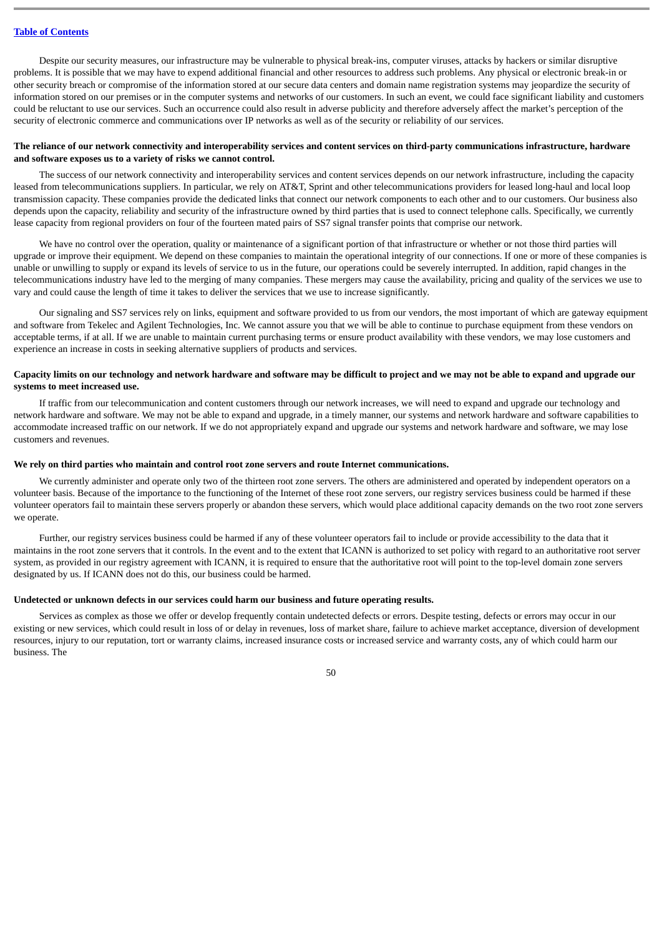Despite our security measures, our infrastructure may be vulnerable to physical break-ins, computer viruses, attacks by hackers or similar disruptive problems. It is possible that we may have to expend additional financial and other resources to address such problems. Any physical or electronic break-in or other security breach or compromise of the information stored at our secure data centers and domain name registration systems may jeopardize the security of information stored on our premises or in the computer systems and networks of our customers. In such an event, we could face significant liability and customers could be reluctant to use our services. Such an occurrence could also result in adverse publicity and therefore adversely affect the market's perception of the security of electronic commerce and communications over IP networks as well as of the security or reliability of our services.

## **The reliance of our network connectivity and interoperability services and content services on third-party communications infrastructure, hardware and software exposes us to a variety of risks we cannot control.**

The success of our network connectivity and interoperability services and content services depends on our network infrastructure, including the capacity leased from telecommunications suppliers. In particular, we rely on AT&T, Sprint and other telecommunications providers for leased long-haul and local loop transmission capacity. These companies provide the dedicated links that connect our network components to each other and to our customers. Our business also depends upon the capacity, reliability and security of the infrastructure owned by third parties that is used to connect telephone calls. Specifically, we currently lease capacity from regional providers on four of the fourteen mated pairs of SS7 signal transfer points that comprise our network.

We have no control over the operation, quality or maintenance of a significant portion of that infrastructure or whether or not those third parties will upgrade or improve their equipment. We depend on these companies to maintain the operational integrity of our connections. If one or more of these companies is unable or unwilling to supply or expand its levels of service to us in the future, our operations could be severely interrupted. In addition, rapid changes in the telecommunications industry have led to the merging of many companies. These mergers may cause the availability, pricing and quality of the services we use to vary and could cause the length of time it takes to deliver the services that we use to increase significantly.

Our signaling and SS7 services rely on links, equipment and software provided to us from our vendors, the most important of which are gateway equipment and software from Tekelec and Agilent Technologies, Inc. We cannot assure you that we will be able to continue to purchase equipment from these vendors on acceptable terms, if at all. If we are unable to maintain current purchasing terms or ensure product availability with these vendors, we may lose customers and experience an increase in costs in seeking alternative suppliers of products and services.

# **Capacity limits on our technology and network hardware and software may be difficult to project and we may not be able to expand and upgrade our systems to meet increased use.**

If traffic from our telecommunication and content customers through our network increases, we will need to expand and upgrade our technology and network hardware and software. We may not be able to expand and upgrade, in a timely manner, our systems and network hardware and software capabilities to accommodate increased traffic on our network. If we do not appropriately expand and upgrade our systems and network hardware and software, we may lose customers and revenues.

#### **We rely on third parties who maintain and control root zone servers and route Internet communications.**

We currently administer and operate only two of the thirteen root zone servers. The others are administered and operated by independent operators on a volunteer basis. Because of the importance to the functioning of the Internet of these root zone servers, our registry services business could be harmed if these volunteer operators fail to maintain these servers properly or abandon these servers, which would place additional capacity demands on the two root zone servers we operate.

Further, our registry services business could be harmed if any of these volunteer operators fail to include or provide accessibility to the data that it maintains in the root zone servers that it controls. In the event and to the extent that ICANN is authorized to set policy with regard to an authoritative root server system, as provided in our registry agreement with ICANN, it is required to ensure that the authoritative root will point to the top-level domain zone servers designated by us. If ICANN does not do this, our business could be harmed.

### **Undetected or unknown defects in our services could harm our business and future operating results.**

Services as complex as those we offer or develop frequently contain undetected defects or errors. Despite testing, defects or errors may occur in our existing or new services, which could result in loss of or delay in revenues, loss of market share, failure to achieve market acceptance, diversion of development resources, injury to our reputation, tort or warranty claims, increased insurance costs or increased service and warranty costs, any of which could harm our business. The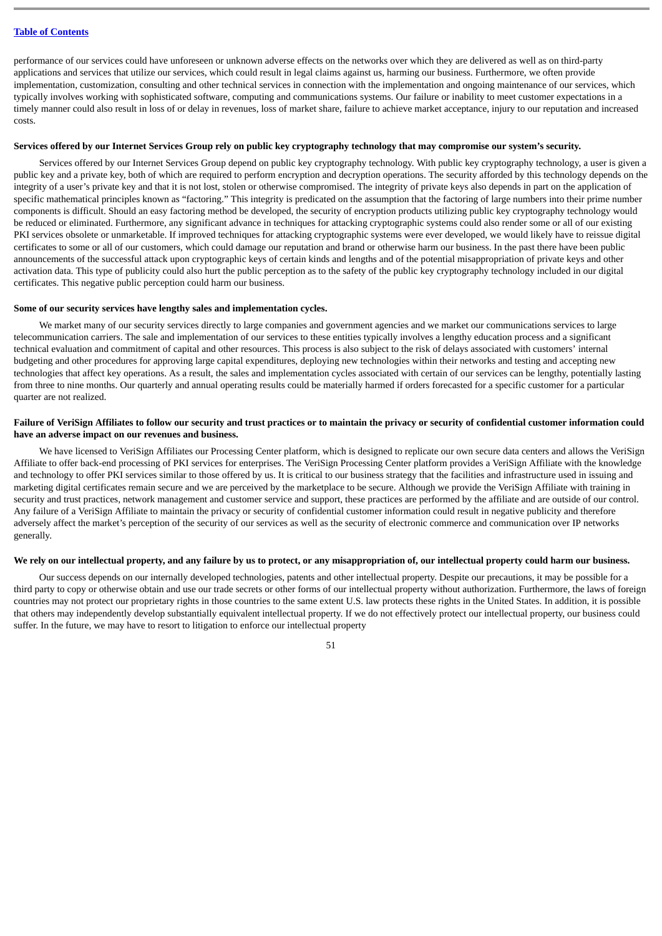performance of our services could have unforeseen or unknown adverse effects on the networks over which they are delivered as well as on third-party applications and services that utilize our services, which could result in legal claims against us, harming our business. Furthermore, we often provide implementation, customization, consulting and other technical services in connection with the implementation and ongoing maintenance of our services, which typically involves working with sophisticated software, computing and communications systems. Our failure or inability to meet customer expectations in a timely manner could also result in loss of or delay in revenues, loss of market share, failure to achieve market acceptance, injury to our reputation and increased costs.

# **Services offered by our Internet Services Group rely on public key cryptography technology that may compromise our system's security.**

Services offered by our Internet Services Group depend on public key cryptography technology. With public key cryptography technology, a user is given a public key and a private key, both of which are required to perform encryption and decryption operations. The security afforded by this technology depends on the integrity of a user's private key and that it is not lost, stolen or otherwise compromised. The integrity of private keys also depends in part on the application of specific mathematical principles known as "factoring." This integrity is predicated on the assumption that the factoring of large numbers into their prime number components is difficult. Should an easy factoring method be developed, the security of encryption products utilizing public key cryptography technology would be reduced or eliminated. Furthermore, any significant advance in techniques for attacking cryptographic systems could also render some or all of our existing PKI services obsolete or unmarketable. If improved techniques for attacking cryptographic systems were ever developed, we would likely have to reissue digital certificates to some or all of our customers, which could damage our reputation and brand or otherwise harm our business. In the past there have been public announcements of the successful attack upon cryptographic keys of certain kinds and lengths and of the potential misappropriation of private keys and other activation data. This type of publicity could also hurt the public perception as to the safety of the public key cryptography technology included in our digital certificates. This negative public perception could harm our business.

### **Some of our security services have lengthy sales and implementation cycles.**

We market many of our security services directly to large companies and government agencies and we market our communications services to large telecommunication carriers. The sale and implementation of our services to these entities typically involves a lengthy education process and a significant technical evaluation and commitment of capital and other resources. This process is also subject to the risk of delays associated with customers' internal budgeting and other procedures for approving large capital expenditures, deploying new technologies within their networks and testing and accepting new technologies that affect key operations. As a result, the sales and implementation cycles associated with certain of our services can be lengthy, potentially lasting from three to nine months. Our quarterly and annual operating results could be materially harmed if orders forecasted for a specific customer for a particular quarter are not realized.

### **Failure of VeriSign Affiliates to follow our security and trust practices or to maintain the privacy or security of confidential customer information could have an adverse impact on our revenues and business.**

We have licensed to VeriSign Affiliates our Processing Center platform, which is designed to replicate our own secure data centers and allows the VeriSign Affiliate to offer back-end processing of PKI services for enterprises. The VeriSign Processing Center platform provides a VeriSign Affiliate with the knowledge and technology to offer PKI services similar to those offered by us. It is critical to our business strategy that the facilities and infrastructure used in issuing and marketing digital certificates remain secure and we are perceived by the marketplace to be secure. Although we provide the VeriSign Affiliate with training in security and trust practices, network management and customer service and support, these practices are performed by the affiliate and are outside of our control. Any failure of a VeriSign Affiliate to maintain the privacy or security of confidential customer information could result in negative publicity and therefore adversely affect the market's perception of the security of our services as well as the security of electronic commerce and communication over IP networks generally.

#### **We rely on our intellectual property, and any failure by us to protect, or any misappropriation of, our intellectual property could harm our business.**

Our success depends on our internally developed technologies, patents and other intellectual property. Despite our precautions, it may be possible for a third party to copy or otherwise obtain and use our trade secrets or other forms of our intellectual property without authorization. Furthermore, the laws of foreign countries may not protect our proprietary rights in those countries to the same extent U.S. law protects these rights in the United States. In addition, it is possible that others may independently develop substantially equivalent intellectual property. If we do not effectively protect our intellectual property, our business could suffer. In the future, we may have to resort to litigation to enforce our intellectual property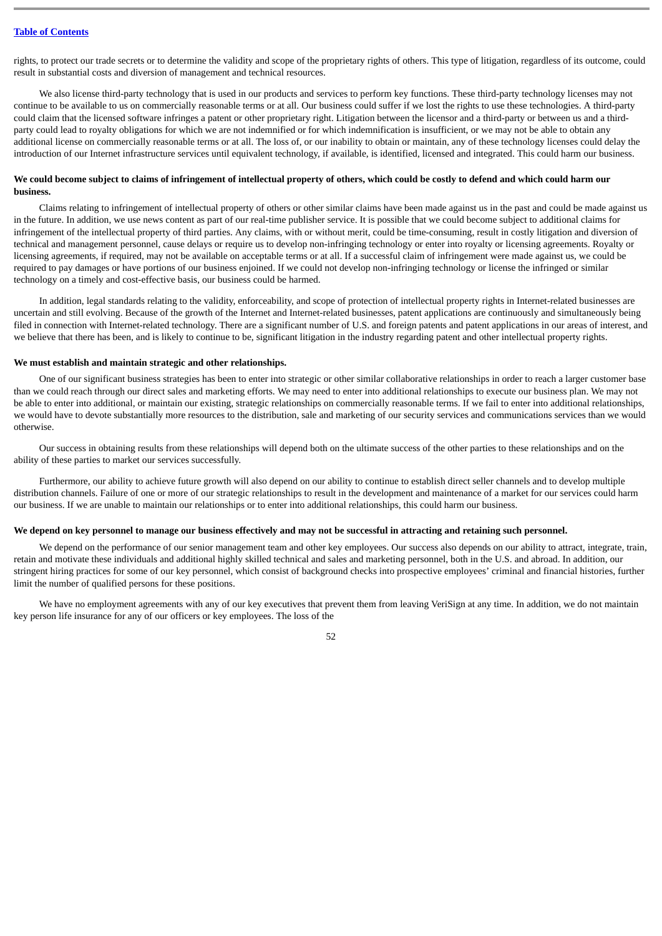rights, to protect our trade secrets or to determine the validity and scope of the proprietary rights of others. This type of litigation, regardless of its outcome, could result in substantial costs and diversion of management and technical resources.

We also license third-party technology that is used in our products and services to perform key functions. These third-party technology licenses may not continue to be available to us on commercially reasonable terms or at all. Our business could suffer if we lost the rights to use these technologies. A third-party could claim that the licensed software infringes a patent or other proprietary right. Litigation between the licensor and a third-party or between us and a thirdparty could lead to royalty obligations for which we are not indemnified or for which indemnification is insufficient, or we may not be able to obtain any additional license on commercially reasonable terms or at all. The loss of, or our inability to obtain or maintain, any of these technology licenses could delay the introduction of our Internet infrastructure services until equivalent technology, if available, is identified, licensed and integrated. This could harm our business.

# **We could become subject to claims of infringement of intellectual property of others, which could be costly to defend and which could harm our business.**

Claims relating to infringement of intellectual property of others or other similar claims have been made against us in the past and could be made against us in the future. In addition, we use news content as part of our real-time publisher service. It is possible that we could become subject to additional claims for infringement of the intellectual property of third parties. Any claims, with or without merit, could be time-consuming, result in costly litigation and diversion of technical and management personnel, cause delays or require us to develop non-infringing technology or enter into royalty or licensing agreements. Royalty or licensing agreements, if required, may not be available on acceptable terms or at all. If a successful claim of infringement were made against us, we could be required to pay damages or have portions of our business enjoined. If we could not develop non-infringing technology or license the infringed or similar technology on a timely and cost-effective basis, our business could be harmed.

In addition, legal standards relating to the validity, enforceability, and scope of protection of intellectual property rights in Internet-related businesses are uncertain and still evolving. Because of the growth of the Internet and Internet-related businesses, patent applications are continuously and simultaneously being filed in connection with Internet-related technology. There are a significant number of U.S. and foreign patents and patent applications in our areas of interest, and we believe that there has been, and is likely to continue to be, significant litigation in the industry regarding patent and other intellectual property rights.

#### **We must establish and maintain strategic and other relationships.**

One of our significant business strategies has been to enter into strategic or other similar collaborative relationships in order to reach a larger customer base than we could reach through our direct sales and marketing efforts. We may need to enter into additional relationships to execute our business plan. We may not be able to enter into additional, or maintain our existing, strategic relationships on commercially reasonable terms. If we fail to enter into additional relationships, we would have to devote substantially more resources to the distribution, sale and marketing of our security services and communications services than we would otherwise.

Our success in obtaining results from these relationships will depend both on the ultimate success of the other parties to these relationships and on the ability of these parties to market our services successfully.

Furthermore, our ability to achieve future growth will also depend on our ability to continue to establish direct seller channels and to develop multiple distribution channels. Failure of one or more of our strategic relationships to result in the development and maintenance of a market for our services could harm our business. If we are unable to maintain our relationships or to enter into additional relationships, this could harm our business.

# **We depend on key personnel to manage our business effectively and may not be successful in attracting and retaining such personnel.**

We depend on the performance of our senior management team and other key employees. Our success also depends on our ability to attract, integrate, train, retain and motivate these individuals and additional highly skilled technical and sales and marketing personnel, both in the U.S. and abroad. In addition, our stringent hiring practices for some of our key personnel, which consist of background checks into prospective employees' criminal and financial histories, further limit the number of qualified persons for these positions.

We have no employment agreements with any of our key executives that prevent them from leaving VeriSign at any time. In addition, we do not maintain key person life insurance for any of our officers or key employees. The loss of the

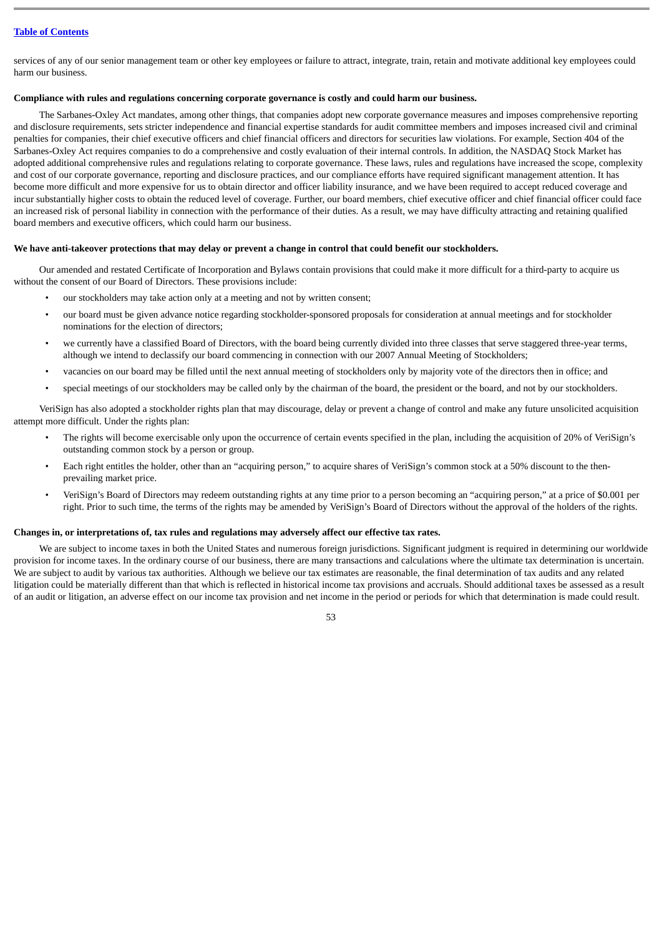services of any of our senior management team or other key employees or failure to attract, integrate, train, retain and motivate additional key employees could harm our business.

#### **Compliance with rules and regulations concerning corporate governance is costly and could harm our business.**

The Sarbanes-Oxley Act mandates, among other things, that companies adopt new corporate governance measures and imposes comprehensive reporting and disclosure requirements, sets stricter independence and financial expertise standards for audit committee members and imposes increased civil and criminal penalties for companies, their chief executive officers and chief financial officers and directors for securities law violations. For example, Section 404 of the Sarbanes-Oxley Act requires companies to do a comprehensive and costly evaluation of their internal controls. In addition, the NASDAQ Stock Market has adopted additional comprehensive rules and regulations relating to corporate governance. These laws, rules and regulations have increased the scope, complexity and cost of our corporate governance, reporting and disclosure practices, and our compliance efforts have required significant management attention. It has become more difficult and more expensive for us to obtain director and officer liability insurance, and we have been required to accept reduced coverage and incur substantially higher costs to obtain the reduced level of coverage. Further, our board members, chief executive officer and chief financial officer could face an increased risk of personal liability in connection with the performance of their duties. As a result, we may have difficulty attracting and retaining qualified board members and executive officers, which could harm our business.

### **We have anti-takeover protections that may delay or prevent a change in control that could benefit our stockholders.**

Our amended and restated Certificate of Incorporation and Bylaws contain provisions that could make it more difficult for a third-party to acquire us without the consent of our Board of Directors. These provisions include:

- our stockholders may take action only at a meeting and not by written consent;
- our board must be given advance notice regarding stockholder-sponsored proposals for consideration at annual meetings and for stockholder nominations for the election of directors;
- we currently have a classified Board of Directors, with the board being currently divided into three classes that serve staggered three-year terms, although we intend to declassify our board commencing in connection with our 2007 Annual Meeting of Stockholders;
- vacancies on our board may be filled until the next annual meeting of stockholders only by majority vote of the directors then in office; and
- special meetings of our stockholders may be called only by the chairman of the board, the president or the board, and not by our stockholders.

VeriSign has also adopted a stockholder rights plan that may discourage, delay or prevent a change of control and make any future unsolicited acquisition attempt more difficult. Under the rights plan:

- The rights will become exercisable only upon the occurrence of certain events specified in the plan, including the acquisition of 20% of VeriSign's outstanding common stock by a person or group.
- Each right entitles the holder, other than an "acquiring person," to acquire shares of VeriSign's common stock at a 50% discount to the thenprevailing market price.
- VeriSign's Board of Directors may redeem outstanding rights at any time prior to a person becoming an "acquiring person," at a price of \$0.001 per right. Prior to such time, the terms of the rights may be amended by VeriSign's Board of Directors without the approval of the holders of the rights.

### **Changes in, or interpretations of, tax rules and regulations may adversely affect our effective tax rates.**

We are subject to income taxes in both the United States and numerous foreign jurisdictions. Significant judgment is required in determining our worldwide provision for income taxes. In the ordinary course of our business, there are many transactions and calculations where the ultimate tax determination is uncertain. We are subject to audit by various tax authorities. Although we believe our tax estimates are reasonable, the final determination of tax audits and any related litigation could be materially different than that which is reflected in historical income tax provisions and accruals. Should additional taxes be assessed as a result of an audit or litigation, an adverse effect on our income tax provision and net income in the period or periods for which that determination is made could result.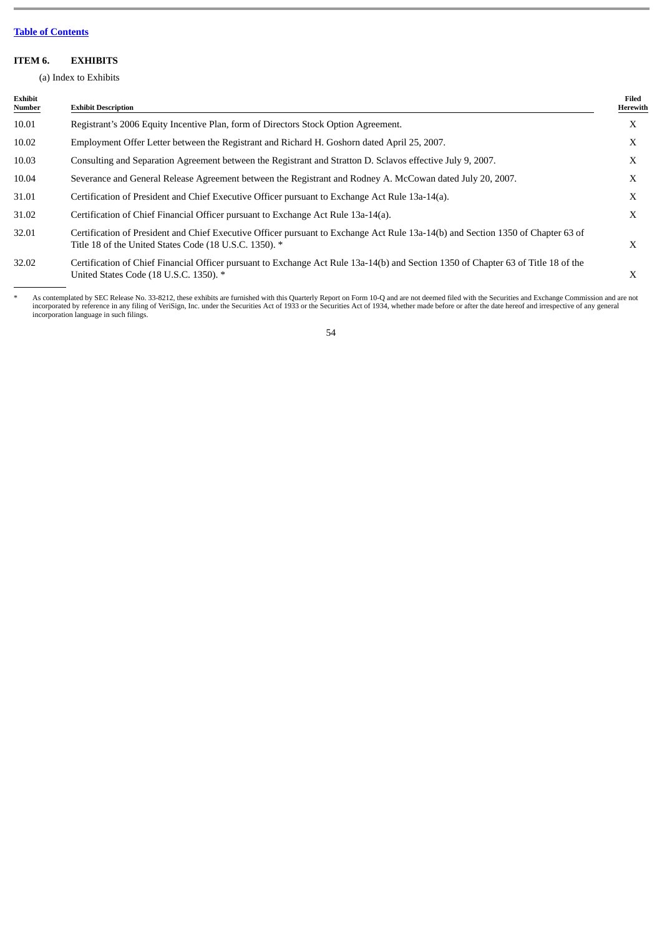# **ITEM 6. EXHIBITS**

(a) Index to Exhibits

| Exhibit<br>Number | <b>Exhibit Description</b>                                                                                                                                                                 | Filed<br>Herewith |
|-------------------|--------------------------------------------------------------------------------------------------------------------------------------------------------------------------------------------|-------------------|
| 10.01             | Registrant's 2006 Equity Incentive Plan, form of Directors Stock Option Agreement.                                                                                                         | X                 |
| 10.02             | Employment Offer Letter between the Registrant and Richard H. Goshorn dated April 25, 2007.                                                                                                | Χ                 |
| 10.03             | Consulting and Separation Agreement between the Registrant and Stratton D. Sclavos effective July 9, 2007.                                                                                 | X                 |
| 10.04             | Severance and General Release Agreement between the Registrant and Rodney A. McCowan dated July 20, 2007.                                                                                  | X                 |
| 31.01             | Certification of President and Chief Executive Officer pursuant to Exchange Act Rule 13a-14(a).                                                                                            | X                 |
| 31.02             | Certification of Chief Financial Officer pursuant to Exchange Act Rule 13a-14(a).                                                                                                          | X                 |
| 32.01             | Certification of President and Chief Executive Officer pursuant to Exchange Act Rule 13a-14(b) and Section 1350 of Chapter 63 of<br>Title 18 of the United States Code (18 U.S.C. 1350). * | X                 |
| 32.02             | Certification of Chief Financial Officer pursuant to Exchange Act Rule 13a-14(b) and Section 1350 of Chapter 63 of Title 18 of the<br>United States Code (18 U.S.C. 1350). *               | Х                 |

As contemplated by SEC Release No. 33-8212, these exhibits are furnished with this Quarterly Report on Form 10-Q and are not deemed filed with the Securities and Exchange Commission and are not incorporated by reference in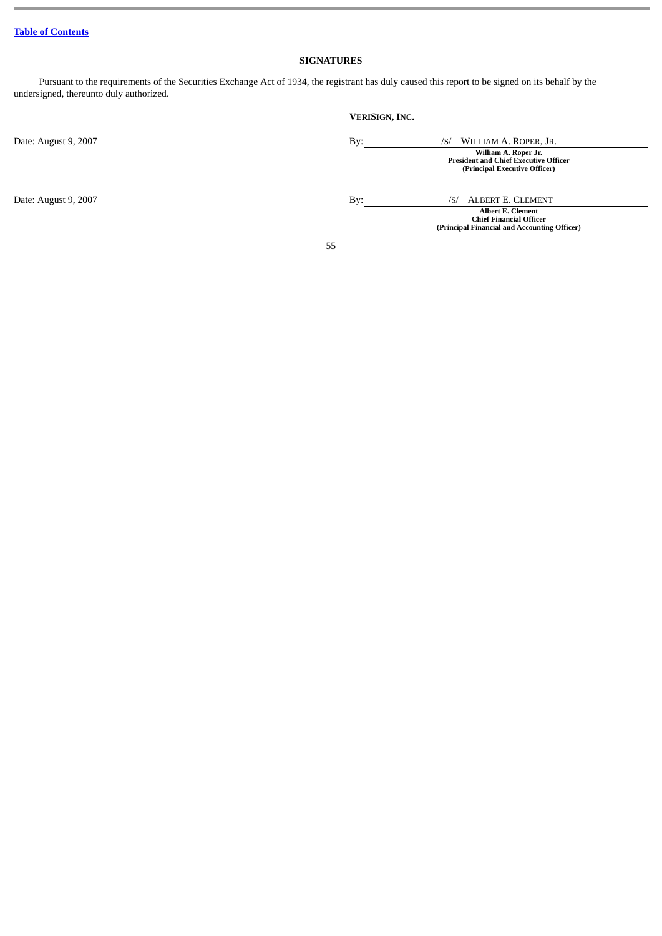# **SIGNATURES**

Pursuant to the requirements of the Securities Exchange Act of 1934, the registrant has duly caused this report to be signed on its behalf by the undersigned, thereunto duly authorized.

| VeriSign, Inc. |  |
|----------------|--|
|----------------|--|

Date: August 9, 2007 By: /S/ WILLIAM A. ROPER, JR.

**William A. Roper Jr. President and Chief Executive Officer (Principal Executive Officer)**

Date: August 9, 2007 By: /S/ ALBERT E. CLEMENT

**Albert E. Clement Chief Financial Officer (Principal Financial and Accounting Officer)**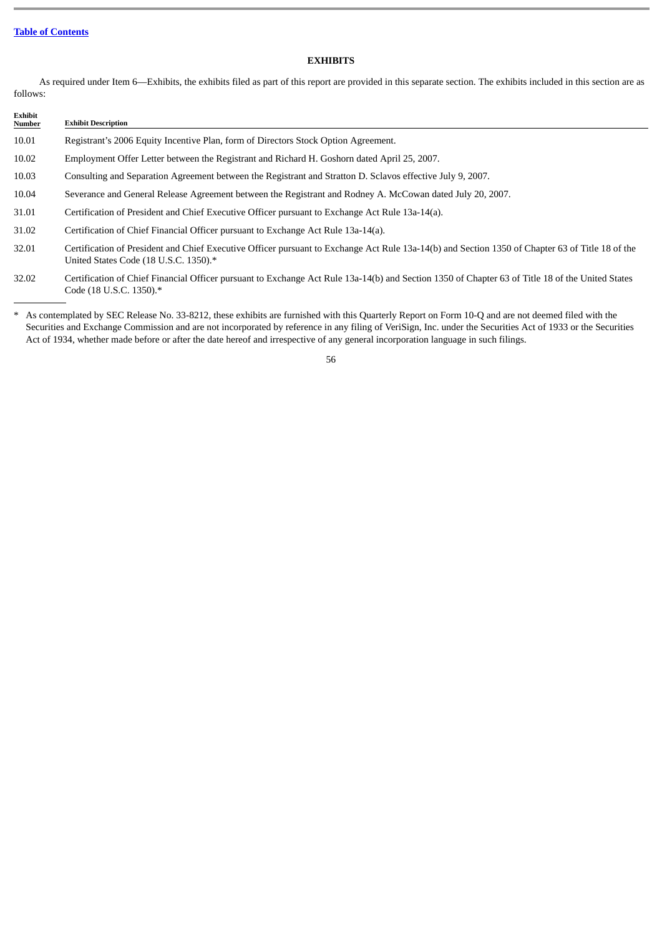# **EXHIBITS**

As required under Item 6—Exhibits, the exhibits filed as part of this report are provided in this separate section. The exhibits included in this section are as follows:

| Exhibit<br>Number | <b>Exhibit Description</b>                                                                                                                                                                |
|-------------------|-------------------------------------------------------------------------------------------------------------------------------------------------------------------------------------------|
| 10.01             | Registrant's 2006 Equity Incentive Plan, form of Directors Stock Option Agreement.                                                                                                        |
| 10.02             | Employment Offer Letter between the Registrant and Richard H. Goshorn dated April 25, 2007.                                                                                               |
| 10.03             | Consulting and Separation Agreement between the Registrant and Stratton D. Sclavos effective July 9, 2007.                                                                                |
| 10.04             | Severance and General Release Agreement between the Registrant and Rodney A. McCowan dated July 20, 2007.                                                                                 |
| 31.01             | Certification of President and Chief Executive Officer pursuant to Exchange Act Rule 13a-14(a).                                                                                           |
| 31.02             | Certification of Chief Financial Officer pursuant to Exchange Act Rule 13a-14(a).                                                                                                         |
| 32.01             | Certification of President and Chief Executive Officer pursuant to Exchange Act Rule 13a-14(b) and Section 1350 of Chapter 63 of Title 18 of the<br>United States Code (18 U.S.C. 1350).* |
| 32.02             | Certification of Chief Financial Officer pursuant to Exchange Act Rule 13a-14(b) and Section 1350 of Chapter 63 of Title 18 of the United States<br>Code (18 U.S.C. 1350).*               |

<sup>\*</sup> As contemplated by SEC Release No. 33-8212, these exhibits are furnished with this Quarterly Report on Form 10-Q and are not deemed filed with the Securities and Exchange Commission and are not incorporated by reference in any filing of VeriSign, Inc. under the Securities Act of 1933 or the Securities Act of 1934, whether made before or after the date hereof and irrespective of any general incorporation language in such filings.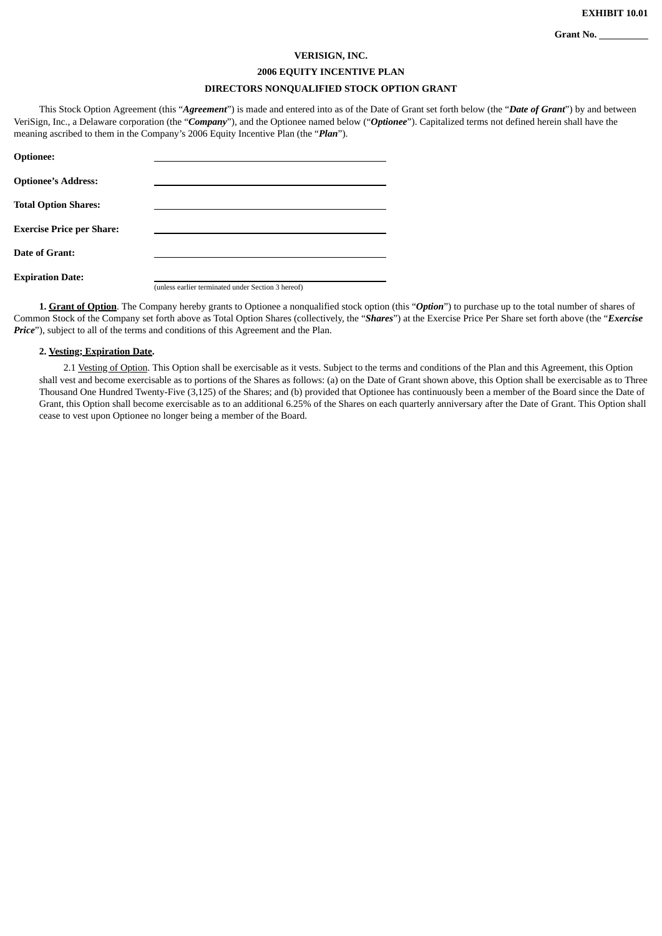# **VERISIGN, INC.**

### **2006 EQUITY INCENTIVE PLAN**

### **DIRECTORS NONQUALIFIED STOCK OPTION GRANT**

This Stock Option Agreement (this "*Agreement*") is made and entered into as of the Date of Grant set forth below (the "*Date of Grant*") by and between VeriSign, Inc., a Delaware corporation (the "*Company*"), and the Optionee named below ("*Optionee*"). Capitalized terms not defined herein shall have the meaning ascribed to them in the Company's 2006 Equity Incentive Plan (the "*Plan*").

| <b>Optionee:</b>                 |                                                    |
|----------------------------------|----------------------------------------------------|
| <b>Optionee's Address:</b>       |                                                    |
| <b>Total Option Shares:</b>      |                                                    |
| <b>Exercise Price per Share:</b> |                                                    |
| Date of Grant:                   |                                                    |
| <b>Expiration Date:</b>          | (unless earlier terminated under Section 3 hereof) |

**1. Grant of Option**. The Company hereby grants to Optionee a nonqualified stock option (this "*Option*") to purchase up to the total number of shares of Common Stock of the Company set forth above as Total Option Shares (collectively, the "*Shares*") at the Exercise Price Per Share set forth above (the "*Exercise* **Price**"), subject to all of the terms and conditions of this Agreement and the Plan.

### **2. Vesting; Expiration Date.**

2.1 Vesting of Option. This Option shall be exercisable as it vests. Subject to the terms and conditions of the Plan and this Agreement, this Option shall vest and become exercisable as to portions of the Shares as follows: (a) on the Date of Grant shown above, this Option shall be exercisable as to Three Thousand One Hundred Twenty-Five (3,125) of the Shares; and (b) provided that Optionee has continuously been a member of the Board since the Date of Grant, this Option shall become exercisable as to an additional 6.25% of the Shares on each quarterly anniversary after the Date of Grant. This Option shall cease to vest upon Optionee no longer being a member of the Board.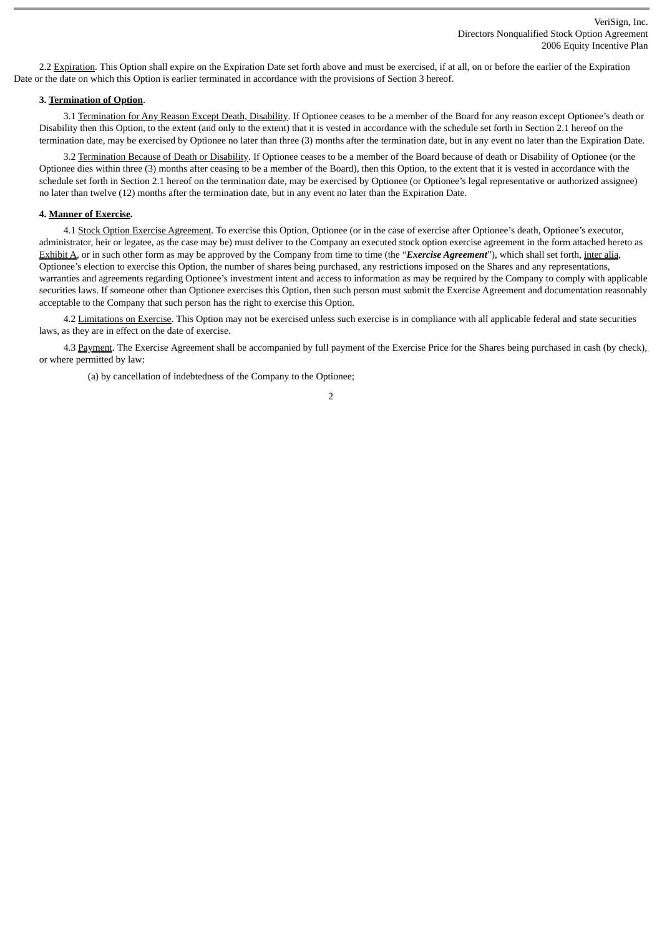2.2 Expiration. This Option shall expire on the Expiration Date set forth above and must be exercised, if at all, on or before the earlier of the Expiration Date or the date on which this Option is earlier terminated in accordance with the provisions of Section 3 hereof.

### **3. Termination of Option**.

3.1 Termination for Any Reason Except Death, Disability. If Optionee ceases to be a member of the Board for any reason except Optionee's death or Disability then this Option, to the extent (and only to the extent) that it is vested in accordance with the schedule set forth in Section 2.1 hereof on the termination date, may be exercised by Optionee no later than three (3) months after the termination date, but in any event no later than the Expiration Date.

3.2 Termination Because of Death or Disability. If Optionee ceases to be a member of the Board because of death or Disability of Optionee (or the Optionee dies within three (3) months after ceasing to be a member of the Board), then this Option, to the extent that it is vested in accordance with the schedule set forth in Section 2.1 hereof on the termination date, may be exercised by Optionee (or Optionee's legal representative or authorized assignee) no later than twelve (12) months after the termination date, but in any event no later than the Expiration Date.

#### **4. Manner of Exercise.**

4.1 Stock Option Exercise Agreement. To exercise this Option, Optionee (or in the case of exercise after Optionee's death, Optionee's executor, administrator, heir or legatee, as the case may be) must deliver to the Company an executed stock option exercise agreement in the form attached hereto as Exhibit A, or in such other form as may be approved by the Company from time to time (the "*Exercise Agreement*"), which shall set forth, inter alia, Optionee's election to exercise this Option, the number of shares being purchased, any restrictions imposed on the Shares and any representations, warranties and agreements regarding Optionee's investment intent and access to information as may be required by the Company to comply with applicable securities laws. If someone other than Optionee exercises this Option, then such person must submit the Exercise Agreement and documentation reasonably acceptable to the Company that such person has the right to exercise this Option.

4.2 Limitations on Exercise. This Option may not be exercised unless such exercise is in compliance with all applicable federal and state securities laws, as they are in effect on the date of exercise.

4.3 Payment. The Exercise Agreement shall be accompanied by full payment of the Exercise Price for the Shares being purchased in cash (by check), or where permitted by law:

(a) by cancellation of indebtedness of the Company to the Optionee;

 $\overline{2}$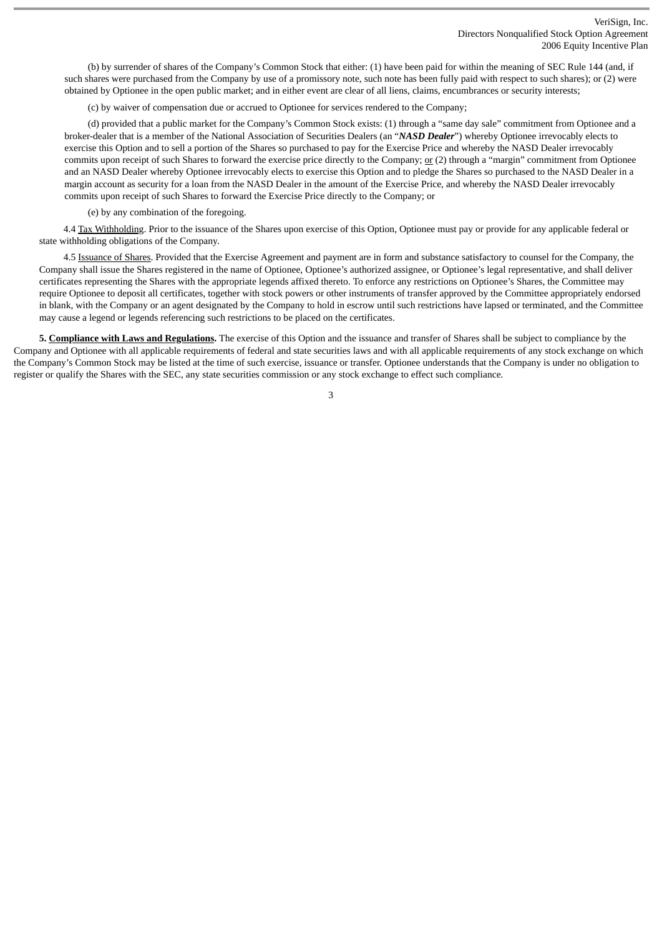(b) by surrender of shares of the Company's Common Stock that either: (1) have been paid for within the meaning of SEC Rule 144 (and, if such shares were purchased from the Company by use of a promissory note, such note has been fully paid with respect to such shares); or (2) were obtained by Optionee in the open public market; and in either event are clear of all liens, claims, encumbrances or security interests;

(c) by waiver of compensation due or accrued to Optionee for services rendered to the Company;

(d) provided that a public market for the Company's Common Stock exists: (1) through a "same day sale" commitment from Optionee and a broker-dealer that is a member of the National Association of Securities Dealers (an "*NASD Dealer*") whereby Optionee irrevocably elects to exercise this Option and to sell a portion of the Shares so purchased to pay for the Exercise Price and whereby the NASD Dealer irrevocably commits upon receipt of such Shares to forward the exercise price directly to the Company;  $o_{\text{I}}(2)$  through a "margin" commitment from Optionee and an NASD Dealer whereby Optionee irrevocably elects to exercise this Option and to pledge the Shares so purchased to the NASD Dealer in a margin account as security for a loan from the NASD Dealer in the amount of the Exercise Price, and whereby the NASD Dealer irrevocably commits upon receipt of such Shares to forward the Exercise Price directly to the Company; or

(e) by any combination of the foregoing.

4.4 Tax Withholding. Prior to the issuance of the Shares upon exercise of this Option, Optionee must pay or provide for any applicable federal or state withholding obligations of the Company.

4.5 Issuance of Shares. Provided that the Exercise Agreement and payment are in form and substance satisfactory to counsel for the Company, the Company shall issue the Shares registered in the name of Optionee, Optionee's authorized assignee, or Optionee's legal representative, and shall deliver certificates representing the Shares with the appropriate legends affixed thereto. To enforce any restrictions on Optionee's Shares, the Committee may require Optionee to deposit all certificates, together with stock powers or other instruments of transfer approved by the Committee appropriately endorsed in blank, with the Company or an agent designated by the Company to hold in escrow until such restrictions have lapsed or terminated, and the Committee may cause a legend or legends referencing such restrictions to be placed on the certificates.

**5. Compliance with Laws and Regulations.** The exercise of this Option and the issuance and transfer of Shares shall be subject to compliance by the Company and Optionee with all applicable requirements of federal and state securities laws and with all applicable requirements of any stock exchange on which the Company's Common Stock may be listed at the time of such exercise, issuance or transfer. Optionee understands that the Company is under no obligation to register or qualify the Shares with the SEC, any state securities commission or any stock exchange to effect such compliance.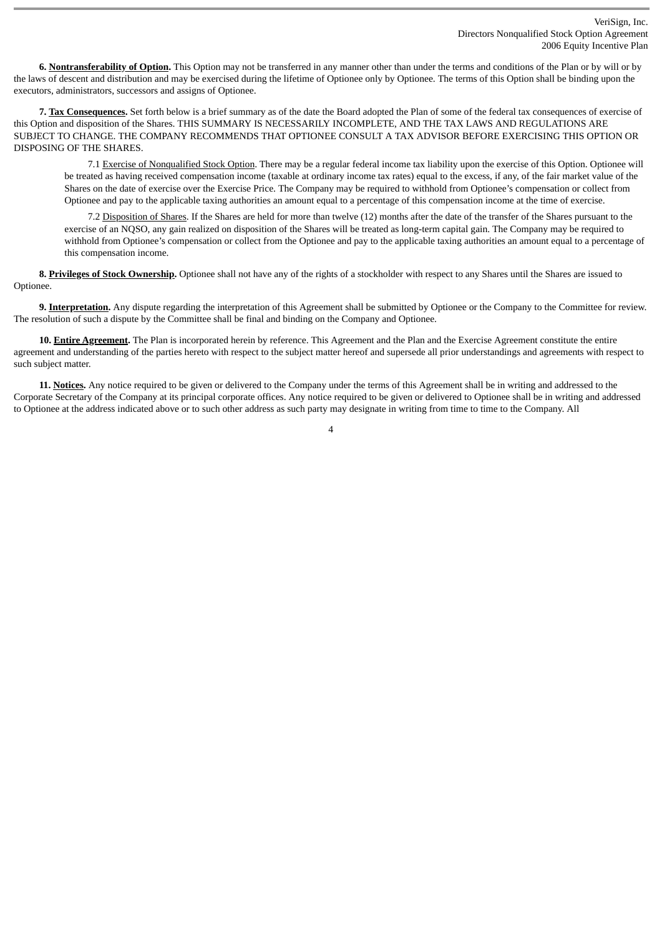**6. Nontransferability of Option.** This Option may not be transferred in any manner other than under the terms and conditions of the Plan or by will or by the laws of descent and distribution and may be exercised during the lifetime of Optionee only by Optionee. The terms of this Option shall be binding upon the executors, administrators, successors and assigns of Optionee.

**7. Tax Consequences.** Set forth below is a brief summary as of the date the Board adopted the Plan of some of the federal tax consequences of exercise of this Option and disposition of the Shares. THIS SUMMARY IS NECESSARILY INCOMPLETE, AND THE TAX LAWS AND REGULATIONS ARE SUBJECT TO CHANGE. THE COMPANY RECOMMENDS THAT OPTIONEE CONSULT A TAX ADVISOR BEFORE EXERCISING THIS OPTION OR DISPOSING OF THE SHARES.

7.1 Exercise of Nonqualified Stock Option. There may be a regular federal income tax liability upon the exercise of this Option. Optionee will be treated as having received compensation income (taxable at ordinary income tax rates) equal to the excess, if any, of the fair market value of the Shares on the date of exercise over the Exercise Price. The Company may be required to withhold from Optionee's compensation or collect from Optionee and pay to the applicable taxing authorities an amount equal to a percentage of this compensation income at the time of exercise.

7.2 Disposition of Shares. If the Shares are held for more than twelve (12) months after the date of the transfer of the Shares pursuant to the exercise of an NQSO, any gain realized on disposition of the Shares will be treated as long-term capital gain. The Company may be required to withhold from Optionee's compensation or collect from the Optionee and pay to the applicable taxing authorities an amount equal to a percentage of this compensation income.

**8. Privileges of Stock Ownership.** Optionee shall not have any of the rights of a stockholder with respect to any Shares until the Shares are issued to Optionee.

**9. Interpretation.** Any dispute regarding the interpretation of this Agreement shall be submitted by Optionee or the Company to the Committee for review. The resolution of such a dispute by the Committee shall be final and binding on the Company and Optionee.

**10. Entire Agreement.** The Plan is incorporated herein by reference. This Agreement and the Plan and the Exercise Agreement constitute the entire agreement and understanding of the parties hereto with respect to the subject matter hereof and supersede all prior understandings and agreements with respect to such subject matter.

**11. Notices.** Any notice required to be given or delivered to the Company under the terms of this Agreement shall be in writing and addressed to the Corporate Secretary of the Company at its principal corporate offices. Any notice required to be given or delivered to Optionee shall be in writing and addressed to Optionee at the address indicated above or to such other address as such party may designate in writing from time to time to the Company. All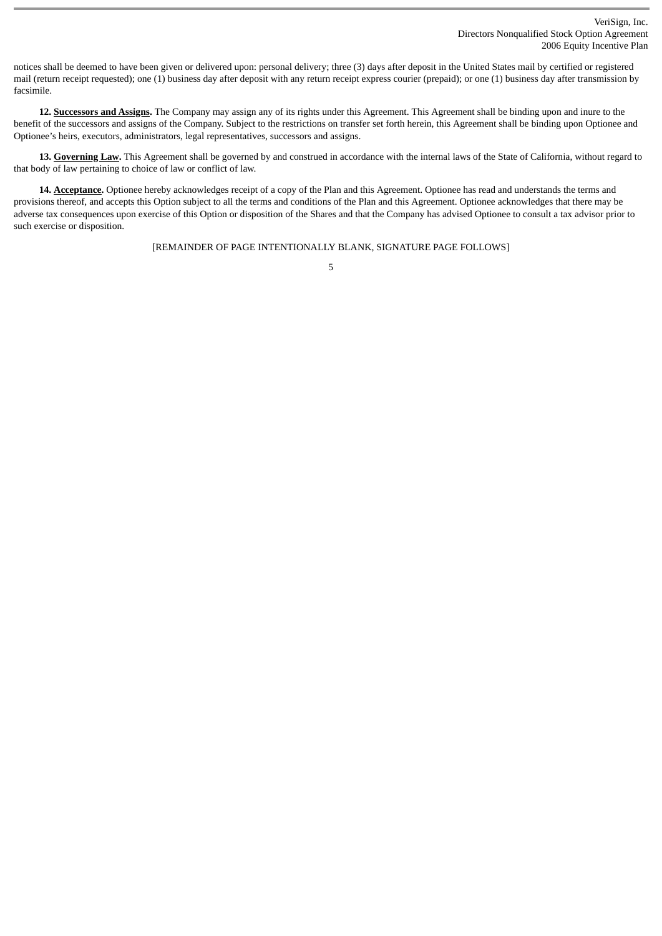VeriSign, Inc. Directors Nonqualified Stock Option Agreement 2006 Equity Incentive Plan

notices shall be deemed to have been given or delivered upon: personal delivery; three (3) days after deposit in the United States mail by certified or registered mail (return receipt requested); one (1) business day after deposit with any return receipt express courier (prepaid); or one (1) business day after transmission by facsimile.

**12. Successors and Assigns.** The Company may assign any of its rights under this Agreement. This Agreement shall be binding upon and inure to the benefit of the successors and assigns of the Company. Subject to the restrictions on transfer set forth herein, this Agreement shall be binding upon Optionee and Optionee's heirs, executors, administrators, legal representatives, successors and assigns.

13. Governing Law. This Agreement shall be governed by and construed in accordance with the internal laws of the State of California, without regard to that body of law pertaining to choice of law or conflict of law.

**14. Acceptance.** Optionee hereby acknowledges receipt of a copy of the Plan and this Agreement. Optionee has read and understands the terms and provisions thereof, and accepts this Option subject to all the terms and conditions of the Plan and this Agreement. Optionee acknowledges that there may be adverse tax consequences upon exercise of this Option or disposition of the Shares and that the Company has advised Optionee to consult a tax advisor prior to such exercise or disposition.

[REMAINDER OF PAGE INTENTIONALLY BLANK, SIGNATURE PAGE FOLLOWS]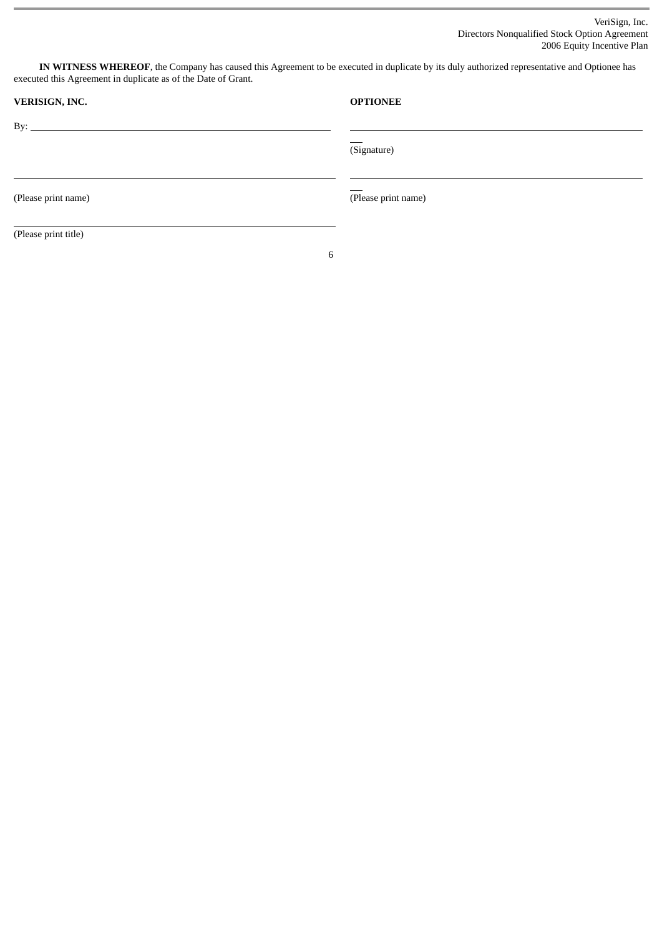VeriSign, Inc. Directors Nonqualified Stock Option Agreement 2006 Equity Incentive Plan

**IN WITNESS WHEREOF**, the Company has caused this Agreement to be executed in duplicate by its duly authorized representative and Optionee has executed this Agreement in duplicate as of the Date of Grant.

| VERISIGN, INC.            | <b>OPTIONEE</b>     |
|---------------------------|---------------------|
| $\mathbf{B} \mathbf{y}$ : |                     |
|                           | (Signature)         |
| (Please print name)       | (Please print name) |
| (Please print title)      |                     |
|                           | 6                   |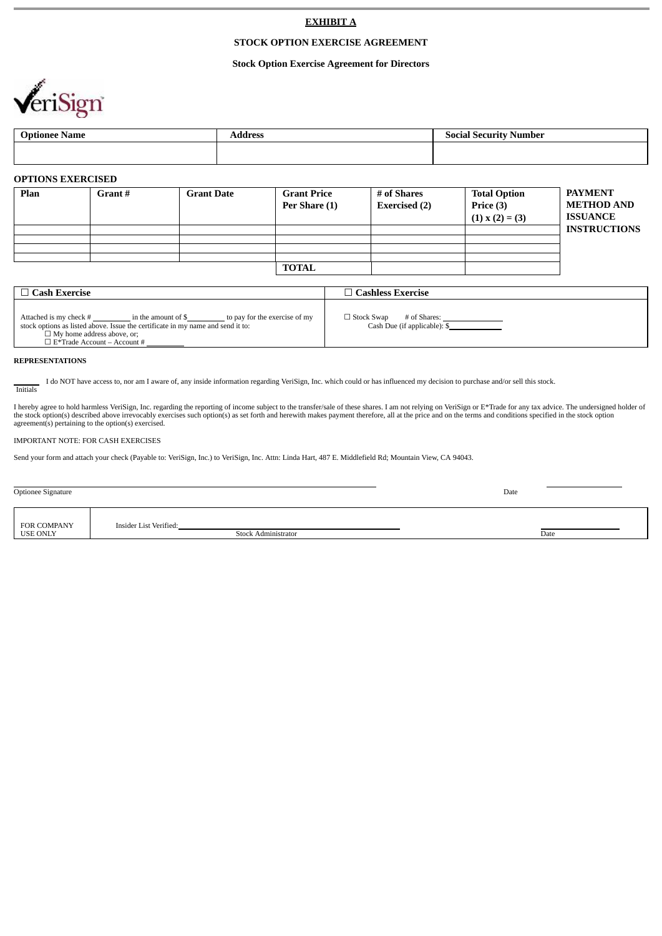# **EXHIBIT A**

# **STOCK OPTION EXERCISE AGREEMENT**

# **Stock Option Exercise Agreement for Directors**



| ame<br>$\sim$ $\sim$ | dvoo | Number<br>2222<br>. .<br>71 |
|----------------------|------|-----------------------------|
|                      |      |                             |
|                      |      |                             |

# **OPTIONS EXERCISED**

| Plan | Grant # | <b>Grant Date</b> | <b>Grant Price</b><br>Per Share (1) | # of Shares<br><b>Exercised</b> (2) | <b>Total Option</b><br>Price $(3)$<br>$(1)$ x $(2)$ = $(3)$ | <b>PAYMENT</b><br><b>METHOD AND</b><br><b>ISSUANCE</b> |
|------|---------|-------------------|-------------------------------------|-------------------------------------|-------------------------------------------------------------|--------------------------------------------------------|
|      |         |                   |                                     |                                     |                                                             | <b>INSTRUCTIONS</b>                                    |
|      |         |                   |                                     |                                     |                                                             |                                                        |
|      |         |                   |                                     |                                     |                                                             |                                                        |
|      |         |                   |                                     |                                     |                                                             |                                                        |
|      |         |                   | <b>TOTAL</b>                        |                                     |                                                             |                                                        |

| $\Box$ Cash Exercise                                                                                                                                                                                                                         | $\Box$ Cashless Exercise                                          |
|----------------------------------------------------------------------------------------------------------------------------------------------------------------------------------------------------------------------------------------------|-------------------------------------------------------------------|
| Attached is my check #<br>to pay for the exercise of my<br>in the amount of \$<br>stock options as listed above. Issue the certificate in my name and send it to:<br>$\Box$ My home address above, or;<br>$\Box$ E*Trade Account – Account # | $\Box$ Stock Swap<br># of Shares:<br>Cash Due (if applicable): \$ |

# **REPRESENTATIONS**

 I do NOT have access to, nor am I aware of, any inside information regarding VeriSign, Inc. which could or has influenced my decision to purchase and/or sell this stock. Initials

I hereby agree to hold harmless VeriSign, Inc. regarding the reporting of income subject to the transfer/sale of these shares. I am not relying on VeriSign or E\*Trade for any tax advice. The undersigned holder of<br>the stock agreement(s) pertaining to the option(s) exercised.

#### IMPORTANT NOTE: FOR CASH EXERCISES

Send your form and attach your check (Payable to: VeriSign, Inc.) to VeriSign, Inc. Attn: Linda Hart, 487 E. Middlefield Rd; Mountain View, CA 94043.

| Optionee Signature             |                                                      | Date |
|--------------------------------|------------------------------------------------------|------|
| FOR COMPANY<br><b>USE ONLY</b> | Insider List Verified:<br><b>Stock Administrator</b> | Date |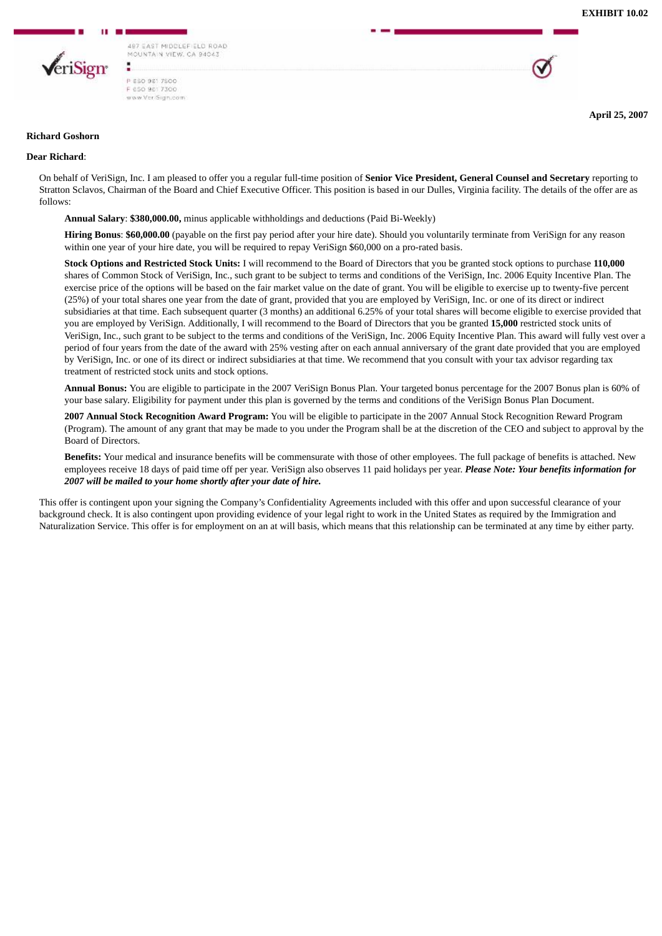**EXHIBIT 10.02**



487 EAST MIDDLEFIELD ROAD MOUNTAIN VIEW, CA 94043

P 650 961 7500 F 650 961 7300 www.Ver/Sign.com

**April 25, 2007**

## **Richard Goshorn**

### **Dear Richard**:

On behalf of VeriSign, Inc. I am pleased to offer you a regular full-time position of **Senior Vice President, General Counsel and Secretary** reporting to Stratton Sclavos, Chairman of the Board and Chief Executive Officer. This position is based in our Dulles, Virginia facility. The details of the offer are as follows:

**Annual Salary**: **\$380,000.00,** minus applicable withholdings and deductions (Paid Bi-Weekly)

**Hiring Bonus**: **\$60,000.00** (payable on the first pay period after your hire date). Should you voluntarily terminate from VeriSign for any reason within one year of your hire date, you will be required to repay VeriSign \$60,000 on a pro-rated basis.

**Stock Options and Restricted Stock Units:** I will recommend to the Board of Directors that you be granted stock options to purchase **110,000** shares of Common Stock of VeriSign, Inc., such grant to be subject to terms and conditions of the VeriSign, Inc. 2006 Equity Incentive Plan. The exercise price of the options will be based on the fair market value on the date of grant. You will be eligible to exercise up to twenty-five percent (25%) of your total shares one year from the date of grant, provided that you are employed by VeriSign, Inc. or one of its direct or indirect subsidiaries at that time. Each subsequent quarter (3 months) an additional 6.25% of your total shares will become eligible to exercise provided that you are employed by VeriSign. Additionally, I will recommend to the Board of Directors that you be granted **15,000** restricted stock units of VeriSign, Inc., such grant to be subject to the terms and conditions of the VeriSign, Inc. 2006 Equity Incentive Plan. This award will fully vest over a period of four years from the date of the award with 25% vesting after on each annual anniversary of the grant date provided that you are employed by VeriSign, Inc. or one of its direct or indirect subsidiaries at that time. We recommend that you consult with your tax advisor regarding tax treatment of restricted stock units and stock options.

**Annual Bonus:** You are eligible to participate in the 2007 VeriSign Bonus Plan. Your targeted bonus percentage for the 2007 Bonus plan is 60% of your base salary. Eligibility for payment under this plan is governed by the terms and conditions of the VeriSign Bonus Plan Document.

**2007 Annual Stock Recognition Award Program:** You will be eligible to participate in the 2007 Annual Stock Recognition Reward Program (Program). The amount of any grant that may be made to you under the Program shall be at the discretion of the CEO and subject to approval by the Board of Directors.

**Benefits:** Your medical and insurance benefits will be commensurate with those of other employees. The full package of benefits is attached. New employees receive 18 days of paid time off per year. VeriSign also observes 11 paid holidays per year. *Please Note: Your benefits information for 2007 will be mailed to your home shortly after your date of hire.*

This offer is contingent upon your signing the Company's Confidentiality Agreements included with this offer and upon successful clearance of your background check. It is also contingent upon providing evidence of your legal right to work in the United States as required by the Immigration and Naturalization Service. This offer is for employment on an at will basis, which means that this relationship can be terminated at any time by either party.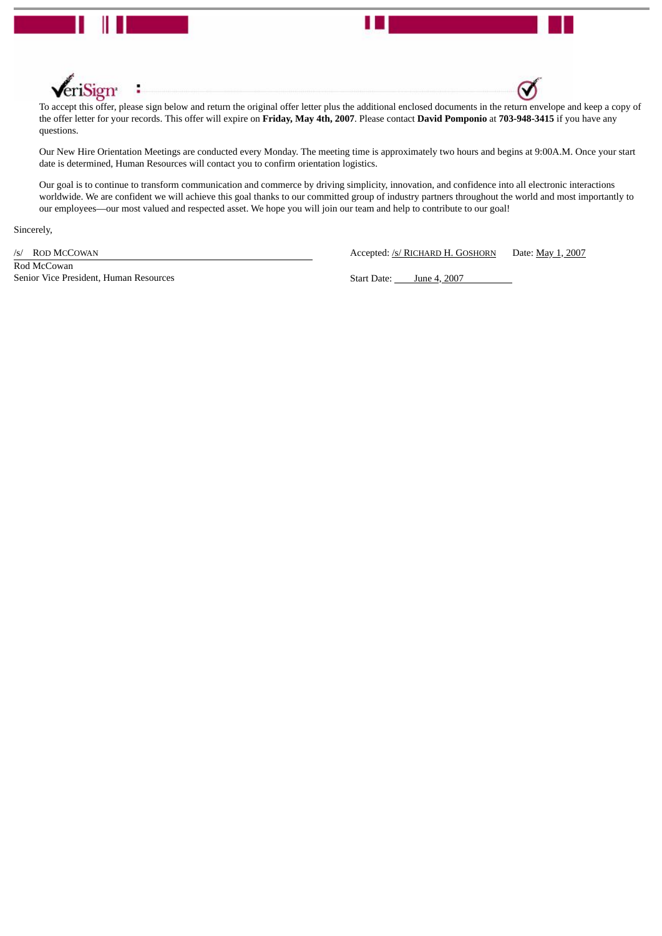

To accept this offer, please sign below and return the original offer letter plus the additional enclosed documents in the return envelope and keep a copy of the offer letter for your records. This offer will expire on **Friday, May 4th, 2007**. Please contact **David Pomponio** at **703-948-3415** if you have any questions.

Our New Hire Orientation Meetings are conducted every Monday. The meeting time is approximately two hours and begins at 9:00A.M. Once your start date is determined, Human Resources will contact you to confirm orientation logistics.

Our goal is to continue to transform communication and commerce by driving simplicity, innovation, and confidence into all electronic interactions worldwide. We are confident we will achieve this goal thanks to our committed group of industry partners throughout the world and most importantly to our employees—our most valued and respected asset. We hope you will join our team and help to contribute to our goal!

Sincerely,

Rod McCowan Senior Vice President, Human Resources Start Date: June 4, 2007

/s/ ROD MCCOWAN Accepted: /s/ RICHARD H. GOSHORN Date: May 1, 2007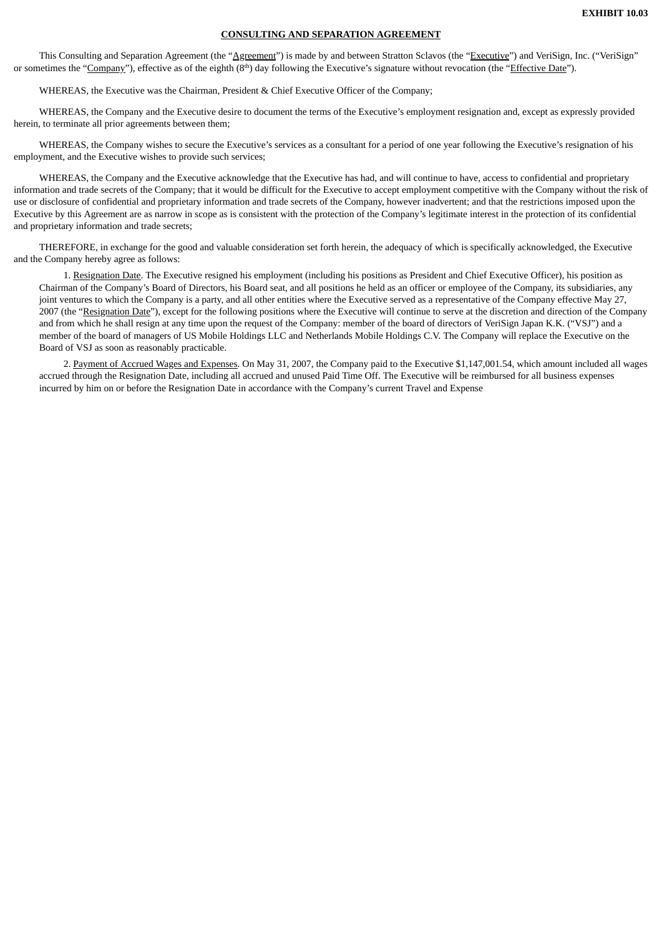# **CONSULTING AND SEPARATION AGREEMENT**

This Consulting and Separation Agreement (the "Agreement") is made by and between Stratton Sclavos (the "Executive") and VeriSign, Inc. ("VeriSign" or sometimes the "Company"), effective as of the eighth (8<sup>th</sup>) day following the Executive's signature without revocation (the "Effective Date").

WHEREAS, the Executive was the Chairman, President & Chief Executive Officer of the Company;

WHEREAS, the Company and the Executive desire to document the terms of the Executive's employment resignation and, except as expressly provided herein, to terminate all prior agreements between them;

WHEREAS, the Company wishes to secure the Executive's services as a consultant for a period of one year following the Executive's resignation of his employment, and the Executive wishes to provide such services;

WHEREAS, the Company and the Executive acknowledge that the Executive has had, and will continue to have, access to confidential and proprietary information and trade secrets of the Company; that it would be difficult for the Executive to accept employment competitive with the Company without the risk of use or disclosure of confidential and proprietary information and trade secrets of the Company, however inadvertent; and that the restrictions imposed upon the Executive by this Agreement are as narrow in scope as is consistent with the protection of the Company's legitimate interest in the protection of its confidential and proprietary information and trade secrets;

THEREFORE, in exchange for the good and valuable consideration set forth herein, the adequacy of which is specifically acknowledged, the Executive and the Company hereby agree as follows:

1. Resignation Date. The Executive resigned his employment (including his positions as President and Chief Executive Officer), his position as Chairman of the Company's Board of Directors, his Board seat, and all positions he held as an officer or employee of the Company, its subsidiaries, any joint ventures to which the Company is a party, and all other entities where the Executive served as a representative of the Company effective May 27, 2007 (the "Resignation Date"), except for the following positions where the Executive will continue to serve at the discretion and direction of the Company and from which he shall resign at any time upon the request of the Company: member of the board of directors of VeriSign Japan K.K. ("VSJ") and a member of the board of managers of US Mobile Holdings LLC and Netherlands Mobile Holdings C.V. The Company will replace the Executive on the Board of VSJ as soon as reasonably practicable.

2. Payment of Accrued Wages and Expenses. On May 31, 2007, the Company paid to the Executive \$1,147,001.54, which amount included all wages accrued through the Resignation Date, including all accrued and unused Paid Time Off. The Executive will be reimbursed for all business expenses incurred by him on or before the Resignation Date in accordance with the Company's current Travel and Expense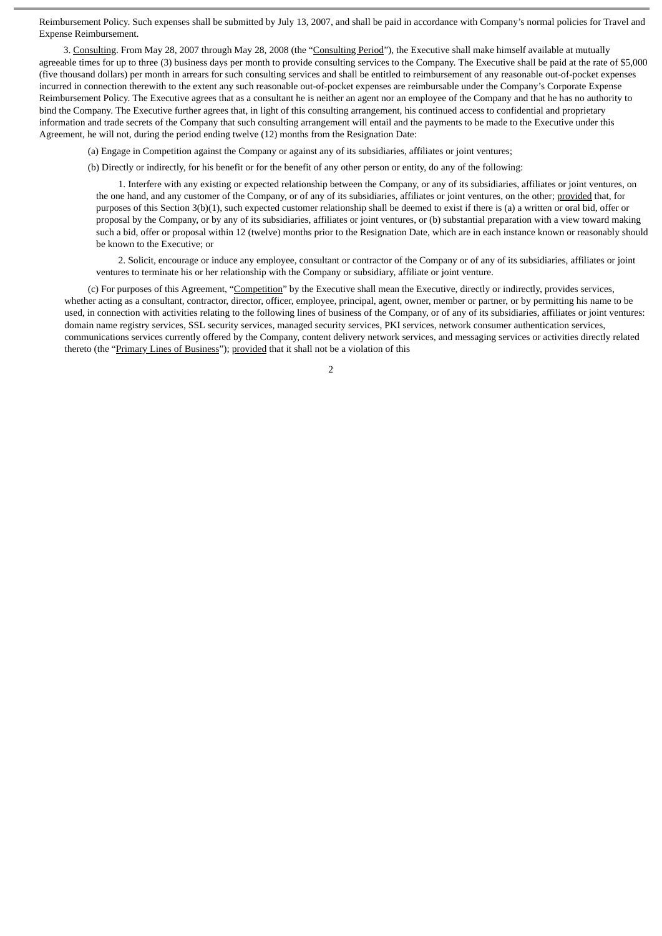Reimbursement Policy. Such expenses shall be submitted by July 13, 2007, and shall be paid in accordance with Company's normal policies for Travel and Expense Reimbursement.

3. Consulting. From May 28, 2007 through May 28, 2008 (the "Consulting Period"), the Executive shall make himself available at mutually agreeable times for up to three (3) business days per month to provide consulting services to the Company. The Executive shall be paid at the rate of \$5,000 (five thousand dollars) per month in arrears for such consulting services and shall be entitled to reimbursement of any reasonable out-of-pocket expenses incurred in connection therewith to the extent any such reasonable out-of-pocket expenses are reimbursable under the Company's Corporate Expense Reimbursement Policy. The Executive agrees that as a consultant he is neither an agent nor an employee of the Company and that he has no authority to bind the Company. The Executive further agrees that, in light of this consulting arrangement, his continued access to confidential and proprietary information and trade secrets of the Company that such consulting arrangement will entail and the payments to be made to the Executive under this Agreement, he will not, during the period ending twelve (12) months from the Resignation Date:

(a) Engage in Competition against the Company or against any of its subsidiaries, affiliates or joint ventures;

(b) Directly or indirectly, for his benefit or for the benefit of any other person or entity, do any of the following:

1. Interfere with any existing or expected relationship between the Company, or any of its subsidiaries, affiliates or joint ventures, on the one hand, and any customer of the Company, or of any of its subsidiaries, affiliates or joint ventures, on the other; provided that, for purposes of this Section 3(b)(1), such expected customer relationship shall be deemed to exist if there is (a) a written or oral bid, offer or proposal by the Company, or by any of its subsidiaries, affiliates or joint ventures, or (b) substantial preparation with a view toward making such a bid, offer or proposal within 12 (twelve) months prior to the Resignation Date, which are in each instance known or reasonably should be known to the Executive; or

2. Solicit, encourage or induce any employee, consultant or contractor of the Company or of any of its subsidiaries, affiliates or joint ventures to terminate his or her relationship with the Company or subsidiary, affiliate or joint venture.

(c) For purposes of this Agreement, "Competition" by the Executive shall mean the Executive, directly or indirectly, provides services, whether acting as a consultant, contractor, director, officer, employee, principal, agent, owner, member or partner, or by permitting his name to be used, in connection with activities relating to the following lines of business of the Company, or of any of its subsidiaries, affiliates or joint ventures: domain name registry services, SSL security services, managed security services, PKI services, network consumer authentication services, communications services currently offered by the Company, content delivery network services, and messaging services or activities directly related thereto (the "Primary Lines of Business"); provided that it shall not be a violation of this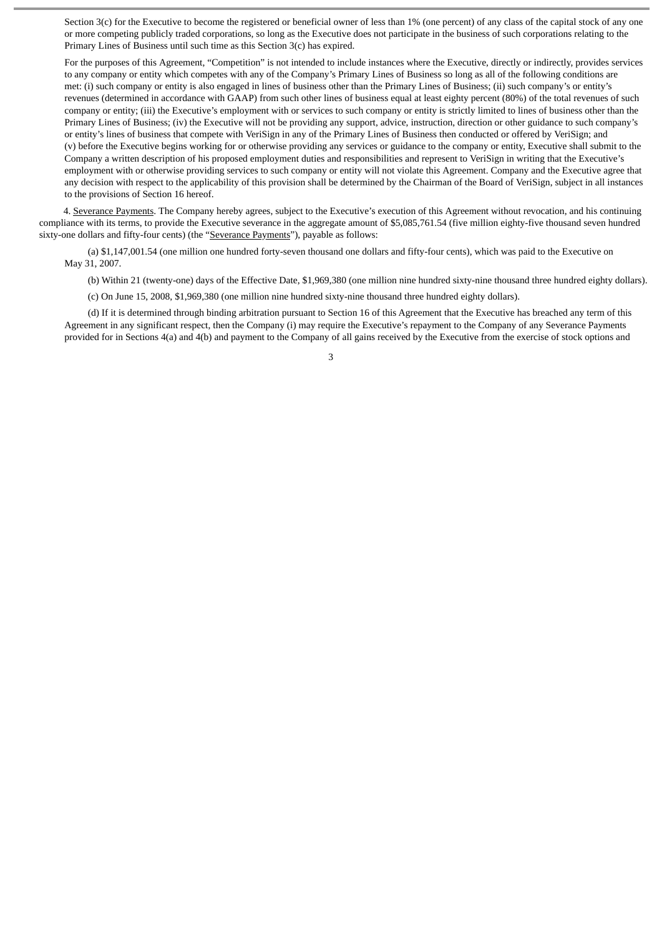Section 3(c) for the Executive to become the registered or beneficial owner of less than 1% (one percent) of any class of the capital stock of any one or more competing publicly traded corporations, so long as the Executive does not participate in the business of such corporations relating to the Primary Lines of Business until such time as this Section 3(c) has expired.

For the purposes of this Agreement, "Competition" is not intended to include instances where the Executive, directly or indirectly, provides services to any company or entity which competes with any of the Company's Primary Lines of Business so long as all of the following conditions are met: (i) such company or entity is also engaged in lines of business other than the Primary Lines of Business; (ii) such company's or entity's revenues (determined in accordance with GAAP) from such other lines of business equal at least eighty percent (80%) of the total revenues of such company or entity; (iii) the Executive's employment with or services to such company or entity is strictly limited to lines of business other than the Primary Lines of Business; (iv) the Executive will not be providing any support, advice, instruction, direction or other guidance to such company's or entity's lines of business that compete with VeriSign in any of the Primary Lines of Business then conducted or offered by VeriSign; and (v) before the Executive begins working for or otherwise providing any services or guidance to the company or entity, Executive shall submit to the Company a written description of his proposed employment duties and responsibilities and represent to VeriSign in writing that the Executive's employment with or otherwise providing services to such company or entity will not violate this Agreement. Company and the Executive agree that any decision with respect to the applicability of this provision shall be determined by the Chairman of the Board of VeriSign, subject in all instances to the provisions of Section 16 hereof.

4. Severance Payments. The Company hereby agrees, subject to the Executive's execution of this Agreement without revocation, and his continuing compliance with its terms, to provide the Executive severance in the aggregate amount of \$5,085,761.54 (five million eighty-five thousand seven hundred sixty-one dollars and fifty-four cents) (the "Severance Payments"), payable as follows:

(a) \$1,147,001.54 (one million one hundred forty-seven thousand one dollars and fifty-four cents), which was paid to the Executive on May 31, 2007.

(b) Within 21 (twenty-one) days of the Effective Date, \$1,969,380 (one million nine hundred sixty-nine thousand three hundred eighty dollars).

(c) On June 15, 2008, \$1,969,380 (one million nine hundred sixty-nine thousand three hundred eighty dollars).

(d) If it is determined through binding arbitration pursuant to Section 16 of this Agreement that the Executive has breached any term of this Agreement in any significant respect, then the Company (i) may require the Executive's repayment to the Company of any Severance Payments provided for in Sections 4(a) and 4(b) and payment to the Company of all gains received by the Executive from the exercise of stock options and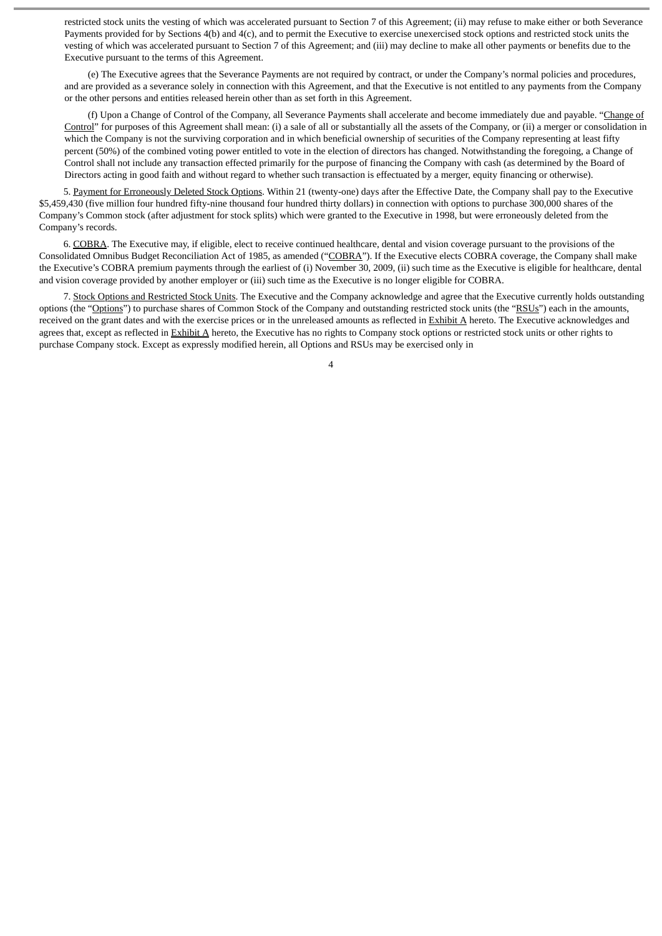restricted stock units the vesting of which was accelerated pursuant to Section 7 of this Agreement; (ii) may refuse to make either or both Severance Payments provided for by Sections 4(b) and 4(c), and to permit the Executive to exercise unexercised stock options and restricted stock units the vesting of which was accelerated pursuant to Section 7 of this Agreement; and (iii) may decline to make all other payments or benefits due to the Executive pursuant to the terms of this Agreement.

(e) The Executive agrees that the Severance Payments are not required by contract, or under the Company's normal policies and procedures, and are provided as a severance solely in connection with this Agreement, and that the Executive is not entitled to any payments from the Company or the other persons and entities released herein other than as set forth in this Agreement.

(f) Upon a Change of Control of the Company, all Severance Payments shall accelerate and become immediately due and payable. "Change of Control" for purposes of this Agreement shall mean: (i) a sale of all or substantially all the assets of the Company, or (ii) a merger or consolidation in which the Company is not the surviving corporation and in which beneficial ownership of securities of the Company representing at least fifty percent (50%) of the combined voting power entitled to vote in the election of directors has changed. Notwithstanding the foregoing, a Change of Control shall not include any transaction effected primarily for the purpose of financing the Company with cash (as determined by the Board of Directors acting in good faith and without regard to whether such transaction is effectuated by a merger, equity financing or otherwise).

5. Payment for Erroneously Deleted Stock Options. Within 21 (twenty-one) days after the Effective Date, the Company shall pay to the Executive \$5,459,430 (five million four hundred fifty-nine thousand four hundred thirty dollars) in connection with options to purchase 300,000 shares of the Company's Common stock (after adjustment for stock splits) which were granted to the Executive in 1998, but were erroneously deleted from the Company's records.

6. COBRA. The Executive may, if eligible, elect to receive continued healthcare, dental and vision coverage pursuant to the provisions of the Consolidated Omnibus Budget Reconciliation Act of 1985, as amended ("COBRA"). If the Executive elects COBRA coverage, the Company shall make the Executive's COBRA premium payments through the earliest of (i) November 30, 2009, (ii) such time as the Executive is eligible for healthcare, dental and vision coverage provided by another employer or (iii) such time as the Executive is no longer eligible for COBRA.

7. Stock Options and Restricted Stock Units. The Executive and the Company acknowledge and agree that the Executive currently holds outstanding options (the "Options") to purchase shares of Common Stock of the Company and outstanding restricted stock units (the "RSUs") each in the amounts, received on the grant dates and with the exercise prices or in the unreleased amounts as reflected in  $Exhibit A$  hereto. The Executive acknowledges and agrees that, except as reflected in  $\frac{Exhibit}{A}$  hereto, the Executive has no rights to Company stock options or restricted stock units or other rights to purchase Company stock. Except as expressly modified herein, all Options and RSUs may be exercised only in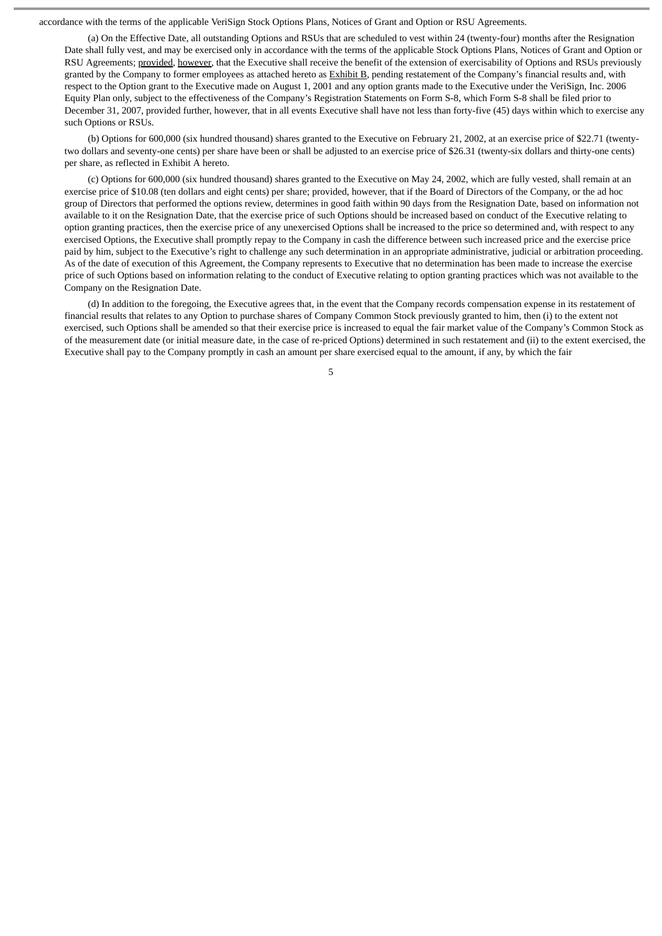accordance with the terms of the applicable VeriSign Stock Options Plans, Notices of Grant and Option or RSU Agreements.

(a) On the Effective Date, all outstanding Options and RSUs that are scheduled to vest within 24 (twenty-four) months after the Resignation Date shall fully vest, and may be exercised only in accordance with the terms of the applicable Stock Options Plans, Notices of Grant and Option or RSU Agreements; provided, however, that the Executive shall receive the benefit of the extension of exercisability of Options and RSUs previously granted by the Company to former employees as attached hereto as **Exhibit B**, pending restatement of the Company's financial results and, with respect to the Option grant to the Executive made on August 1, 2001 and any option grants made to the Executive under the VeriSign, Inc. 2006 Equity Plan only, subject to the effectiveness of the Company's Registration Statements on Form S-8, which Form S-8 shall be filed prior to December 31, 2007, provided further, however, that in all events Executive shall have not less than forty-five (45) days within which to exercise any such Options or RSUs.

(b) Options for 600,000 (six hundred thousand) shares granted to the Executive on February 21, 2002, at an exercise price of \$22.71 (twentytwo dollars and seventy-one cents) per share have been or shall be adjusted to an exercise price of \$26.31 (twenty-six dollars and thirty-one cents) per share, as reflected in Exhibit A hereto.

(c) Options for 600,000 (six hundred thousand) shares granted to the Executive on May 24, 2002, which are fully vested, shall remain at an exercise price of \$10.08 (ten dollars and eight cents) per share; provided, however, that if the Board of Directors of the Company, or the ad hoc group of Directors that performed the options review, determines in good faith within 90 days from the Resignation Date, based on information not available to it on the Resignation Date, that the exercise price of such Options should be increased based on conduct of the Executive relating to option granting practices, then the exercise price of any unexercised Options shall be increased to the price so determined and, with respect to any exercised Options, the Executive shall promptly repay to the Company in cash the difference between such increased price and the exercise price paid by him, subject to the Executive's right to challenge any such determination in an appropriate administrative, judicial or arbitration proceeding. As of the date of execution of this Agreement, the Company represents to Executive that no determination has been made to increase the exercise price of such Options based on information relating to the conduct of Executive relating to option granting practices which was not available to the Company on the Resignation Date.

(d) In addition to the foregoing, the Executive agrees that, in the event that the Company records compensation expense in its restatement of financial results that relates to any Option to purchase shares of Company Common Stock previously granted to him, then (i) to the extent not exercised, such Options shall be amended so that their exercise price is increased to equal the fair market value of the Company's Common Stock as of the measurement date (or initial measure date, in the case of re-priced Options) determined in such restatement and (ii) to the extent exercised, the Executive shall pay to the Company promptly in cash an amount per share exercised equal to the amount, if any, by which the fair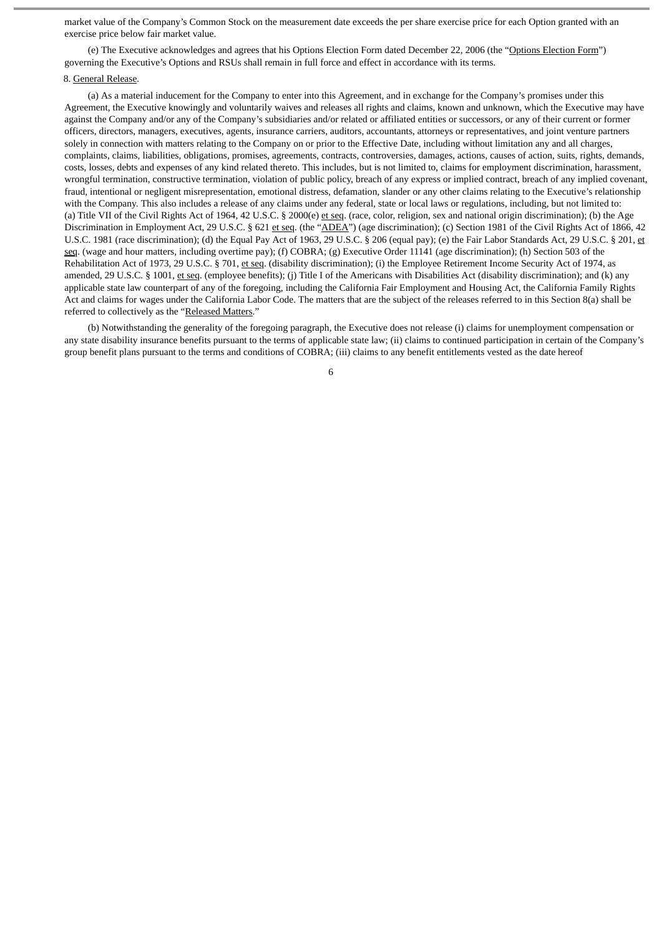market value of the Company's Common Stock on the measurement date exceeds the per share exercise price for each Option granted with an exercise price below fair market value.

(e) The Executive acknowledges and agrees that his Options Election Form dated December 22, 2006 (the "Options Election Form") governing the Executive's Options and RSUs shall remain in full force and effect in accordance with its terms.

### 8. General Release.

(a) As a material inducement for the Company to enter into this Agreement, and in exchange for the Company's promises under this Agreement, the Executive knowingly and voluntarily waives and releases all rights and claims, known and unknown, which the Executive may have against the Company and/or any of the Company's subsidiaries and/or related or affiliated entities or successors, or any of their current or former officers, directors, managers, executives, agents, insurance carriers, auditors, accountants, attorneys or representatives, and joint venture partners solely in connection with matters relating to the Company on or prior to the Effective Date, including without limitation any and all charges, complaints, claims, liabilities, obligations, promises, agreements, contracts, controversies, damages, actions, causes of action, suits, rights, demands, costs, losses, debts and expenses of any kind related thereto. This includes, but is not limited to, claims for employment discrimination, harassment, wrongful termination, constructive termination, violation of public policy, breach of any express or implied contract, breach of any implied covenant, fraud, intentional or negligent misrepresentation, emotional distress, defamation, slander or any other claims relating to the Executive's relationship with the Company. This also includes a release of any claims under any federal, state or local laws or regulations, including, but not limited to: (a) Title VII of the Civil Rights Act of 1964, 42 U.S.C. § 2000(e) et seq. (race, color, religion, sex and national origin discrimination); (b) the Age Discrimination in Employment Act, 29 U.S.C. § 621 et seq. (the "ADEA") (age discrimination); (c) Section 1981 of the Civil Rights Act of 1866, 42 U.S.C. 1981 (race discrimination); (d) the Equal Pay Act of 1963, 29 U.S.C. § 206 (equal pay); (e) the Fair Labor Standards Act, 29 U.S.C. § 201, et seq. (wage and hour matters, including overtime pay); (f) COBRA; (g) Executive Order 11141 (age discrimination); (h) Section 503 of the Rehabilitation Act of 1973, 29 U.S.C. § 701, et seq. (disability discrimination); (i) the Employee Retirement Income Security Act of 1974, as amended, 29 U.S.C. § 1001, et seq. (employee benefits); (j) Title I of the Americans with Disabilities Act (disability discrimination); and (k) any applicable state law counterpart of any of the foregoing, including the California Fair Employment and Housing Act, the California Family Rights Act and claims for wages under the California Labor Code. The matters that are the subject of the releases referred to in this Section 8(a) shall be referred to collectively as the "Released Matters."

(b) Notwithstanding the generality of the foregoing paragraph, the Executive does not release (i) claims for unemployment compensation or any state disability insurance benefits pursuant to the terms of applicable state law; (ii) claims to continued participation in certain of the Company's group benefit plans pursuant to the terms and conditions of COBRA; (iii) claims to any benefit entitlements vested as the date hereof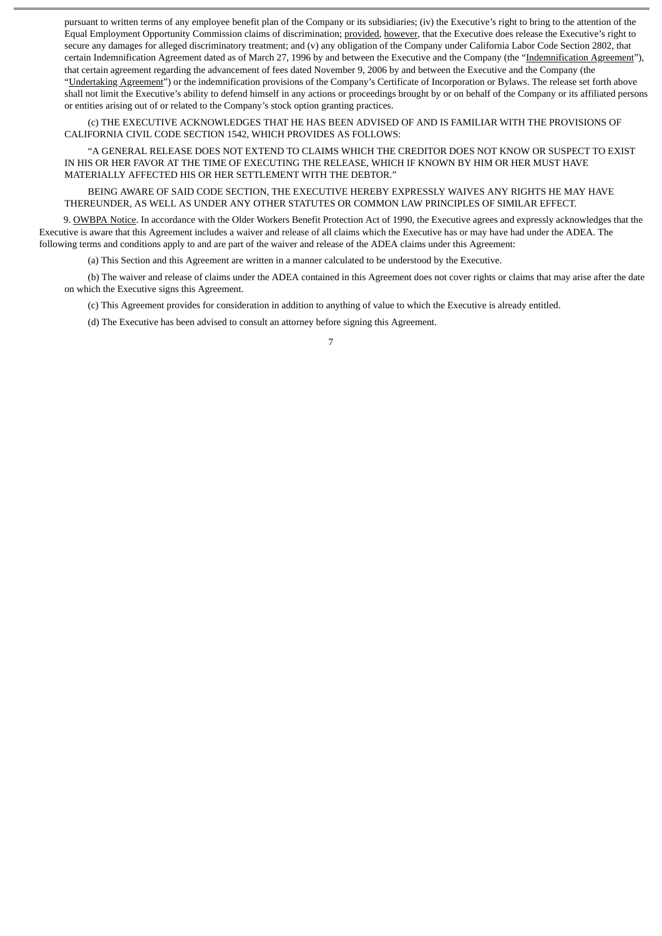pursuant to written terms of any employee benefit plan of the Company or its subsidiaries; (iv) the Executive's right to bring to the attention of the Equal Employment Opportunity Commission claims of discrimination; provided, however, that the Executive does release the Executive's right to secure any damages for alleged discriminatory treatment; and (v) any obligation of the Company under California Labor Code Section 2802, that certain Indemnification Agreement dated as of March 27, 1996 by and between the Executive and the Company (the "Indemnification Agreement"), that certain agreement regarding the advancement of fees dated November 9, 2006 by and between the Executive and the Company (the "Undertaking Agreement") or the indemnification provisions of the Company's Certificate of Incorporation or Bylaws. The release set forth above shall not limit the Executive's ability to defend himself in any actions or proceedings brought by or on behalf of the Company or its affiliated persons or entities arising out of or related to the Company's stock option granting practices.

(c) THE EXECUTIVE ACKNOWLEDGES THAT HE HAS BEEN ADVISED OF AND IS FAMILIAR WITH THE PROVISIONS OF CALIFORNIA CIVIL CODE SECTION 1542, WHICH PROVIDES AS FOLLOWS:

"A GENERAL RELEASE DOES NOT EXTEND TO CLAIMS WHICH THE CREDITOR DOES NOT KNOW OR SUSPECT TO EXIST IN HIS OR HER FAVOR AT THE TIME OF EXECUTING THE RELEASE, WHICH IF KNOWN BY HIM OR HER MUST HAVE MATERIALLY AFFECTED HIS OR HER SETTLEMENT WITH THE DEBTOR."

BEING AWARE OF SAID CODE SECTION, THE EXECUTIVE HEREBY EXPRESSLY WAIVES ANY RIGHTS HE MAY HAVE THEREUNDER, AS WELL AS UNDER ANY OTHER STATUTES OR COMMON LAW PRINCIPLES OF SIMILAR EFFECT.

9. OWBPA Notice. In accordance with the Older Workers Benefit Protection Act of 1990, the Executive agrees and expressly acknowledges that the Executive is aware that this Agreement includes a waiver and release of all claims which the Executive has or may have had under the ADEA. The following terms and conditions apply to and are part of the waiver and release of the ADEA claims under this Agreement:

(a) This Section and this Agreement are written in a manner calculated to be understood by the Executive.

(b) The waiver and release of claims under the ADEA contained in this Agreement does not cover rights or claims that may arise after the date on which the Executive signs this Agreement.

(c) This Agreement provides for consideration in addition to anything of value to which the Executive is already entitled.

(d) The Executive has been advised to consult an attorney before signing this Agreement.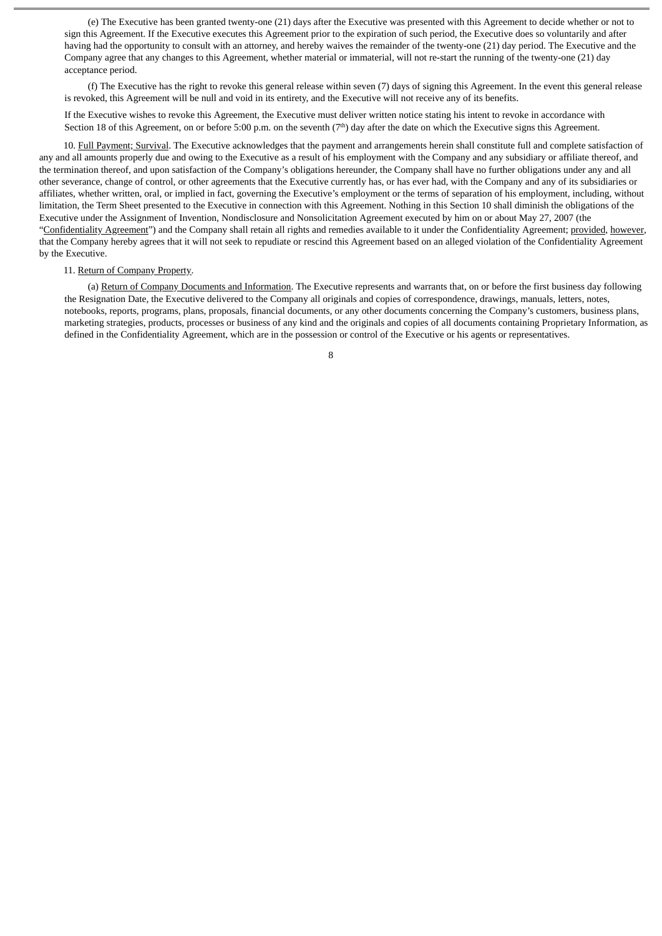(e) The Executive has been granted twenty-one (21) days after the Executive was presented with this Agreement to decide whether or not to sign this Agreement. If the Executive executes this Agreement prior to the expiration of such period, the Executive does so voluntarily and after having had the opportunity to consult with an attorney, and hereby waives the remainder of the twenty-one (21) day period. The Executive and the Company agree that any changes to this Agreement, whether material or immaterial, will not re-start the running of the twenty-one (21) day acceptance period.

(f) The Executive has the right to revoke this general release within seven (7) days of signing this Agreement. In the event this general release is revoked, this Agreement will be null and void in its entirety, and the Executive will not receive any of its benefits.

If the Executive wishes to revoke this Agreement, the Executive must deliver written notice stating his intent to revoke in accordance with Section 18 of this Agreement, on or before 5:00 p.m. on the seventh  $(7<sup>th</sup>)$  day after the date on which the Executive signs this Agreement.

10. Full Payment; Survival. The Executive acknowledges that the payment and arrangements herein shall constitute full and complete satisfaction of any and all amounts properly due and owing to the Executive as a result of his employment with the Company and any subsidiary or affiliate thereof, and the termination thereof, and upon satisfaction of the Company's obligations hereunder, the Company shall have no further obligations under any and all other severance, change of control, or other agreements that the Executive currently has, or has ever had, with the Company and any of its subsidiaries or affiliates, whether written, oral, or implied in fact, governing the Executive's employment or the terms of separation of his employment, including, without limitation, the Term Sheet presented to the Executive in connection with this Agreement. Nothing in this Section 10 shall diminish the obligations of the Executive under the Assignment of Invention, Nondisclosure and Nonsolicitation Agreement executed by him on or about May 27, 2007 (the "Confidentiality Agreement") and the Company shall retain all rights and remedies available to it under the Confidentiality Agreement; provided, however, that the Company hereby agrees that it will not seek to repudiate or rescind this Agreement based on an alleged violation of the Confidentiality Agreement by the Executive.

#### 11. Return of Company Property.

(a) Return of Company Documents and Information. The Executive represents and warrants that, on or before the first business day following the Resignation Date, the Executive delivered to the Company all originals and copies of correspondence, drawings, manuals, letters, notes, notebooks, reports, programs, plans, proposals, financial documents, or any other documents concerning the Company's customers, business plans, marketing strategies, products, processes or business of any kind and the originals and copies of all documents containing Proprietary Information, as defined in the Confidentiality Agreement, which are in the possession or control of the Executive or his agents or representatives.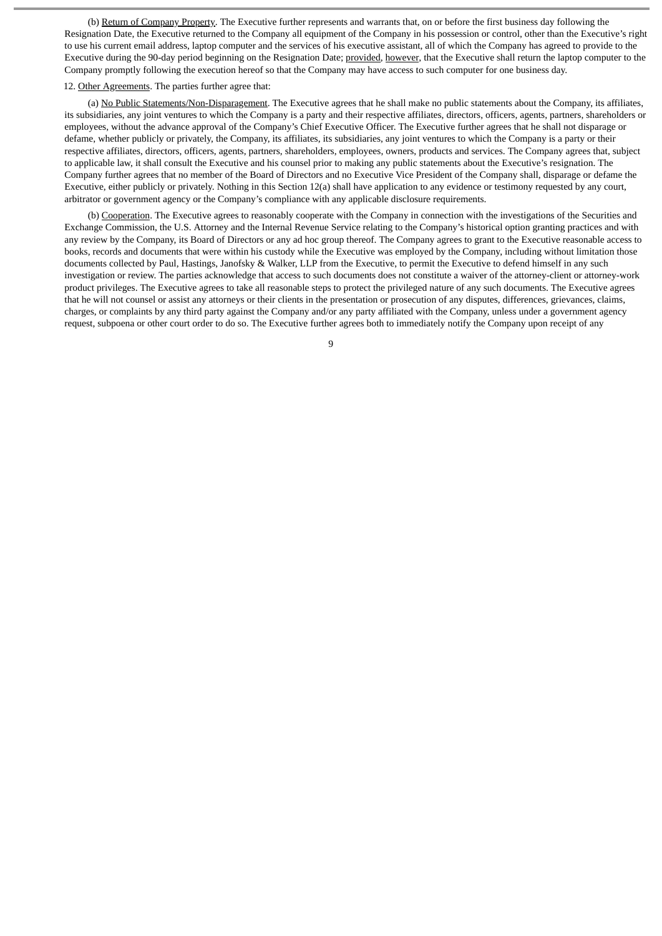(b) Return of Company Property. The Executive further represents and warrants that, on or before the first business day following the Resignation Date, the Executive returned to the Company all equipment of the Company in his possession or control, other than the Executive's right to use his current email address, laptop computer and the services of his executive assistant, all of which the Company has agreed to provide to the Executive during the 90-day period beginning on the Resignation Date; provided, however, that the Executive shall return the laptop computer to the Company promptly following the execution hereof so that the Company may have access to such computer for one business day.

#### 12. Other Agreements. The parties further agree that:

(a) No Public Statements/Non-Disparagement. The Executive agrees that he shall make no public statements about the Company, its affiliates, its subsidiaries, any joint ventures to which the Company is a party and their respective affiliates, directors, officers, agents, partners, shareholders or employees, without the advance approval of the Company's Chief Executive Officer. The Executive further agrees that he shall not disparage or defame, whether publicly or privately, the Company, its affiliates, its subsidiaries, any joint ventures to which the Company is a party or their respective affiliates, directors, officers, agents, partners, shareholders, employees, owners, products and services. The Company agrees that, subject to applicable law, it shall consult the Executive and his counsel prior to making any public statements about the Executive's resignation. The Company further agrees that no member of the Board of Directors and no Executive Vice President of the Company shall, disparage or defame the Executive, either publicly or privately. Nothing in this Section 12(a) shall have application to any evidence or testimony requested by any court, arbitrator or government agency or the Company's compliance with any applicable disclosure requirements.

(b) Cooperation. The Executive agrees to reasonably cooperate with the Company in connection with the investigations of the Securities and Exchange Commission, the U.S. Attorney and the Internal Revenue Service relating to the Company's historical option granting practices and with any review by the Company, its Board of Directors or any ad hoc group thereof. The Company agrees to grant to the Executive reasonable access to books, records and documents that were within his custody while the Executive was employed by the Company, including without limitation those documents collected by Paul, Hastings, Janofsky & Walker, LLP from the Executive, to permit the Executive to defend himself in any such investigation or review. The parties acknowledge that access to such documents does not constitute a waiver of the attorney-client or attorney-work product privileges. The Executive agrees to take all reasonable steps to protect the privileged nature of any such documents. The Executive agrees that he will not counsel or assist any attorneys or their clients in the presentation or prosecution of any disputes, differences, grievances, claims, charges, or complaints by any third party against the Company and/or any party affiliated with the Company, unless under a government agency request, subpoena or other court order to do so. The Executive further agrees both to immediately notify the Company upon receipt of any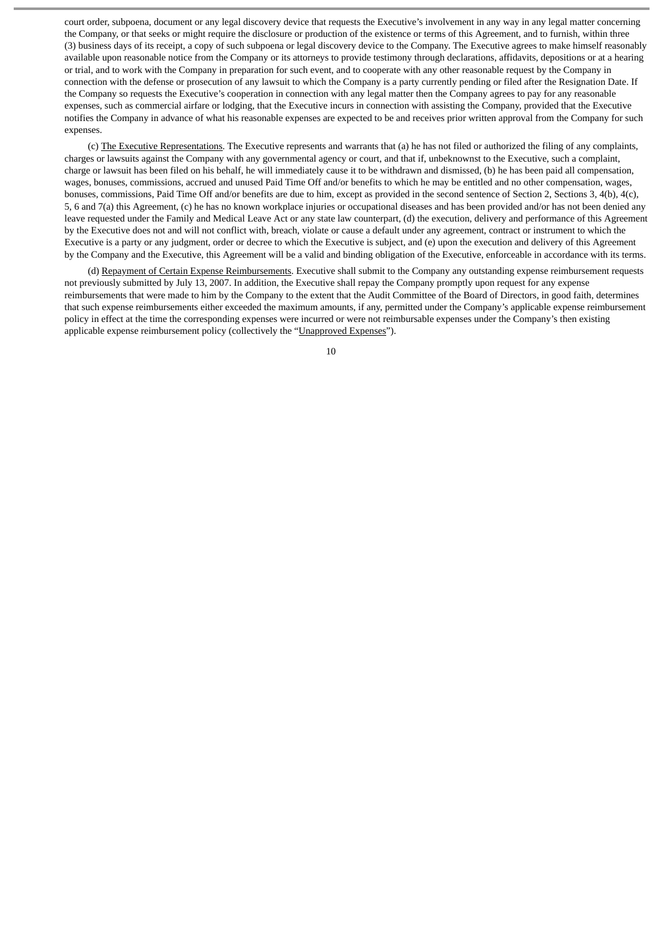court order, subpoena, document or any legal discovery device that requests the Executive's involvement in any way in any legal matter concerning the Company, or that seeks or might require the disclosure or production of the existence or terms of this Agreement, and to furnish, within three (3) business days of its receipt, a copy of such subpoena or legal discovery device to the Company. The Executive agrees to make himself reasonably available upon reasonable notice from the Company or its attorneys to provide testimony through declarations, affidavits, depositions or at a hearing or trial, and to work with the Company in preparation for such event, and to cooperate with any other reasonable request by the Company in connection with the defense or prosecution of any lawsuit to which the Company is a party currently pending or filed after the Resignation Date. If the Company so requests the Executive's cooperation in connection with any legal matter then the Company agrees to pay for any reasonable expenses, such as commercial airfare or lodging, that the Executive incurs in connection with assisting the Company, provided that the Executive notifies the Company in advance of what his reasonable expenses are expected to be and receives prior written approval from the Company for such expenses.

(c) The Executive Representations. The Executive represents and warrants that (a) he has not filed or authorized the filing of any complaints, charges or lawsuits against the Company with any governmental agency or court, and that if, unbeknownst to the Executive, such a complaint, charge or lawsuit has been filed on his behalf, he will immediately cause it to be withdrawn and dismissed, (b) he has been paid all compensation, wages, bonuses, commissions, accrued and unused Paid Time Off and/or benefits to which he may be entitled and no other compensation, wages, bonuses, commissions, Paid Time Off and/or benefits are due to him, except as provided in the second sentence of Section 2, Sections 3, 4(b), 4(c), 5, 6 and 7(a) this Agreement, (c) he has no known workplace injuries or occupational diseases and has been provided and/or has not been denied any leave requested under the Family and Medical Leave Act or any state law counterpart, (d) the execution, delivery and performance of this Agreement by the Executive does not and will not conflict with, breach, violate or cause a default under any agreement, contract or instrument to which the Executive is a party or any judgment, order or decree to which the Executive is subject, and (e) upon the execution and delivery of this Agreement by the Company and the Executive, this Agreement will be a valid and binding obligation of the Executive, enforceable in accordance with its terms.

(d) Repayment of Certain Expense Reimbursements. Executive shall submit to the Company any outstanding expense reimbursement requests not previously submitted by July 13, 2007. In addition, the Executive shall repay the Company promptly upon request for any expense reimbursements that were made to him by the Company to the extent that the Audit Committee of the Board of Directors, in good faith, determines that such expense reimbursements either exceeded the maximum amounts, if any, permitted under the Company's applicable expense reimbursement policy in effect at the time the corresponding expenses were incurred or were not reimbursable expenses under the Company's then existing applicable expense reimbursement policy (collectively the "Unapproved Expenses").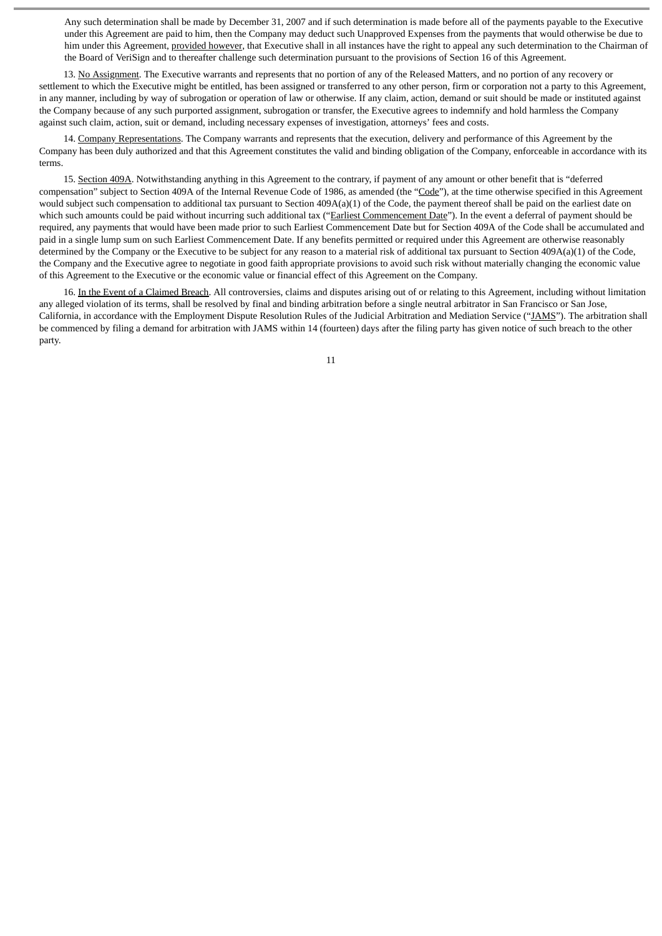Any such determination shall be made by December 31, 2007 and if such determination is made before all of the payments payable to the Executive under this Agreement are paid to him, then the Company may deduct such Unapproved Expenses from the payments that would otherwise be due to him under this Agreement, provided however, that Executive shall in all instances have the right to appeal any such determination to the Chairman of the Board of VeriSign and to thereafter challenge such determination pursuant to the provisions of Section 16 of this Agreement.

13. No Assignment. The Executive warrants and represents that no portion of any of the Released Matters, and no portion of any recovery or settlement to which the Executive might be entitled, has been assigned or transferred to any other person, firm or corporation not a party to this Agreement, in any manner, including by way of subrogation or operation of law or otherwise. If any claim, action, demand or suit should be made or instituted against the Company because of any such purported assignment, subrogation or transfer, the Executive agrees to indemnify and hold harmless the Company against such claim, action, suit or demand, including necessary expenses of investigation, attorneys' fees and costs.

14. Company Representations. The Company warrants and represents that the execution, delivery and performance of this Agreement by the Company has been duly authorized and that this Agreement constitutes the valid and binding obligation of the Company, enforceable in accordance with its terms.

15. Section 409A. Notwithstanding anything in this Agreement to the contrary, if payment of any amount or other benefit that is "deferred compensation" subject to Section 409A of the Internal Revenue Code of 1986, as amended (the "Code"), at the time otherwise specified in this Agreement would subject such compensation to additional tax pursuant to Section 409A(a)(1) of the Code, the payment thereof shall be paid on the earliest date on which such amounts could be paid without incurring such additional tax ("Earliest Commencement Date"). In the event a deferral of payment should be required, any payments that would have been made prior to such Earliest Commencement Date but for Section 409A of the Code shall be accumulated and paid in a single lump sum on such Earliest Commencement Date. If any benefits permitted or required under this Agreement are otherwise reasonably determined by the Company or the Executive to be subject for any reason to a material risk of additional tax pursuant to Section 409A(a)(1) of the Code, the Company and the Executive agree to negotiate in good faith appropriate provisions to avoid such risk without materially changing the economic value of this Agreement to the Executive or the economic value or financial effect of this Agreement on the Company.

16. In the Event of a Claimed Breach. All controversies, claims and disputes arising out of or relating to this Agreement, including without limitation any alleged violation of its terms, shall be resolved by final and binding arbitration before a single neutral arbitrator in San Francisco or San Jose, California, in accordance with the Employment Dispute Resolution Rules of the Judicial Arbitration and Mediation Service ("JAMS"). The arbitration shall be commenced by filing a demand for arbitration with JAMS within 14 (fourteen) days after the filing party has given notice of such breach to the other party.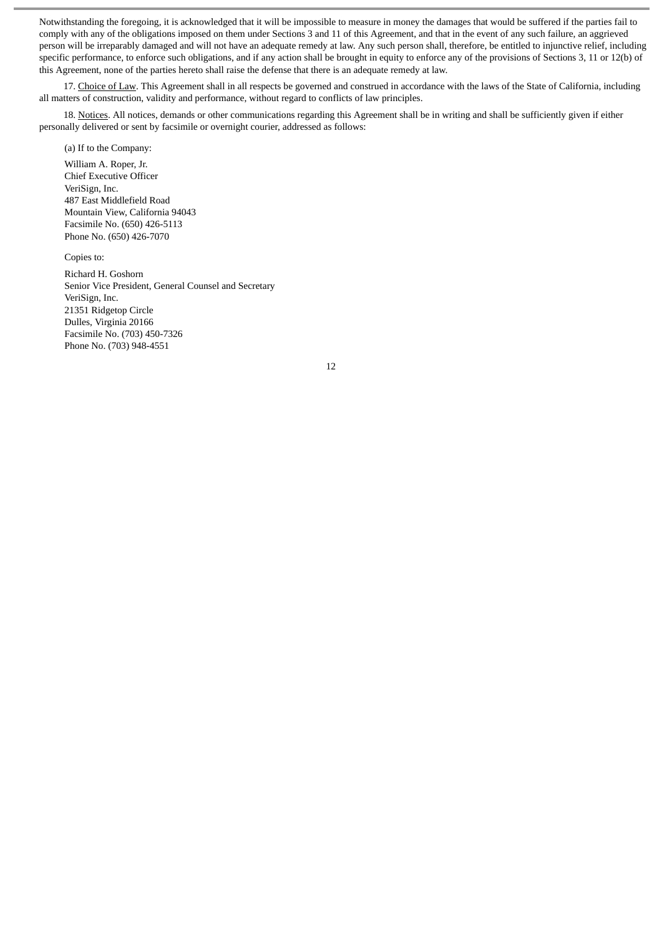Notwithstanding the foregoing, it is acknowledged that it will be impossible to measure in money the damages that would be suffered if the parties fail to comply with any of the obligations imposed on them under Sections 3 and 11 of this Agreement, and that in the event of any such failure, an aggrieved person will be irreparably damaged and will not have an adequate remedy at law. Any such person shall, therefore, be entitled to injunctive relief, including specific performance, to enforce such obligations, and if any action shall be brought in equity to enforce any of the provisions of Sections 3, 11 or 12(b) of this Agreement, none of the parties hereto shall raise the defense that there is an adequate remedy at law.

17. Choice of Law. This Agreement shall in all respects be governed and construed in accordance with the laws of the State of California, including all matters of construction, validity and performance, without regard to conflicts of law principles.

18. Notices. All notices, demands or other communications regarding this Agreement shall be in writing and shall be sufficiently given if either personally delivered or sent by facsimile or overnight courier, addressed as follows:

(a) If to the Company:

William A. Roper, Jr. Chief Executive Officer VeriSign, Inc. 487 East Middlefield Road Mountain View, California 94043 Facsimile No. (650) 426-5113 Phone No. (650) 426-7070

Copies to:

Richard H. Goshorn Senior Vice President, General Counsel and Secretary VeriSign, Inc. 21351 Ridgetop Circle Dulles, Virginia 20166 Facsimile No. (703) 450-7326 Phone No. (703) 948-4551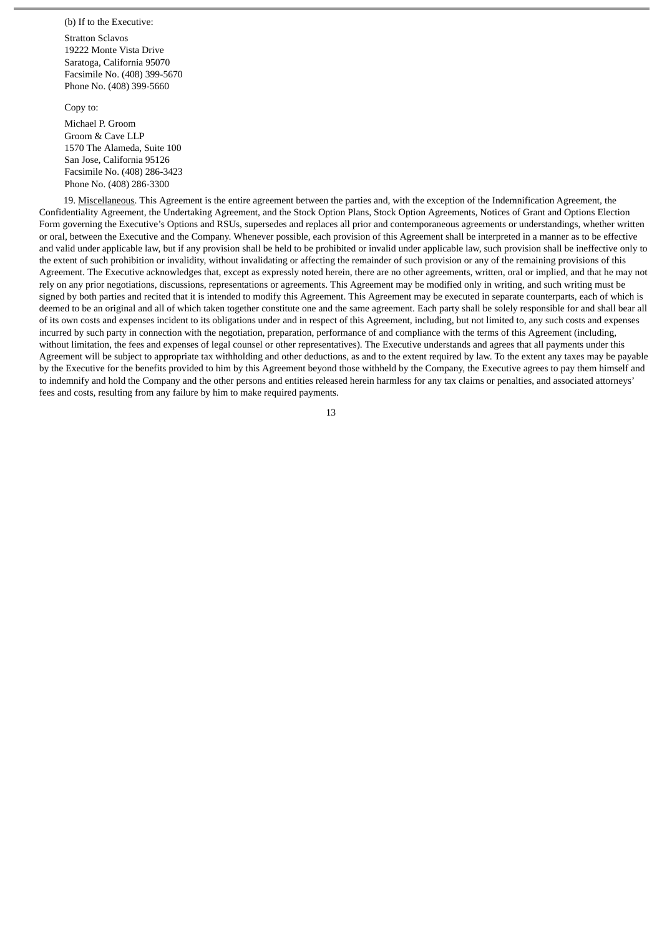(b) If to the Executive:

Stratton Sclavos 19222 Monte Vista Drive Saratoga, California 95070 Facsimile No. (408) 399-5670 Phone No. (408) 399-5660

Copy to:

Michael P. Groom Groom & Cave LLP 1570 The Alameda, Suite 100 San Jose, California 95126 Facsimile No. (408) 286-3423 Phone No. (408) 286-3300

19. Miscellaneous. This Agreement is the entire agreement between the parties and, with the exception of the Indemnification Agreement, the Confidentiality Agreement, the Undertaking Agreement, and the Stock Option Plans, Stock Option Agreements, Notices of Grant and Options Election Form governing the Executive's Options and RSUs, supersedes and replaces all prior and contemporaneous agreements or understandings, whether written or oral, between the Executive and the Company. Whenever possible, each provision of this Agreement shall be interpreted in a manner as to be effective and valid under applicable law, but if any provision shall be held to be prohibited or invalid under applicable law, such provision shall be ineffective only to the extent of such prohibition or invalidity, without invalidating or affecting the remainder of such provision or any of the remaining provisions of this Agreement. The Executive acknowledges that, except as expressly noted herein, there are no other agreements, written, oral or implied, and that he may not rely on any prior negotiations, discussions, representations or agreements. This Agreement may be modified only in writing, and such writing must be signed by both parties and recited that it is intended to modify this Agreement. This Agreement may be executed in separate counterparts, each of which is deemed to be an original and all of which taken together constitute one and the same agreement. Each party shall be solely responsible for and shall bear all of its own costs and expenses incident to its obligations under and in respect of this Agreement, including, but not limited to, any such costs and expenses incurred by such party in connection with the negotiation, preparation, performance of and compliance with the terms of this Agreement (including, without limitation, the fees and expenses of legal counsel or other representatives). The Executive understands and agrees that all payments under this Agreement will be subject to appropriate tax withholding and other deductions, as and to the extent required by law. To the extent any taxes may be payable by the Executive for the benefits provided to him by this Agreement beyond those withheld by the Company, the Executive agrees to pay them himself and to indemnify and hold the Company and the other persons and entities released herein harmless for any tax claims or penalties, and associated attorneys' fees and costs, resulting from any failure by him to make required payments.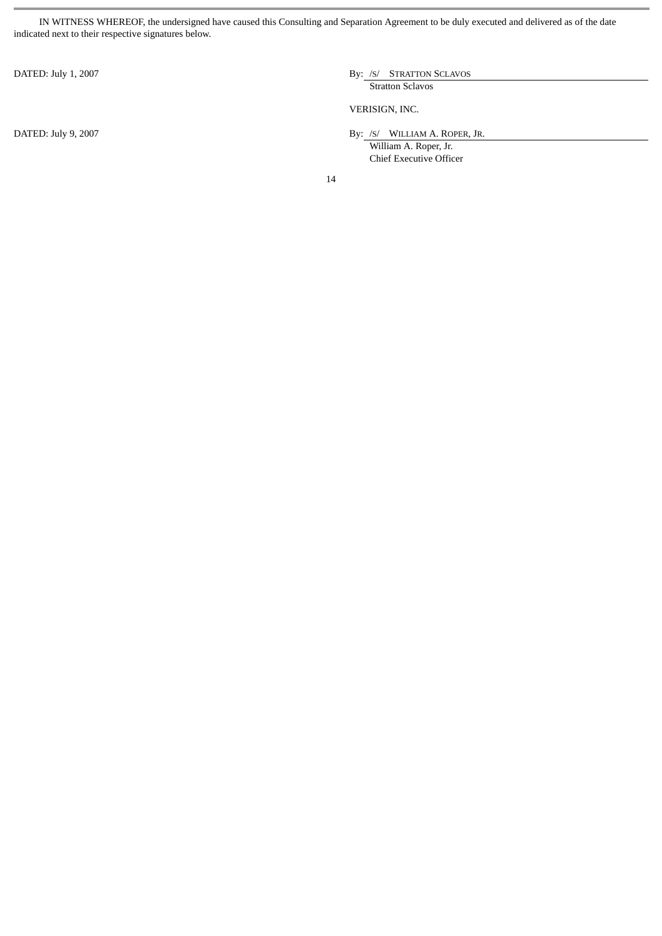IN WITNESS WHEREOF, the undersigned have caused this Consulting and Separation Agreement to be duly executed and delivered as of the date indicated next to their respective signatures below.

DATED: July 1, 2007 By: /S/ STRATTON SCLAVOS

Stratton Sclavos

VERISIGN, INC.

DATED: July 9, 2007 By: /S/ WILLIAM A. ROPER, JR.

William A. Roper, Jr. Chief Executive Officer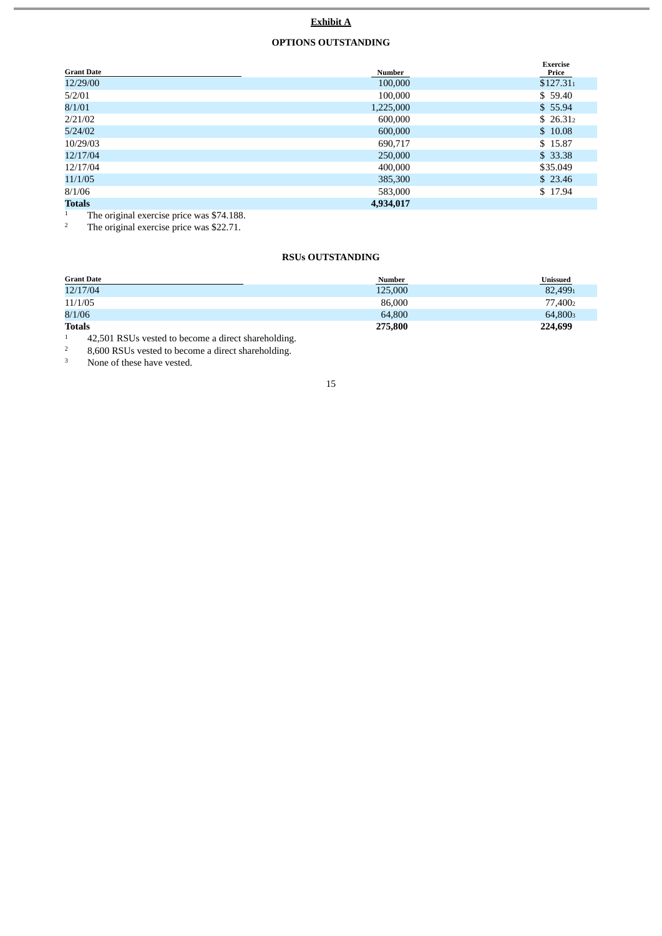# **Exhibit A**

# **OPTIONS OUTSTANDING**

|                   |           | <b>Exercise</b> |
|-------------------|-----------|-----------------|
| <b>Grant Date</b> | Number    | Price           |
| 12/29/00          | 100,000   | \$127.311       |
| 5/2/01            | 100,000   | \$59.40         |
| 8/1/01            | 1,225,000 | \$55.94         |
| 2/21/02           | 600,000   | \$26.312        |
| 5/24/02           | 600,000   | \$10.08         |
| 10/29/03          | 690,717   | \$15.87         |
| 12/17/04          | 250,000   | \$33.38         |
| 12/17/04          | 400,000   | \$35.049        |
| 11/1/05           | 385,300   | \$23.46         |
| 8/1/06            | 583,000   | \$17.94         |
| <b>Totals</b>     | 4,934,017 |                 |

1 The original exercise price was \$74.188. 2

The original exercise price was \$22.71.

# **RSUs OUTSTANDING**

| <b>Grant Date</b> | <b>Number</b> | <b>Unissued</b> |
|-------------------|---------------|-----------------|
| 12/17/04          | 125,000       | 82,4991         |
| 11/1/05           | 86,000        | 77,4002         |
| 8/1/06            | 64,800        | 64,8003         |
| <b>Totals</b>     | 275,800       | 224,699         |

1 42,501 RSUs vested to become a direct shareholding.

2 8,600 RSUs vested to become a direct shareholding.

3 None of these have vested.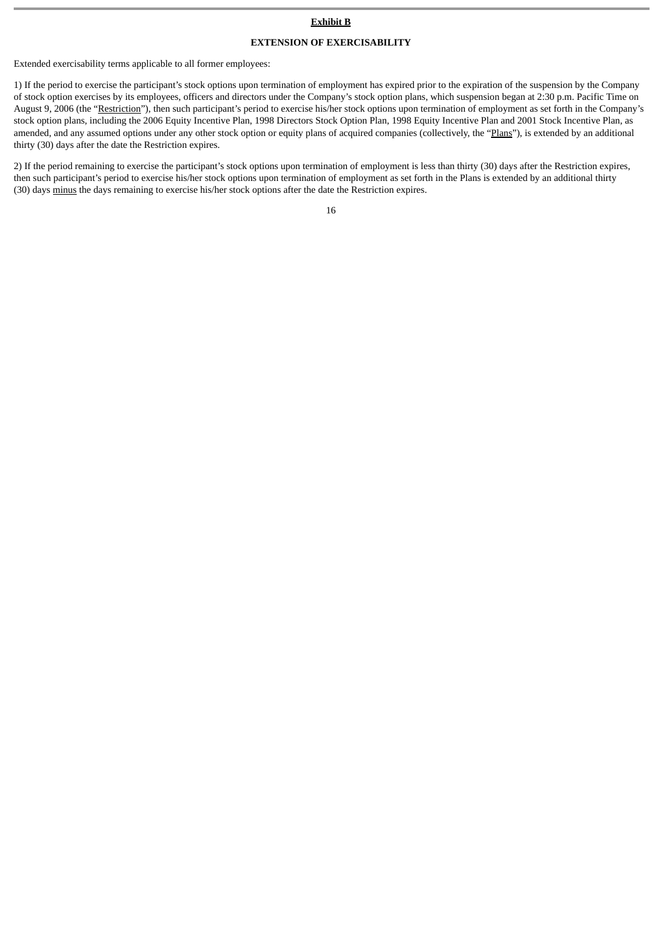### **Exhibit B**

## **EXTENSION OF EXERCISABILITY**

Extended exercisability terms applicable to all former employees:

1) If the period to exercise the participant's stock options upon termination of employment has expired prior to the expiration of the suspension by the Company of stock option exercises by its employees, officers and directors under the Company's stock option plans, which suspension began at 2:30 p.m. Pacific Time on August 9, 2006 (the "Restriction"), then such participant's period to exercise his/her stock options upon termination of employment as set forth in the Company's stock option plans, including the 2006 Equity Incentive Plan, 1998 Directors Stock Option Plan, 1998 Equity Incentive Plan and 2001 Stock Incentive Plan, as amended, and any assumed options under any other stock option or equity plans of acquired companies (collectively, the "Plans"), is extended by an additional thirty (30) days after the date the Restriction expires.

2) If the period remaining to exercise the participant's stock options upon termination of employment is less than thirty (30) days after the Restriction expires, then such participant's period to exercise his/her stock options upon termination of employment as set forth in the Plans is extended by an additional thirty (30) days minus the days remaining to exercise his/her stock options after the date the Restriction expires.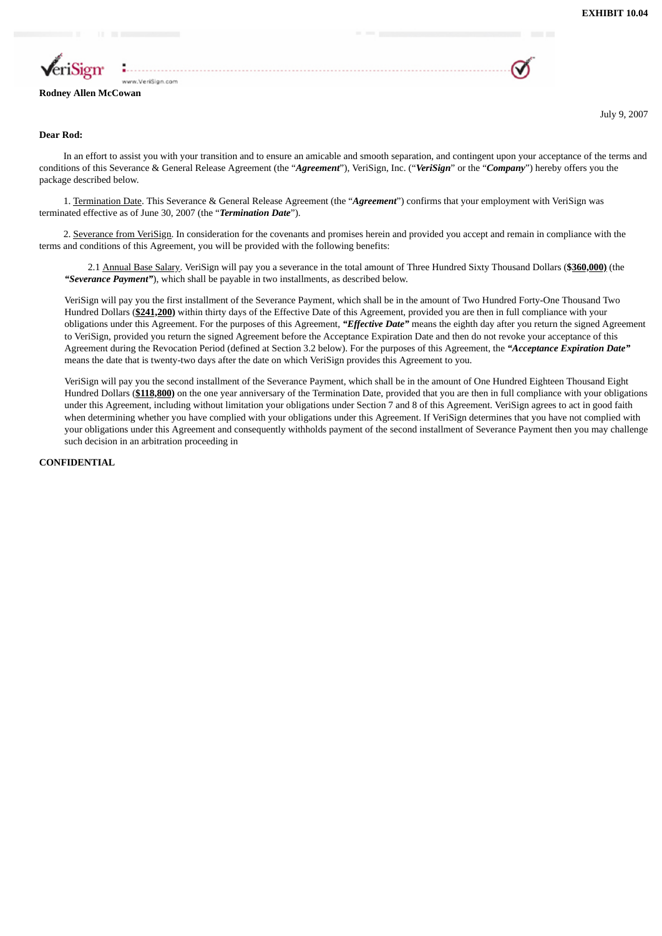

#### **Rodney Allen McCowan**

www.VeriSign.com

July 9, 2007

#### **Dear Rod:**

In an effort to assist you with your transition and to ensure an amicable and smooth separation, and contingent upon your acceptance of the terms and conditions of this Severance & General Release Agreement (the "*Agreement*"), VeriSign, Inc. ("*VeriSign*" or the "*Company*") hereby offers you the package described below.

1. Termination Date. This Severance & General Release Agreement (the "*Agreement*") confirms that your employment with VeriSign was terminated effective as of June 30, 2007 (the "*Termination Date*").

2. Severance from VeriSign. In consideration for the covenants and promises herein and provided you accept and remain in compliance with the terms and conditions of this Agreement, you will be provided with the following benefits:

2.1 Annual Base Salary. VeriSign will pay you a severance in the total amount of Three Hundred Sixty Thousand Dollars (**\$360,000)** (the *"Severance Payment"*), which shall be payable in two installments, as described below.

VeriSign will pay you the first installment of the Severance Payment, which shall be in the amount of Two Hundred Forty-One Thousand Two Hundred Dollars (**\$241,200)** within thirty days of the Effective Date of this Agreement, provided you are then in full compliance with your obligations under this Agreement. For the purposes of this Agreement, *"Effective Date"* means the eighth day after you return the signed Agreement to VeriSign, provided you return the signed Agreement before the Acceptance Expiration Date and then do not revoke your acceptance of this Agreement during the Revocation Period (defined at Section 3.2 below). For the purposes of this Agreement, the *"Acceptance Expiration Date"* means the date that is twenty-two days after the date on which VeriSign provides this Agreement to you.

VeriSign will pay you the second installment of the Severance Payment, which shall be in the amount of One Hundred Eighteen Thousand Eight Hundred Dollars (**\$118,800)** on the one year anniversary of the Termination Date, provided that you are then in full compliance with your obligations under this Agreement, including without limitation your obligations under Section 7 and 8 of this Agreement. VeriSign agrees to act in good faith when determining whether you have complied with your obligations under this Agreement. If VeriSign determines that you have not complied with your obligations under this Agreement and consequently withholds payment of the second installment of Severance Payment then you may challenge such decision in an arbitration proceeding in

#### **CONFIDENTIAL**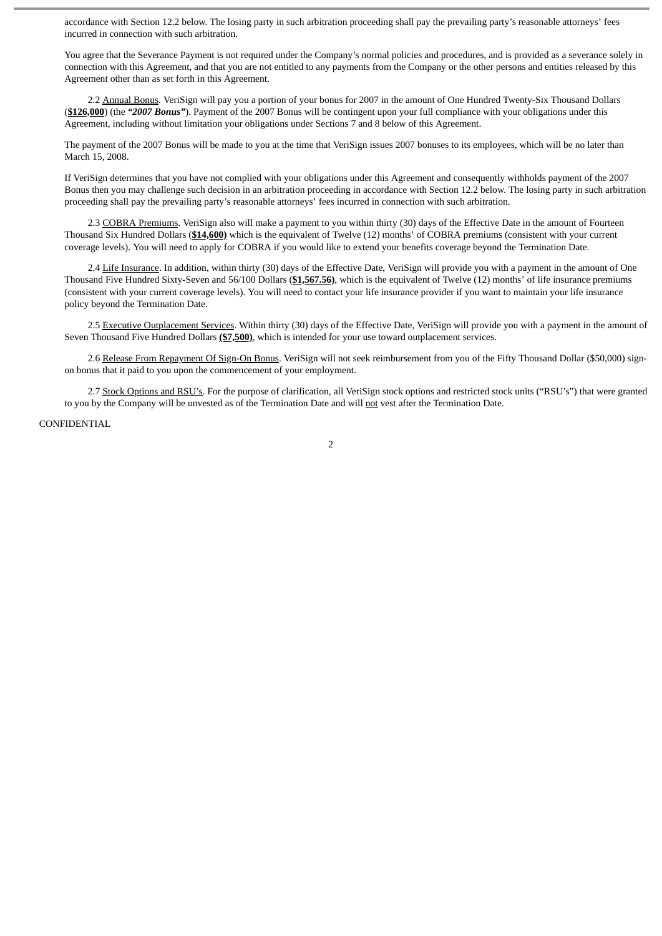accordance with Section 12.2 below. The losing party in such arbitration proceeding shall pay the prevailing party's reasonable attorneys' fees incurred in connection with such arbitration.

You agree that the Severance Payment is not required under the Company's normal policies and procedures, and is provided as a severance solely in connection with this Agreement, and that you are not entitled to any payments from the Company or the other persons and entities released by this Agreement other than as set forth in this Agreement.

2.2 Annual Bonus. VeriSign will pay you a portion of your bonus for 2007 in the amount of One Hundred Twenty-Six Thousand Dollars (**\$126,000**) (the *"2007 Bonus"*). Payment of the 2007 Bonus will be contingent upon your full compliance with your obligations under this Agreement, including without limitation your obligations under Sections 7 and 8 below of this Agreement.

The payment of the 2007 Bonus will be made to you at the time that VeriSign issues 2007 bonuses to its employees, which will be no later than March 15, 2008.

If VeriSign determines that you have not complied with your obligations under this Agreement and consequently withholds payment of the 2007 Bonus then you may challenge such decision in an arbitration proceeding in accordance with Section 12.2 below. The losing party in such arbitration proceeding shall pay the prevailing party's reasonable attorneys' fees incurred in connection with such arbitration.

2.3 COBRA Premiums. VeriSign also will make a payment to you within thirty (30) days of the Effective Date in the amount of Fourteen Thousand Six Hundred Dollars (**\$14,600)** which is the equivalent of Twelve (12) months' of COBRA premiums (consistent with your current coverage levels). You will need to apply for COBRA if you would like to extend your benefits coverage beyond the Termination Date.

2.4 Life Insurance. In addition, within thirty (30) days of the Effective Date, VeriSign will provide you with a payment in the amount of One Thousand Five Hundred Sixty-Seven and 56/100 Dollars (**\$1,567.56)**, which is the equivalent of Twelve (12) months' of life insurance premiums (consistent with your current coverage levels). You will need to contact your life insurance provider if you want to maintain your life insurance policy beyond the Termination Date.

2.5 Executive Outplacement Services. Within thirty (30) days of the Effective Date, VeriSign will provide you with a payment in the amount of Seven Thousand Five Hundred Dollars **(\$7,500)**, which is intended for your use toward outplacement services.

2.6 Release From Repayment Of Sign-On Bonus. VeriSign will not seek reimbursement from you of the Fifty Thousand Dollar (\$50,000) signon bonus that it paid to you upon the commencement of your employment.

2.7 Stock Options and RSU's. For the purpose of clarification, all VeriSign stock options and restricted stock units ("RSU's") that were granted to you by the Company will be unvested as of the Termination Date and will not vest after the Termination Date.

## **CONFIDENTIAL**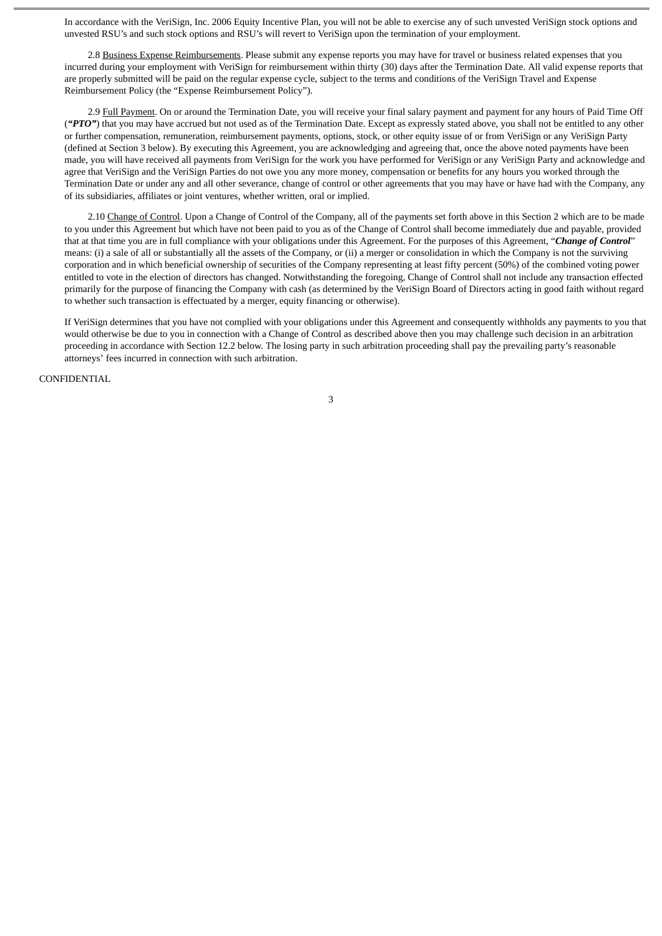In accordance with the VeriSign, Inc. 2006 Equity Incentive Plan, you will not be able to exercise any of such unvested VeriSign stock options and unvested RSU's and such stock options and RSU's will revert to VeriSign upon the termination of your employment.

2.8 Business Expense Reimbursements. Please submit any expense reports you may have for travel or business related expenses that you incurred during your employment with VeriSign for reimbursement within thirty (30) days after the Termination Date. All valid expense reports that are properly submitted will be paid on the regular expense cycle, subject to the terms and conditions of the VeriSign Travel and Expense Reimbursement Policy (the "Expense Reimbursement Policy").

2.9 Full Payment. On or around the Termination Date, you will receive your final salary payment and payment for any hours of Paid Time Off (*"PTO"*) that you may have accrued but not used as of the Termination Date. Except as expressly stated above, you shall not be entitled to any other or further compensation, remuneration, reimbursement payments, options, stock, or other equity issue of or from VeriSign or any VeriSign Party (defined at Section 3 below). By executing this Agreement, you are acknowledging and agreeing that, once the above noted payments have been made, you will have received all payments from VeriSign for the work you have performed for VeriSign or any VeriSign Party and acknowledge and agree that VeriSign and the VeriSign Parties do not owe you any more money, compensation or benefits for any hours you worked through the Termination Date or under any and all other severance, change of control or other agreements that you may have or have had with the Company, any of its subsidiaries, affiliates or joint ventures, whether written, oral or implied.

2.10 Change of Control. Upon a Change of Control of the Company, all of the payments set forth above in this Section 2 which are to be made to you under this Agreement but which have not been paid to you as of the Change of Control shall become immediately due and payable, provided that at that time you are in full compliance with your obligations under this Agreement. For the purposes of this Agreement, "*Change of Control*" means: (i) a sale of all or substantially all the assets of the Company, or (ii) a merger or consolidation in which the Company is not the surviving corporation and in which beneficial ownership of securities of the Company representing at least fifty percent (50%) of the combined voting power entitled to vote in the election of directors has changed. Notwithstanding the foregoing, Change of Control shall not include any transaction effected primarily for the purpose of financing the Company with cash (as determined by the VeriSign Board of Directors acting in good faith without regard to whether such transaction is effectuated by a merger, equity financing or otherwise).

If VeriSign determines that you have not complied with your obligations under this Agreement and consequently withholds any payments to you that would otherwise be due to you in connection with a Change of Control as described above then you may challenge such decision in an arbitration proceeding in accordance with Section 12.2 below. The losing party in such arbitration proceeding shall pay the prevailing party's reasonable attorneys' fees incurred in connection with such arbitration.

CONFIDENTIAL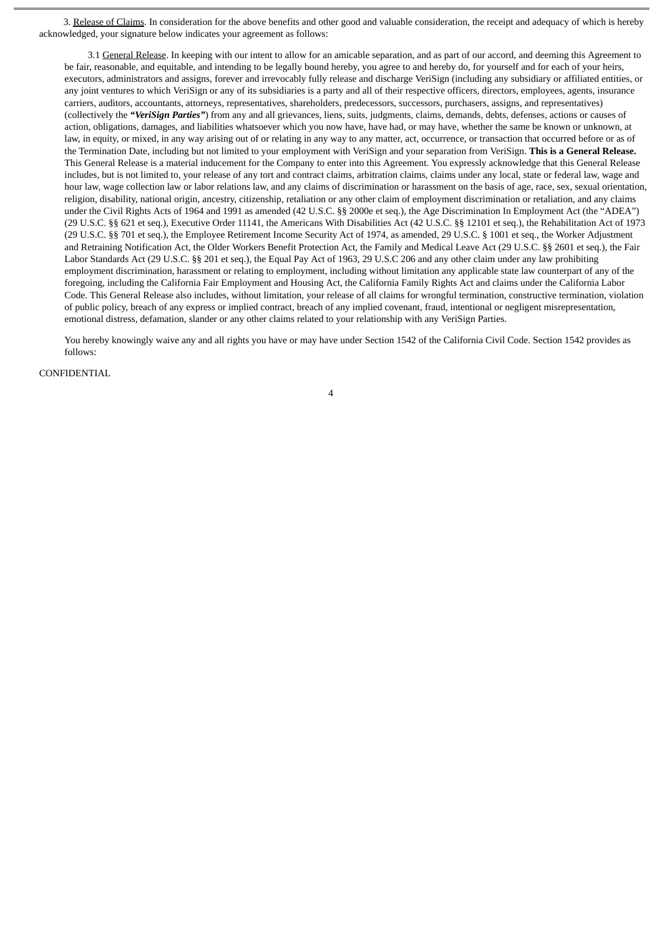3. Release of Claims. In consideration for the above benefits and other good and valuable consideration, the receipt and adequacy of which is hereby acknowledged, your signature below indicates your agreement as follows:

3.1 General Release. In keeping with our intent to allow for an amicable separation, and as part of our accord, and deeming this Agreement to be fair, reasonable, and equitable, and intending to be legally bound hereby, you agree to and hereby do, for yourself and for each of your heirs, executors, administrators and assigns, forever and irrevocably fully release and discharge VeriSign (including any subsidiary or affiliated entities, or any joint ventures to which VeriSign or any of its subsidiaries is a party and all of their respective officers, directors, employees, agents, insurance carriers, auditors, accountants, attorneys, representatives, shareholders, predecessors, successors, purchasers, assigns, and representatives) (collectively the *"VeriSign Parties"*) from any and all grievances, liens, suits, judgments, claims, demands, debts, defenses, actions or causes of action, obligations, damages, and liabilities whatsoever which you now have, have had, or may have, whether the same be known or unknown, at law, in equity, or mixed, in any way arising out of or relating in any way to any matter, act, occurrence, or transaction that occurred before or as of the Termination Date, including but not limited to your employment with VeriSign and your separation from VeriSign. **This is a General Release.** This General Release is a material inducement for the Company to enter into this Agreement. You expressly acknowledge that this General Release includes, but is not limited to, your release of any tort and contract claims, arbitration claims, claims under any local, state or federal law, wage and hour law, wage collection law or labor relations law, and any claims of discrimination or harassment on the basis of age, race, sex, sexual orientation, religion, disability, national origin, ancestry, citizenship, retaliation or any other claim of employment discrimination or retaliation, and any claims under the Civil Rights Acts of 1964 and 1991 as amended (42 U.S.C. §§ 2000e et seq.), the Age Discrimination In Employment Act (the "ADEA") (29 U.S.C. §§ 621 et seq.), Executive Order 11141, the Americans With Disabilities Act (42 U.S.C. §§ 12101 et seq.), the Rehabilitation Act of 1973 (29 U.S.C. §§ 701 et seq.), the Employee Retirement Income Security Act of 1974, as amended, 29 U.S.C. § 1001 et seq., the Worker Adjustment and Retraining Notification Act, the Older Workers Benefit Protection Act, the Family and Medical Leave Act (29 U.S.C. §§ 2601 et seq.), the Fair Labor Standards Act (29 U.S.C. §§ 201 et seq.), the Equal Pay Act of 1963, 29 U.S.C 206 and any other claim under any law prohibiting employment discrimination, harassment or relating to employment, including without limitation any applicable state law counterpart of any of the foregoing, including the California Fair Employment and Housing Act, the California Family Rights Act and claims under the California Labor Code. This General Release also includes, without limitation, your release of all claims for wrongful termination, constructive termination, violation of public policy, breach of any express or implied contract, breach of any implied covenant, fraud, intentional or negligent misrepresentation, emotional distress, defamation, slander or any other claims related to your relationship with any VeriSign Parties.

You hereby knowingly waive any and all rights you have or may have under Section 1542 of the California Civil Code. Section 1542 provides as follows:

**CONFIDENTIAL**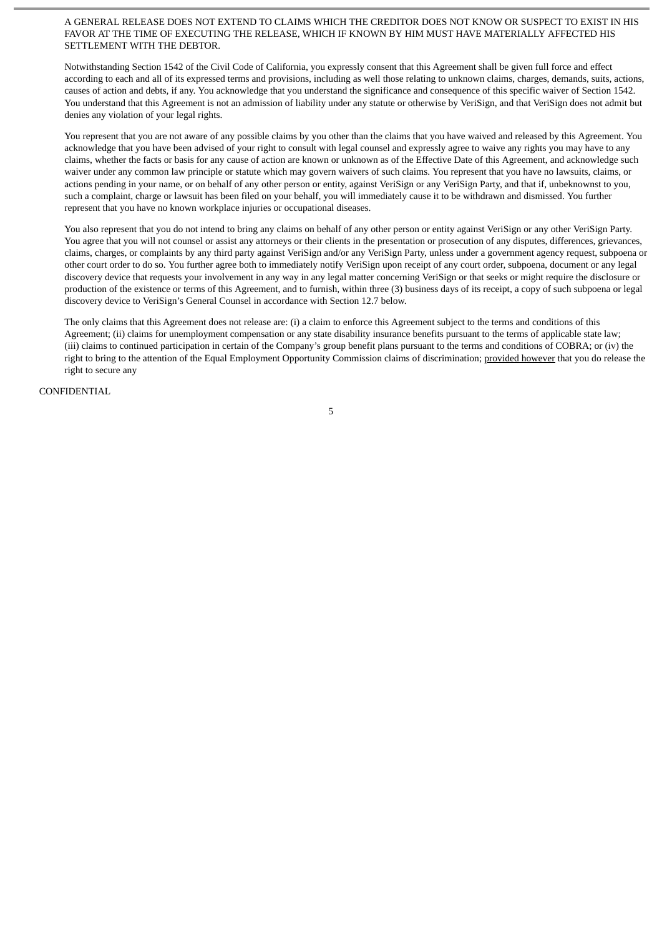A GENERAL RELEASE DOES NOT EXTEND TO CLAIMS WHICH THE CREDITOR DOES NOT KNOW OR SUSPECT TO EXIST IN HIS FAVOR AT THE TIME OF EXECUTING THE RELEASE, WHICH IF KNOWN BY HIM MUST HAVE MATERIALLY AFFECTED HIS SETTLEMENT WITH THE DEBTOR.

Notwithstanding Section 1542 of the Civil Code of California, you expressly consent that this Agreement shall be given full force and effect according to each and all of its expressed terms and provisions, including as well those relating to unknown claims, charges, demands, suits, actions, causes of action and debts, if any. You acknowledge that you understand the significance and consequence of this specific waiver of Section 1542. You understand that this Agreement is not an admission of liability under any statute or otherwise by VeriSign, and that VeriSign does not admit but denies any violation of your legal rights.

You represent that you are not aware of any possible claims by you other than the claims that you have waived and released by this Agreement. You acknowledge that you have been advised of your right to consult with legal counsel and expressly agree to waive any rights you may have to any claims, whether the facts or basis for any cause of action are known or unknown as of the Effective Date of this Agreement, and acknowledge such waiver under any common law principle or statute which may govern waivers of such claims. You represent that you have no lawsuits, claims, or actions pending in your name, or on behalf of any other person or entity, against VeriSign or any VeriSign Party, and that if, unbeknownst to you, such a complaint, charge or lawsuit has been filed on your behalf, you will immediately cause it to be withdrawn and dismissed. You further represent that you have no known workplace injuries or occupational diseases.

You also represent that you do not intend to bring any claims on behalf of any other person or entity against VeriSign or any other VeriSign Party. You agree that you will not counsel or assist any attorneys or their clients in the presentation or prosecution of any disputes, differences, grievances, claims, charges, or complaints by any third party against VeriSign and/or any VeriSign Party, unless under a government agency request, subpoena or other court order to do so. You further agree both to immediately notify VeriSign upon receipt of any court order, subpoena, document or any legal discovery device that requests your involvement in any way in any legal matter concerning VeriSign or that seeks or might require the disclosure or production of the existence or terms of this Agreement, and to furnish, within three (3) business days of its receipt, a copy of such subpoena or legal discovery device to VeriSign's General Counsel in accordance with Section 12.7 below.

The only claims that this Agreement does not release are: (i) a claim to enforce this Agreement subject to the terms and conditions of this Agreement; (ii) claims for unemployment compensation or any state disability insurance benefits pursuant to the terms of applicable state law; (iii) claims to continued participation in certain of the Company's group benefit plans pursuant to the terms and conditions of COBRA; or (iv) the right to bring to the attention of the Equal Employment Opportunity Commission claims of discrimination; provided however that you do release the right to secure any

**CONFIDENTIAL**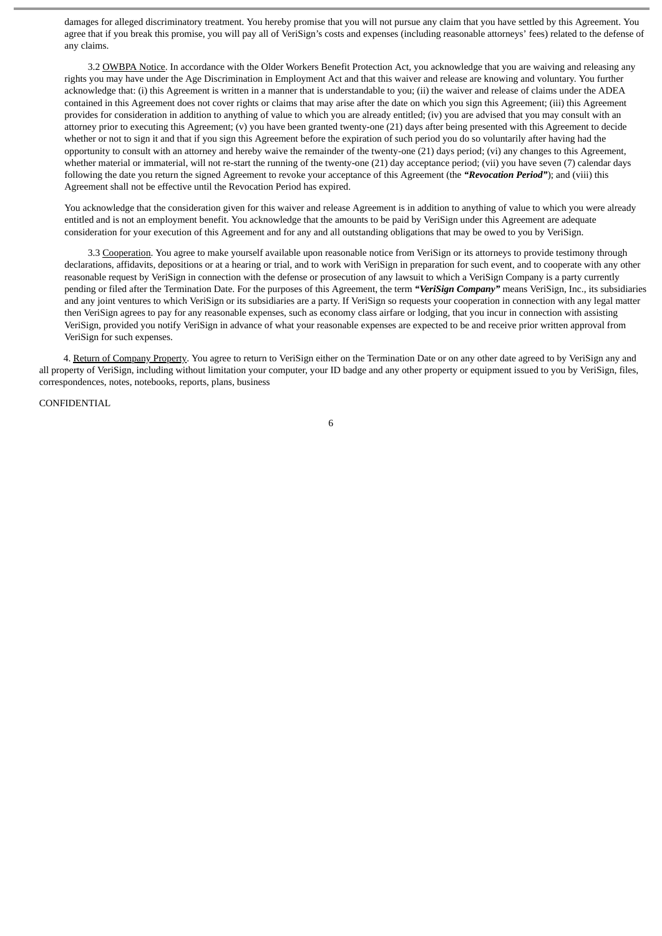damages for alleged discriminatory treatment. You hereby promise that you will not pursue any claim that you have settled by this Agreement. You agree that if you break this promise, you will pay all of VeriSign's costs and expenses (including reasonable attorneys' fees) related to the defense of any claims.

3.2 OWBPA Notice. In accordance with the Older Workers Benefit Protection Act, you acknowledge that you are waiving and releasing any rights you may have under the Age Discrimination in Employment Act and that this waiver and release are knowing and voluntary. You further acknowledge that: (i) this Agreement is written in a manner that is understandable to you; (ii) the waiver and release of claims under the ADEA contained in this Agreement does not cover rights or claims that may arise after the date on which you sign this Agreement; (iii) this Agreement provides for consideration in addition to anything of value to which you are already entitled; (iv) you are advised that you may consult with an attorney prior to executing this Agreement; (v) you have been granted twenty-one (21) days after being presented with this Agreement to decide whether or not to sign it and that if you sign this Agreement before the expiration of such period you do so voluntarily after having had the opportunity to consult with an attorney and hereby waive the remainder of the twenty-one (21) days period; (vi) any changes to this Agreement, whether material or immaterial, will not re-start the running of the twenty-one (21) day acceptance period; (vii) you have seven (7) calendar days following the date you return the signed Agreement to revoke your acceptance of this Agreement (the *"Revocation Period"*); and (viii) this Agreement shall not be effective until the Revocation Period has expired.

You acknowledge that the consideration given for this waiver and release Agreement is in addition to anything of value to which you were already entitled and is not an employment benefit. You acknowledge that the amounts to be paid by VeriSign under this Agreement are adequate consideration for your execution of this Agreement and for any and all outstanding obligations that may be owed to you by VeriSign.

3.3 Cooperation. You agree to make yourself available upon reasonable notice from VeriSign or its attorneys to provide testimony through declarations, affidavits, depositions or at a hearing or trial, and to work with VeriSign in preparation for such event, and to cooperate with any other reasonable request by VeriSign in connection with the defense or prosecution of any lawsuit to which a VeriSign Company is a party currently pending or filed after the Termination Date. For the purposes of this Agreement, the term *"VeriSign Company"* means VeriSign, Inc., its subsidiaries and any joint ventures to which VeriSign or its subsidiaries are a party. If VeriSign so requests your cooperation in connection with any legal matter then VeriSign agrees to pay for any reasonable expenses, such as economy class airfare or lodging, that you incur in connection with assisting VeriSign, provided you notify VeriSign in advance of what your reasonable expenses are expected to be and receive prior written approval from VeriSign for such expenses.

4. Return of Company Property. You agree to return to VeriSign either on the Termination Date or on any other date agreed to by VeriSign any and all property of VeriSign, including without limitation your computer, your ID badge and any other property or equipment issued to you by VeriSign, files, correspondences, notes, notebooks, reports, plans, business

CONFIDENTIAL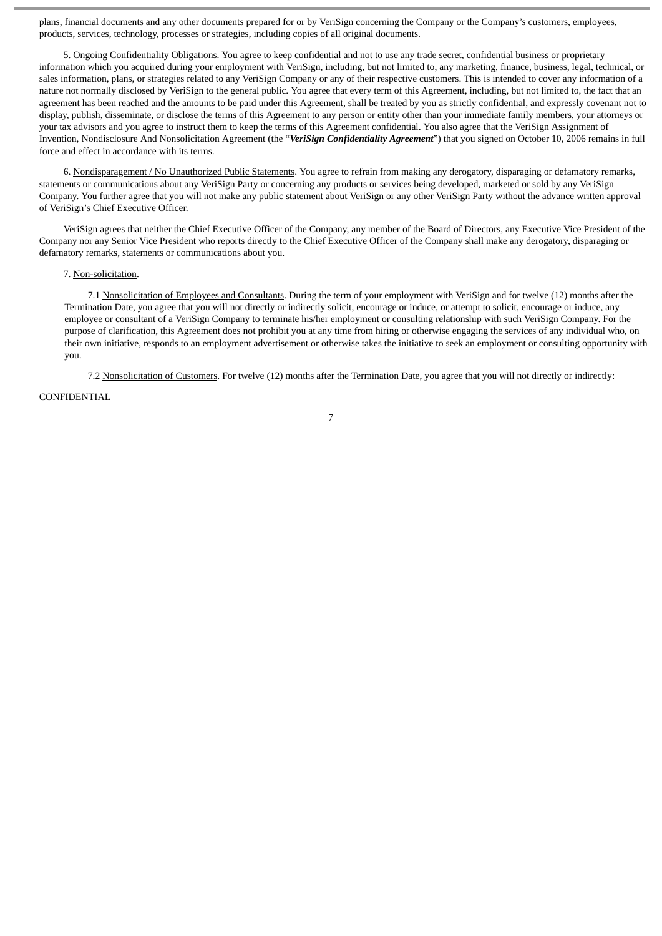plans, financial documents and any other documents prepared for or by VeriSign concerning the Company or the Company's customers, employees, products, services, technology, processes or strategies, including copies of all original documents.

5. Ongoing Confidentiality Obligations. You agree to keep confidential and not to use any trade secret, confidential business or proprietary information which you acquired during your employment with VeriSign, including, but not limited to, any marketing, finance, business, legal, technical, or sales information, plans, or strategies related to any VeriSign Company or any of their respective customers. This is intended to cover any information of a nature not normally disclosed by VeriSign to the general public. You agree that every term of this Agreement, including, but not limited to, the fact that an agreement has been reached and the amounts to be paid under this Agreement, shall be treated by you as strictly confidential, and expressly covenant not to display, publish, disseminate, or disclose the terms of this Agreement to any person or entity other than your immediate family members, your attorneys or your tax advisors and you agree to instruct them to keep the terms of this Agreement confidential. You also agree that the VeriSign Assignment of Invention, Nondisclosure And Nonsolicitation Agreement (the "*VeriSign Confidentiality Agreement*") that you signed on October 10, 2006 remains in full force and effect in accordance with its terms.

6. Nondisparagement / No Unauthorized Public Statements. You agree to refrain from making any derogatory, disparaging or defamatory remarks, statements or communications about any VeriSign Party or concerning any products or services being developed, marketed or sold by any VeriSign Company. You further agree that you will not make any public statement about VeriSign or any other VeriSign Party without the advance written approval of VeriSign's Chief Executive Officer.

VeriSign agrees that neither the Chief Executive Officer of the Company, any member of the Board of Directors, any Executive Vice President of the Company nor any Senior Vice President who reports directly to the Chief Executive Officer of the Company shall make any derogatory, disparaging or defamatory remarks, statements or communications about you.

#### 7. Non-solicitation.

7.1 Nonsolicitation of Employees and Consultants. During the term of your employment with VeriSign and for twelve (12) months after the Termination Date, you agree that you will not directly or indirectly solicit, encourage or induce, or attempt to solicit, encourage or induce, any employee or consultant of a VeriSign Company to terminate his/her employment or consulting relationship with such VeriSign Company. For the purpose of clarification, this Agreement does not prohibit you at any time from hiring or otherwise engaging the services of any individual who, on their own initiative, responds to an employment advertisement or otherwise takes the initiative to seek an employment or consulting opportunity with you.

7.2 Nonsolicitation of Customers. For twelve (12) months after the Termination Date, you agree that you will not directly or indirectly:

7

# **CONFIDENTIAL**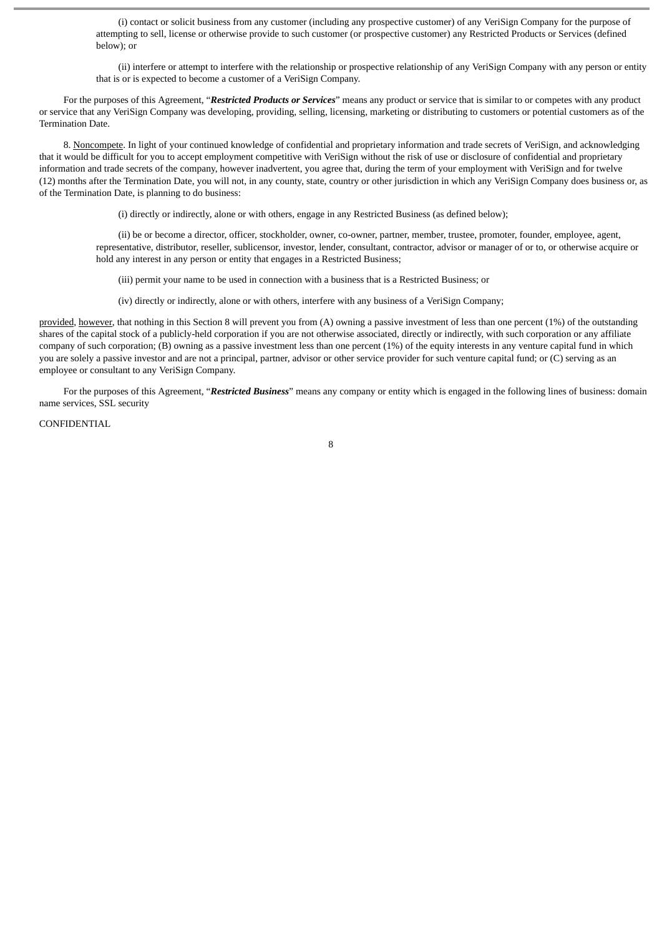(i) contact or solicit business from any customer (including any prospective customer) of any VeriSign Company for the purpose of attempting to sell, license or otherwise provide to such customer (or prospective customer) any Restricted Products or Services (defined below); or

(ii) interfere or attempt to interfere with the relationship or prospective relationship of any VeriSign Company with any person or entity that is or is expected to become a customer of a VeriSign Company.

For the purposes of this Agreement, "*Restricted Products or Services*" means any product or service that is similar to or competes with any product or service that any VeriSign Company was developing, providing, selling, licensing, marketing or distributing to customers or potential customers as of the Termination Date.

8. Noncompete. In light of your continued knowledge of confidential and proprietary information and trade secrets of VeriSign, and acknowledging that it would be difficult for you to accept employment competitive with VeriSign without the risk of use or disclosure of confidential and proprietary information and trade secrets of the company, however inadvertent, you agree that, during the term of your employment with VeriSign and for twelve (12) months after the Termination Date, you will not, in any county, state, country or other jurisdiction in which any VeriSign Company does business or, as of the Termination Date, is planning to do business:

(i) directly or indirectly, alone or with others, engage in any Restricted Business (as defined below);

(ii) be or become a director, officer, stockholder, owner, co-owner, partner, member, trustee, promoter, founder, employee, agent, representative, distributor, reseller, sublicensor, investor, lender, consultant, contractor, advisor or manager of or to, or otherwise acquire or hold any interest in any person or entity that engages in a Restricted Business;

(iii) permit your name to be used in connection with a business that is a Restricted Business; or

(iv) directly or indirectly, alone or with others, interfere with any business of a VeriSign Company;

provided, however, that nothing in this Section 8 will prevent you from (A) owning a passive investment of less than one percent (1%) of the outstanding shares of the capital stock of a publicly-held corporation if you are not otherwise associated, directly or indirectly, with such corporation or any affiliate company of such corporation; (B) owning as a passive investment less than one percent (1%) of the equity interests in any venture capital fund in which you are solely a passive investor and are not a principal, partner, advisor or other service provider for such venture capital fund; or (C) serving as an employee or consultant to any VeriSign Company.

For the purposes of this Agreement, "*Restricted Business*" means any company or entity which is engaged in the following lines of business: domain name services, SSL security

**CONFIDENTIAL**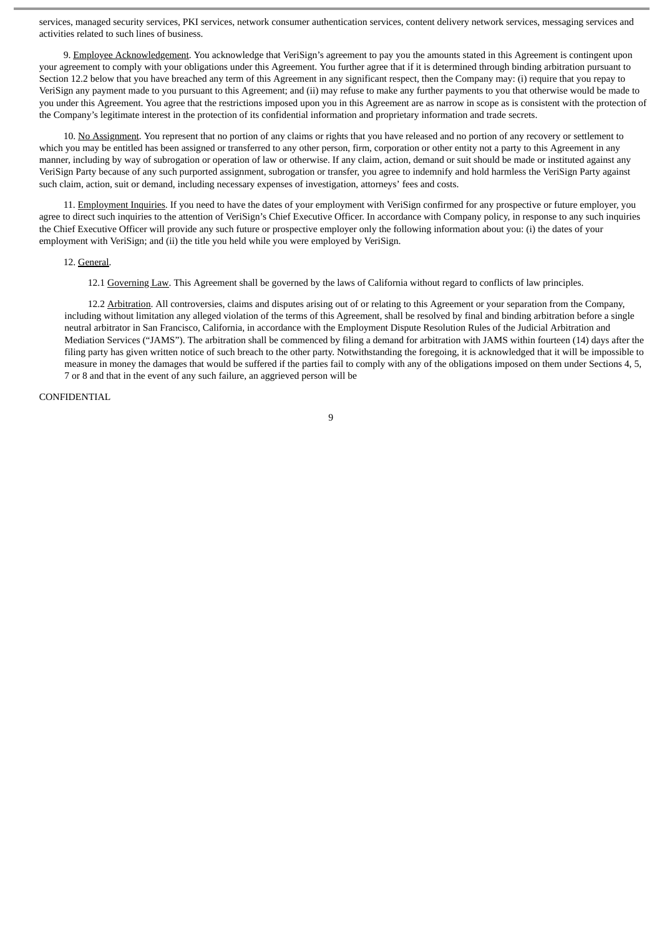services, managed security services, PKI services, network consumer authentication services, content delivery network services, messaging services and activities related to such lines of business.

9. Employee Acknowledgement. You acknowledge that VeriSign's agreement to pay you the amounts stated in this Agreement is contingent upon your agreement to comply with your obligations under this Agreement. You further agree that if it is determined through binding arbitration pursuant to Section 12.2 below that you have breached any term of this Agreement in any significant respect, then the Company may: (i) require that you repay to VeriSign any payment made to you pursuant to this Agreement; and (ii) may refuse to make any further payments to you that otherwise would be made to you under this Agreement. You agree that the restrictions imposed upon you in this Agreement are as narrow in scope as is consistent with the protection of the Company's legitimate interest in the protection of its confidential information and proprietary information and trade secrets.

10. No Assignment. You represent that no portion of any claims or rights that you have released and no portion of any recovery or settlement to which you may be entitled has been assigned or transferred to any other person, firm, corporation or other entity not a party to this Agreement in any manner, including by way of subrogation or operation of law or otherwise. If any claim, action, demand or suit should be made or instituted against any VeriSign Party because of any such purported assignment, subrogation or transfer, you agree to indemnify and hold harmless the VeriSign Party against such claim, action, suit or demand, including necessary expenses of investigation, attorneys' fees and costs.

11. Employment Inquiries. If you need to have the dates of your employment with VeriSign confirmed for any prospective or future employer, you agree to direct such inquiries to the attention of VeriSign's Chief Executive Officer. In accordance with Company policy, in response to any such inquiries the Chief Executive Officer will provide any such future or prospective employer only the following information about you: (i) the dates of your employment with VeriSign; and (ii) the title you held while you were employed by VeriSign.

#### 12. General.

12.1 Governing Law. This Agreement shall be governed by the laws of California without regard to conflicts of law principles.

12.2 Arbitration. All controversies, claims and disputes arising out of or relating to this Agreement or your separation from the Company, including without limitation any alleged violation of the terms of this Agreement, shall be resolved by final and binding arbitration before a single neutral arbitrator in San Francisco, California, in accordance with the Employment Dispute Resolution Rules of the Judicial Arbitration and Mediation Services ("JAMS"). The arbitration shall be commenced by filing a demand for arbitration with JAMS within fourteen (14) days after the filing party has given written notice of such breach to the other party. Notwithstanding the foregoing, it is acknowledged that it will be impossible to measure in money the damages that would be suffered if the parties fail to comply with any of the obligations imposed on them under Sections 4, 5, 7 or 8 and that in the event of any such failure, an aggrieved person will be

### **CONFIDENTIAL**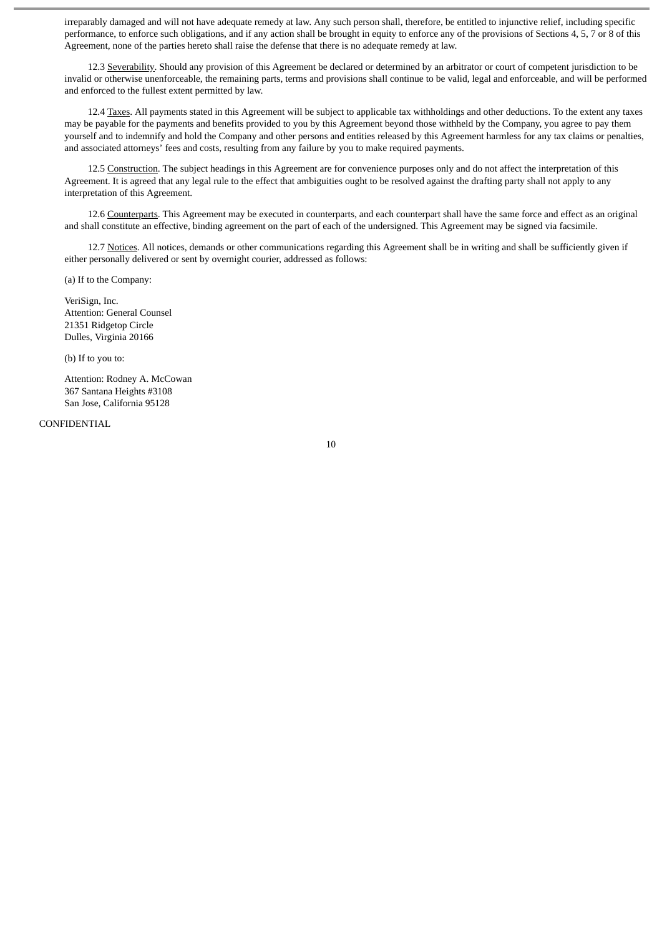irreparably damaged and will not have adequate remedy at law. Any such person shall, therefore, be entitled to injunctive relief, including specific performance, to enforce such obligations, and if any action shall be brought in equity to enforce any of the provisions of Sections 4, 5, 7 or 8 of this Agreement, none of the parties hereto shall raise the defense that there is no adequate remedy at law.

12.3 Severability. Should any provision of this Agreement be declared or determined by an arbitrator or court of competent jurisdiction to be invalid or otherwise unenforceable, the remaining parts, terms and provisions shall continue to be valid, legal and enforceable, and will be performed and enforced to the fullest extent permitted by law.

12.4 Taxes. All payments stated in this Agreement will be subject to applicable tax withholdings and other deductions. To the extent any taxes may be payable for the payments and benefits provided to you by this Agreement beyond those withheld by the Company, you agree to pay them yourself and to indemnify and hold the Company and other persons and entities released by this Agreement harmless for any tax claims or penalties, and associated attorneys' fees and costs, resulting from any failure by you to make required payments.

12.5 Construction. The subject headings in this Agreement are for convenience purposes only and do not affect the interpretation of this Agreement. It is agreed that any legal rule to the effect that ambiguities ought to be resolved against the drafting party shall not apply to any interpretation of this Agreement.

12.6 Counterparts. This Agreement may be executed in counterparts, and each counterpart shall have the same force and effect as an original and shall constitute an effective, binding agreement on the part of each of the undersigned. This Agreement may be signed via facsimile.

12.7 Notices. All notices, demands or other communications regarding this Agreement shall be in writing and shall be sufficiently given if either personally delivered or sent by overnight courier, addressed as follows:

(a) If to the Company:

VeriSign, Inc. Attention: General Counsel 21351 Ridgetop Circle Dulles, Virginia 20166

(b) If to you to:

Attention: Rodney A. McCowan 367 Santana Heights #3108 San Jose, California 95128

**CONFIDENTIAL**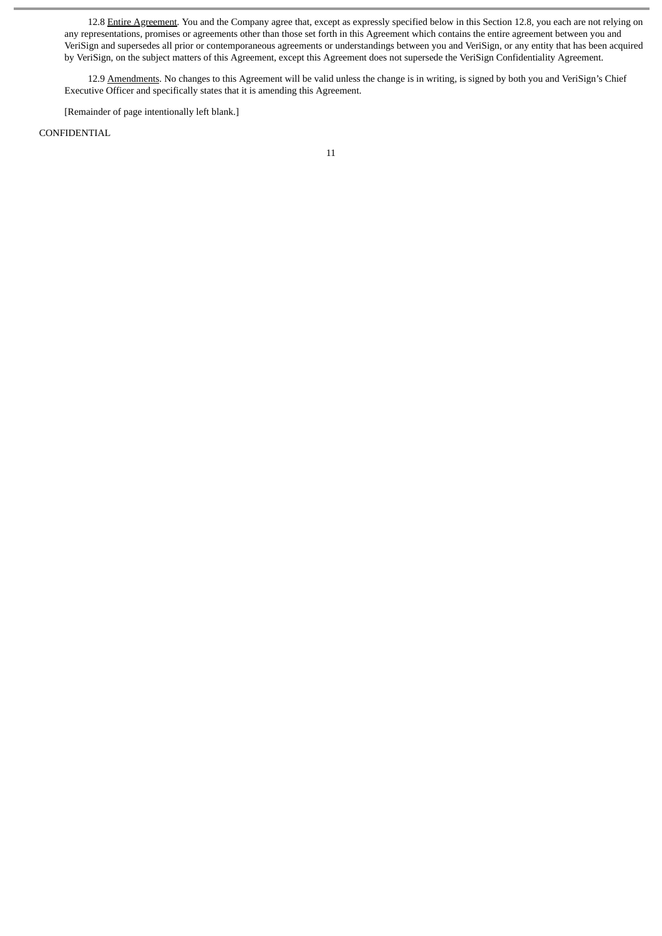12.8 Entire Agreement. You and the Company agree that, except as expressly specified below in this Section 12.8, you each are not relying on any representations, promises or agreements other than those set forth in this Agreement which contains the entire agreement between you and VeriSign and supersedes all prior or contemporaneous agreements or understandings between you and VeriSign, or any entity that has been acquired by VeriSign, on the subject matters of this Agreement, except this Agreement does not supersede the VeriSign Confidentiality Agreement.

12.9 Amendments. No changes to this Agreement will be valid unless the change is in writing, is signed by both you and VeriSign's Chief Executive Officer and specifically states that it is amending this Agreement.

[Remainder of page intentionally left blank.]

**CONFIDENTIAL**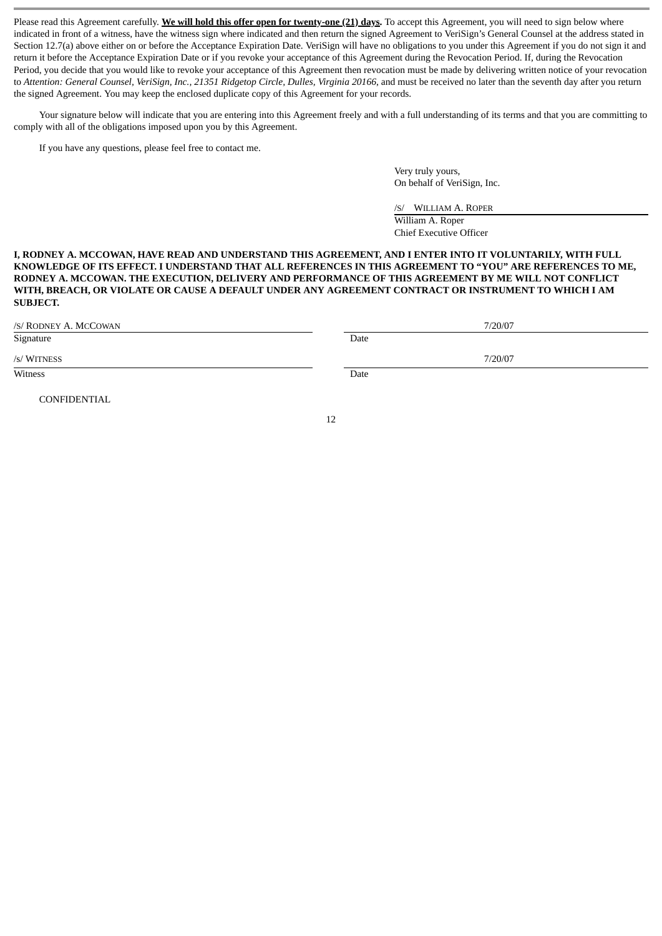Please read this Agreement carefully. We will hold this offer open for twenty-one (21) days. To accept this Agreement, you will need to sign below where indicated in front of a witness, have the witness sign where indicated and then return the signed Agreement to VeriSign's General Counsel at the address stated in Section 12.7(a) above either on or before the Acceptance Expiration Date. VeriSign will have no obligations to you under this Agreement if you do not sign it and return it before the Acceptance Expiration Date or if you revoke your acceptance of this Agreement during the Revocation Period. If, during the Revocation Period, you decide that you would like to revoke your acceptance of this Agreement then revocation must be made by delivering written notice of your revocation to *Attention: General Counsel, VeriSign, Inc., 21351 Ridgetop Circle, Dulles, Virginia 20166*, and must be received no later than the seventh day after you return the signed Agreement. You may keep the enclosed duplicate copy of this Agreement for your records.

Your signature below will indicate that you are entering into this Agreement freely and with a full understanding of its terms and that you are committing to comply with all of the obligations imposed upon you by this Agreement.

If you have any questions, please feel free to contact me.

Very truly yours, On behalf of VeriSign, Inc.

/S/ WILLIAM A. ROPER William A. Roper Chief Executive Officer

**I, RODNEY A. MCCOWAN, HAVE READ AND UNDERSTAND THIS AGREEMENT, AND I ENTER INTO IT VOLUNTARILY, WITH FULL KNOWLEDGE OF ITS EFFECT. I UNDERSTAND THAT ALL REFERENCES IN THIS AGREEMENT TO "YOU" ARE REFERENCES TO ME, RODNEY A. MCCOWAN. THE EXECUTION, DELIVERY AND PERFORMANCE OF THIS AGREEMENT BY ME WILL NOT CONFLICT WITH, BREACH, OR VIOLATE OR CAUSE A DEFAULT UNDER ANY AGREEMENT CONTRACT OR INSTRUMENT TO WHICH I AM SUBJECT.**

| /S/ RODNEY A. MCCOWAN | 7/20/07 |  |
|-----------------------|---------|--|
| Signature             | Date    |  |
| /s/ WITNESS           | 7/20/07 |  |
| Witness               | Date    |  |
| <b>CONFIDENTIAL</b>   |         |  |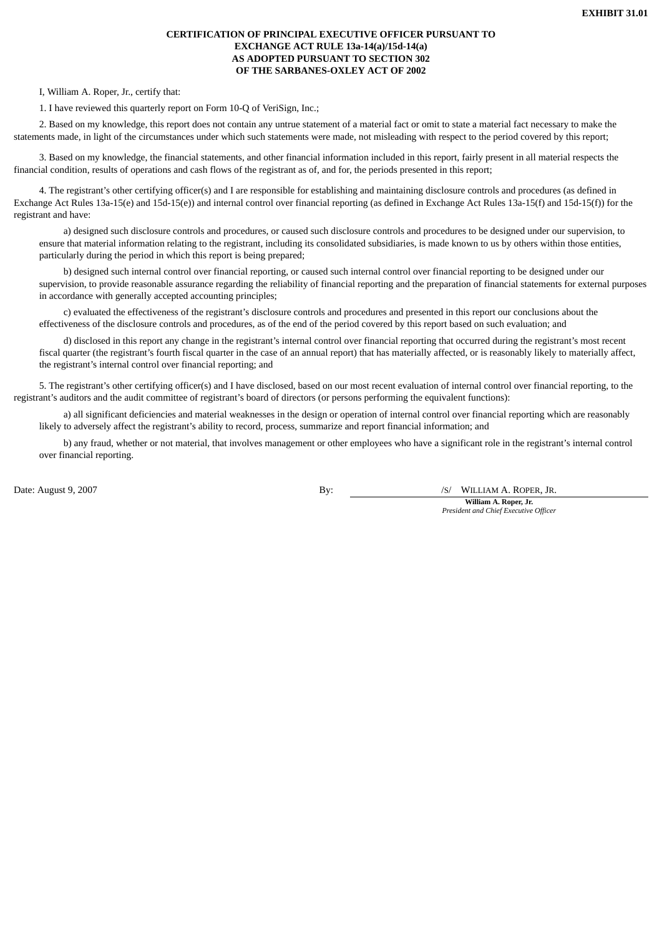## **CERTIFICATION OF PRINCIPAL EXECUTIVE OFFICER PURSUANT TO EXCHANGE ACT RULE 13a-14(a)/15d-14(a) AS ADOPTED PURSUANT TO SECTION 302 OF THE SARBANES-OXLEY ACT OF 2002**

I, William A. Roper, Jr., certify that:

1. I have reviewed this quarterly report on Form 10-Q of VeriSign, Inc.;

2. Based on my knowledge, this report does not contain any untrue statement of a material fact or omit to state a material fact necessary to make the statements made, in light of the circumstances under which such statements were made, not misleading with respect to the period covered by this report;

3. Based on my knowledge, the financial statements, and other financial information included in this report, fairly present in all material respects the financial condition, results of operations and cash flows of the registrant as of, and for, the periods presented in this report;

4. The registrant's other certifying officer(s) and I are responsible for establishing and maintaining disclosure controls and procedures (as defined in Exchange Act Rules 13a-15(e) and 15d-15(e)) and internal control over financial reporting (as defined in Exchange Act Rules 13a-15(f) and 15d-15(f)) for the registrant and have:

a) designed such disclosure controls and procedures, or caused such disclosure controls and procedures to be designed under our supervision, to ensure that material information relating to the registrant, including its consolidated subsidiaries, is made known to us by others within those entities, particularly during the period in which this report is being prepared;

b) designed such internal control over financial reporting, or caused such internal control over financial reporting to be designed under our supervision, to provide reasonable assurance regarding the reliability of financial reporting and the preparation of financial statements for external purposes in accordance with generally accepted accounting principles;

c) evaluated the effectiveness of the registrant's disclosure controls and procedures and presented in this report our conclusions about the effectiveness of the disclosure controls and procedures, as of the end of the period covered by this report based on such evaluation; and

d) disclosed in this report any change in the registrant's internal control over financial reporting that occurred during the registrant's most recent fiscal quarter (the registrant's fourth fiscal quarter in the case of an annual report) that has materially affected, or is reasonably likely to materially affect, the registrant's internal control over financial reporting; and

5. The registrant's other certifying officer(s) and I have disclosed, based on our most recent evaluation of internal control over financial reporting, to the registrant's auditors and the audit committee of registrant's board of directors (or persons performing the equivalent functions):

a) all significant deficiencies and material weaknesses in the design or operation of internal control over financial reporting which are reasonably likely to adversely affect the registrant's ability to record, process, summarize and report financial information; and

b) any fraud, whether or not material, that involves management or other employees who have a significant role in the registrant's internal control over financial reporting.

Date: August 9, 2007 **By:** /S/ WILLIAM A. ROPER, JR.

**William A. Roper, Jr.** *President and Chief Executive Officer*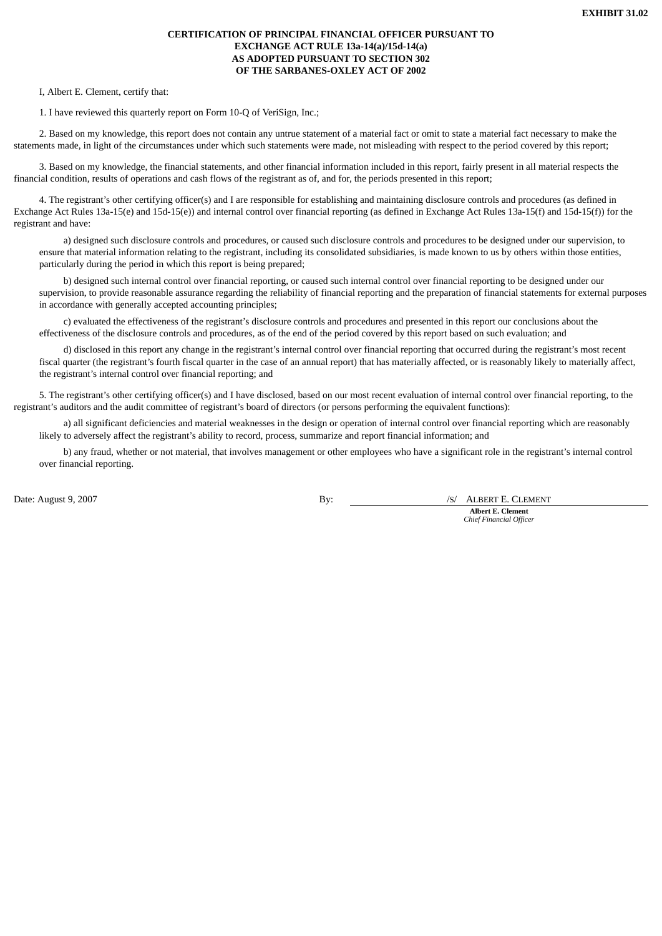## **CERTIFICATION OF PRINCIPAL FINANCIAL OFFICER PURSUANT TO EXCHANGE ACT RULE 13a-14(a)/15d-14(a) AS ADOPTED PURSUANT TO SECTION 302 OF THE SARBANES-OXLEY ACT OF 2002**

I, Albert E. Clement, certify that:

1. I have reviewed this quarterly report on Form 10-Q of VeriSign, Inc.;

2. Based on my knowledge, this report does not contain any untrue statement of a material fact or omit to state a material fact necessary to make the statements made, in light of the circumstances under which such statements were made, not misleading with respect to the period covered by this report;

3. Based on my knowledge, the financial statements, and other financial information included in this report, fairly present in all material respects the financial condition, results of operations and cash flows of the registrant as of, and for, the periods presented in this report;

4. The registrant's other certifying officer(s) and I are responsible for establishing and maintaining disclosure controls and procedures (as defined in Exchange Act Rules 13a-15(e) and 15d-15(e)) and internal control over financial reporting (as defined in Exchange Act Rules 13a-15(f) and 15d-15(f)) for the registrant and have:

a) designed such disclosure controls and procedures, or caused such disclosure controls and procedures to be designed under our supervision, to ensure that material information relating to the registrant, including its consolidated subsidiaries, is made known to us by others within those entities, particularly during the period in which this report is being prepared;

b) designed such internal control over financial reporting, or caused such internal control over financial reporting to be designed under our supervision, to provide reasonable assurance regarding the reliability of financial reporting and the preparation of financial statements for external purposes in accordance with generally accepted accounting principles;

c) evaluated the effectiveness of the registrant's disclosure controls and procedures and presented in this report our conclusions about the effectiveness of the disclosure controls and procedures, as of the end of the period covered by this report based on such evaluation; and

d) disclosed in this report any change in the registrant's internal control over financial reporting that occurred during the registrant's most recent fiscal quarter (the registrant's fourth fiscal quarter in the case of an annual report) that has materially affected, or is reasonably likely to materially affect, the registrant's internal control over financial reporting; and

5. The registrant's other certifying officer(s) and I have disclosed, based on our most recent evaluation of internal control over financial reporting, to the registrant's auditors and the audit committee of registrant's board of directors (or persons performing the equivalent functions):

a) all significant deficiencies and material weaknesses in the design or operation of internal control over financial reporting which are reasonably likely to adversely affect the registrant's ability to record, process, summarize and report financial information; and

b) any fraud, whether or not material, that involves management or other employees who have a significant role in the registrant's internal control over financial reporting.

Date: August 9, 2007 **By:** *By: By: By: IS/ ALBERT E. CLEMENT* 

**Albert E. Clement** *Chief Financial Officer*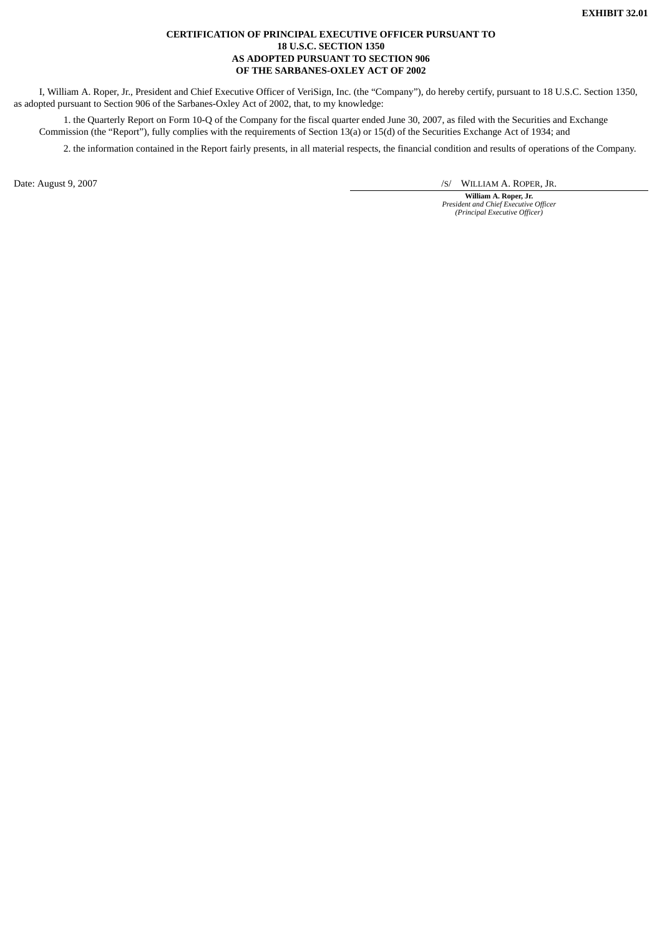## **CERTIFICATION OF PRINCIPAL EXECUTIVE OFFICER PURSUANT TO 18 U.S.C. SECTION 1350 AS ADOPTED PURSUANT TO SECTION 906 OF THE SARBANES-OXLEY ACT OF 2002**

I, William A. Roper, Jr., President and Chief Executive Officer of VeriSign, Inc. (the "Company"), do hereby certify, pursuant to 18 U.S.C. Section 1350, as adopted pursuant to Section 906 of the Sarbanes-Oxley Act of 2002, that, to my knowledge:

1. the Quarterly Report on Form 10-Q of the Company for the fiscal quarter ended June 30, 2007, as filed with the Securities and Exchange Commission (the "Report"), fully complies with the requirements of Section 13(a) or 15(d) of the Securities Exchange Act of 1934; and

2. the information contained in the Report fairly presents, in all material respects, the financial condition and results of operations of the Company.

Date: August 9, 2007 /S/ WILLIAM A. ROPER, JR.

**William A. Roper, Jr.** *President and Chief Executive Officer (Principal Executive Officer)*